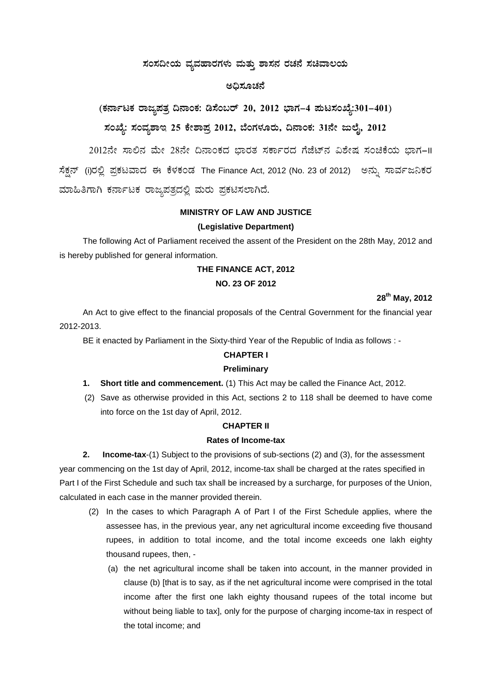## ಸಂಸದೀಯ ವ್ಯವಹಾರಗಳು ಮತ್ತು **ಶಾಸನ ರಚನೆ ಸಚಿವಾಲ**ಯ

## ಅಧಿಸೂಚನೆ

(ಕರ್ನಾಟಕ ರಾಜ್ಯಪತ್ರ ದಿನಾಂಕ: ಡಿಸೆಂಬರ್ 20, 2012 ಭಾಗ–4 **ಪುಟಸಂಖ್ಯೆ:301–401**)

# ಸಂಖ್ಯೆ: ಸಂವ್ನಶಾಇ 25 ಕೇಶಾಪ್ರ 2012, ಬೆಂಗಳೂರು, ದಿನಾಂಕ: 31ನೇ ಜುಲೈ, 2012

2012ನೇ ಸಾಲಿನ ಮೇ 28ನೇ ದಿನಾಂಕದ ಭಾರತ ಸರ್ಕಾರದ ಗೆಜೆಟ್**ನ ವಿಶೇಷ ಸಂಚಿಕೆಯ ಭಾಗ**–II ಸೆಕ್ಷನ್ (i)ರಲ್ಲಿ ಪ್ರಕಟವಾದ ಈ ಕೆಳಕಂಡ The Finance Act, 2012 (No. 23 of 2012) ಅನ್ನು ಸಾರ್ವಜನಿಕರ ಮಾಹಿತಿಗಾಗಿ ಕರ್ನಾಟಕ ರಾಜ್ಯಪತ್ರದಲ್ಲಿ ಮರು ಪ್ರಕಟಿಸಲಾಗಿದೆ.

## **MINISTRY OF LAW AND JUSTICE**

### **(Legislative Department)**

The following Act of Parliament received the assent of the President on the 28th May, 2012 and is hereby published for general information.

### **THE FINANCE ACT, 2012**

### **NO. 23 OF 2012**

## **28th May, 2012**

An Act to give effect to the financial proposals of the Central Government for the financial year 2012-2013.

BE it enacted by Parliament in the Sixty-third Year of the Republic of India as follows : -

### **CHAPTER I**

### **Preliminary**

- **1. Short title and commencement.** (1) This Act may be called the Finance Act, 2012.
- (2) Save as otherwise provided in this Act, sections 2 to 118 shall be deemed to have come into force on the 1st day of April, 2012.

#### **CHAPTER II**

### **Rates of Income-tax**

**2. Income-tax**-(1) Subject to the provisions of sub-sections (2) and (3), for the assessment year commencing on the 1st day of April, 2012, income-tax shall be charged at the rates specified in Part I of the First Schedule and such tax shall be increased by a surcharge, for purposes of the Union, calculated in each case in the manner provided therein.

- (2) In the cases to which Paragraph A of Part I of the First Schedule applies, where the assessee has, in the previous year, any net agricultural income exceeding five thousand rupees, in addition to total income, and the total income exceeds one lakh eighty thousand rupees, then, -
	- (a) the net agricultural income shall be taken into account, in the manner provided in clause (b) [that is to say, as if the net agricultural income were comprised in the total income after the first one lakh eighty thousand rupees of the total income but without being liable to tax], only for the purpose of charging income-tax in respect of the total income; and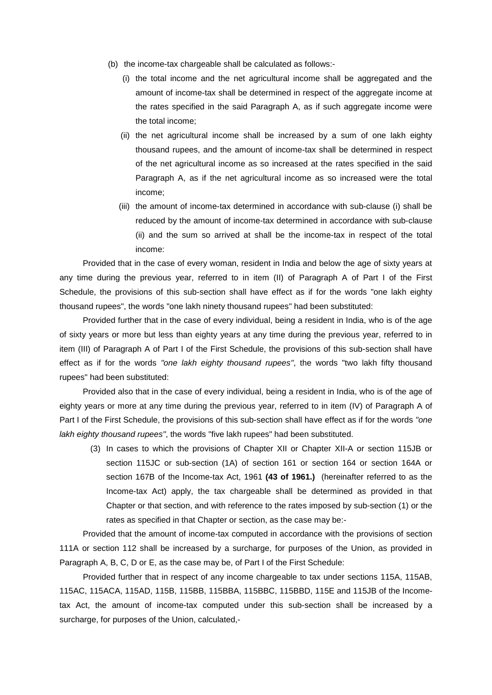- (b) the income-tax chargeable shall be calculated as follows:-
	- (i) the total income and the net agricultural income shall be aggregated and the amount of income-tax shall be determined in respect of the aggregate income at the rates specified in the said Paragraph A, as if such aggregate income were the total income;
	- (ii) the net agricultural income shall be increased by a sum of one lakh eighty thousand rupees, and the amount of income-tax shall be determined in respect of the net agricultural income as so increased at the rates specified in the said Paragraph A, as if the net agricultural income as so increased were the total income;
	- (iii) the amount of income-tax determined in accordance with sub-clause (i) shall be reduced by the amount of income-tax determined in accordance with sub-clause (ii) and the sum so arrived at shall be the income-tax in respect of the total income:

Provided that in the case of every woman, resident in India and below the age of sixty years at any time during the previous year, referred to in item (II) of Paragraph A of Part I of the First Schedule, the provisions of this sub-section shall have effect as if for the words "one lakh eighty thousand rupees", the words "one lakh ninety thousand rupees" had been substituted:

Provided further that in the case of every individual, being a resident in India, who is of the age of sixty years or more but less than eighty years at any time during the previous year, referred to in item (III) of Paragraph A of Part I of the First Schedule, the provisions of this sub-section shall have effect as if for the words *"one lakh eighty thousand rupees"*, the words "two lakh fifty thousand rupees" had been substituted:

Provided also that in the case of every individual, being a resident in India, who is of the age of eighty years or more at any time during the previous year, referred to in item (IV) of Paragraph A of Part I of the First Schedule, the provisions of this sub-section shall have effect as if for the words *"one lakh eighty thousand rupees"*, the words "five lakh rupees" had been substituted.

(3) In cases to which the provisions of Chapter XII or Chapter XII-A or section 115JB or section 115JC or sub-section (1A) of section 161 or section 164 or section 164A or section 167B of the Income-tax Act, 1961 **(43 of 1961.)** (hereinafter referred to as the Income-tax Act) apply, the tax chargeable shall be determined as provided in that Chapter or that section, and with reference to the rates imposed by sub-section (1) or the rates as specified in that Chapter or section, as the case may be:-

Provided that the amount of income-tax computed in accordance with the provisions of section 111A or section 112 shall be increased by a surcharge, for purposes of the Union, as provided in Paragraph A, B, C, D or E, as the case may be, of Part I of the First Schedule:

Provided further that in respect of any income chargeable to tax under sections 115A, 115AB, 115AC, 115ACA, 115AD, 115B, 115BB, 115BBA, 115BBC, 115BBD, 115E and 115JB of the Incometax Act, the amount of income-tax computed under this sub-section shall be increased by a surcharge, for purposes of the Union, calculated,-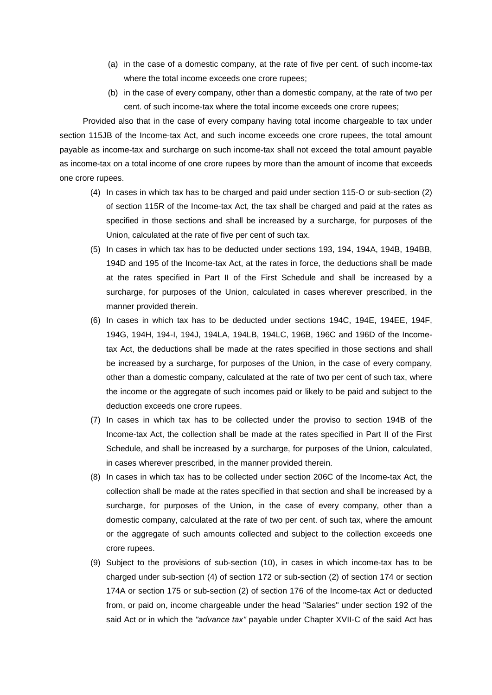- (a) in the case of a domestic company, at the rate of five per cent. of such income-tax where the total income exceeds one crore rupees;
- (b) in the case of every company, other than a domestic company, at the rate of two per cent. of such income-tax where the total income exceeds one crore rupees;

Provided also that in the case of every company having total income chargeable to tax under section 115JB of the Income-tax Act, and such income exceeds one crore rupees, the total amount payable as income-tax and surcharge on such income-tax shall not exceed the total amount payable as income-tax on a total income of one crore rupees by more than the amount of income that exceeds one crore rupees.

- (4) In cases in which tax has to be charged and paid under section 115-O or sub-section (2) of section 115R of the Income-tax Act, the tax shall be charged and paid at the rates as specified in those sections and shall be increased by a surcharge, for purposes of the Union, calculated at the rate of five per cent of such tax.
- (5) In cases in which tax has to be deducted under sections 193, 194, 194A, 194B, 194BB, 194D and 195 of the Income-tax Act, at the rates in force, the deductions shall be made at the rates specified in Part II of the First Schedule and shall be increased by a surcharge, for purposes of the Union, calculated in cases wherever prescribed, in the manner provided therein.
- (6) In cases in which tax has to be deducted under sections 194C, 194E, 194EE, 194F, 194G, 194H, 194-I, 194J, 194LA, 194LB, 194LC, 196B, 196C and 196D of the Incometax Act, the deductions shall be made at the rates specified in those sections and shall be increased by a surcharge, for purposes of the Union, in the case of every company, other than a domestic company, calculated at the rate of two per cent of such tax, where the income or the aggregate of such incomes paid or likely to be paid and subject to the deduction exceeds one crore rupees.
- (7) In cases in which tax has to be collected under the proviso to section 194B of the Income-tax Act, the collection shall be made at the rates specified in Part II of the First Schedule, and shall be increased by a surcharge, for purposes of the Union, calculated, in cases wherever prescribed, in the manner provided therein.
- (8) In cases in which tax has to be collected under section 206C of the Income-tax Act, the collection shall be made at the rates specified in that section and shall be increased by a surcharge, for purposes of the Union, in the case of every company, other than a domestic company, calculated at the rate of two per cent. of such tax, where the amount or the aggregate of such amounts collected and subject to the collection exceeds one crore rupees.
- (9) Subject to the provisions of sub-section (10), in cases in which income-tax has to be charged under sub-section (4) of section 172 or sub-section (2) of section 174 or section 174A or section 175 or sub-section (2) of section 176 of the Income-tax Act or deducted from, or paid on, income chargeable under the head "Salaries" under section 192 of the said Act or in which the *"advance tax"* payable under Chapter XVII-C of the said Act has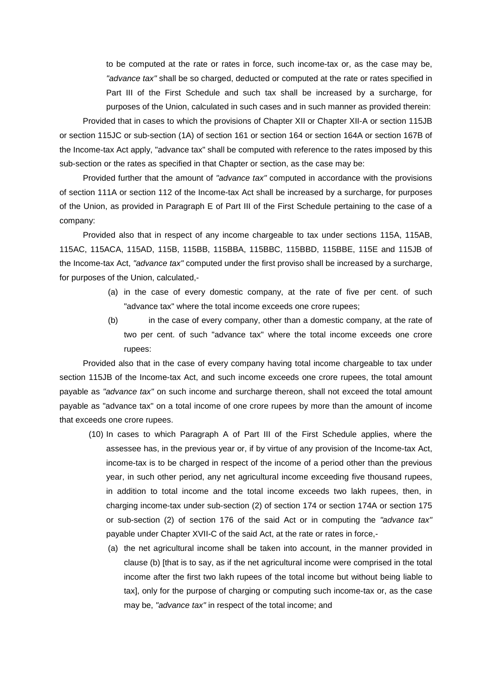to be computed at the rate or rates in force, such income-tax or, as the case may be, *"advance tax"* shall be so charged, deducted or computed at the rate or rates specified in Part III of the First Schedule and such tax shall be increased by a surcharge, for purposes of the Union, calculated in such cases and in such manner as provided therein:

Provided that in cases to which the provisions of Chapter XII or Chapter XII-A or section 115JB or section 115JC or sub-section (1A) of section 161 or section 164 or section 164A or section 167B of the Income-tax Act apply, "advance tax" shall be computed with reference to the rates imposed by this sub-section or the rates as specified in that Chapter or section, as the case may be:

Provided further that the amount of *"advance tax"* computed in accordance with the provisions of section 111A or section 112 of the Income-tax Act shall be increased by a surcharge, for purposes of the Union, as provided in Paragraph E of Part III of the First Schedule pertaining to the case of a company:

Provided also that in respect of any income chargeable to tax under sections 115A, 115AB, 115AC, 115ACA, 115AD, 115B, 115BB, 115BBA, 115BBC, 115BBD, 115BBE, 115E and 115JB of the Income-tax Act, *"advance tax"* computed under the first proviso shall be increased by a surcharge, for purposes of the Union, calculated,-

- (a) in the case of every domestic company, at the rate of five per cent. of such "advance tax" where the total income exceeds one crore rupees;
- (b) in the case of every company, other than a domestic company, at the rate of two per cent. of such "advance tax" where the total income exceeds one crore rupees:

Provided also that in the case of every company having total income chargeable to tax under section 115JB of the Income-tax Act, and such income exceeds one crore rupees, the total amount payable as *"advance tax"* on such income and surcharge thereon, shall not exceed the total amount payable as "advance tax" on a total income of one crore rupees by more than the amount of income that exceeds one crore rupees.

- (10) In cases to which Paragraph A of Part III of the First Schedule applies, where the assessee has, in the previous year or, if by virtue of any provision of the Income-tax Act, income-tax is to be charged in respect of the income of a period other than the previous year, in such other period, any net agricultural income exceeding five thousand rupees, in addition to total income and the total income exceeds two lakh rupees, then, in charging income-tax under sub-section (2) of section 174 or section 174A or section 175 or sub-section (2) of section 176 of the said Act or in computing the *"advance tax"*  payable under Chapter XVII-C of the said Act, at the rate or rates in force,-
	- (a) the net agricultural income shall be taken into account, in the manner provided in clause (b) [that is to say, as if the net agricultural income were comprised in the total income after the first two lakh rupees of the total income but without being liable to tax], only for the purpose of charging or computing such income-tax or, as the case may be, *"advance tax"* in respect of the total income; and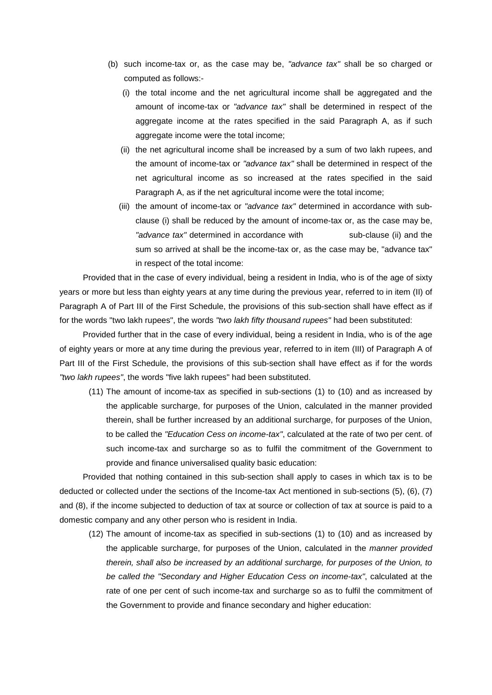- (b) such income-tax or, as the case may be, *"advance tax"* shall be so charged or computed as follows:-
	- (i) the total income and the net agricultural income shall be aggregated and the amount of income-tax or *"advance tax"* shall be determined in respect of the aggregate income at the rates specified in the said Paragraph A, as if such aggregate income were the total income;
	- (ii) the net agricultural income shall be increased by a sum of two lakh rupees, and the amount of income-tax or *"advance tax"* shall be determined in respect of the net agricultural income as so increased at the rates specified in the said Paragraph A, as if the net agricultural income were the total income;
	- (iii) the amount of income-tax or *"advance tax"* determined in accordance with subclause (i) shall be reduced by the amount of income-tax or, as the case may be, *"advance tax"* determined in accordance with sub-clause (ii) and the sum so arrived at shall be the income-tax or, as the case may be, "advance tax" in respect of the total income:

Provided that in the case of every individual, being a resident in India, who is of the age of sixty years or more but less than eighty years at any time during the previous year, referred to in item (II) of Paragraph A of Part III of the First Schedule, the provisions of this sub-section shall have effect as if for the words "two lakh rupees", the words *"two lakh fifty thousand rupees"* had been substituted:

Provided further that in the case of every individual, being a resident in India, who is of the age of eighty years or more at any time during the previous year, referred to in item (III) of Paragraph A of Part III of the First Schedule, the provisions of this sub-section shall have effect as if for the words *"two lakh rupees"*, the words "five lakh rupees" had been substituted.

(11) The amount of income-tax as specified in sub-sections (1) to (10) and as increased by the applicable surcharge, for purposes of the Union, calculated in the manner provided therein, shall be further increased by an additional surcharge, for purposes of the Union, to be called the *"Education Cess on income-tax"*, calculated at the rate of two per cent. of such income-tax and surcharge so as to fulfil the commitment of the Government to provide and finance universalised quality basic education:

Provided that nothing contained in this sub-section shall apply to cases in which tax is to be deducted or collected under the sections of the Income-tax Act mentioned in sub-sections (5), (6), (7) and (8), if the income subjected to deduction of tax at source or collection of tax at source is paid to a domestic company and any other person who is resident in India.

(12) The amount of income-tax as specified in sub-sections (1) to (10) and as increased by the applicable surcharge, for purposes of the Union, calculated in the *manner provided therein, shall also be increased by an additional surcharge, for purposes of the Union, to be called the "Secondary and Higher Education Cess on income-tax"*, calculated at the rate of one per cent of such income-tax and surcharge so as to fulfil the commitment of the Government to provide and finance secondary and higher education: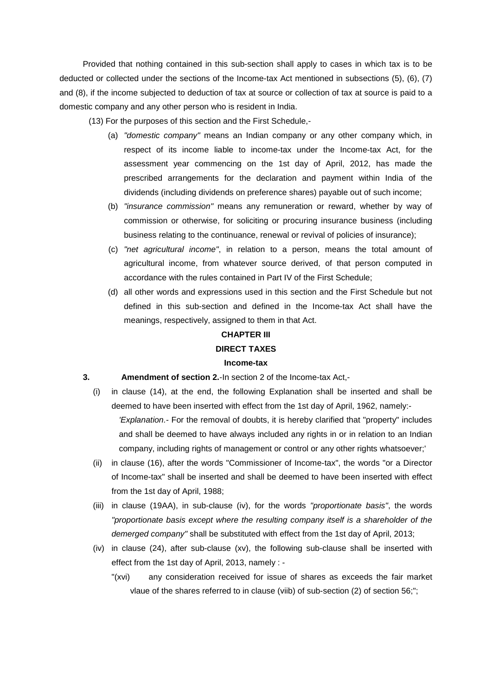Provided that nothing contained in this sub-section shall apply to cases in which tax is to be deducted or collected under the sections of the Income-tax Act mentioned in subsections (5), (6), (7) and (8), if the income subjected to deduction of tax at source or collection of tax at source is paid to a domestic company and any other person who is resident in India.

(13) For the purposes of this section and the First Schedule,-

- (a) *"domestic company"* means an Indian company or any other company which, in respect of its income liable to income-tax under the Income-tax Act, for the assessment year commencing on the 1st day of April, 2012, has made the prescribed arrangements for the declaration and payment within India of the dividends (including dividends on preference shares) payable out of such income;
- (b) *"insurance commission"* means any remuneration or reward, whether by way of commission or otherwise, for soliciting or procuring insurance business (including business relating to the continuance, renewal or revival of policies of insurance);
- (c) *"net agricultural income"*, in relation to a person, means the total amount of agricultural income, from whatever source derived, of that person computed in accordance with the rules contained in Part IV of the First Schedule;
- (d) all other words and expressions used in this section and the First Schedule but not defined in this sub-section and defined in the Income-tax Act shall have the meanings, respectively, assigned to them in that Act.

## **CHAPTER III**

## **DIRECT TAXES**

#### **Income-tax**

### **3. Amendment of section 2.**-In section 2 of the Income-tax Act,-

- (i) in clause (14), at the end, the following Explanation shall be inserted and shall be deemed to have been inserted with effect from the 1st day of April, 1962, namely:- *'Explanation.-* For the removal of doubts, it is hereby clarified that "property" includes and shall be deemed to have always included any rights in or in relation to an Indian company, including rights of management or control or any other rights whatsoever;'
- (ii) in clause (16), after the words "Commissioner of Income-tax", the words "or a Director of Income-tax" shall be inserted and shall be deemed to have been inserted with effect from the 1st day of April, 1988;
- (iii) in clause (19AA), in sub-clause (iv), for the words *"proportionate basis"*, the words *"proportionate basis except where the resulting company itself is a shareholder of the demerged company"* shall be substituted with effect from the 1st day of April, 2013;
- (iv) in clause (24), after sub-clause (xv), the following sub-clause shall be inserted with effect from the 1st day of April, 2013, namely : -
	- "(xvi) any consideration received for issue of shares as exceeds the fair market vlaue of the shares referred to in clause (viib) of sub-section (2) of section 56;";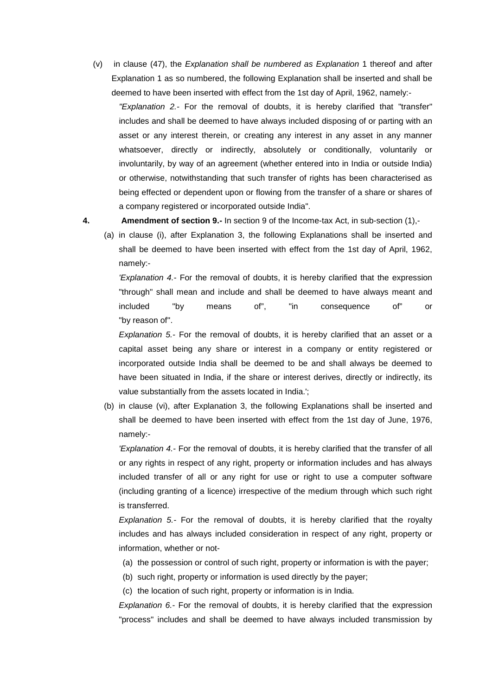(v) in clause (47), the *Explanation shall be numbered as Explanation* 1 thereof and after Explanation 1 as so numbered, the following Explanation shall be inserted and shall be deemed to have been inserted with effect from the 1st day of April, 1962, namely:-

*"Explanation 2.-* For the removal of doubts, it is hereby clarified that "transfer" includes and shall be deemed to have always included disposing of or parting with an asset or any interest therein, or creating any interest in any asset in any manner whatsoever, directly or indirectly, absolutely or conditionally, voluntarily or involuntarily, by way of an agreement (whether entered into in India or outside India) or otherwise, notwithstanding that such transfer of rights has been characterised as being effected or dependent upon or flowing from the transfer of a share or shares of a company registered or incorporated outside India".

### **4. Amendment of section 9.-** In section 9 of the Income-tax Act, in sub-section (1),-

(a) in clause (i), after Explanation 3, the following Explanations shall be inserted and shall be deemed to have been inserted with effect from the 1st day of April, 1962, namely:-

*'Explanation 4.-* For the removal of doubts, it is hereby clarified that the expression "through" shall mean and include and shall be deemed to have always meant and included "by means of", "in consequence of" or "by reason of''.

*Explanation 5.-* For the removal of doubts, it is hereby clarified that an asset or a capital asset being any share or interest in a company or entity registered or incorporated outside India shall be deemed to be and shall always be deemed to have been situated in India, if the share or interest derives, directly or indirectly, its value substantially from the assets located in India.';

(b) in clause (vi), after Explanation 3, the following Explanations shall be inserted and shall be deemed to have been inserted with effect from the 1st day of June, 1976, namely:-

*'Explanation 4.-* For the removal of doubts, it is hereby clarified that the transfer of all or any rights in respect of any right, property or information includes and has always included transfer of all or any right for use or right to use a computer software (including granting of a licence) irrespective of the medium through which such right is transferred.

*Explanation 5.-* For the removal of doubts, it is hereby clarified that the royalty includes and has always included consideration in respect of any right, property or information, whether or not-

- (a) the possession or control of such right, property or information is with the payer;
- (b) such right, property or information is used directly by the payer;
- (c) the location of such right, property or information is in India.

*Explanation 6.-* For the removal of doubts, it is hereby clarified that the expression "process" includes and shall be deemed to have always included transmission by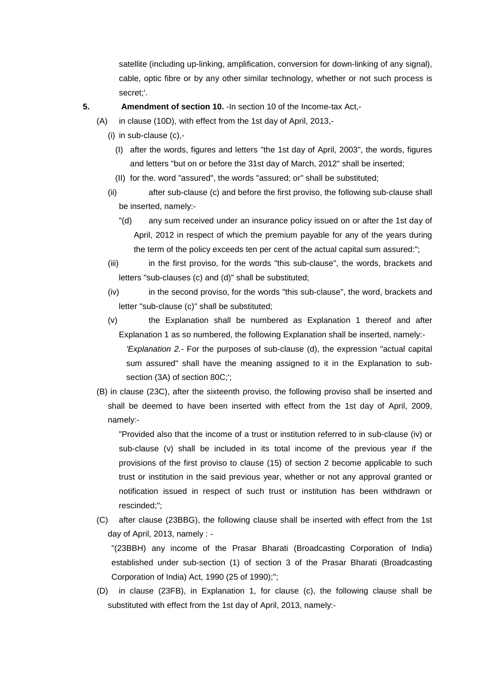satellite (including up-linking, amplification, conversion for down-linking of any signal), cable, optic fibre or by any other similar technology, whether or not such process is secret;'.

**5. Amendment of section 10.** -In section 10 of the Income-tax Act,-

- (A) in clause (10D), with effect from the 1st day of April, 2013,-
	- (i) in sub-clause (c),-
		- (I) after the words, figures and letters "the 1st day of April, 2003", the words, figures and letters "but on or before the 31st day of March, 2012" shall be inserted;
		- (II) for the. word "assured", the words "assured; or" shall be substituted;
	- (ii) after sub-clause (c) and before the first proviso, the following sub-clause shall be inserted, namely:-
		- "(d) any sum received under an insurance policy issued on or after the 1st day of April, 2012 in respect of which the premium payable for any of the years during the term of the policy exceeds ten per cent of the actual capital sum assured:";
	- (iii) in the first proviso, for the words "this sub-clause", the words, brackets and letters "sub-clauses (c) and (d)" shall be substituted;
	- (iv) in the second proviso, for the words "this sub-clause", the word, brackets and letter "sub-clause (c)" shall be substituted;
	- (v) the Explanation shall be numbered as Explanation 1 thereof and after Explanation 1 as so numbered, the following Explanation shall be inserted, namely:-

*'Explanation 2.-* For the purposes of sub-clause (d), the expression "actual capital sum assured" shall have the meaning assigned to it in the Explanation to subsection (3A) of section 80C;';

(B) in clause (23C), after the sixteenth proviso, the following proviso shall be inserted and shall be deemed to have been inserted with effect from the 1st day of April, 2009, namely:-

"Provided also that the income of a trust or institution referred to in sub-clause (iv) or sub-clause (v) shall be included in its total income of the previous year if the provisions of the first proviso to clause (15) of section 2 become applicable to such trust or institution in the said previous year, whether or not any approval granted or notification issued in respect of such trust or institution has been withdrawn or rescinded;";

(C) after clause (23BBG), the following clause shall be inserted with effect from the 1st day of April, 2013, namely : -

"(23BBH) any income of the Prasar Bharati (Broadcasting Corporation of India) established under sub-section (1) of section 3 of the Prasar Bharati (Broadcasting Corporation of India) Act, 1990 (25 of 1990);";

(D) in clause (23FB), in Explanation 1, for clause (c), the following clause shall be substituted with effect from the 1st day of April, 2013, namely:-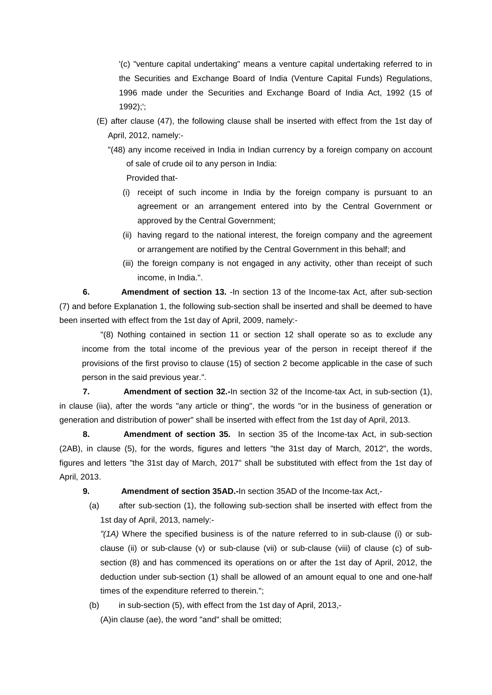'(c) "venture capital undertaking" means a venture capital undertaking referred to in the Securities and Exchange Board of India (Venture Capital Funds) Regulations, 1996 made under the Securities and Exchange Board of India Act, 1992 (15 of 1992);';

- (E) after clause (47), the following clause shall be inserted with effect from the 1st day of April, 2012, namely:-
	- "(48) any income received in India in Indian currency by a foreign company on account of sale of crude oil to any person in India:

Provided that-

- (i) receipt of such income in India by the foreign company is pursuant to an agreement or an arrangement entered into by the Central Government or approved by the Central Government;
- (ii) having regard to the national interest, the foreign company and the agreement or arrangement are notified by the Central Government in this behalf; and
- (iii) the foreign company is not engaged in any activity, other than receipt of such income, in India.".

**6. Amendment of section 13.** -In section 13 of the Income-tax Act, after sub-section (7) and before Explanation 1, the following sub-section shall be inserted and shall be deemed to have been inserted with effect from the 1st day of April, 2009, namely:-

"(8) Nothing contained in section 11 or section 12 shall operate so as to exclude any income from the total income of the previous year of the person in receipt thereof if the provisions of the first proviso to clause (15) of section 2 become applicable in the case of such person in the said previous year.".

**7.** Amendment of section 32.-In section 32 of the Income-tax Act, in sub-section (1), in clause (iia), after the words "any article or thing", the words "or in the business of generation or generation and distribution of power" shall be inserted with effect from the 1st day of April, 2013.

**8. Amendment of section 35.** In section 35 of the Income-tax Act, in sub-section (2AB), in clause (5), for the words, figures and letters "the 31st day of March, 2012", the words, figures and letters "the 31st day of March, 2017" shall be substituted with effect from the 1st day of April, 2013.

**9. Amendment of section 35AD.-**In section 35AD of the Income-tax Act,-

(a) after sub-section (1), the following sub-section shall be inserted with effect from the 1st day of April, 2013, namely:-

*"(1A)* Where the specified business is of the nature referred to in sub-clause (i) or subclause (ii) or sub-clause (v) or sub-clause (vii) or sub-clause (viii) of clause (c) of subsection (8) and has commenced its operations on or after the 1st day of April, 2012, the deduction under sub-section (1) shall be allowed of an amount equal to one and one-half times of the expenditure referred to therein.";

(b) in sub-section (5), with effect from the 1st day of April, 2013,- (A)in clause (ae), the word "and" shall be omitted;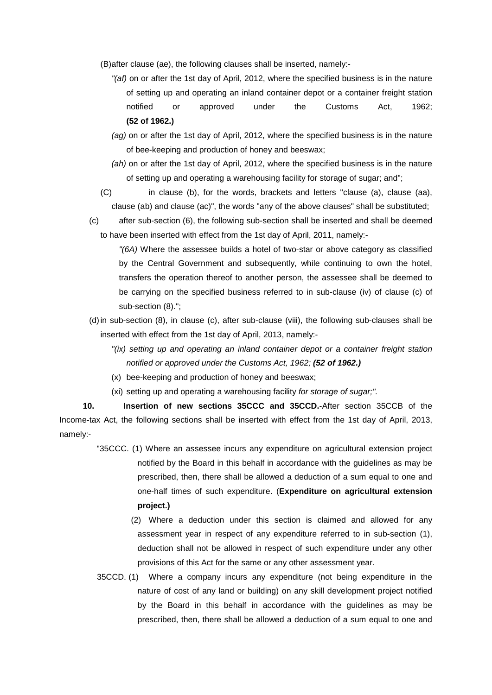(B)after clause (ae), the following clauses shall be inserted, namely:-

- *"(af)* on or after the 1st day of April, 2012, where the specified business is in the nature of setting up and operating an inland container depot or a container freight station notified or approved under the Customs Act, 1962; **(52 of 1962.)**
- *(ag)* on or after the 1st day of April, 2012, where the specified business is in the nature of bee-keeping and production of honey and beeswax;
- *(ah)* on or after the 1st day of April, 2012, where the specified business is in the nature of setting up and operating a warehousing facility for storage of sugar; and";
- (C) in clause (b), for the words, brackets and letters "clause (a), clause (aa), clause (ab) and clause (ac)", the words "any of the above clauses" shall be substituted;
- (c) after sub-section (6), the following sub-section shall be inserted and shall be deemed to have been inserted with effect from the 1st day of April, 2011, namely:-

*"(6A)* Where the assessee builds a hotel of two-star or above category as classified by the Central Government and subsequently, while continuing to own the hotel, transfers the operation thereof to another person, the assessee shall be deemed to be carrying on the specified business referred to in sub-clause (iv) of clause (c) of sub-section (8).";

- (d)in sub-section (8), in clause (c), after sub-clause (viii), the following sub-clauses shall be inserted with effect from the 1st day of April, 2013, namely:-
	- *"(ix) setting up and operating an inland container depot or a container freight station notified or approved under the Customs Act, 1962; (52 of 1962.)*
	- (x) bee-keeping and production of honey and beeswax;
	- (xi) setting up and operating a warehousing facility *for storage of sugar;".*

**10. Insertion of new sections 35CCC and 35CCD.**-After section 35CCB of the Income-tax Act, the following sections shall be inserted with effect from the 1st day of April, 2013, namely:-

- "35CCC. (1) Where an assessee incurs any expenditure on agricultural extension project notified by the Board in this behalf in accordance with the guidelines as may be prescribed, then, there shall be allowed a deduction of a sum equal to one and one-half times of such expenditure. (**Expenditure on agricultural extension project.)** 
	- (2) Where a deduction under this section is claimed and allowed for any assessment year in respect of any expenditure referred to in sub-section (1), deduction shall not be allowed in respect of such expenditure under any other provisions of this Act for the same or any other assessment year.
- 35CCD. (1) Where a company incurs any expenditure (not being expenditure in the nature of cost of any land or building) on any skill development project notified by the Board in this behalf in accordance with the guidelines as may be prescribed, then, there shall be allowed a deduction of a sum equal to one and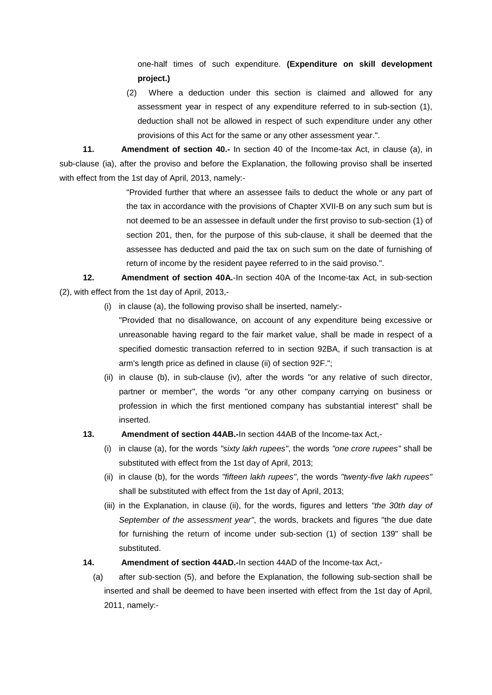one-half times of such expenditure. **(Expenditure on skill development project.)** 

 (2) Where a deduction under this section is claimed and allowed for any assessment year in respect of any expenditure referred to in sub-section (1), deduction shall not be allowed in respect of such expenditure under any other provisions of this Act for the same or any other assessment year.".

**11. Amendment of section 40.-** In section 40 of the Income-tax Act, in clause (a), in sub-clause (ia), after the proviso and before the Explanation, the following proviso shall be inserted with effect from the 1st day of April, 2013, namely:-

> "Provided further that where an assessee fails to deduct the whole or any part of the tax in accordance with the provisions of Chapter XVII-B on any such sum but is not deemed to be an assessee in default under the first proviso to sub-section (1) of section 201, then, for the purpose of this sub-clause, it shall be deemed that the assessee has deducted and paid the tax on such sum on the date of furnishing of return of income by the resident payee referred to in the said proviso.".

**12. Amendment of section 40A.**-In section 40A of the Income-tax Act, in sub-section (2), with effect from the 1st day of April, 2013,-

(i) in clause (a), the following proviso shall be inserted, namely:-

"Provided that no disallowance, on account of any expenditure being excessive or unreasonable having regard to the fair market value, shall be made in respect of a specified domestic transaction referred to in section 92BA, if such transaction is at arm's length price as defined in clause (ii) of section 92F.";

(ii) in clause (b), in sub-clause (iv), after the words "or any relative of such director, partner or member", the words "or any other company carrying on business or profession in which the first mentioned company has substantial interest" shall be inserted.

## **13. Amendment of section 44AB.-**In section 44AB of the Income-tax Act,-

- (i) in clause (a), for the words *"sixty lakh rupees"*, the words *"one crore rupees"* shall be substituted with effect from the 1st day of April, 2013;
- (ii) in clause (b), for the words *"fifteen lakh rupees"*, the words *"twenty-five lakh rupees"* shall be substituted with effect from the 1st day of April, 2013;
- (iii) in the Explanation, in clause (ii), for the words, figures and letters *"the 30th day of September of the assessment year"*, the words, brackets and figures "the due date for furnishing the return of income under sub-section (1) of section 139" shall be substituted.
- **14. Amendment of section 44AD.-**In section 44AD of the Income-tax Act,-
	- (a) after sub-section (5), and before the Explanation, the following sub-section shall be inserted and shall be deemed to have been inserted with effect from the 1st day of April, 2011, namely:-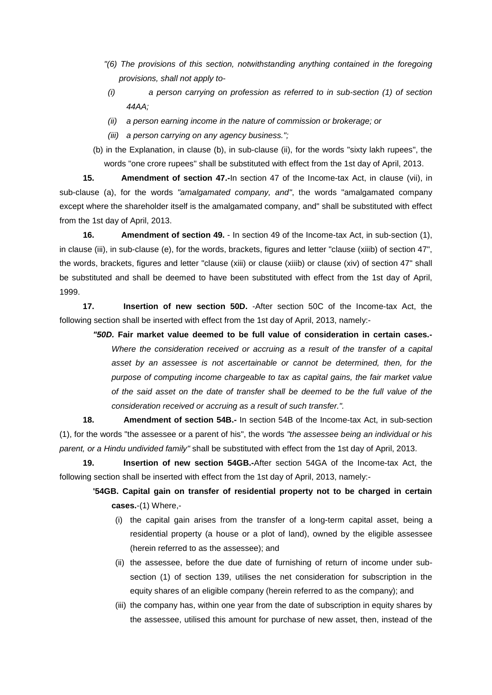- *"(6) The provisions of this section, notwithstanding anything contained in the foregoing provisions, shall not apply to-*
- *(i) a person carrying on profession as referred to in sub-section (1) of section 44AA;*
- *(ii) a person earning income in the nature of commission or brokerage; or*
- *(iii) a person carrying on any agency business.";*
- (b) in the Explanation, in clause (b), in sub-clause (ii), for the words "sixty lakh rupees", the words "one crore rupees" shall be substituted with effect from the 1st day of April, 2013.

**15. Amendment of section 47.-**In section 47 of the Income-tax Act, in clause (vii), in sub-clause (a), for the words *"amalgamated company, and"*, the words "amalgamated company except where the shareholder itself is the amalgamated company, and" shall be substituted with effect from the 1st day of April, 2013.

**16. Amendment of section 49.** - In section 49 of the Income-tax Act, in sub-section (1), in clause (iii), in sub-clause (e), for the words, brackets, figures and letter "clause (xiiib) of section 47", the words, brackets, figures and letter "clause (xiii) or clause (xiiib) or clause (xiv) of section 47" shall be substituted and shall be deemed to have been substituted with effect from the 1st day of April, 1999.

**17. Insertion of new section 50D.** -After section 50C of the Income-tax Act, the following section shall be inserted with effect from the 1st day of April, 2013, namely:-

*"50D.* **Fair market value deemed to be full value of consideration in certain cases.-** *Where the consideration received or accruing as a result of the transfer of a capital asset by an assessee is not ascertainable or cannot be determined, then, for the purpose of computing income chargeable to tax as capital gains, the fair market value of the said asset on the date of transfer shall be deemed to be the full value of the consideration received or accruing as a result of such transfer.".*

**18. Amendment of section 54B.-** In section 54B of the Income-tax Act, in sub-section (1), for the words "the assessee or a parent of his", the words *"the assessee being an individual or his parent, or a Hindu undivided family"* shall be substituted with effect from the 1st day of April, 2013.

**19. Insertion of new section 54GB.-**After section 54GA of the Income-tax Act, the following section shall be inserted with effect from the 1st day of April, 2013, namely:-

**'54GB. Capital gain on transfer of residential property not to be charged in certain cases.**-(1) Where,-

- (i) the capital gain arises from the transfer of a long-term capital asset, being a residential property (a house or a plot of land), owned by the eligible assessee (herein referred to as the assessee); and
- (ii) the assessee, before the due date of furnishing of return of income under subsection (1) of section 139, utilises the net consideration for subscription in the equity shares of an eligible company (herein referred to as the company); and
- (iii) the company has, within one year from the date of subscription in equity shares by the assessee, utilised this amount for purchase of new asset, then, instead of the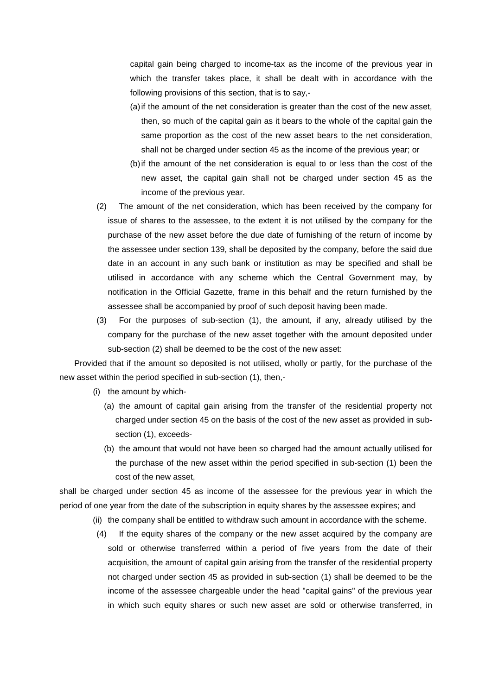capital gain being charged to income-tax as the income of the previous year in which the transfer takes place, it shall be dealt with in accordance with the following provisions of this section, that is to say,-

- (a)if the amount of the net consideration is greater than the cost of the new asset, then, so much of the capital gain as it bears to the whole of the capital gain the same proportion as the cost of the new asset bears to the net consideration, shall not be charged under section 45 as the income of the previous year; or
- (b)if the amount of the net consideration is equal to or less than the cost of the new asset, the capital gain shall not be charged under section 45 as the income of the previous year.
- (2) The amount of the net consideration, which has been received by the company for issue of shares to the assessee, to the extent it is not utilised by the company for the purchase of the new asset before the due date of furnishing of the return of income by the assessee under section 139, shall be deposited by the company, before the said due date in an account in any such bank or institution as may be specified and shall be utilised in accordance with any scheme which the Central Government may, by notification in the Official Gazette, frame in this behalf and the return furnished by the assessee shall be accompanied by proof of such deposit having been made.
- (3) For the purposes of sub-section (1), the amount, if any, already utilised by the company for the purchase of the new asset together with the amount deposited under sub-section (2) shall be deemed to be the cost of the new asset:

Provided that if the amount so deposited is not utilised, wholly or partly, for the purchase of the new asset within the period specified in sub-section (1), then,-

- (i) the amount by which-
	- (a) the amount of capital gain arising from the transfer of the residential property not charged under section 45 on the basis of the cost of the new asset as provided in subsection (1), exceeds-
	- (b) the amount that would not have been so charged had the amount actually utilised for the purchase of the new asset within the period specified in sub-section (1) been the cost of the new asset,

shall be charged under section 45 as income of the assessee for the previous year in which the period of one year from the date of the subscription in equity shares by the assessee expires; and

- (ii) the company shall be entitled to withdraw such amount in accordance with the scheme.
- (4) If the equity shares of the company or the new asset acquired by the company are sold or otherwise transferred within a period of five years from the date of their acquisition, the amount of capital gain arising from the transfer of the residential property not charged under section 45 as provided in sub-section (1) shall be deemed to be the income of the assessee chargeable under the head "capital gains" of the previous year in which such equity shares or such new asset are sold or otherwise transferred, in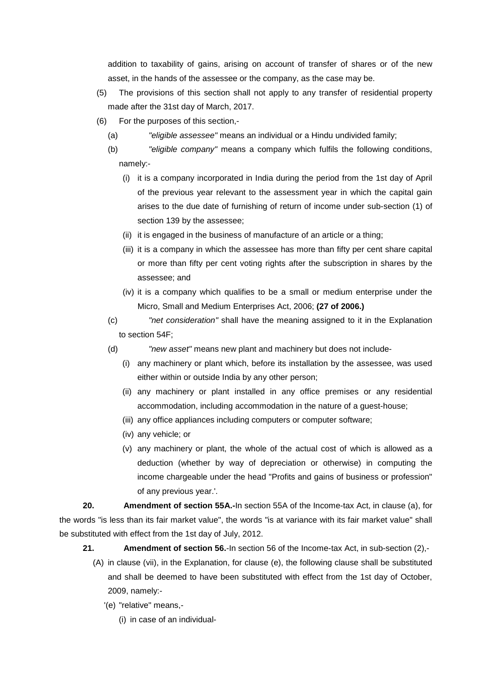addition to taxability of gains, arising on account of transfer of shares or of the new asset, in the hands of the assessee or the company, as the case may be.

- (5) The provisions of this section shall not apply to any transfer of residential property made after the 31st day of March, 2017.
- (6) For the purposes of this section,-
	- (a) *"eligible assessee"* means an individual or a Hindu undivided family;
	- (b) *"eligible company"* means a company which fulfils the following conditions, namely:-
		- (i) it is a company incorporated in India during the period from the 1st day of April of the previous year relevant to the assessment year in which the capital gain arises to the due date of furnishing of return of income under sub-section (1) of section 139 by the assessee;
		- (ii) it is engaged in the business of manufacture of an article or a thing;
		- (iii) it is a company in which the assessee has more than fifty per cent share capital or more than fifty per cent voting rights after the subscription in shares by the assessee; and
		- (iv) it is a company which qualifies to be a small or medium enterprise under the Micro, Small and Medium Enterprises Act, 2006; **(27 of 2006.)**
	- (c) *"net consideration"* shall have the meaning assigned to it in the Explanation to section 54F;
	- (d) *"new asset"* means new plant and machinery but does not include-
		- (i) any machinery or plant which, before its installation by the assessee, was used either within or outside India by any other person;
		- (ii) any machinery or plant installed in any office premises or any residential accommodation, including accommodation in the nature of a guest-house;
		- (iii) any office appliances including computers or computer software;
		- (iv) any vehicle; or
		- (v) any machinery or plant, the whole of the actual cost of which is allowed as a deduction (whether by way of depreciation or otherwise) in computing the income chargeable under the head "Profits and gains of business or profession" of any previous year.'.

**20. Amendment of section 55A.-**In section 55A of the Income-tax Act, in clause (a), for the words "is less than its fair market value", the words "is at variance with its fair market value" shall be substituted with effect from the 1st day of July, 2012.

- **21. Amendment of section 56.**-In section 56 of the Income-tax Act, in sub-section (2),-
	- (A) in clause (vii), in the Explanation, for clause (e), the following clause shall be substituted and shall be deemed to have been substituted with effect from the 1st day of October, 2009, namely:-
		- '(e) "relative" means,-
			- (i) in case of an individual-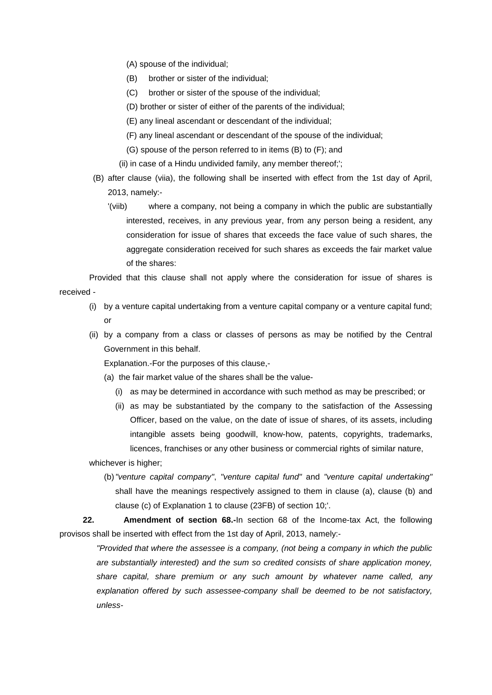- (A) spouse of the individual;
- (B) brother or sister of the individual;
- (C) brother or sister of the spouse of the individual;
- (D) brother or sister of either of the parents of the individual;
- (E) any lineal ascendant or descendant of the individual;
- (F) any lineal ascendant or descendant of the spouse of the individual;
- (G) spouse of the person referred to in items (B) to (F); and
- (ii) in case of a Hindu undivided family, any member thereof;';
- (B) after clause (viia), the following shall be inserted with effect from the 1st day of April, 2013, namely:-
	- '(viib) where a company, not being a company in which the public are substantially interested, receives, in any previous year, from any person being a resident, any consideration for issue of shares that exceeds the face value of such shares, the aggregate consideration received for such shares as exceeds the fair market value of the shares:

Provided that this clause shall not apply where the consideration for issue of shares is received -

- (i) by a venture capital undertaking from a venture capital company or a venture capital fund; or
- (ii) by a company from a class or classes of persons as may be notified by the Central Government in this behalf.

Explanation.-For the purposes of this clause,-

- (a) the fair market value of the shares shall be the value-
	- (i) as may be determined in accordance with such method as may be prescribed; or
	- (ii) as may be substantiated by the company to the satisfaction of the Assessing Officer, based on the value, on the date of issue of shares, of its assets, including intangible assets being goodwill, know-how, patents, copyrights, trademarks, licences, franchises or any other business or commercial rights of similar nature,

whichever is higher;

(b)*"venture capital company"*, *"venture capital fund"* and *"venture capital undertaking"* shall have the meanings respectively assigned to them in clause (a), clause (b) and clause (c) of Explanation 1 to clause (23FB) of section 10;'.

**22. Amendment of section 68.-**In section 68 of the Income-tax Act, the following provisos shall be inserted with effect from the 1st day of April, 2013, namely:-

> *"Provided that where the assessee is a company, (not being a company in which the public are substantially interested) and the sum so credited consists of share application money, share capital, share premium or any such amount by whatever name called, any explanation offered by such assessee-company shall be deemed to be not satisfactory, unless-*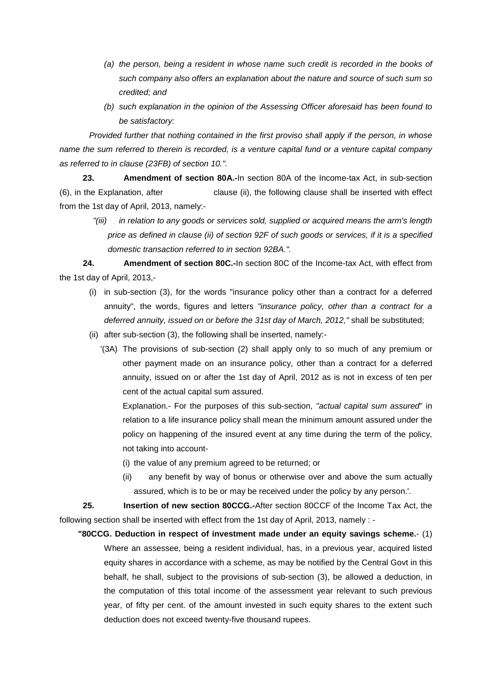- *(a) the person, being a resident in whose name such credit is recorded in the books of such company also offers an explanation about the nature and source of such sum so credited; and*
- *(b) such explanation in the opinion of the Assessing Officer aforesaid has been found to be satisfactory:*

*Provided further that nothing contained in the first proviso shall apply if the person, in whose name the sum referred to therein is recorded, is a venture capital fund or a venture capital company as referred to in clause (23FB) of section 10.".*

**23. Amendment of section 80A.-**In section 80A of the Income-tax Act, in sub-section (6), in the Explanation, after clause (ii), the following clause shall be inserted with effect from the 1st day of April, 2013, namely:-

*"(iii) in relation to any goods or services sold, supplied or acquired means the arm's length price as defined in clause (ii) of section 92F of such goods or services, if it is a specified domestic transaction referred to in section 92BA.".*

**24. Amendment of section 80C.-**In section 80C of the Income-tax Act, with effect from the 1st day of April, 2013,-

- (i) in sub-section (3), for the words "insurance policy other than a contract for a deferred annuity", the words, figures and letters *"insurance policy, other than a contract for a deferred annuity, issued on or before the 31st day of March, 2012,"* shall be substituted;
- (ii) after sub-section (3), the following shall be inserted, namely:-
	- '(3A) The provisions of sub-section (2) shall apply only to so much of any premium or other payment made on an insurance policy, other than a contract for a deferred annuity, issued on or after the 1st day of April, 2012 as is not in excess of ten per cent of the actual capital sum assured.

Explanation.- For the purposes of this sub-section, *"actual capital sum assured*" in relation to a life insurance policy shall mean the minimum amount assured under the policy on happening of the insured event at any time during the term of the policy, not taking into account-

- (i) the value of any premium agreed to be returned; or
- (ii) any benefit by way of bonus or otherwise over and above the sum actually assured, which is to be or may be received under the policy by any person.'.

**25. Insertion of new section 80CCG.-**After section 80CCF of the Income Tax Act, the following section shall be inserted with effect from the 1st day of April, 2013, namely : -

**"80CCG. Deduction in respect of investment made under an equity savings scheme.**- (1) Where an assessee, being a resident individual, has, in a previous year, acquired listed equity shares in accordance with a scheme, as may be notified by the Central Govt in this behalf, he shall, subject to the provisions of sub-section (3), be allowed a deduction, in the computation of this total income of the assessment year relevant to such previous year, of fifty per cent. of the amount invested in such equity shares to the extent such deduction does not exceed twenty-five thousand rupees.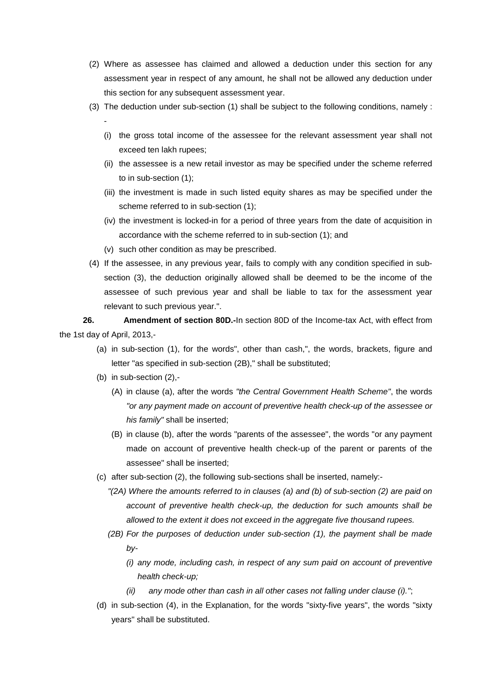- (2) Where as assessee has claimed and allowed a deduction under this section for any assessment year in respect of any amount, he shall not be allowed any deduction under this section for any subsequent assessment year.
- (3) The deduction under sub-section (1) shall be subject to the following conditions, namely : -
	- (i) the gross total income of the assessee for the relevant assessment year shall not exceed ten lakh rupees;
	- (ii) the assessee is a new retail investor as may be specified under the scheme referred to in sub-section (1);
	- (iii) the investment is made in such listed equity shares as may be specified under the scheme referred to in sub-section (1);
	- (iv) the investment is locked-in for a period of three years from the date of acquisition in accordance with the scheme referred to in sub-section (1); and
	- (v) such other condition as may be prescribed.
- (4) If the assessee, in any previous year, fails to comply with any condition specified in subsection (3), the deduction originally allowed shall be deemed to be the income of the assessee of such previous year and shall be liable to tax for the assessment year relevant to such previous year.".

**26. Amendment of section 80D.-**In section 80D of the Income-tax Act, with effect from the 1st day of April, 2013,-

- (a) in sub-section (1), for the words", other than cash,", the words, brackets, figure and letter "as specified in sub-section (2B)," shall be substituted;
- (b) in sub-section (2),-
	- (A) in clause (a), after the words *"the Central Government Health Scheme"*, the words *"or any payment made on account of preventive health check-up of the assessee or his family"* shall be inserted;
	- (B) in clause (b), after the words "parents of the assessee", the words "or any payment made on account of preventive health check-up of the parent or parents of the assessee" shall be inserted;
- (c) after sub-section (2), the following sub-sections shall be inserted, namely:-
	- *"(2A) Where the amounts referred to in clauses (a) and (b) of sub-section (2) are paid on account of preventive health check-up, the deduction for such amounts shall be allowed to the extent it does not exceed in the aggregate five thousand rupees.*
	- *(2B) For the purposes of deduction under sub-section (1), the payment shall be made by-*
		- *(i) any mode, including cash, in respect of any sum paid on account of preventive health check-up;*
		- *(ii) any mode other than cash in all other cases not falling under clause (i)."*;
- (d) in sub-section (4), in the Explanation, for the words "sixty-five years", the words "sixty years" shall be substituted.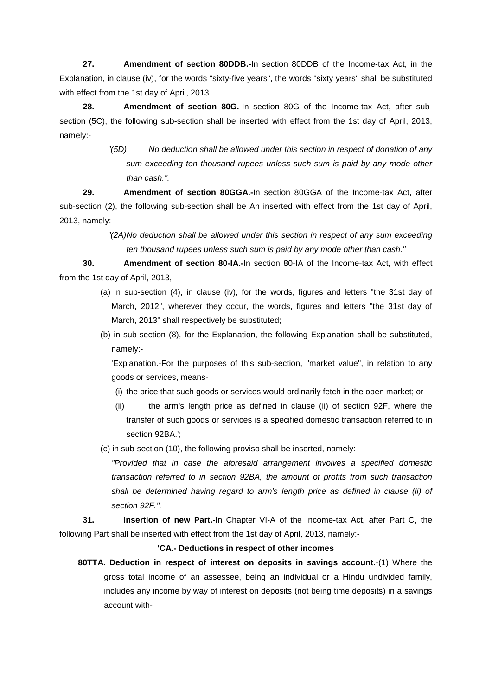**27. Amendment of section 80DDB.-**In section 80DDB of the Income-tax Act, in the Explanation, in clause (iv), for the words "sixty-five years", the words "sixty years" shall be substituted with effect from the 1st day of April, 2013.

**28. Amendment of section 80G.**-In section 80G of the Income-tax Act, after subsection (5C), the following sub-section shall be inserted with effect from the 1st day of April, 2013, namely:-

> *"(5D) No deduction shall be allowed under this section in respect of donation of any sum exceeding ten thousand rupees unless such sum is paid by any mode other than cash.".*

**29. Amendment of section 80GGA.-**In section 80GGA of the Income-tax Act, after sub-section (2), the following sub-section shall be An inserted with effect from the 1st day of April, 2013, namely:-

> *"(2A)No deduction shall be allowed under this section in respect of any sum exceeding ten thousand rupees unless such sum is paid by any mode other than cash."*

**30. Amendment of section 80-IA.-**In section 80-IA of the Income-tax Act, with effect from the 1st day of April, 2013,-

- (a) in sub-section (4), in clause (iv), for the words, figures and letters "the 31st day of March, 2012", wherever they occur, the words, figures and letters "the 31st day of March, 2013" shall respectively be substituted;
- (b) in sub-section (8), for the Explanation, the following Explanation shall be substituted, namely:-

'Explanation.-For the purposes of this sub-section, "market value", in relation to any goods or services, means-

- (i) the price that such goods or services would ordinarily fetch in the open market; or
- (ii) the arm's length price as defined in clause (ii) of section 92F, where the transfer of such goods or services is a specified domestic transaction referred to in section 92BA.';
- (c) in sub-section (10), the following proviso shall be inserted, namely:-

*"Provided that in case the aforesaid arrangement involves a specified domestic transaction referred to in section 92BA, the amount of profits from such transaction shall be determined having regard to arm's length price as defined in clause (ii) of section 92F.".*

**31. Insertion of new Part.**-In Chapter VI-A of the Income-tax Act, after Part C, the following Part shall be inserted with effect from the 1st day of April, 2013, namely:-

**'CA.- Deductions in respect of other incomes**

**80TTA. Deduction in respect of interest on deposits in savings account.**-(1) Where the gross total income of an assessee, being an individual or a Hindu undivided family, includes any income by way of interest on deposits (not being time deposits) in a savings account with-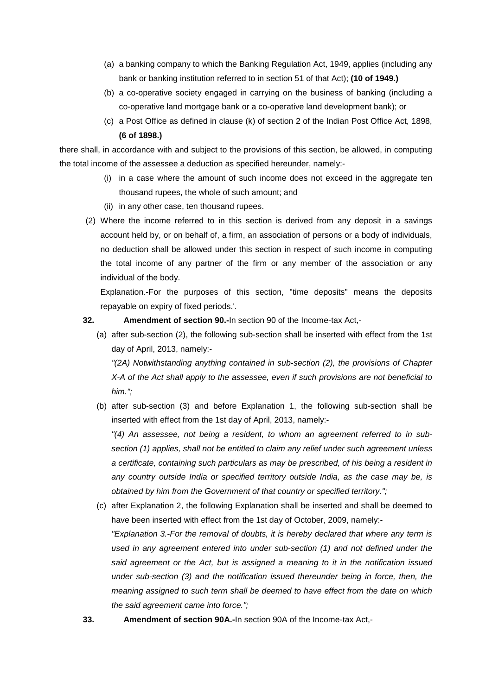- (a) a banking company to which the Banking Regulation Act, 1949, applies (including any bank or banking institution referred to in section 51 of that Act); **(10 of 1949.)**
- (b) a co-operative society engaged in carrying on the business of banking (including a co-operative land mortgage bank or a co-operative land development bank); or
- (c) a Post Office as defined in clause (k) of section 2 of the Indian Post Office Act, 1898, **(6 of 1898.)**

there shall, in accordance with and subject to the provisions of this section, be allowed, in computing the total income of the assessee a deduction as specified hereunder, namely:-

- (i) in a case where the amount of such income does not exceed in the aggregate ten thousand rupees, the whole of such amount; and
- (ii) in any other case, ten thousand rupees.
- (2) Where the income referred to in this section is derived from any deposit in a savings account held by, or on behalf of, a firm, an association of persons or a body of individuals, no deduction shall be allowed under this section in respect of such income in computing the total income of any partner of the firm or any member of the association or any individual of the body.

Explanation.-For the purposes of this section, "time deposits" means the deposits repayable on expiry of fixed periods.'.

- **32. Amendment of section 90.-**In section 90 of the Income-tax Act,-
	- (a) after sub-section (2), the following sub-section shall be inserted with effect from the 1st day of April, 2013, namely:-

*"(2A) Notwithstanding anything contained in sub-section (2), the provisions of Chapter X-A of the Act shall apply to the assessee, even if such provisions are not beneficial to him.";*

(b) after sub-section (3) and before Explanation 1, the following sub-section shall be inserted with effect from the 1st day of April, 2013, namely:-

*"(4) An assessee, not being a resident, to whom an agreement referred to in subsection (1) applies, shall not be entitled to claim any relief under such agreement unless a certificate, containing such particulars as may be prescribed, of his being a resident in any country outside India or specified territory outside India, as the case may be, is obtained by him from the Government of that country or specified territory.";*

- (c) after Explanation 2, the following Explanation shall be inserted and shall be deemed to have been inserted with effect from the 1st day of October, 2009, namely:- *"Explanation 3.-For the removal of doubts, it is hereby declared that where any term is used in any agreement entered into under sub-section (1) and not defined under the said agreement or the Act, but is assigned a meaning to it in the notification issued under sub-section (3) and the notification issued thereunder being in force, then, the meaning assigned to such term shall be deemed to have effect from the date on which the said agreement came into force.";*
- **33. Amendment of section 90A.-**In section 90A of the Income-tax Act,-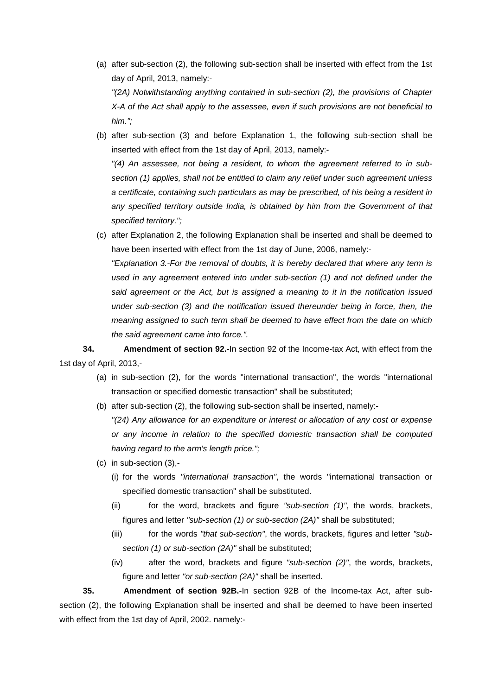- (a) after sub-section (2), the following sub-section shall be inserted with effect from the 1st day of April, 2013, namely:- *"(2A) Notwithstanding anything contained in sub-section (2), the provisions of Chapter X-A of the Act shall apply to the assessee, even if such provisions are not beneficial to him.";*
- (b) after sub-section (3) and before Explanation 1, the following sub-section shall be inserted with effect from the 1st day of April, 2013, namely:- *"(4) An assessee, not being a resident, to whom the agreement referred to in subsection (1) applies, shall not be entitled to claim any relief under such agreement unless a certificate, containing such particulars as may be prescribed, of his being a resident in*  any specified territory outside India, is obtained by him from the Government of that *specified territory.";*
- (c) after Explanation 2, the following Explanation shall be inserted and shall be deemed to have been inserted with effect from the 1st day of June, 2006, namely:- *"Explanation 3.-For the removal of doubts, it is hereby declared that where any term is used in any agreement entered into under sub-section (1) and not defined under the said agreement or the Act, but is assigned a meaning to it in the notification issued under sub-section (3) and the notification issued thereunder being in force, then, the meaning assigned to such term shall be deemed to have effect from the date on which the said agreement came into force.".*

**34. Amendment of section 92.-**In section 92 of the Income-tax Act, with effect from the 1st day of April, 2013,-

- (a) in sub-section (2), for the words "international transaction", the words "international transaction or specified domestic transaction" shall be substituted;
- (b) after sub-section (2), the following sub-section shall be inserted, namely:- *"(24) Any allowance for an expenditure or interest or allocation of any cost or expense or any income in relation to the specified domestic transaction shall be computed having regard to the arm's length price.";*
- (c) in sub-section (3),-
	- (i) for the words *"international transaction"*, the words "international transaction or specified domestic transaction" shall be substituted.
	- (ii) for the word, brackets and figure *"sub-section (1)"*, the words, brackets, figures and letter *"sub-section (1) or sub-section (2A)"* shall be substituted;
	- (iii) for the words *"that sub-section"*, the words, brackets, figures and letter *"subsection (1) or sub-section (2A)"* shall be substituted;
	- (iv) after the word, brackets and figure *"sub-section (2)"*, the words, brackets, figure and letter *"or sub-section (2A)"* shall be inserted.

**35. Amendment of section 92B.**-In section 92B of the Income-tax Act, after subsection (2), the following Explanation shall be inserted and shall be deemed to have been inserted with effect from the 1st day of April, 2002. namely:-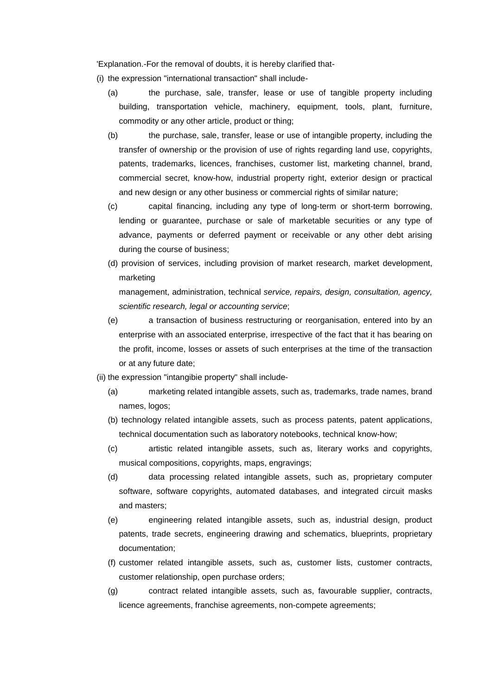'Explanation.-For the removal of doubts, it is hereby clarified that-

- (i) the expression "international transaction" shall include-
	- (a) the purchase, sale, transfer, lease or use of tangible property including building, transportation vehicle, machinery, equipment, tools, plant, furniture, commodity or any other article, product or thing;
	- (b) the purchase, sale, transfer, lease or use of intangible property, including the transfer of ownership or the provision of use of rights regarding land use, copyrights, patents, trademarks, licences, franchises, customer list, marketing channel, brand, commercial secret, know-how, industrial property right, exterior design or practical and new design or any other business or commercial rights of similar nature;
	- (c) capital financing, including any type of long-term or short-term borrowing, lending or guarantee, purchase or sale of marketable securities or any type of advance, payments or deferred payment or receivable or any other debt arising during the course of business;
	- (d) provision of services, including provision of market research, market development, marketing

```
management, administration, technical service, repairs, design, consultation, agency, 
scientific research, legal or accounting service;
```
- (e) a transaction of business restructuring or reorganisation, entered into by an enterprise with an associated enterprise, irrespective of the fact that it has bearing on the profit, income, losses or assets of such enterprises at the time of the transaction or at any future date;
- (ii) the expression "intangibie property" shall include-
	- (a) marketing related intangible assets, such as, trademarks, trade names, brand names, logos;
	- (b) technology related intangible assets, such as process patents, patent applications, technical documentation such as laboratory notebooks, technical know-how;
	- (c) artistic related intangible assets, such as, literary works and copyrights, musical compositions, copyrights, maps, engravings;
	- (d) data processing related intangible assets, such as, proprietary computer software, software copyrights, automated databases, and integrated circuit masks and masters;
	- (e) engineering related intangible assets, such as, industrial design, product patents, trade secrets, engineering drawing and schematics, blueprints, proprietary documentation;
	- (f) customer related intangible assets, such as, customer lists, customer contracts, customer relationship, open purchase orders;
	- (g) contract related intangible assets, such as, favourable supplier, contracts, licence agreements, franchise agreements, non-compete agreements;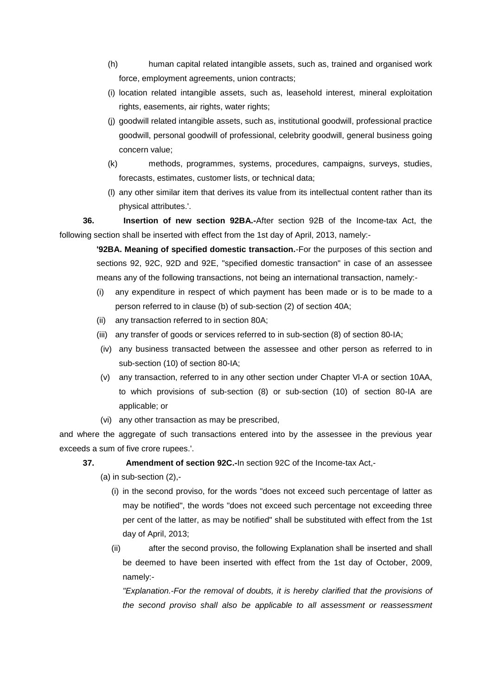- (h) human capital related intangible assets, such as, trained and organised work force, employment agreements, union contracts;
- (i) location related intangible assets, such as, leasehold interest, mineral exploitation rights, easements, air rights, water rights;
- (j) goodwill related intangible assets, such as, institutional goodwill, professional practice goodwill, personal goodwill of professional, celebrity goodwill, general business going concern value;
- (k) methods, programmes, systems, procedures, campaigns, surveys, studies, forecasts, estimates, customer lists, or technical data;
- (l) any other similar item that derives its value from its intellectual content rather than its physical attributes.'.

**36. Insertion of new section 92BA.-**After section 92B of the Income-tax Act, the following section shall be inserted with effect from the 1st day of April, 2013, namely:-

> **'92BA. Meaning of specified domestic transaction.**-For the purposes of this section and sections 92, 92C, 92D and 92E, "specified domestic transaction" in case of an assessee means any of the following transactions, not being an international transaction, namely:-

- (i) any expenditure in respect of which payment has been made or is to be made to a person referred to in clause (b) of sub-section (2) of section 40A;
- (ii) any transaction referred to in section 80A;
- (iii) any transfer of goods or services referred to in sub-section (8) of section 80-IA;
- (iv) any business transacted between the assessee and other person as referred to in sub-section (10) of section 80-IA;
- (v) any transaction, referred to in any other section under Chapter Vl-A or section 10AA, to which provisions of sub-section (8) or sub-section (10) of section 80-IA are applicable; or
- (vi) any other transaction as may be prescribed,

and where the aggregate of such transactions entered into by the assessee in the previous year exceeds a sum of five crore rupees.'.

- **37. Amendment of section 92C.-**In section 92C of the Income-tax Act,-
	- (a) in sub-section (2),-
		- (i) in the second proviso, for the words "does not exceed such percentage of latter as may be notified", the words "does not exceed such percentage not exceeding three per cent of the latter, as may be notified" shall be substituted with effect from the 1st day of April, 2013;
		- (ii) after the second proviso, the following Explanation shall be inserted and shall be deemed to have been inserted with effect from the 1st day of October, 2009, namely:-

*"Explanation.-For the removal of doubts, it is hereby clarified that the provisions of the second proviso shall also be applicable to all assessment or reassessment*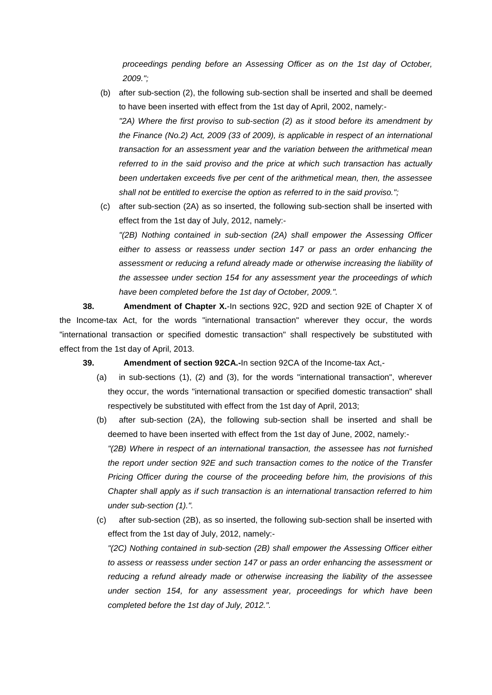*proceedings pending before an Assessing Officer as on the 1st day of October, 2009.";*

- (b) after sub-section (2), the following sub-section shall be inserted and shall be deemed to have been inserted with effect from the 1st day of April, 2002, namely:- *"2A) Where the first proviso to sub-section (2) as it stood before its amendment by the Finance (No.2) Act, 2009 (33 of 2009), is applicable in respect of an international transaction for an assessment year and the variation between the arithmetical mean referred to in the said proviso and the price at which such transaction has actually been undertaken exceeds five per cent of the arithmetical mean, then, the assessee shall not be entitled to exercise the option as referred to in the said proviso.";*
- (c) after sub-section (2A) as so inserted, the following sub-section shall be inserted with effect from the 1st day of July, 2012, namely:- *"(2B) Nothing contained in sub-section (2A) shall empower the Assessing Officer either to assess or reassess under section 147 or pass an order enhancing the assessment or reducing a refund already made or otherwise increasing the liability of the assessee under section 154 for any assessment year the proceedings of which have been completed before the 1st day of October, 2009.".*

**38. Amendment of Chapter X.**-In sections 92C, 92D and section 92E of Chapter X of the Income-tax Act, for the words "international transaction" wherever they occur, the words "international transaction or specified domestic transaction" shall respectively be substituted with effect from the 1st day of April, 2013.

**39. Amendment of section 92CA.-**In section 92CA of the Income-tax Act,-

- (a) in sub-sections (1), (2) and (3), for the words "international transaction", wherever they occur, the words "international transaction or specified domestic transaction" shall respectively be substituted with effect from the 1st day of April, 2013;
- (b) after sub-section (2A), the following sub-section shall be inserted and shall be deemed to have been inserted with effect from the 1st day of June, 2002, namely:- *"(2B) Where in respect of an international transaction, the assessee has not furnished the report under section 92E and such transaction comes to the notice of the Transfer Pricing Officer during the course of the proceeding before him, the provisions of this Chapter shall apply as if such transaction is an international transaction referred to him under sub-section (1).".*
- (c) after sub-section (2B), as so inserted, the following sub-section shall be inserted with effect from the 1st day of July, 2012, namely:-

*"(2C) Nothing contained in sub-section (2B) shall empower the Assessing Officer either to assess or reassess under section 147 or pass an order enhancing the assessment or reducing a refund already made or otherwise increasing the liability of the assessee under section 154, for any assessment year, proceedings for which have been completed before the 1st day of July, 2012.".*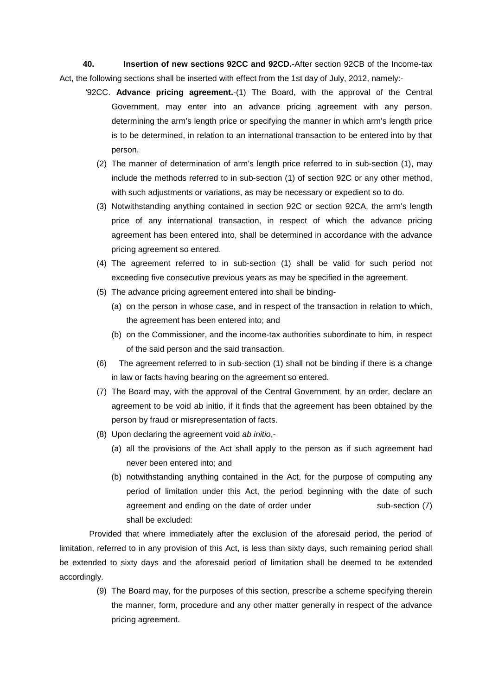**40. Insertion of new sections 92CC and 92CD.**-After section 92CB of the Income-tax Act, the following sections shall be inserted with effect from the 1st day of July, 2012, namely:-

- '92CC. **Advance pricing agreement.**-(1) The Board, with the approval of the Central Government, may enter into an advance pricing agreement with any person, determining the arm's length price or specifying the manner in which arm's length price is to be determined, in relation to an international transaction to be entered into by that person.
	- (2) The manner of determination of arm's length price referred to in sub-section (1), may include the methods referred to in sub-section (1) of section 92C or any other method, with such adjustments or variations, as may be necessary or expedient so to do.
	- (3) Notwithstanding anything contained in section 92C or section 92CA, the arm's length price of any international transaction, in respect of which the advance pricing agreement has been entered into, shall be determined in accordance with the advance pricing agreement so entered.
	- (4) The agreement referred to in sub-section (1) shall be valid for such period not exceeding five consecutive previous years as may be specified in the agreement.
	- (5) The advance pricing agreement entered into shall be binding-
		- (a) on the person in whose case, and in respect of the transaction in relation to which, the agreement has been entered into; and
		- (b) on the Commissioner, and the income-tax authorities subordinate to him, in respect of the said person and the said transaction.
	- (6) The agreement referred to in sub-section (1) shall not be binding if there is a change in law or facts having bearing on the agreement so entered.
	- (7) The Board may, with the approval of the Central Government, by an order, declare an agreement to be void ab initio, if it finds that the agreement has been obtained by the person by fraud or misrepresentation of facts.
	- (8) Upon declaring the agreement void *ab initio*,-
		- (a) all the provisions of the Act shall apply to the person as if such agreement had never been entered into; and
		- (b) notwithstanding anything contained in the Act, for the purpose of computing any period of limitation under this Act, the period beginning with the date of such agreement and ending on the date of order under sub-section (7) shall be excluded:

Provided that where immediately after the exclusion of the aforesaid period, the period of limitation, referred to in any provision of this Act, is less than sixty days, such remaining period shall be extended to sixty days and the aforesaid period of limitation shall be deemed to be extended accordingly.

> (9) The Board may, for the purposes of this section, prescribe a scheme specifying therein the manner, form, procedure and any other matter generally in respect of the advance pricing agreement.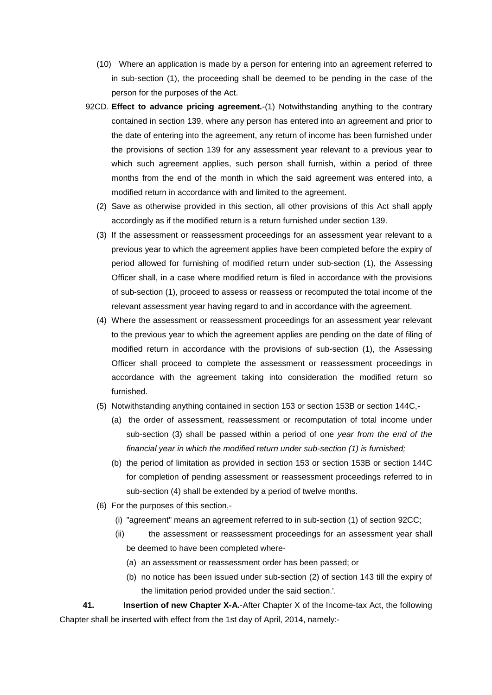- (10) Where an application is made by a person for entering into an agreement referred to in sub-section (1), the proceeding shall be deemed to be pending in the case of the person for the purposes of the Act.
- 92CD. **Effect to advance pricing agreement.**-(1) Notwithstanding anything to the contrary contained in section 139, where any person has entered into an agreement and prior to the date of entering into the agreement, any return of income has been furnished under the provisions of section 139 for any assessment year relevant to a previous year to which such agreement applies, such person shall furnish, within a period of three months from the end of the month in which the said agreement was entered into, a modified return in accordance with and limited to the agreement.
	- (2) Save as otherwise provided in this section, all other provisions of this Act shall apply accordingly as if the modified return is a return furnished under section 139.
	- (3) If the assessment or reassessment proceedings for an assessment year relevant to a previous year to which the agreement applies have been completed before the expiry of period allowed for furnishing of modified return under sub-section (1), the Assessing Officer shall, in a case where modified return is filed in accordance with the provisions of sub-section (1), proceed to assess or reassess or recomputed the total income of the relevant assessment year having regard to and in accordance with the agreement.
	- (4) Where the assessment or reassessment proceedings for an assessment year relevant to the previous year to which the agreement applies are pending on the date of filing of modified return in accordance with the provisions of sub-section (1), the Assessing Officer shall proceed to complete the assessment or reassessment proceedings in accordance with the agreement taking into consideration the modified return so furnished.
	- (5) Notwithstanding anything contained in section 153 or section 153B or section 144C,-
		- (a) the order of assessment, reassessment or recomputation of total income under sub-section (3) shall be passed within a period of one *year from the end of the financial year in which the modified return under sub-section (1) is furnished;*
		- (b) the period of limitation as provided in section 153 or section 153B or section 144C for completion of pending assessment or reassessment proceedings referred to in sub-section (4) shall be extended by a period of twelve months.
	- (6) For the purposes of this section,-
		- (i) "agreement" means an agreement referred to in sub-section (1) of section 92CC;
		- (ii) the assessment or reassessment proceedings for an assessment year shall be deemed to have been completed where-
			- (a) an assessment or reassessment order has been passed; or
			- (b) no notice has been issued under sub-section (2) of section 143 till the expiry of the limitation period provided under the said section.'.

**41. Insertion of new Chapter X-A.**-After Chapter X of the Income-tax Act, the following Chapter shall be inserted with effect from the 1st day of April, 2014, namely:-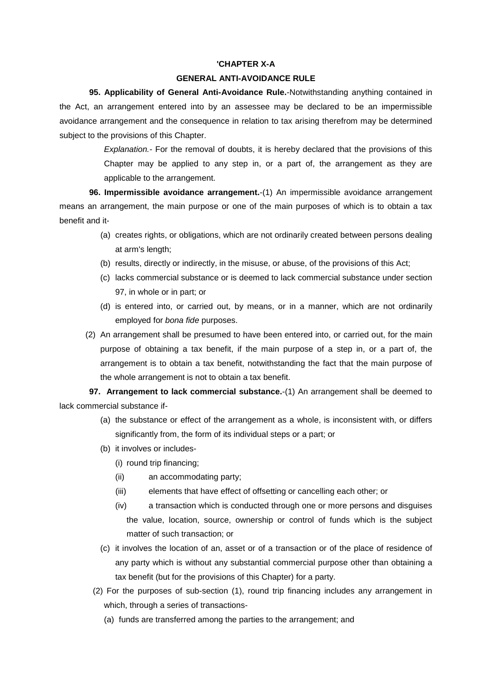### **'CHAPTER X-A**

### **GENERAL ANTI-AVOIDANCE RULE**

**95. Applicability of General Anti-Avoidance Rule.**-Notwithstanding anything contained in the Act, an arrangement entered into by an assessee may be declared to be an impermissible avoidance arrangement and the consequence in relation to tax arising therefrom may be determined subject to the provisions of this Chapter.

> *Explanation.-* For the removal of doubts, it is hereby declared that the provisions of this Chapter may be applied to any step in, or a part of, the arrangement as they are applicable to the arrangement.

**96. Impermissible avoidance arrangement.**-(1) An impermissible avoidance arrangement means an arrangement, the main purpose or one of the main purposes of which is to obtain a tax benefit and it-

- (a) creates rights, or obligations, which are not ordinarily created between persons dealing at arm's length;
- (b) results, directly or indirectly, in the misuse, or abuse, of the provisions of this Act;
- (c) lacks commercial substance or is deemed to lack commercial substance under section 97, in whole or in part; or
- (d) is entered into, or carried out, by means, or in a manner, which are not ordinarily employed for *bona fide* purposes.
- (2) An arrangement shall be presumed to have been entered into, or carried out, for the main purpose of obtaining a tax benefit, if the main purpose of a step in, or a part of, the arrangement is to obtain a tax benefit, notwithstanding the fact that the main purpose of the whole arrangement is not to obtain a tax benefit.

**97. Arrangement to lack commercial substance.**-(1) An arrangement shall be deemed to lack commercial substance if-

- (a) the substance or effect of the arrangement as a whole, is inconsistent with, or differs significantly from, the form of its individual steps or a part; or
- (b) it involves or includes-
	- (i) round trip financing;
	- (ii) an accommodating party;
	- (iii) elements that have effect of offsetting or cancelling each other; or
	- (iv) a transaction which is conducted through one or more persons and disguises the value, location, source, ownership or control of funds which is the subject matter of such transaction; or
- (c) it involves the location of an, asset or of a transaction or of the place of residence of any party which is without any substantial commercial purpose other than obtaining a tax benefit (but for the provisions of this Chapter) for a party.
- (2) For the purposes of sub-section (1), round trip financing includes any arrangement in which, through a series of transactions-
	- (a) funds are transferred among the parties to the arrangement; and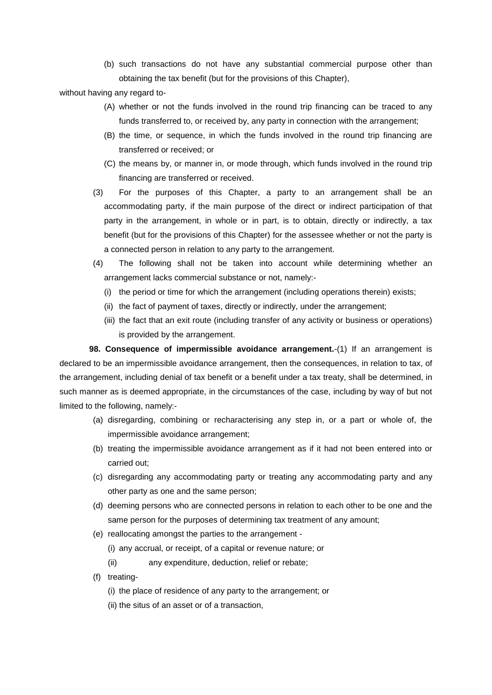(b) such transactions do not have any substantial commercial purpose other than obtaining the tax benefit (but for the provisions of this Chapter),

without having any regard to-

- (A) whether or not the funds involved in the round trip financing can be traced to any funds transferred to, or received by, any party in connection with the arrangement;
- (B) the time, or sequence, in which the funds involved in the round trip financing are transferred or received; or
- (C) the means by, or manner in, or mode through, which funds involved in the round trip financing are transferred or received.
- (3) For the purposes of this Chapter, a party to an arrangement shall be an accommodating party, if the main purpose of the direct or indirect participation of that party in the arrangement, in whole or in part, is to obtain, directly or indirectly, a tax benefit (but for the provisions of this Chapter) for the assessee whether or not the party is a connected person in relation to any party to the arrangement.
- (4) The following shall not be taken into account while determining whether an arrangement lacks commercial substance or not, namely:-
	- (i) the period or time for which the arrangement (including operations therein) exists;
	- (ii) the fact of payment of taxes, directly or indirectly, under the arrangement;
	- (iii) the fact that an exit route (including transfer of any activity or business or operations) is provided by the arrangement.

**98. Consequence of impermissible avoidance arrangement.**-(1) If an arrangement is declared to be an impermissible avoidance arrangement, then the consequences, in relation to tax, of the arrangement, including denial of tax benefit or a benefit under a tax treaty, shall be determined, in such manner as is deemed appropriate, in the circumstances of the case, including by way of but not limited to the following, namely:-

- (a) disregarding, combining or recharacterising any step in, or a part or whole of, the impermissible avoidance arrangement;
- (b) treating the impermissible avoidance arrangement as if it had not been entered into or carried out;
- (c) disregarding any accommodating party or treating any accommodating party and any other party as one and the same person;
- (d) deeming persons who are connected persons in relation to each other to be one and the same person for the purposes of determining tax treatment of any amount;
- (e) reallocating amongst the parties to the arrangement
	- (i) any accrual, or receipt, of a capital or revenue nature; or
	- (ii) any expenditure, deduction, relief or rebate;
- (f) treating-
	- (i) the place of residence of any party to the arrangement; or
	- (ii) the situs of an asset or of a transaction,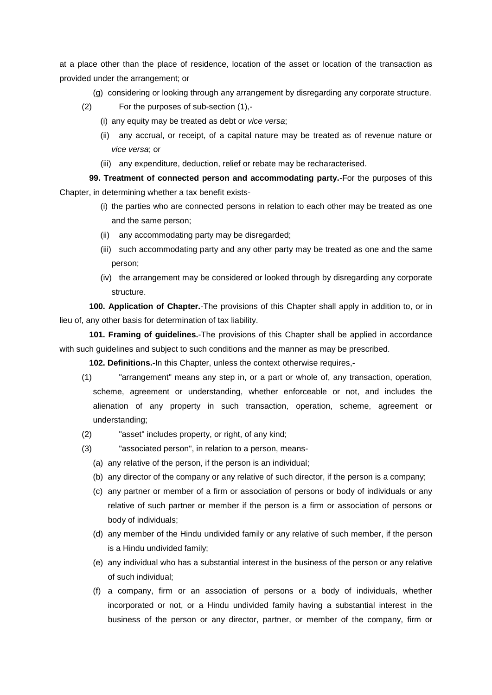at a place other than the place of residence, location of the asset or location of the transaction as provided under the arrangement; or

- (g) considering or looking through any arrangement by disregarding any corporate structure.
- (2) For the purposes of sub-section (1),-
	- (i) any equity may be treated as debt or *vice versa*;
	- (ii) any accrual, or receipt, of a capital nature may be treated as of revenue nature or *vice versa*; or
	- (iii) any expenditure, deduction, relief or rebate may be recharacterised.

**99. Treatment of connected person and accommodating party.**-For the purposes of this Chapter, in determining whether a tax benefit exists-

- (i) the parties who are connected persons in relation to each other may be treated as one and the same person;
- (ii) any accommodating party may be disregarded;
- (iii) such accommodating party and any other party may be treated as one and the same person;
- (iv) the arrangement may be considered or looked through by disregarding any corporate structure.

**100. Application of Chapter.**-The provisions of this Chapter shall apply in addition to, or in lieu of, any other basis for determination of tax liability.

**101. Framing of guidelines.**-The provisions of this Chapter shall be applied in accordance with such guidelines and subject to such conditions and the manner as may be prescribed.

**102. Definitions.**-In this Chapter, unless the context otherwise requires,-

- (1) "arrangement" means any step in, or a part or whole of, any transaction, operation, scheme, agreement or understanding, whether enforceable or not, and includes the alienation of any property in such transaction, operation, scheme, agreement or understanding;
- (2) "asset" includes property, or right, of any kind;
- (3) "associated person", in relation to a person, means-
	- (a) any relative of the person, if the person is an individual;
	- (b) any director of the company or any relative of such director, if the person is a company;
	- (c) any partner or member of a firm or association of persons or body of individuals or any relative of such partner or member if the person is a firm or association of persons or body of individuals;
	- (d) any member of the Hindu undivided family or any relative of such member, if the person is a Hindu undivided family;
	- (e) any individual who has a substantial interest in the business of the person or any relative of such individual;
	- (f) a company, firm or an association of persons or a body of individuals, whether incorporated or not, or a Hindu undivided family having a substantial interest in the business of the person or any director, partner, or member of the company, firm or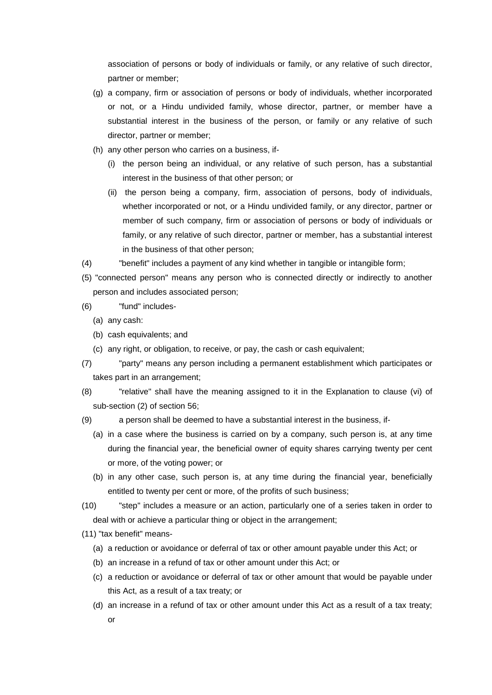association of persons or body of individuals or family, or any relative of such director, partner or member;

- (g) a company, firm or association of persons or body of individuals, whether incorporated or not, or a Hindu undivided family, whose director, partner, or member have a substantial interest in the business of the person, or family or any relative of such director, partner or member;
- (h) any other person who carries on a business, if-
	- (i) the person being an individual, or any relative of such person, has a substantial interest in the business of that other person; or
	- (ii) the person being a company, firm, association of persons, body of individuals, whether incorporated or not, or a Hindu undivided family, or any director, partner or member of such company, firm or association of persons or body of individuals or family, or any relative of such director, partner or member, has a substantial interest in the business of that other person;
- (4) "benefit" includes a payment of any kind whether in tangible or intangible form;
- (5) "connected person" means any person who is connected directly or indirectly to another person and includes associated person;
- (6) "fund" includes-
	- (a) any cash:
	- (b) cash equivalents; and
	- (c) any right, or obligation, to receive, or pay, the cash or cash equivalent;
- (7) "party" means any person including a permanent establishment which participates or takes part in an arrangement;
- (8) "relative" shall have the meaning assigned to it in the Explanation to clause (vi) of sub-section (2) of section 56;
- (9) a person shall be deemed to have a substantial interest in the business, if-
	- (a) in a case where the business is carried on by a company, such person is, at any time during the financial year, the beneficial owner of equity shares carrying twenty per cent or more, of the voting power; or
	- (b) in any other case, such person is, at any time during the financial year, beneficially entitled to twenty per cent or more, of the profits of such business;
- (10) "step" includes a measure or an action, particularly one of a series taken in order to deal with or achieve a particular thing or object in the arrangement;
- (11) "tax benefit" means-
	- (a) a reduction or avoidance or deferral of tax or other amount payable under this Act; or
	- (b) an increase in a refund of tax or other amount under this Act; or
	- (c) a reduction or avoidance or deferral of tax or other amount that would be payable under this Act, as a result of a tax treaty; or
	- (d) an increase in a refund of tax or other amount under this Act as a result of a tax treaty; or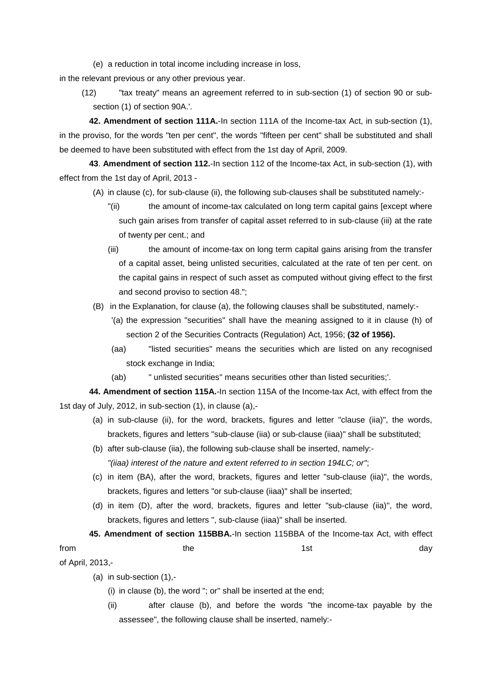(e) a reduction in total income including increase in loss,

in the relevant previous or any other previous year.

(12) "tax treaty" means an agreement referred to in sub-section (1) of section 90 or subsection (1) of section 90A.'.

**42. Amendment of section 111A.**-In section 111A of the Income-tax Act, in sub-section (1), in the proviso, for the words "ten per cent", the words "fifteen per cent" shall be substituted and shall be deemed to have been substituted with effect from the 1st day of April, 2009.

**43**. **Amendment of section 112.**-In section 112 of the Income-tax Act, in sub-section (1), with effect from the 1st day of April, 2013 -

- (A) in clause (c), for sub-clause (ii), the following sub-clauses shall be substituted namely:-
	- "(ii) the amount of income-tax calculated on long term capital gains [except where such gain arises from transfer of capital asset referred to in sub-clause (iii) at the rate of twenty per cent.; and
	- (iii) the amount of income-tax on long term capital gains arising from the transfer of a capital asset, being unlisted securities, calculated at the rate of ten per cent. on the capital gains in respect of such asset as computed without giving effect to the first and second proviso to section 48.";
- (B) in the Explanation, for clause (a), the following clauses shall be substituted, namely:-
	- '(a) the expression "securities" shall have the meaning assigned to it in clause (h) of section 2 of the Securities Contracts (Regulation) Act, 1956; **(32 of 1956).**
	- (aa) "listed securities" means the securities which are listed on any recognised stock exchange in India;
	- (ab) " unlisted securities" means securities other than listed securities;'.

**44. Amendment of section 115A.**-In section 115A of the Income-tax Act, with effect from the 1st day of July, 2012, in sub-section (1), in clause (a),-

- (a) in sub-clause (ii), for the word, brackets, figures and letter "clause (iia)", the words, brackets, figures and letters "sub-clause (iia) or sub-clause (iiaa)" shall be substituted;
- (b) after sub-clause (iia), the following sub-clause shall be inserted, namely:- *"(iiaa) interest of the nature and extent referred to in section 194LC; or"*;
- (c) in item (BA), after the word, brackets, figures and letter "sub-clause (iia)", the words, brackets, figures and letters "or sub-clause (iiaa)" shall be inserted;
- (d) in item (D), after the word, brackets, figures and letter "sub-clause (iia)", the word, brackets, figures and letters ", sub-clause (iiaa)" shall be inserted.
- **45. Amendment of section 115BBA.**-In section 115BBA of the Income-tax Act, with effect from the the the 1st day day and the 1st day of the 1st day of the 1st day of the 1st day of the 1st day of the

of April, 2013,-

- (a) in sub-section (1),-
	- (i) in clause (b), the word "; or" shall be inserted at the end;
	- (ii) after clause (b), and before the words "the income-tax payable by the assessee", the following clause shall be inserted, namely:-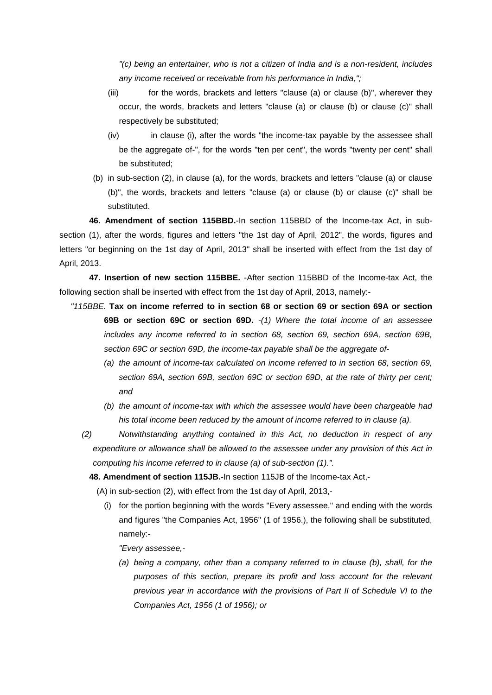*"(c) being an entertainer, who is not a citizen of India and is a non-resident, includes any income received or receivable from his performance in India,";*

- (iii) for the words, brackets and letters "clause (a) or clause (b)", wherever they occur, the words, brackets and letters "clause (a) or clause (b) or clause (c)" shall respectively be substituted;
- (iv) in clause (i), after the words "the income-tax payable by the assessee shall be the aggregate of-", for the words "ten per cent", the words "twenty per cent" shall be substituted;
- (b) in sub-section (2), in clause (a), for the words, brackets and letters "clause (a) or clause (b)", the words, brackets and letters "clause (a) or clause (b) or clause (c)" shall be substituted.

**46. Amendment of section 115BBD.**-In section 115BBD of the Income-tax Act, in subsection (1), after the words, figures and letters "the 1st day of April, 2012", the words, figures and letters "or beginning on the 1st day of April, 2013" shall be inserted with effect from the 1st day of April, 2013.

**47. Insertion of new section 115BBE.** -After section 115BBD of the Income-tax Act, the following section shall be inserted with effect from the 1st day of April, 2013, namely:-

- *"115BBE.* **Tax on income referred to in section 68 or section 69 or section 69A or section 69B or section 69C or section 69D.** *-(1) Where the total income of an assessee includes any income referred to in section 68, section 69, section 69A, section 69B, section 69C or section 69D, the income-tax payable shall be the aggregate of-*
	- *(a) the amount of income-tax calculated on income referred to in section 68, section 69, section 69A, section 69B, section 69C or section 69D, at the rate of thirty per cent; and*
	- *(b) the amount of income-tax with which the assessee would have been chargeable had his total income been reduced by the amount of income referred to in clause (a).*
	- *(2) Notwithstanding anything contained in this Act, no deduction in respect of any expenditure or allowance shall be allowed to the assessee under any provision of this Act in computing his income referred to in clause (a) of sub-section (1).".*

**48. Amendment of section 115JB.**-In section 115JB of the Income-tax Act,-

(A) in sub-section (2), with effect from the 1st day of April, 2013,-

(i) for the portion beginning with the words "Every assessee," and ending with the words and figures "the Companies Act, 1956" (1 of 1956.), the following shall be substituted, namely:-

*"Every assessee,-*

*(a) being a company, other than a company referred to in clause (b), shall, for the purposes of this section, prepare its profit and loss account for the relevant previous year in accordance with the provisions of Part II of Schedule VI to the Companies Act, 1956 (1 of 1956); or*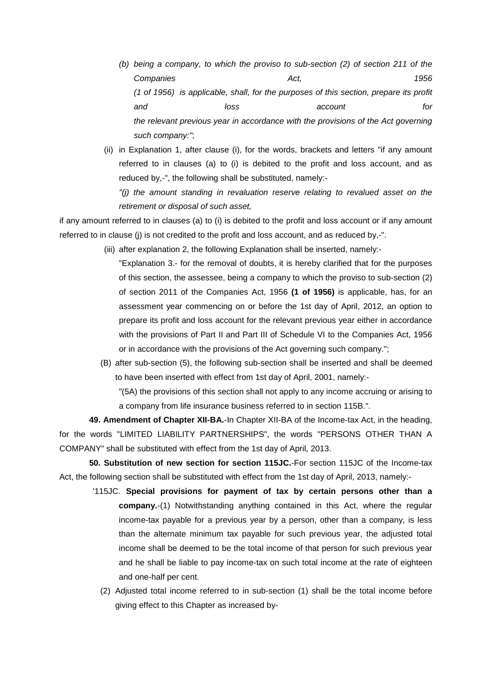- *(b) being a company, to which the proviso to sub-section (2) of section 211 of the Companies Act, 1956 (1 of 1956) is applicable, shall, for the purposes of this section, prepare its profit and loss account for the relevant previous year in accordance with the provisions of the Act governing such company:"*;
- (ii) in Explanation 1, after clause (i), for the words, brackets and letters "if any amount referred to in clauses (a) to (i) is debited to the profit and loss account, and as reduced by,-", the following shall be substituted, namely:-

*"(j) the amount standing in revaluation reserve relating to revalued asset on the retirement or disposal of such asset,*

if any amount referred to in clauses (a) to (i) is debited to the profit and loss account or if any amount referred to in clause (j) is not credited to the profit and loss account, and as reduced by,-".

- (iii) after explanation 2, the following Explanation shall be inserted, namely:-
	- "Explanation 3.- for the removal of doubts, it is hereby clarified that for the purposes of this section, the assessee, being a company to which the proviso to sub-section (2) of section 2011 of the Companies Act, 1956 **(1 of 1956)** is applicable, has, for an assessment year commencing on or before the 1st day of April, 2012, an option to prepare its profit and loss account for the relevant previous year either in accordance with the provisions of Part II and Part III of Schedule VI to the Companies Act, 1956 or in accordance with the provisions of the Act governing such company.";
- (B) after sub-section (5), the following sub-section shall be inserted and shall be deemed to have been inserted with effect from 1st day of April, 2001, namely:-

"(5A) the provisions of this section shall not apply to any income accruing or arising to a company from life insurance business referred to in section 115B.".

**49. Amendment of Chapter XII-BA.**-In Chapter XII-BA of the Income-tax Act, in the heading, for the words "LIMITED LIABILITY PARTNERSHIPS", the words "PERSONS OTHER THAN A COMPANY" shall be substituted with effect from the 1st day of April, 2013.

**50. Substitution of new section for section 115JC.**-For section 115JC of the Income-tax Act, the following section shall be substituted with effect from the 1st day of April, 2013, namely:-

- '115JC. **Special provisions for payment of tax by certain persons other than a company.**-(1) Notwithstanding anything contained in this Act, where the regular income-tax payable for a previous year by a person, other than a company, is less than the alternate minimum tax payable for such previous year, the adjusted total income shall be deemed to be the total income of that person for such previous year and he shall be liable to pay income-tax on such total income at the rate of eighteen and one-half per cent.
	- (2) Adjusted total income referred to in sub-section (1) shall be the total income before giving effect to this Chapter as increased by-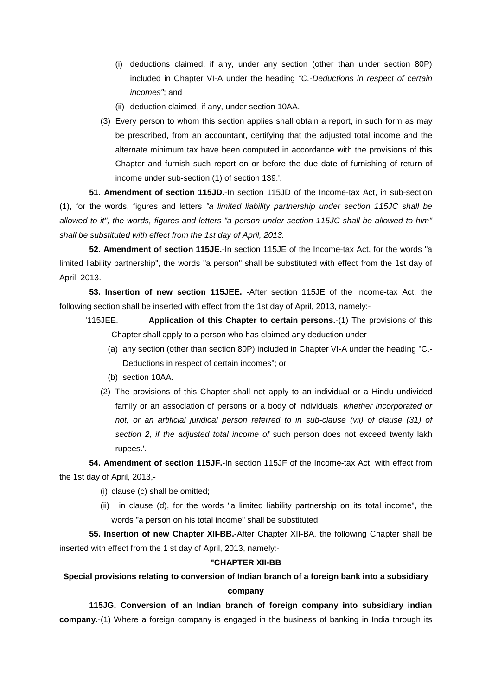- (i) deductions claimed, if any, under any section (other than under section 80P) included in Chapter VI-A under the heading *"C.-Deductions in respect of certain incomes"*; and
- (ii) deduction claimed, if any, under section 10AA.
- (3) Every person to whom this section applies shall obtain a report, in such form as may be prescribed, from an accountant, certifying that the adjusted total income and the alternate minimum tax have been computed in accordance with the provisions of this Chapter and furnish such report on or before the due date of furnishing of return of income under sub-section (1) of section 139.'.

**51. Amendment of section 115JD.**-In section 115JD of the Income-tax Act, in sub-section (1), for the words, figures and letters *"a limited liability partnership under section 115JC shall be allowed to it", the words, figures and letters "a person under section 115JC shall be allowed to him" shall be substituted with effect from the 1st day of April, 2013.*

**52. Amendment of section 115JE.**-In section 115JE of the Income-tax Act, for the words "a limited liability partnership", the words "a person" shall be substituted with effect from the 1st day of April, 2013.

**53. Insertion of new section 115JEE.** -After section 115JE of the Income-tax Act, the following section shall be inserted with effect from the 1st day of April, 2013, namely:-

- '115JEE. **Application of this Chapter to certain persons.**-(1) The provisions of this Chapter shall apply to a person who has claimed any deduction under-
	- (a) any section (other than section 80P) included in Chapter VI-A under the heading "C.- Deductions in respect of certain incomes"; or
	- (b) section 10AA.
	- (2) The provisions of this Chapter shall not apply to an individual or a Hindu undivided family or an association of persons or a body of individuals, *whether incorporated or*  not, or an artificial juridical person referred to in sub-clause (vii) of clause (31) of *section 2, if the adjusted total income of* such person does not exceed twenty lakh rupees.'.

**54. Amendment of section 115JF.**-In section 115JF of the Income-tax Act, with effect from the 1st day of April, 2013,-

- (i) clause (c) shall be omitted;
- (ii) in clause (d), for the words "a limited liability partnership on its total income", the words "a person on his total income" shall be substituted.

**55. Insertion of new Chapter XII-BB.**-After Chapter XII-BA, the following Chapter shall be inserted with effect from the 1 st day of April, 2013, namely:-

## **"CHAPTER XII-BB**

## **Special provisions relating to conversion of Indian branch of a foreign bank into a subsidiary company**

**115JG. Conversion of an Indian branch of foreign company into subsidiary indian company.**-(1) Where a foreign company is engaged in the business of banking in India through its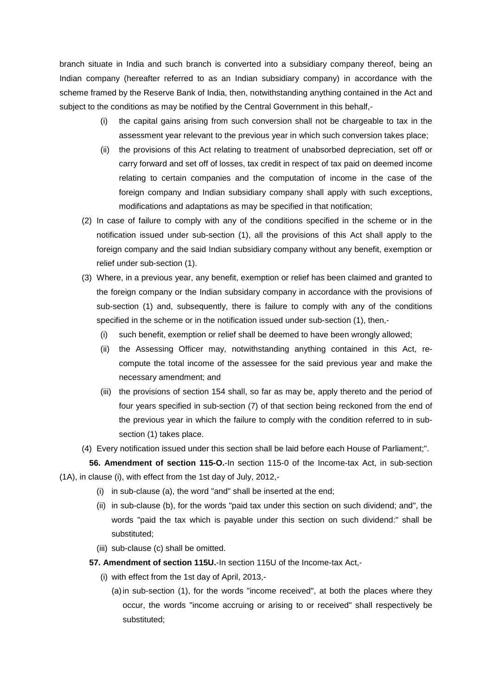branch situate in India and such branch is converted into a subsidiary company thereof, being an Indian company (hereafter referred to as an Indian subsidiary company) in accordance with the scheme framed by the Reserve Bank of India, then, notwithstanding anything contained in the Act and subject to the conditions as may be notified by the Central Government in this behalf,-

- (i) the capital gains arising from such conversion shall not be chargeable to tax in the assessment year relevant to the previous year in which such conversion takes place;
- (ii) the provisions of this Act relating to treatment of unabsorbed depreciation, set off or carry forward and set off of losses, tax credit in respect of tax paid on deemed income relating to certain companies and the computation of income in the case of the foreign company and Indian subsidiary company shall apply with such exceptions, modifications and adaptations as may be specified in that notification;
- (2) In case of failure to comply with any of the conditions specified in the scheme or in the notification issued under sub-section (1), all the provisions of this Act shall apply to the foreign company and the said Indian subsidiary company without any benefit, exemption or relief under sub-section (1).
- (3) Where, in a previous year, any benefit, exemption or relief has been claimed and granted to the foreign company or the Indian subsidary company in accordance with the provisions of sub-section (1) and, subsequently, there is failure to comply with any of the conditions specified in the scheme or in the notification issued under sub-section (1), then,-
	- (i) such benefit, exemption or relief shall be deemed to have been wrongly allowed;
	- (ii) the Assessing Officer may, notwithstanding anything contained in this Act, recompute the total income of the assessee for the said previous year and make the necessary amendment; and
	- (iii) the provisions of section 154 shall, so far as may be, apply thereto and the period of four years specified in sub-section (7) of that section being reckoned from the end of the previous year in which the failure to comply with the condition referred to in subsection (1) takes place.
- (4) Every notification issued under this section shall be laid before each House of Parliament;".

**56. Amendment of section 115-O.**-In section 115-0 of the Income-tax Act, in sub-section (1A), in clause (i), with effect from the 1st day of July, 2012,-

- (i) in sub-clause (a), the word "and" shall be inserted at the end;
- (ii) in sub-clause (b), for the words "paid tax under this section on such dividend; and", the words "paid the tax which is payable under this section on such dividend:" shall be substituted;
- (iii) sub-clause (c) shall be omitted.
- **57. Amendment of section 115U.**-In section 115U of the Income-tax Act,-
	- (i) with effect from the 1st day of April, 2013,-
		- (a)in sub-section (1), for the words "income received", at both the places where they occur, the words "income accruing or arising to or received" shall respectively be substituted;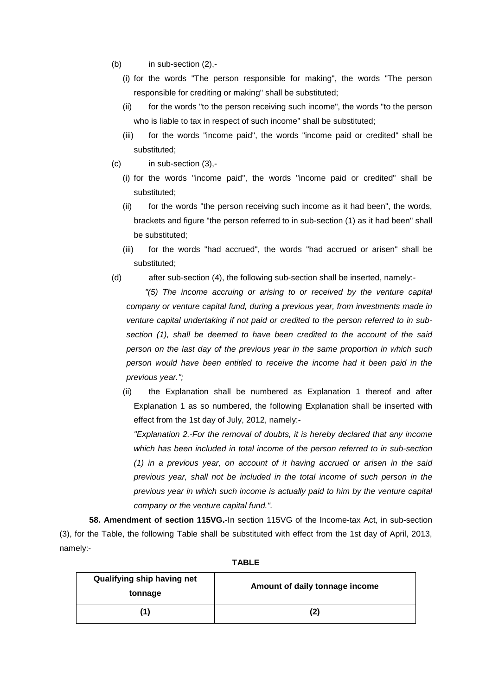- $(b)$  in sub-section  $(2), -$ 
	- (i) for the words "The person responsible for making", the words "The person responsible for crediting or making" shall be substituted;
	- (ii) for the words "to the person receiving such income", the words "to the person who is liable to tax in respect of such income" shall be substituted;
	- (iii) for the words "income paid", the words "income paid or credited" shall be substituted;
- (c) in sub-section (3),-
	- (i) for the words "income paid", the words "income paid or credited" shall be substituted;
	- (ii) for the words "the person receiving such income as it had been", the words, brackets and figure "the person referred to in sub-section (1) as it had been" shall be substituted;
	- (iii) for the words "had accrued", the words "had accrued or arisen" shall be substituted;
- (d) after sub-section (4), the following sub-section shall be inserted, namely:-

*"(5) The income accruing or arising to or received by the venture capital company or venture capital fund, during a previous year, from investments made in venture capital undertaking if not paid or credited to the person referred to in subsection (1), shall be deemed to have been credited to the account of the said person on the last day of the previous year in the same proportion in which such person would have been entitled to receive the income had it been paid in the previous year.";*

(ii) the Explanation shall be numbered as Explanation 1 thereof and after Explanation 1 as so numbered, the following Explanation shall be inserted with effect from the 1st day of July, 2012, namely:-

*"Explanation 2.-For the removal of doubts, it is hereby declared that any income which has been included in total income of the person referred to in sub-section (1) in a previous year, on account of it having accrued or arisen in the said previous year, shall not be included in the total income of such person in the previous year in which such income is actually paid to him by the venture capital company or the venture capital fund.".*

**58. Amendment of section 115VG.**-In section 115VG of the Income-tax Act, in sub-section (3), for the Table, the following Table shall be substituted with effect from the 1st day of April, 2013, namely:-

| Qualifying ship having net<br>tonnage | Amount of daily tonnage income |
|---------------------------------------|--------------------------------|
| (1)                                   | (2)                            |

**TABLE**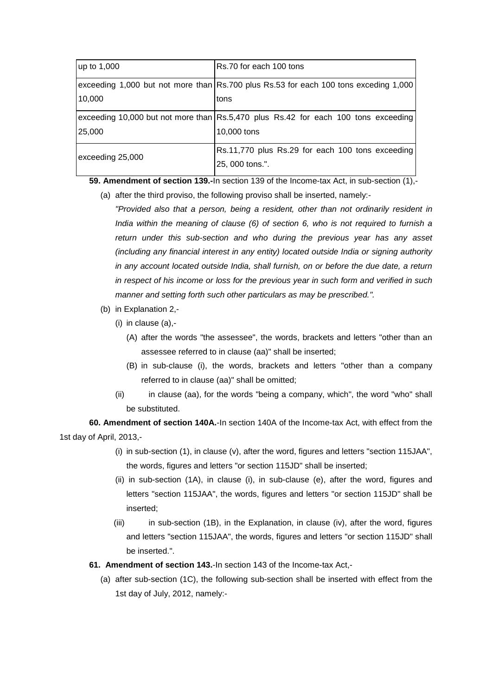| $\mu$ p to 1,000 | Rs.70 for each 100 tons                                                              |
|------------------|--------------------------------------------------------------------------------------|
|                  | exceeding 1,000 but not more than Rs.700 plus Rs.53 for each 100 tons exceding 1,000 |
| 10,000           | tons                                                                                 |
|                  | exceeding 10,000 but not more than Rs.5,470 plus Rs.42 for each 100 tons exceeding   |
| 25,000           | 10,000 tons                                                                          |
| exceeding 25,000 | Rs.11,770 plus Rs.29 for each 100 tons exceeding                                     |
|                  | 25, 000 tons.".                                                                      |

**59. Amendment of section 139.-**In section 139 of the Income-tax Act, in sub-section (1),-

- (a) after the third proviso, the following proviso shall be inserted, namely:- *"Provided also that a person, being a resident, other than not ordinarily resident in India within the meaning of clause (6) of section 6, who is not required to furnish a return under this sub-section and who during the previous year has any asset (including any financial interest in any entity) located outside India or signing authority in any account located outside India, shall furnish, on or before the due date, a return in respect of his income or loss for the previous year in such form and verified in such* 
	- *manner and setting forth such other particulars as may be prescribed.".*
- (b) in Explanation 2,-
	- (i) in clause (a),-
		- (A) after the words "the assessee", the words, brackets and letters "other than an assessee referred to in clause (aa)" shall be inserted;
		- (B) in sub-clause (i), the words, brackets and letters "other than a company referred to in clause (aa)" shall be omitted;
	- (ii) in clause (aa), for the words "being a company, which", the word "who" shall be substituted.

**60. Amendment of section 140A.**-In section 140A of the Income-tax Act, with effect from the 1st day of April, 2013,-

- (i) in sub-section (1), in clause (v), after the word, figures and letters "section 115JAA", the words, figures and letters "or section 115JD" shall be inserted;
- (ii) in sub-section (1A), in clause (i), in sub-clause (e), after the word, figures and letters "section 115JAA", the words, figures and letters "or section 115JD" shall be inserted;
- $(iii)$  in sub-section (1B), in the Explanation, in clause (iv), after the word, figures and letters "section 115JAA", the words, figures and letters "or section 115JD" shall be inserted.".
- **61. Amendment of section 143.**-In section 143 of the Income-tax Act,-
	- (a) after sub-section (1C), the following sub-section shall be inserted with effect from the 1st day of July, 2012, namely:-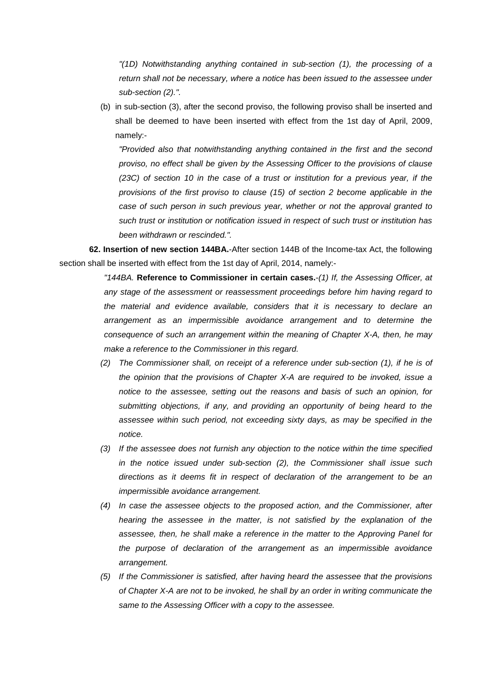*"(1D) Notwithstanding anything contained in sub-section (1), the processing of a return shall not be necessary, where a notice has been issued to the assessee under sub-section (2).".*

(b) in sub-section (3), after the second proviso, the following proviso shall be inserted and shall be deemed to have been inserted with effect from the 1st day of April, 2009, namely:-

*"Provided also that notwithstanding anything contained in the first and the second proviso, no effect shall be given by the Assessing Officer to the provisions of clause (23C) of section 10 in the case of a trust or institution for a previous year, if the provisions of the first proviso to clause (15) of section 2 become applicable in the case of such person in such previous year, whether or not the approval granted to such trust or institution or notification issued in respect of such trust or institution has been withdrawn or rescinded.".*

**62. Insertion of new section 144BA.**-After section 144B of the Income-tax Act, the following section shall be inserted with effect from the 1st day of April, 2014, namely:-

> *"144BA.* **Reference to Commissioner in certain cases.**-*(1) If, the Assessing Officer, at any stage of the assessment or reassessment proceedings before him having regard to the material and evidence available, considers that it is necessary to declare an arrangement as an impermissible avoidance arrangement and to determine the consequence of such an arrangement within the meaning of Chapter X-A, then, he may make a reference to the Commissioner in this regard.*

- *(2) The Commissioner shall, on receipt of a reference under sub-section (1), if he is of the opinion that the provisions of Chapter X-A are required to be invoked, issue a notice to the assessee, setting out the reasons and basis of such an opinion, for submitting objections, if any, and providing an opportunity of being heard to the assessee within such period, not exceeding sixty days, as may be specified in the notice.*
- *(3) If the assessee does not furnish any objection to the notice within the time specified in the notice issued under sub-section (2), the Commissioner shall issue such directions as it deems fit in respect of declaration of the arrangement to be an impermissible avoidance arrangement.*
- *(4) In case the assessee objects to the proposed action, and the Commissioner, after hearing the assessee in the matter, is not satisfied by the explanation of the assessee, then, he shall make a reference in the matter to the Approving Panel for the purpose of declaration of the arrangement as an impermissible avoidance arrangement.*
- *(5) If the Commissioner is satisfied, after having heard the assessee that the provisions of Chapter X-A are not to be invoked, he shall by an order in writing communicate the same to the Assessing Officer with a copy to the assessee.*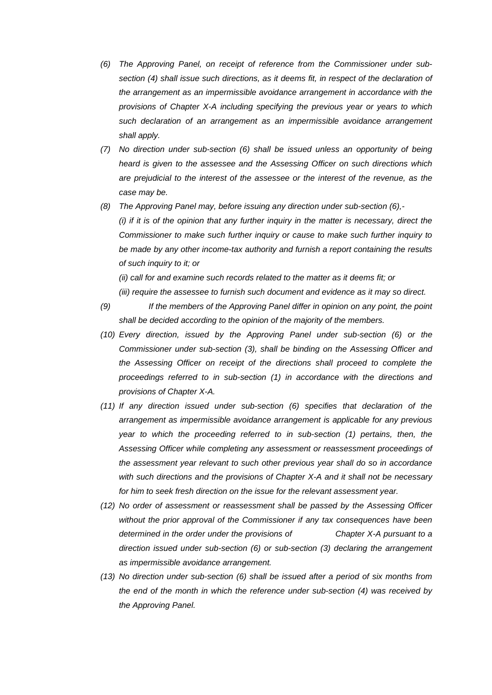- *(6) The Approving Panel, on receipt of reference from the Commissioner under sub*section (4) shall issue such directions, as it deems fit, in respect of the declaration of *the arrangement as an impermissible avoidance arrangement in accordance with the provisions of Chapter X-A including specifying the previous year or years to which such declaration of an arrangement as an impermissible avoidance arrangement shall apply.*
- *(7) No direction under sub-section (6) shall be issued unless an opportunity of being heard is given to the assessee and the Assessing Officer on such directions which are prejudicial to the interest of the assessee or the interest of the revenue, as the case may be.*
- *(8) The Approving Panel may, before issuing any direction under sub-section (6),- (i) if it is of the opinion that any further inquiry in the matter is necessary, direct the Commissioner to make such further inquiry or cause to make such further inquiry to be made by any other income-tax authority and furnish a report containing the results of such inquiry to it; or*

*(ii) call for and examine such records related to the matter as it deems fit; or (iii) require the assessee to furnish such document and evidence as it may so direct.*

- *(9) If the members of the Approving Panel differ in opinion on any point, the point shall be decided according to the opinion of the majority of the members.*
- *(10) Every direction, issued by the Approving Panel under sub-section (6) or the Commissioner under sub-section (3), shall be binding on the Assessing Officer and the Assessing Officer on receipt of the directions shall proceed to complete the proceedings referred to in sub-section (1) in accordance with the directions and provisions of Chapter X-A.*
- *(11) If any direction issued under sub-section (6) specifies that declaration of the arrangement as impermissible avoidance arrangement is applicable for any previous year to which the proceeding referred to in sub-section (1) pertains, then, the Assessing Officer while completing any assessment or reassessment proceedings of the assessment year relevant to such other previous year shall do so in accordance with such directions and the provisions of Chapter X-A and it shall not be necessary for him to seek fresh direction on the issue for the relevant assessment year.*
- *(12) No order of assessment or reassessment shall be passed by the Assessing Officer without the prior approval of the Commissioner if any tax consequences have been determined in the order under the provisions of Chapter X-A pursuant to a direction issued under sub-section (6) or sub-section (3) declaring the arrangement as impermissible avoidance arrangement.*
- *(13) No direction under sub-section (6) shall be issued after a period of six months from the end of the month in which the reference under sub-section (4) was received by the Approving Panel.*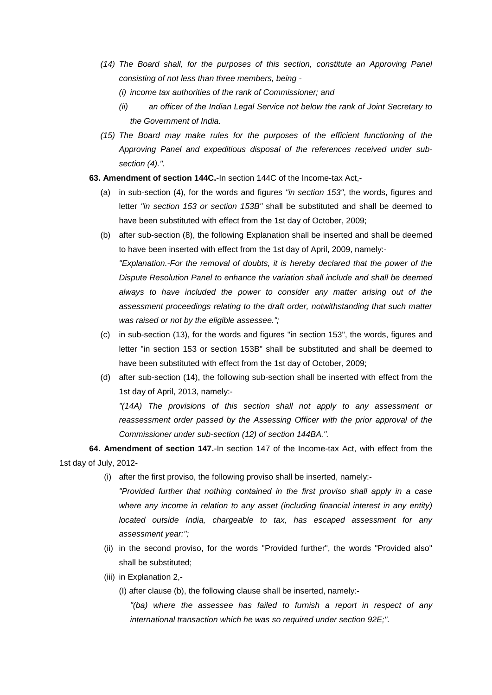- *(14) The Board shall, for the purposes of this section, constitute an Approving Panel consisting of not less than three members, being -*
	- *(i) income tax authorities of the rank of Commissioner; and*
	- *(ii) an officer of the Indian Legal Service not below the rank of Joint Secretary to the Government of India.*
- *(15) The Board may make rules for the purposes of the efficient functioning of the Approving Panel and expeditious disposal of the references received under subsection (4).".*
- **63. Amendment of section 144C.**-In section 144C of the Income-tax Act,-
	- (a) in sub-section (4), for the words and figures *"in section 153"*, the words, figures and letter *"in section 153 or section 153B"* shall be substituted and shall be deemed to have been substituted with effect from the 1st day of October, 2009;
	- (b) after sub-section (8), the following Explanation shall be inserted and shall be deemed to have been inserted with effect from the 1st day of April, 2009, namely:- *"Explanation.-For the removal of doubts, it is hereby declared that the power of the Dispute Resolution Panel to enhance the variation shall include and shall be deemed always to have included the power to consider any matter arising out of the assessment proceedings relating to the draft order, notwithstanding that such matter was raised or not by the eligible assessee.";*
	- (c) in sub-section (13), for the words and figures "in section 153", the words, figures and letter "in section 153 or section 153B" shall be substituted and shall be deemed to have been substituted with effect from the 1st day of October, 2009;
	- (d) after sub-section (14), the following sub-section shall be inserted with effect from the 1st day of April, 2013, namely:-

*"(14A) The provisions of this section shall not apply to any assessment or reassessment order passed by the Assessing Officer with the prior approval of the Commissioner under sub-section (12) of section 144BA.".*

**64. Amendment of section 147.**-In section 147 of the Income-tax Act, with effect from the 1st day of July, 2012-

(i) after the first proviso, the following proviso shall be inserted, namely:-

*"Provided further that nothing contained in the first proviso shall apply in a case where any income in relation to any asset (including financial interest in any entity) located outside India, chargeable to tax, has escaped assessment for any assessment year:";*

- (ii) in the second proviso, for the words "Provided further", the words "Provided also" shall be substituted;
- (iii) in Explanation 2,-

(I) after clause (b), the following clause shall be inserted, namely:-

*"(ba) where the assessee has failed to furnish a report in respect of any international transaction which he was so required under section 92E;".*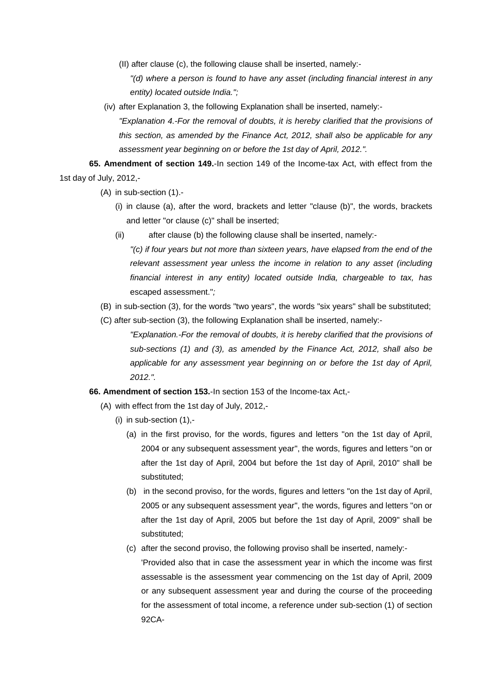(II) after clause (c), the following clause shall be inserted, namely:-

*"(d) where a person is found to have any asset (including financial interest in any entity) located outside India.";*

(iv) after Explanation 3, the following Explanation shall be inserted, namely:- *"Explanation 4.-For the removal of doubts, it is hereby clarified that the provisions of this section, as amended by the Finance Act, 2012, shall also be applicable for any assessment year beginning on or before the 1st day of April, 2012.".*

**65. Amendment of section 149.**-In section 149 of the Income-tax Act, with effect from the 1st day of July, 2012,-

- (A) in sub-section (1).-
	- (i) in clause (a), after the word, brackets and letter "clause (b)", the words, brackets and letter "or clause (c)" shall be inserted;
	- (ii) after clause (b) the following clause shall be inserted, namely:-

*"(c) if four years but not more than sixteen years, have elapsed from the end of the relevant assessment year unless the income in relation to any asset (including financial interest in any entity) located outside India, chargeable to tax, has*  escaped assessment."*;*

- (B) in sub-section (3), for the words "two years", the words "six years" shall be substituted;
- (C) after sub-section (3), the following Explanation shall be inserted, namely:-

*"Explanation.-For the removal of doubts, it is hereby clarified that the provisions of sub-sections (1) and (3), as amended by the Finance Act, 2012, shall also be applicable for any assessment year beginning on or before the 1st day of April, 2012.".*

- **66. Amendment of section 153.**-In section 153 of the Income-tax Act,-
	- (A) with effect from the 1st day of July, 2012,-
		- (i) in sub-section (1),-
			- (a) in the first proviso, for the words, figures and letters "on the 1st day of April, 2004 or any subsequent assessment year", the words, figures and letters "on or after the 1st day of April, 2004 but before the 1st day of April, 2010" shall be substituted;
			- (b) in the second proviso, for the words, figures and letters "on the 1st day of April, 2005 or any subsequent assessment year", the words, figures and letters "on or after the 1st day of April, 2005 but before the 1st day of April, 2009" shall be substituted;
			- (c) after the second proviso, the following proviso shall be inserted, namely:- 'Provided also that in case the assessment year in which the income was first assessable is the assessment year commencing on the 1st day of April, 2009 or any subsequent assessment year and during the course of the proceeding for the assessment of total income, a reference under sub-section (1) of section 92CA-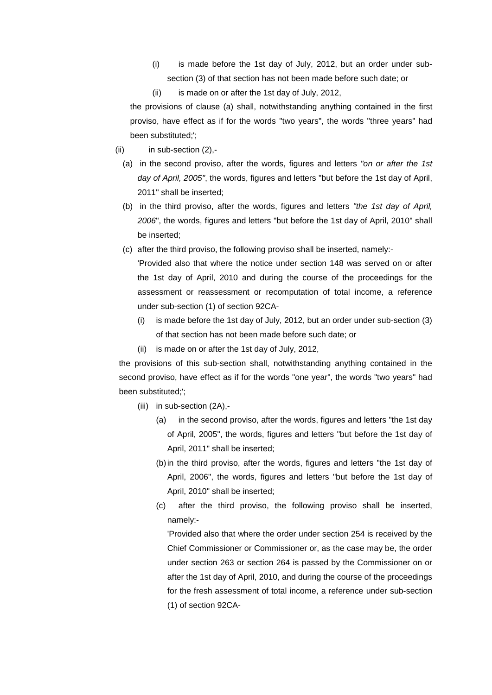- (i) is made before the 1st day of July, 2012, but an order under subsection (3) of that section has not been made before such date; or
- (ii) is made on or after the 1st day of July, 2012,

the provisions of clause (a) shall, notwithstanding anything contained in the first proviso, have effect as if for the words "two years", the words "three years" had been substituted;';

- $(ii)$  in sub-section  $(2)$ .-
	- (a) in the second proviso, after the words, figures and letters *"on or after the 1st day of April, 2005"*, the words, figures and letters "but before the 1st day of April, 2011" shall be inserted;
	- (b) in the third proviso, after the words, figures and letters *"the 1st day of April, 2006*", the words, figures and letters "but before the 1st day of April, 2010" shall be inserted;
	- (c) after the third proviso, the following proviso shall be inserted, namely:-

'Provided also that where the notice under section 148 was served on or after the 1st day of April, 2010 and during the course of the proceedings for the assessment or reassessment or recomputation of total income, a reference under sub-section (1) of section 92CA-

- (i) is made before the 1st day of July, 2012, but an order under sub-section (3) of that section has not been made before such date; or
- (ii) is made on or after the 1st day of July, 2012,

the provisions of this sub-section shall, notwithstanding anything contained in the second proviso, have effect as if for the words "one year", the words "two years" had been substituted;';

- (iii) in sub-section (2A),-
	- (a) in the second proviso, after the words, figures and letters "the 1st day of April, 2005", the words, figures and letters "but before the 1st day of April, 2011" shall be inserted;
	- (b)in the third proviso, after the words, figures and letters "the 1st day of April, 2006", the words, figures and letters "but before the 1st day of April, 2010" shall be inserted;
	- (c) after the third proviso, the following proviso shall be inserted, namely:-

'Provided also that where the order under section 254 is received by the Chief Commissioner or Commissioner or, as the case may be, the order under section 263 or section 264 is passed by the Commissioner on or after the 1st day of April, 2010, and during the course of the proceedings for the fresh assessment of total income, a reference under sub-section (1) of section 92CA-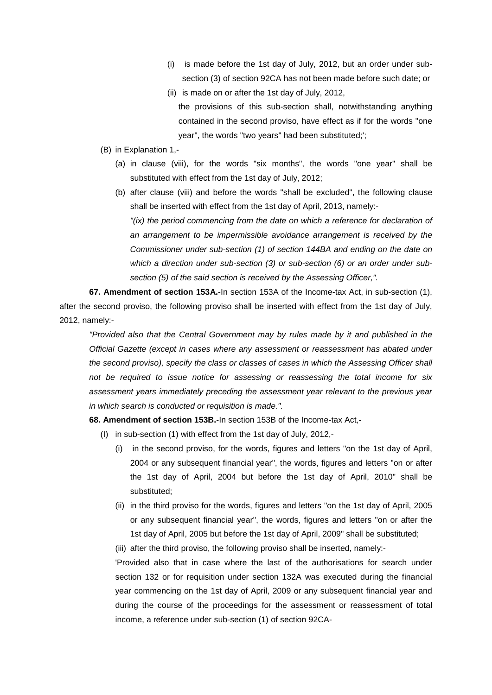- (i) is made before the 1st day of July, 2012, but an order under subsection (3) of section 92CA has not been made before such date; or
- (ii) is made on or after the 1st day of July, 2012,
- the provisions of this sub-section shall, notwithstanding anything contained in the second proviso, have effect as if for the words "one year", the words "two years" had been substituted;';
- (B) in Explanation 1,-
	- (a) in clause (viii), for the words "six months", the words "one year" shall be substituted with effect from the 1st day of July, 2012;
	- (b) after clause (viii) and before the words "shall be excluded", the following clause shall be inserted with effect from the 1st day of April, 2013, namely:- *"(ix) the period commencing from the date on which a reference for declaration of an arrangement to be impermissible avoidance arrangement is received by the Commissioner under sub-section (1) of section 144BA and ending on the date on which a direction under sub-section (3) or sub-section (6) or an order under subsection (5) of the said section is received by the Assessing Officer,".*

**67. Amendment of section 153A.**-In section 153A of the Income-tax Act, in sub-section (1), after the second proviso, the following proviso shall be inserted with effect from the 1st day of July, 2012, namely:-

*"Provided also that the Central Government may by rules made by it and published in the Official Gazette (except in cases where any assessment or reassessment has abated under the second proviso), specify the class or classes of cases in which the Assessing Officer shall not be required to issue notice for assessing or reassessing the total income for six assessment years immediately preceding the assessment year relevant to the previous year in which search is conducted or requisition is made.".*

**68. Amendment of section 153B.**-In section 153B of the Income-tax Act,-

- (I) in sub-section (1) with effect from the 1st day of July, 2012,-
	- (i) in the second proviso, for the words, figures and letters "on the 1st day of April, 2004 or any subsequent financial year", the words, figures and letters "on or after the 1st day of April, 2004 but before the 1st day of April, 2010" shall be substituted;
	- (ii) in the third proviso for the words, figures and letters "on the 1st day of April, 2005 or any subsequent financial year", the words, figures and letters "on or after the 1st day of April, 2005 but before the 1st day of April, 2009" shall be substituted;

(iii) after the third proviso, the following proviso shall be inserted, namely:-

'Provided also that in case where the last of the authorisations for search under section 132 or for requisition under section 132A was executed during the financial year commencing on the 1st day of April, 2009 or any subsequent financial year and during the course of the proceedings for the assessment or reassessment of total income, a reference under sub-section (1) of section 92CA-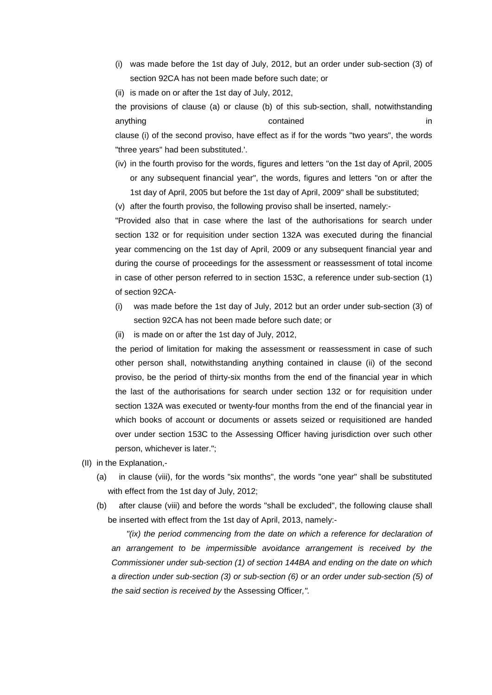(i) was made before the 1st day of July, 2012, but an order under sub-section (3) of section 92CA has not been made before such date; or

(ii) is made on or after the 1st day of July, 2012,

the provisions of clause (a) or clause (b) of this sub-section, shall, notwithstanding anything in the contained in the contained in the contained in the contained in the contained in the contained clause (i) of the second proviso, have effect as if for the words "two years", the words "three years" had been substituted.'.

- (iv) in the fourth proviso for the words, figures and letters "on the 1st day of April, 2005 or any subsequent financial year", the words, figures and letters "on or after the 1st day of April, 2005 but before the 1st day of April, 2009" shall be substituted;
- (v) after the fourth proviso, the following proviso shall be inserted, namely:-

"Provided also that in case where the last of the authorisations for search under section 132 or for requisition under section 132A was executed during the financial year commencing on the 1st day of April, 2009 or any subsequent financial year and during the course of proceedings for the assessment or reassessment of total income in case of other person referred to in section 153C, a reference under sub-section (1) of section 92CA-

- (i) was made before the 1st day of July, 2012 but an order under sub-section (3) of section 92CA has not been made before such date; or
- (ii) is made on or after the 1st day of July, 2012,

the period of limitation for making the assessment or reassessment in case of such other person shall, notwithstanding anything contained in clause (ii) of the second proviso, be the period of thirty-six months from the end of the financial year in which the last of the authorisations for search under section 132 or for requisition under section 132A was executed or twenty-four months from the end of the financial year in which books of account or documents or assets seized or requisitioned are handed over under section 153C to the Assessing Officer having jurisdiction over such other person, whichever is later.";

- (II) in the Explanation,-
	- (a) in clause (viii), for the words "six months", the words "one year" shall be substituted with effect from the 1st day of July, 2012;
	- (b) after clause (viii) and before the words "shall be excluded", the following clause shall be inserted with effect from the 1st day of April, 2013, namely:-

*"(ix) the period commencing from the date on which a reference for declaration of an arrangement to be impermissible avoidance arrangement is received by the Commissioner under sub-section (1) of section 144BA and ending on the date on which a direction under sub-section (3) or sub-section (6) or an order under sub-section (5) of the said section is received by* the Assessing Officer*,".*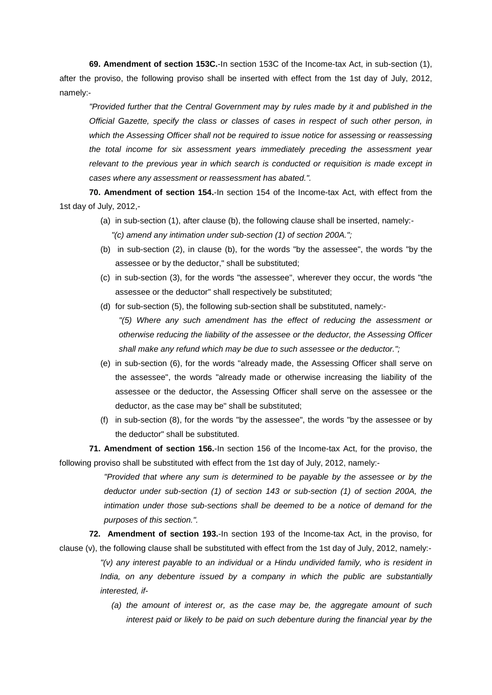**69. Amendment of section 153C.**-In section 153C of the Income-tax Act, in sub-section (1), after the proviso, the following proviso shall be inserted with effect from the 1st day of July, 2012, namely:-

*"Provided further that the Central Government may by rules made by it and published in the Official Gazette, specify the class or classes of cases in respect of such other person, in which the Assessing Officer shall not be required to issue notice for assessing or reassessing the total income for six assessment years immediately preceding the assessment year relevant to the previous year in which search is conducted or requisition is made except in cases where any assessment or reassessment has abated.".*

**70. Amendment of section 154.**-In section 154 of the Income-tax Act, with effect from the 1st day of July, 2012,-

- (a) in sub-section (1), after clause (b), the following clause shall be inserted, namely:- *"(c) amend any intimation under sub-section (1) of section 200A.";*
- (b) in sub-section (2), in clause (b), for the words "by the assessee", the words "by the assessee or by the deductor," shall be substituted;
- (c) in sub-section (3), for the words "the assessee", wherever they occur, the words "the assessee or the deductor" shall respectively be substituted;
- (d) for sub-section (5), the following sub-section shall be substituted, namely:-

*"(5) Where any such amendment has the effect of reducing the assessment or otherwise reducing the liability of the assessee or the deductor, the Assessing Officer shall make any refund which may be due to such assessee or the deductor.";*

- (e) in sub-section (6), for the words "already made, the Assessing Officer shall serve on the assessee", the words "already made or otherwise increasing the liability of the assessee or the deductor, the Assessing Officer shall serve on the assessee or the deductor, as the case may be" shall be substituted;
- (f) in sub-section (8), for the words "by the assessee", the words "by the assessee or by the deductor" shall be substituted.

**71. Amendment of section 156.**-In section 156 of the Income-tax Act, for the proviso, the following proviso shall be substituted with effect from the 1st day of July, 2012, namely:-

> *"Provided that where any sum is determined to be payable by the assessee or by the deductor under sub-section (1) of section 143 or sub-section (1) of section 200A, the intimation under those sub-sections shall be deemed to be a notice of demand for the purposes of this section.".*

**72. Amendment of section 193.**-In section 193 of the Income-tax Act, in the proviso, for clause (v), the following clause shall be substituted with effect from the 1st day of July, 2012, namely:- *"(v) any interest payable to an individual or a Hindu undivided family, who is resident in India, on any debenture issued by a company in which the public are substantially interested, if-*

> *(a) the amount of interest or, as the case may be, the aggregate amount of such interest paid or likely to be paid on such debenture during the financial year by the*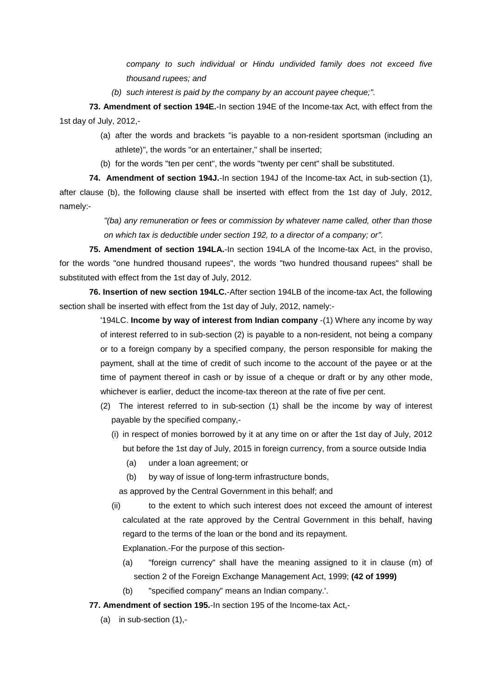*company to such individual or Hindu undivided family does not exceed five thousand rupees; and*

*(b) such interest is paid by the company by an account payee cheque;".*

**73. Amendment of section 194E.**-In section 194E of the Income-tax Act, with effect from the 1st day of July, 2012,-

- (a) after the words and brackets "is payable to a non-resident sportsman (including an athlete)", the words "or an entertainer," shall be inserted;
- (b) for the words "ten per cent", the words "twenty per cent" shall be substituted.

**74. Amendment of section 194J.**-In section 194J of the Income-tax Act, in sub-section (1), after clause (b), the following clause shall be inserted with effect from the 1st day of July, 2012, namely:-

> *"(ba) any remuneration or fees or commission by whatever name called, other than those on which tax is deductible under section 192, to a director of a company; or".*

**75. Amendment of section 194LA.**-In section 194LA of the Income-tax Act, in the proviso, for the words "one hundred thousand rupees", the words "two hundred thousand rupees" shall be substituted with effect from the 1st day of July, 2012.

**76. Insertion of new section 194LC.**-After section 194LB of the income-tax Act, the following section shall be inserted with effect from the 1st day of July, 2012, namely:-

> '194LC. **Income by way of interest from Indian company** -(1) Where any income by way of interest referred to in sub-section (2) is payable to a non-resident, not being a company or to a foreign company by a specified company, the person responsible for making the payment, shall at the time of credit of such income to the account of the payee or at the time of payment thereof in cash or by issue of a cheque or draft or by any other mode, whichever is earlier, deduct the income-tax thereon at the rate of five per cent.

- (2) The interest referred to in sub-section (1) shall be the income by way of interest payable by the specified company,-
	- (i) in respect of monies borrowed by it at any time on or after the 1st day of July, 2012 but before the 1st day of July, 2015 in foreign currency, from a source outside India
		- (a) under a loan agreement; or
		- (b) by way of issue of long-term infrastructure bonds,

as approved by the Central Government in this behalf; and

(ii) to the extent to which such interest does not exceed the amount of interest calculated at the rate approved by the Central Government in this behalf, having regard to the terms of the loan or the bond and its repayment.

Explanation.-For the purpose of this section-

- (a) "foreign currency" shall have the meaning assigned to it in clause (m) of section 2 of the Foreign Exchange Management Act, 1999; **(42 of 1999)**
- (b) "specified company" means an Indian company.'.

**77. Amendment of section 195.**-In section 195 of the Income-tax Act,-

(a) in sub-section (1),-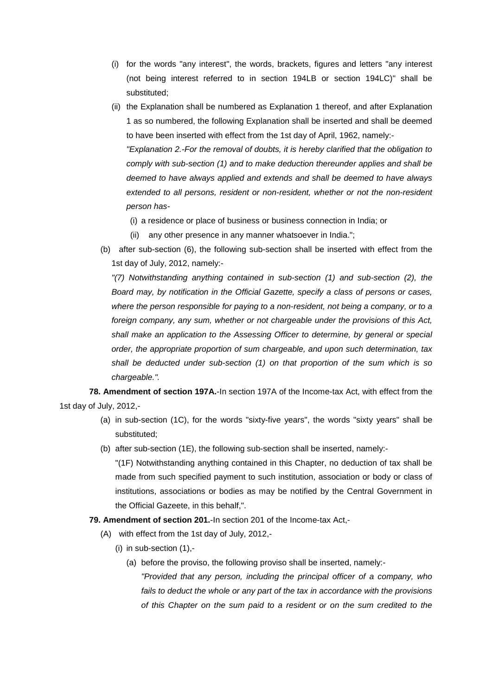- (i) for the words "any interest", the words, brackets, figures and letters "any interest (not being interest referred to in section 194LB or section 194LC)" shall be substituted;
- (ii) the Explanation shall be numbered as Explanation 1 thereof, and after Explanation 1 as so numbered, the following Explanation shall be inserted and shall be deemed to have been inserted with effect from the 1st day of April, 1962, namely:- *"Explanation 2.-For the removal of doubts, it is hereby clarified that the obligation to comply with sub-section (1) and to make deduction thereunder applies and shall be deemed to have always applied and extends and shall be deemed to have always extended to all persons, resident or non-resident, whether or not the non-resident person has-*
	- (i) a residence or place of business or business connection in India; or
	- (ii) any other presence in any manner whatsoever in India.";
- (b) after sub-section (6), the following sub-section shall be inserted with effect from the 1st day of July, 2012, namely:-

*"(7) Notwithstanding anything contained in sub-section (1) and sub-section (2), the Board may, by notification in the Official Gazette, specify a class of persons or cases, where the person responsible for paying to a non-resident, not being a company, or to a foreign company, any sum, whether or not chargeable under the provisions of this Act, shall make an application to the Assessing Officer to determine, by general or special order, the appropriate proportion of sum chargeable, and upon such determination, tax shall be deducted under sub-section (1) on that proportion of the sum which is so chargeable.".*

**78. Amendment of section 197A.**-In section 197A of the Income-tax Act, with effect from the 1st day of July, 2012,-

- (a) in sub-section (1C), for the words "sixty-five years", the words "sixty years" shall be substituted;
- (b) after sub-section (1E), the following sub-section shall be inserted, namely:-

"(1F) Notwithstanding anything contained in this Chapter, no deduction of tax shall be made from such specified payment to such institution, association or body or class of institutions, associations or bodies as may be notified by the Central Government in the Official Gazeete, in this behalf,".

# **79. Amendment of section 201.**-In section 201 of the Income-tax Act,-

- (A) with effect from the 1st day of July, 2012,-
	- $(i)$  in sub-section  $(1)$ ,-
		- (a) before the proviso, the following proviso shall be inserted, namely:-
			- *"Provided that any person, including the principal officer of a company, who fails to deduct the whole or any part of the tax in accordance with the provisions of this Chapter on the sum paid to a resident or on the sum credited to the*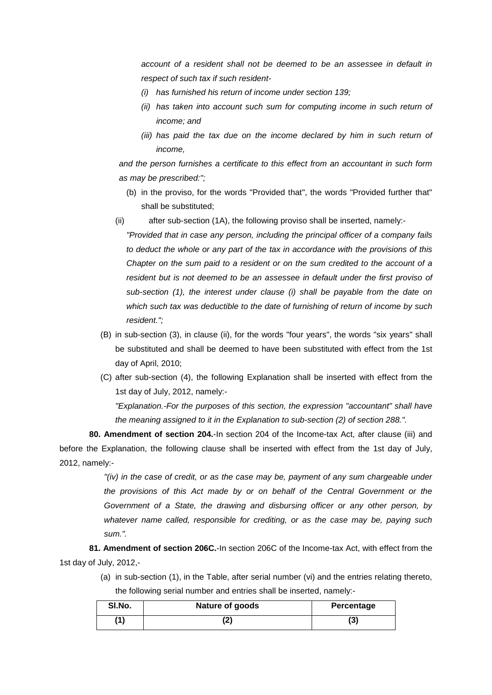*account of a resident shall not be deemed to be an assessee in default in respect of such tax if such resident-*

- *(i) has furnished his return of income under section 139;*
- *(ii)* has taken into account such sum for computing income in such return of *income; and*
- *(iii)* has paid the tax due on the income declared by him in such return of *income,*

*and the person furnishes a certificate to this effect from an accountant in such form as may be prescribed:";*

- (b) in the proviso, for the words "Provided that", the words "Provided further that" shall be substituted;
- (ii) after sub-section (1A), the following proviso shall be inserted, namely:-

*"Provided that in case any person, including the principal officer of a company fails to deduct the whole or any part of the tax in accordance with the provisions of this Chapter on the sum paid to a resident or on the sum credited to the account of a*  resident but is not deemed to be an assessee in default under the first proviso of *sub-section (1), the interest under clause (i) shall be payable from the date on which such tax was deductible to the date of furnishing of return of income by such resident.";*

- (B) in sub-section (3), in clause (ii), for the words "four years", the words "six years" shall be substituted and shall be deemed to have been substituted with effect from the 1st day of April, 2010;
- (C) after sub-section (4), the following Explanation shall be inserted with effect from the 1st day of July, 2012, namely:- *"Explanation.-For the purposes of this section, the expression "accountant" shall have*

*the meaning assigned to it in the Explanation to sub-section (2) of section 288.".*

**80. Amendment of section 204.**-In section 204 of the Income-tax Act, after clause (iii) and before the Explanation, the following clause shall be inserted with effect from the 1st day of July, 2012, namely:-

> *"(iv) in the case of credit, or as the case may be, payment of any sum chargeable under the provisions of this Act made by or on behalf of the Central Government or the Government of a State, the drawing and disbursing officer or any other person, by whatever name called, responsible for crediting, or as the case may be, paying such sum.".*

**81. Amendment of section 206C.**-In section 206C of the Income-tax Act, with effect from the 1st day of July, 2012,-

> (a) in sub-section (1), in the Table, after serial number (vi) and the entries relating thereto, the following serial number and entries shall be inserted, namely:-

| SI.No. | Nature of goods | Percentage |
|--------|-----------------|------------|
| (1)    |                 | (3)        |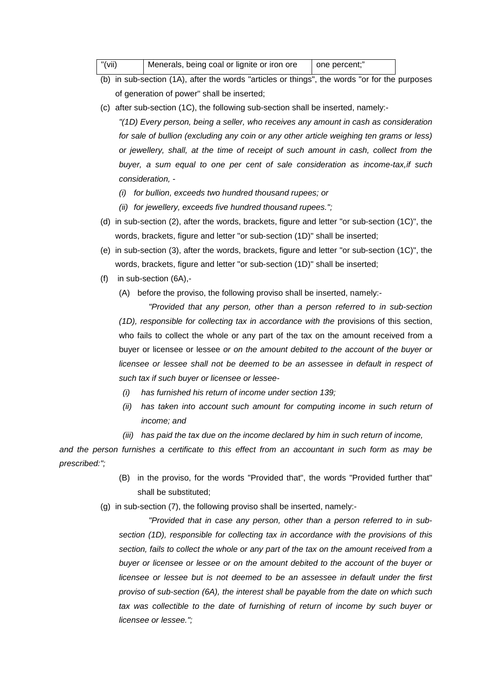| "(vii) | Menerals, being coal or lignite or iron ore | one percent:" |  |
|--------|---------------------------------------------|---------------|--|
|--------|---------------------------------------------|---------------|--|

- (b) in sub-section (1A), after the words "articles or things", the words "or for the purposes of generation of power" shall be inserted;
- (c) after sub-section (1C), the following sub-section shall be inserted, namely:-

*"(1D) Every person, being a seller, who receives any amount in cash as consideration for sale of bullion (excluding any coin or any other article weighing ten grams or less) or jewellery, shall, at the time of receipt of such amount in cash, collect from the buyer, a sum equal to one per cent of sale consideration as income-tax,if such consideration, -*

- *(i) for bullion, exceeds two hundred thousand rupees; or*
- *(ii) for jewellery, exceeds five hundred thousand rupees.";*
- (d) in sub-section (2), after the words, brackets, figure and letter "or sub-section (1C)", the words, brackets, figure and letter "or sub-section (1D)" shall be inserted;
- (e) in sub-section (3), after the words, brackets, figure and letter "or sub-section (1C)", the words, brackets, figure and letter "or sub-section (1D)" shall be inserted;
- (f) in sub-section (6A),-
	- (A) before the proviso, the following proviso shall be inserted, namely:-

*"Provided that any person, other than a person referred to in sub-section (1D), responsible for collecting tax in accordance with the* provisions of this section, who fails to collect the whole or any part of the tax on the amount received from a buyer or licensee or lessee *or on the amount debited to the account of the buyer or licensee or lessee shall not be deemed to be an assessee in default in respect of such tax if such buyer or licensee or lessee-*

- *(i) has furnished his return of income under section 139;*
- *(ii)* has taken into account such amount for computing income in such return of *income; and*
- *(iii) has paid the tax due on the income declared by him in such return of income,*

*and the person furnishes a certificate to this effect from an accountant in such form as may be prescribed:";*

- (B) in the proviso, for the words "Provided that", the words "Provided further that" shall be substituted;
- (g) in sub-section (7), the following proviso shall be inserted, namely:-

*"Provided that in case any person, other than a person referred to in subsection (1D), responsible for collecting tax in accordance with the provisions of this section, fails to collect the whole or any part of the tax on the amount received from a buyer or licensee or lessee or on the amount debited to the account of the buyer or licensee or lessee but is not deemed to be an assessee in default under the first proviso of sub-section (6A), the interest shall be payable from the date on which such*  tax was collectible to the date of furnishing of return of income by such buyer or *licensee or lessee.";*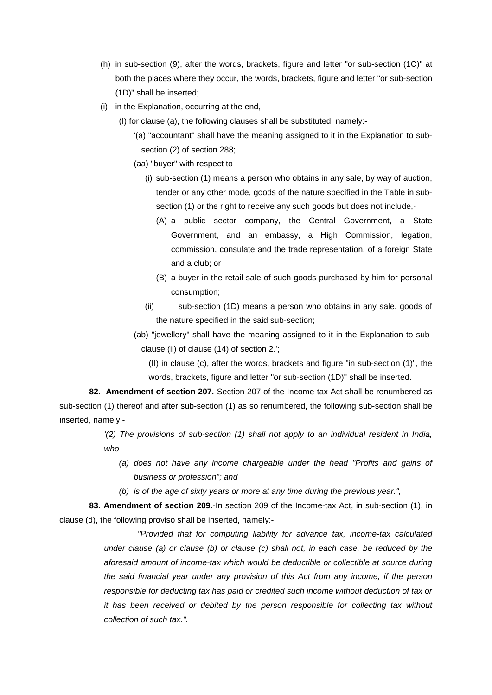- (h) in sub-section (9), after the words, brackets, figure and letter "or sub-section (1C)" at both the places where they occur, the words, brackets, figure and letter "or sub-section (1D)" shall be inserted;
- (i) in the Explanation, occurring at the end,-
	- (I) for clause (a), the following clauses shall be substituted, namely:-
		- '(a) "accountant" shall have the meaning assigned to it in the Explanation to subsection (2) of section 288;
		- (aa) "buyer" with respect to-
			- (i) sub-section (1) means a person who obtains in any sale, by way of auction, tender or any other mode, goods of the nature specified in the Table in subsection (1) or the right to receive any such goods but does not include.
				- (A) a public sector company, the Central Government, a State Government, and an embassy, a High Commission, legation, commission, consulate and the trade representation, of a foreign State and a club; or
				- (B) a buyer in the retail sale of such goods purchased by him for personal consumption;
			- (ii) sub-section (1D) means a person who obtains in any sale, goods of the nature specified in the said sub-section;
		- (ab) "jewellery" shall have the meaning assigned to it in the Explanation to subclause (ii) of clause (14) of section 2.';
			- (II) in clause (c), after the words, brackets and figure "in sub-section (1)", the words, brackets, figure and letter "or sub-section (1D)" shall be inserted.

**82. Amendment of section 207.**-Section 207 of the Income-tax Act shall be renumbered as sub-section (1) thereof and after sub-section (1) as so renumbered, the following sub-section shall be inserted, namely:-

> *'(2) The provisions of sub-section (1) shall not apply to an individual resident in India, who-*

- *(a) does not have any income chargeable under the head "Profits and gains of business or profession"; and*
- *(b) is of the age of sixty years or more at any time during the previous year.",*

**83. Amendment of section 209.**-In section 209 of the Income-tax Act, in sub-section (1), in clause (d), the following proviso shall be inserted, namely:-

> *"Provided that for computing liability for advance tax, income-tax calculated under clause (a) or clause (b) or clause (c) shall not, in each case, be reduced by the aforesaid amount of income-tax which would be deductible or collectible at source during the said financial year under any provision of this Act from any income, if the person responsible for deducting tax has paid or credited such income without deduction of tax or it has been received or debited by the person responsible for collecting tax without collection of such tax.".*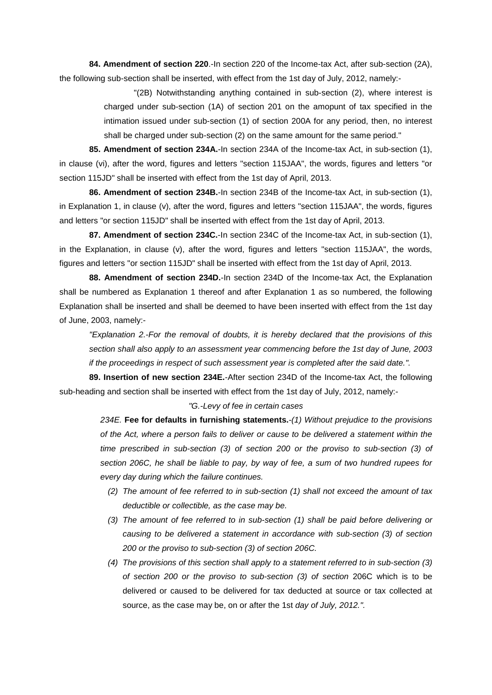**84. Amendment of section 220**.-In section 220 of the Income-tax Act, after sub-section (2A), the following sub-section shall be inserted, with effect from the 1st day of July, 2012, namely:-

> "(2B) Notwithstanding anything contained in sub-section (2), where interest is charged under sub-section (1A) of section 201 on the amopunt of tax specified in the intimation issued under sub-section (1) of section 200A for any period, then, no interest shall be charged under sub-section (2) on the same amount for the same period."

**85. Amendment of section 234A.**-In section 234A of the Income-tax Act, in sub-section (1), in clause (vi), after the word, figures and letters "section 115JAA", the words, figures and letters "or section 115JD" shall be inserted with effect from the 1st day of April, 2013.

**86. Amendment of section 234B.**-In section 234B of the Income-tax Act, in sub-section (1), in Explanation 1, in clause (v), after the word, figures and letters "section 115JAA", the words, figures and letters "or section 115JD" shall be inserted with effect from the 1st day of April, 2013.

**87. Amendment of section 234C.**-In section 234C of the Income-tax Act, in sub-section (1), in the Explanation, in clause (v), after the word, figures and letters "section 115JAA", the words, figures and letters "or section 115JD" shall be inserted with effect from the 1st day of April, 2013.

**88. Amendment of section 234D.**-In section 234D of the Income-tax Act, the Explanation shall be numbered as Explanation 1 thereof and after Explanation 1 as so numbered, the following Explanation shall be inserted and shall be deemed to have been inserted with effect from the 1st day of June, 2003, namely:-

*"Explanation 2.-For the removal of doubts, it is hereby declared that the provisions of this section shall also apply to an assessment year commencing before the 1st day of June, 2003 if the proceedings in respect of such assessment year is completed after the said date.".*

**89. Insertion of new section 234E.**-After section 234D of the Income-tax Act, the following sub-heading and section shall be inserted with effect from the 1st day of July, 2012, namely:-

#### *"G.-Levy of fee in certain cases*

*234E.* **Fee for defaults in furnishing statements.***-(1) Without prejudice to the provisions of the Act, where a person fails to deliver or cause to be delivered a statement within the time prescribed in sub-section (3) of section 200 or the proviso to sub-section (3) of section 206C, he shall be liable to pay, by way of fee, a sum of two hundred rupees for every day during which the failure continues.*

- *(2) The amount of fee referred to in sub-section (1) shall not exceed the amount of tax deductible or collectible, as the case may be.*
- *(3) The amount of fee referred to in sub-section (1) shall be paid before delivering or causing to be delivered a statement in accordance with sub-section (3) of section 200 or the proviso to sub-section (3) of section 206C.*
- *(4) The provisions of this section shall apply to a statement referred to in sub-section (3) of section 200 or the proviso to sub-section (3) of section* 206C which is to be delivered or caused to be delivered for tax deducted at source or tax collected at source, as the case may be, on or after the 1st *day of July, 2012.".*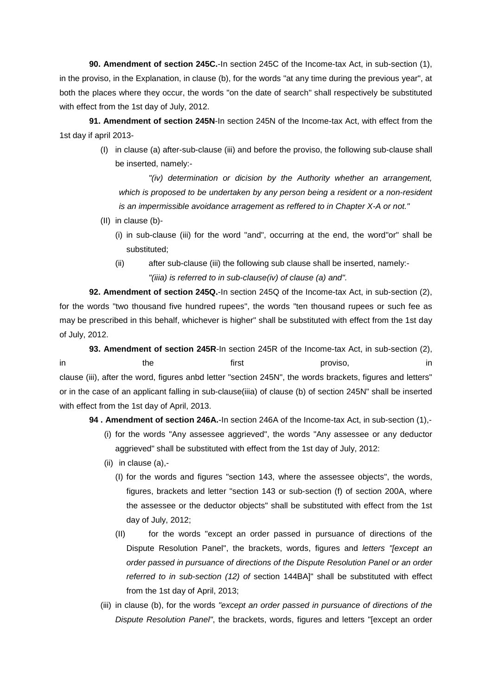**90. Amendment of section 245C.**-In section 245C of the Income-tax Act, in sub-section (1), in the proviso, in the Explanation, in clause (b), for the words "at any time during the previous year", at both the places where they occur, the words "on the date of search" shall respectively be substituted with effect from the 1st day of July, 2012.

**91. Amendment of section 245N**-In section 245N of the Income-tax Act, with effect from the 1st day if april 2013-

> (I) in clause (a) after-sub-clause (iii) and before the proviso, the following sub-clause shall be inserted, namely:-

*"(iv) determination or dicision by the Authority whether an arrangement, which is proposed to be undertaken by any person being a resident or a non-resident is an impermissible avoidance arragement as reffered to in Chapter X-A or not."*

- (II) in clause (b)-
	- (i) in sub-clause (iii) for the word "and", occurring at the end, the word"or" shall be substituted;
	- (ii) after sub-clause (iii) the following sub clause shall be inserted, namely:- *"(iiia) is referred to in sub-clause(iv) of clause (a) and".*

**92. Amendment of section 245Q.**-In section 245Q of the Income-tax Act, in sub-section (2), for the words "two thousand five hundred rupees", the words "ten thousand rupees or such fee as may be prescribed in this behalf, whichever is higher" shall be substituted with effect from the 1st day of July, 2012.

**93. Amendment of section 245R**-In section 245R of the Income-tax Act, in sub-section (2), in the first proviso, in the first proviso, the final clause (iii), after the word, figures anbd letter "section 245N", the words brackets, figures and letters" or in the case of an applicant falling in sub-clause(iiia) of clause (b) of section 245N" shall be inserted with effect from the 1st day of April, 2013.

**94 . Amendment of section 246A.**-In section 246A of the Income-tax Act, in sub-section (1),-

- (i) for the words "Any assessee aggrieved", the words "Any assessee or any deductor aggrieved" shall be substituted with effect from the 1st day of July, 2012:
- (ii) in clause (a),-
	- (I) for the words and figures "section 143, where the assessee objects", the words, figures, brackets and letter "section 143 or sub-section (f) of section 200A, where the assessee or the deductor objects" shall be substituted with effect from the 1st day of July, 2012;
	- (II) for the words "except an order passed in pursuance of directions of the Dispute Resolution Panel", the brackets, words, figures and *letters "[except an order passed in pursuance of directions of the Dispute Resolution Panel or an order referred to in sub-section (12) of* section 144BA]" shall be substituted with effect from the 1st day of April, 2013;
- (iii) in clause (b), for the words *"except an order passed in pursuance of directions of the Dispute Resolution Panel"*, the brackets, words, figures and letters "[except an order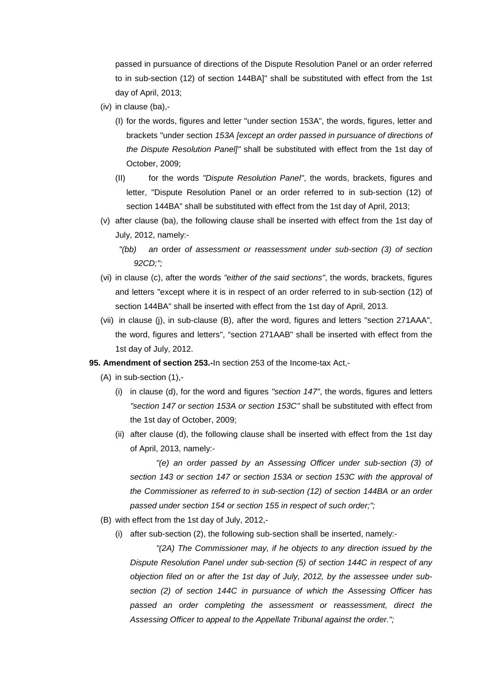passed in pursuance of directions of the Dispute Resolution Panel or an order referred to in sub-section (12) of section 144BA]" shall be substituted with effect from the 1st day of April, 2013;

- (iv) in clause (ba),-
	- (I) for the words, figures and letter "under section 153A", the words, figures, letter and brackets "under section *153A [except an order passed in pursuance of directions of the Dispute Resolution Panel]"* shall be substituted with effect from the 1st day of October, 2009;
	- (II) for the words *"Dispute Resolution Panel"*, the words, brackets, figures and letter, "Dispute Resolution Panel or an order referred to in sub-section (12) of section 144BA" shall be substituted with effect from the 1st day of April, 2013;
- (v) after clause (ba), the following clause shall be inserted with effect from the 1st day of July, 2012, namely:-
	- *"(bb) an* order *of assessment or reassessment under sub-section (3) of section 92CD;";*
- (vi) in clause (c), after the words *"either of the said sections"*, the words, brackets, figures and letters "except where it is in respect of an order referred to in sub-section (12) of section 144BA" shall be inserted with effect from the 1st day of April, 2013.
- (vii) in clause (j), in sub-clause (B), after the word, figures and letters "section 271AAA", the word, figures and letters", "section 271AAB" shall be inserted with effect from the 1st day of July, 2012.
- **95. Amendment of section 253.-**In section 253 of the Income-tax Act,-
	- (A) in sub-section (1),-
		- (i) in clause (d), for the word and figures *"section 147"*, the words, figures and letters *"section 147 or section 153A or section 153C"* shall be substituted with effect from the 1st day of October, 2009;
		- (ii) after clause (d), the following clause shall be inserted with effect from the 1st day of April, 2013, namely:-

*"(e) an order passed by an Assessing Officer under sub-section (3) of section 143 or section 147 or section 153A or section 153C with the approval of the Commissioner as referred to in sub-section (12) of section 144BA or an order passed under section 154 or section 155 in respect of such order;";*

- (B) with effect from the 1st day of July, 2012,-
	- (i) after sub-section (2), the following sub-section shall be inserted, namely:-

*"(2A) The Commissioner may, if he objects to any direction issued by the Dispute Resolution Panel under sub-section (5) of section 144C in respect of any objection filed on or after the 1st day of July, 2012, by the assessee under subsection (2) of section 144C in pursuance of which the Assessing Officer has passed an order completing the assessment or reassessment, direct the Assessing Officer to appeal to the Appellate Tribunal against the order.";*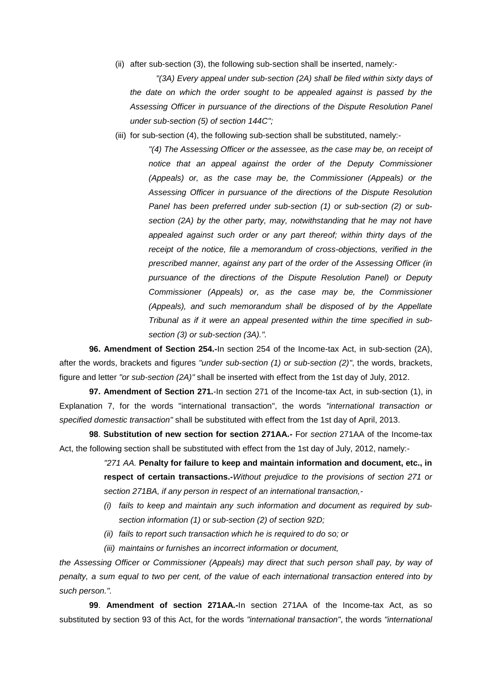(ii) after sub-section (3), the following sub-section shall be inserted, namely:-

*"(3A) Every appeal under sub-section (2A) shall be filed within sixty days of the date on which the order sought to be appealed against is passed by the Assessing Officer in pursuance of the directions of the Dispute Resolution Panel under sub-section (5) of section 144C";*

(iii) for sub-section (4), the following sub-section shall be substituted, namely:-

*"(4) The Assessing Officer or the assessee, as the case may be, on receipt of notice that an appeal against the order of the Deputy Commissioner (Appeals) or, as the case may be, the Commissioner (Appeals) or the Assessing Officer in pursuance of the directions of the Dispute Resolution Panel has been preferred under sub-section (1) or sub-section (2) or subsection (2A) by the other party, may, notwithstanding that he may not have appealed against such order or any part thereof; within thirty days of the receipt of the notice, file a memorandum of cross-objections, verified in the prescribed manner, against any part of the order of the Assessing Officer (in pursuance of the directions of the Dispute Resolution Panel) or Deputy Commissioner (Appeals) or, as the case may be, the Commissioner (Appeals), and such memorandum shall be disposed of by the Appellate Tribunal as if it were an appeal presented within the time specified in subsection (3) or sub-section (3A).".*

**96. Amendment of Section 254.-**In section 254 of the Income-tax Act, in sub-section (2A), after the words, brackets and figures *"under sub-section (1) or sub-section (2)"*, the words, brackets, figure and letter *"or sub-section (2A)"* shall be inserted with effect from the 1st day of July, 2012.

**97. Amendment of Section 271.**-In section 271 of the Income-tax Act, in sub-section (1), in Explanation 7, for the words "international transaction", the words *"international transaction or specified domestic transaction"* shall be substituted with effect from the 1st day of April, 2013.

**98**. **Substitution of new section for section 271AA.-** For *section* 271AA of the Income-tax Act, the following section shall be substituted with effect from the 1st day of July, 2012, namely:-

> *"271 AA.* **Penalty for failure to keep and maintain information and document, etc., in respect of certain transactions.-***Without prejudice to the provisions of section 271 or section 271BA, if any person in respect of an international transaction,-*

- *(i) fails to keep and maintain any such information and document as required by subsection information (1) or sub-section (2) of section 92D;*
- *(ii) fails to report such transaction which he is required to do so; or*
- *(iii) maintains or furnishes an incorrect information or document,*

*the Assessing Officer or Commissioner (Appeals) may direct that such person shall pay, by way of penalty, a sum equal to two per cent, of the value of each international transaction entered into by such person.".*

**99**. **Amendment of section 271AA.-**In section 271AA of the Income-tax Act, as so substituted by section 93 of this Act, for the words *"international transaction"*, the words *"international*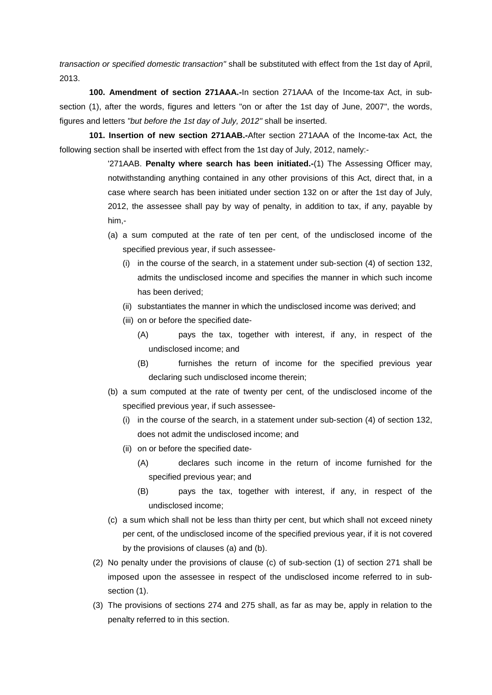*transaction or specified domestic transaction"* shall be substituted with effect from the 1st day of April, 2013.

**100. Amendment of section 271AAA.-**In section 271AAA of the Income-tax Act, in subsection (1), after the words, figures and letters "on or after the 1st day of June, 2007", the words, figures and letters *"but before the 1st day of July, 2012"* shall be inserted.

**101. Insertion of new section 271AAB.-**After section 271AAA of the Income-tax Act, the following section shall be inserted with effect from the 1st day of July, 2012, namely:-

> '271AAB. **Penalty where search has been initiated.-**(1) The Assessing Officer may, notwithstanding anything contained in any other provisions of this Act, direct that, in a case where search has been initiated under section 132 on or after the 1st day of July, 2012, the assessee shall pay by way of penalty, in addition to tax, if any, payable by him,-

- (a) a sum computed at the rate of ten per cent, of the undisclosed income of the specified previous year, if such assessee-
	- (i) in the course of the search, in a statement under sub-section (4) of section 132, admits the undisclosed income and specifies the manner in which such income has been derived;
	- (ii) substantiates the manner in which the undisclosed income was derived; and
	- (iii) on or before the specified date-
		- (A) pays the tax, together with interest, if any, in respect of the undisclosed income; and
		- (B) furnishes the return of income for the specified previous year declaring such undisclosed income therein;
- (b) a sum computed at the rate of twenty per cent, of the undisclosed income of the specified previous year, if such assessee-
	- (i) in the course of the search, in a statement under sub-section (4) of section 132, does not admit the undisclosed income; and
	- (ii) on or before the specified date-
		- (A) declares such income in the return of income furnished for the specified previous year; and
		- (B) pays the tax, together with interest, if any, in respect of the undisclosed income;
- (c) a sum which shall not be less than thirty per cent, but which shall not exceed ninety per cent, of the undisclosed income of the specified previous year, if it is not covered by the provisions of clauses (a) and (b).
- (2) No penalty under the provisions of clause (c) of sub-section (1) of section 271 shall be imposed upon the assessee in respect of the undisclosed income referred to in subsection (1).
- (3) The provisions of sections 274 and 275 shall, as far as may be, apply in relation to the penalty referred to in this section.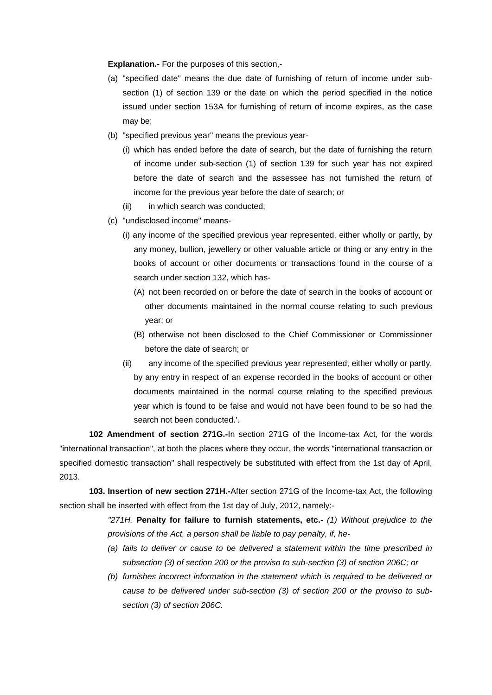**Explanation.-** For the purposes of this section,-

- (a) "specified date" means the due date of furnishing of return of income under subsection (1) of section 139 or the date on which the period specified in the notice issued under section 153A for furnishing of return of income expires, as the case may be;
- (b) "specified previous year" means the previous year-
	- (i) which has ended before the date of search, but the date of furnishing the return of income under sub-section (1) of section 139 for such year has not expired before the date of search and the assessee has not furnished the return of income for the previous year before the date of search; or
	- (ii) in which search was conducted:
- (c) "undisclosed income" means-
	- (i) any income of the specified previous year represented, either wholly or partly, by any money, bullion, jewellery or other valuable article or thing or any entry in the books of account or other documents or transactions found in the course of a search under section 132, which has-
		- (A) not been recorded on or before the date of search in the books of account or other documents maintained in the normal course relating to such previous year; or
		- (B) otherwise not been disclosed to the Chief Commissioner or Commissioner before the date of search; or
	- (ii) any income of the specified previous year represented, either wholly or partly, by any entry in respect of an expense recorded in the books of account or other documents maintained in the normal course relating to the specified previous year which is found to be false and would not have been found to be so had the search not been conducted.'.

**102 Amendment of section 271G.-**In section 271G of the Income-tax Act, for the words "international transaction", at both the places where they occur, the words "international transaction or specified domestic transaction" shall respectively be substituted with effect from the 1st day of April, 2013.

**103. Insertion of new section 271H.-**After section 271G of the Income-tax Act, the following section shall be inserted with effect from the 1st day of July, 2012, namely:-

> *"271H.* **Penalty for failure to furnish statements, etc.-** *(1) Without prejudice to the provisions of the Act, a person shall be liable to pay penalty, if, he-*

- *(a) fails to deliver or cause to be delivered a statement within the time prescribed in subsection (3) of section 200 or the proviso to sub-section (3) of section 206C; or*
- *(b) furnishes incorrect information in the statement which is required to be delivered or cause to be delivered under sub-section (3) of section 200 or the proviso to subsection (3) of section 206C.*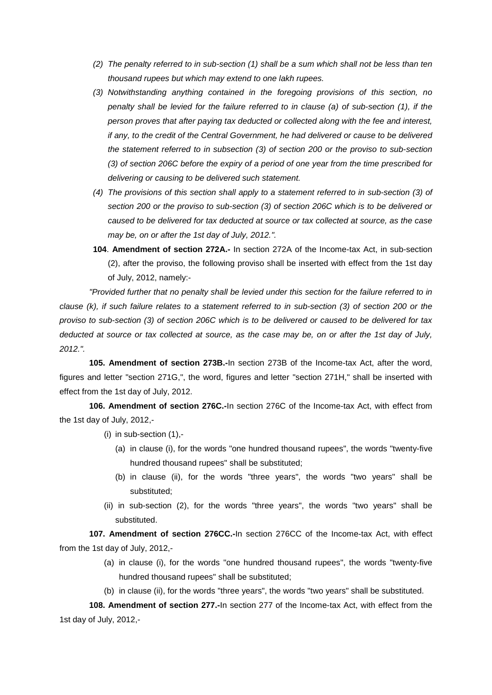- *(2) The penalty referred to in sub-section (1) shall be a sum which shall not be less than ten thousand rupees but which may extend to one lakh rupees.*
- *(3) Notwithstanding anything contained in the foregoing provisions of this section, no penalty shall be levied for the failure referred to in clause (a) of sub-section (1), if the person proves that after paying tax deducted or collected along with the fee and interest, if any, to the credit of the Central Government, he had delivered or cause to be delivered the statement referred to in subsection (3) of section 200 or the proviso to sub-section (3) of section 206C before the expiry of a period of one year from the time prescribed for delivering or causing to be delivered such statement.*
- *(4) The provisions of this section shall apply to a statement referred to in sub-section (3) of section 200 or the proviso to sub-section (3) of section 206C which is to be delivered or caused to be delivered for tax deducted at source or tax collected at source, as the case may be, on or after the 1st day of July, 2012.".*
- **104**. **Amendment of section 272A.-** In section 272A of the Income-tax Act, in sub-section (2), after the proviso, the following proviso shall be inserted with effect from the 1st day of July, 2012, namely:-

*"Provided further that no penalty shall be levied under this section for the failure referred to in clause (k), if such failure relates to a statement referred to in sub-section (3) of section 200 or the proviso to sub-section (3) of section 206C which is to be delivered or caused to be delivered for tax deducted at source or tax collected at source, as the case may be, on or after the 1st day of July, 2012.".*

**105. Amendment of section 273B.-**In section 273B of the Income-tax Act, after the word, figures and letter "section 271G,", the word, figures and letter "section 271H," shall be inserted with effect from the 1st day of July, 2012.

**106. Amendment of section 276C.-**In section 276C of the Income-tax Act, with effect from the 1st day of July, 2012,-

- (i) in sub-section (1),-
	- (a) in clause (i), for the words "one hundred thousand rupees", the words "twenty-five hundred thousand rupees" shall be substituted;
	- (b) in clause (ii), for the words "three years", the words "two years" shall be substituted;
- (ii) in sub-section (2), for the words "three years", the words "two years" shall be substituted.

**107. Amendment of section 276CC.-**In section 276CC of the Income-tax Act, with effect from the 1st day of July, 2012,-

- (a) in clause (i), for the words "one hundred thousand rupees", the words "twenty-five hundred thousand rupees" shall be substituted;
- (b) in clause (ii), for the words "three years", the words "two years" shall be substituted.

**108. Amendment of section 277.-**In section 277 of the Income-tax Act, with effect from the 1st day of July, 2012,-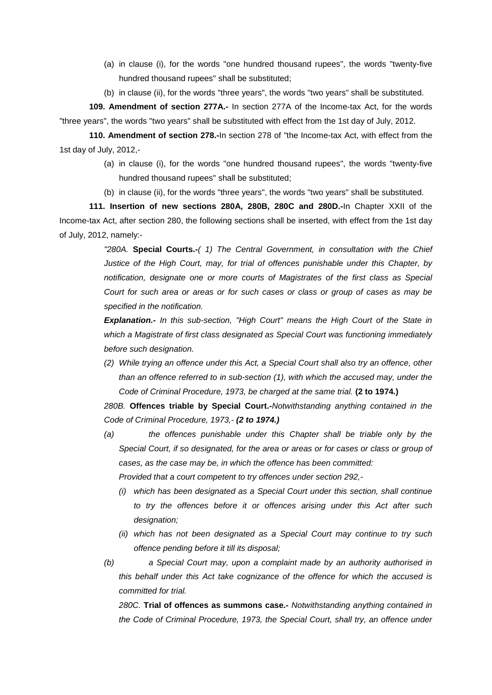- (a) in clause (i), for the words "one hundred thousand rupees", the words "twenty-five hundred thousand rupees" shall be substituted;
- (b) in clause (ii), for the words "three years", the words "two years" shall be substituted.

**109. Amendment of section 277A.-** In section 277A of the Income-tax Act, for the words "three years", the words "two years" shall be substituted with effect from the 1st day of July, 2012.

**110. Amendment of section 278.-**In section 278 of "the Income-tax Act, with effect from the 1st day of July, 2012,-

- (a) in clause (i), for the words "one hundred thousand rupees", the words "twenty-five hundred thousand rupees" shall be substituted;
- (b) in clause (ii), for the words "three years", the words "two years" shall be substituted.

**111. Insertion of new sections 280A, 280B, 280C and 280D.-**In Chapter XXII of the Income-tax Act, after section 280, the following sections shall be inserted, with effect from the 1st day of July, 2012, namely:-

> *"280A.* **Special Courts.-***( 1) The Central Government, in consultation with the Chief Justice of the High Court, may, for trial of offences punishable under this Chapter, by notification, designate one or more courts of Magistrates of the first class as Special Court for such area or areas or for such cases or class or group of cases as may be specified in the notification.*

> *Explanation.- In this sub-section, "High Court" means the High Court of the State in which a Magistrate of first class designated as Special Court was functioning immediately before such designation.*

> *(2) While trying an offence under this Act, a Special Court shall also try an offence, other than an offence referred to in sub-section (1), with which the accused may, under the Code of Criminal Procedure, 1973, be charged at the same trial.* **(2 to 1974.)**

> *280B.* **Offences triable by Special Court.-***Notwithstanding anything contained in the Code of Criminal Procedure, 1973,- (2 to 1974.)*

> *(a) the offences punishable under this Chapter shall be triable only by the Special Court, if so designated, for the area or areas or for cases or class or group of cases, as the case may be, in which the offence has been committed:*

*Provided that a court competent to try offences under section 292,-*

- *(i) which has been designated as a Special Court under this section, shall continue to try the offences before it or offences arising under this Act after such designation;*
- *(ii) which has not been designated as a Special Court may continue to try such offence pending before it till its disposal;*
- *(b) a Special Court may, upon a complaint made by an authority authorised in this behalf under this Act take cognizance of the offence for which the accused is committed for trial.*

*280C.* **Trial of offences as summons case.-** *Notwithstanding anything contained in the Code of Criminal Procedure, 1973, the Special Court, shall try, an offence under*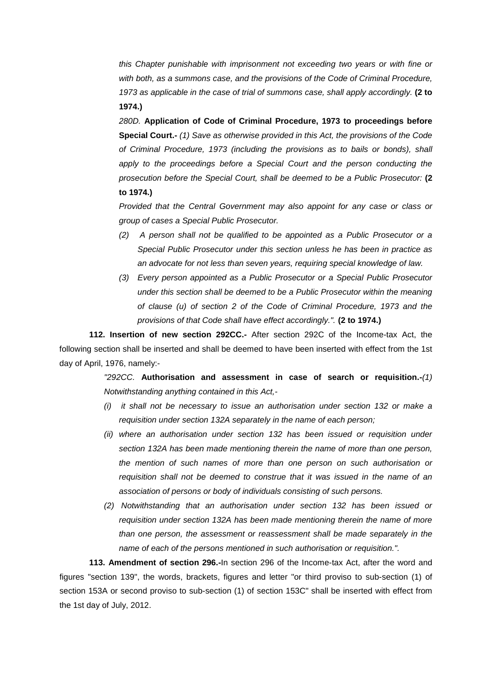*this Chapter punishable with imprisonment not exceeding two years or with fine or with both, as a summons case, and the provisions of the Code of Criminal Procedure, 1973 as applicable in the case of trial of summons case, shall apply accordingly.* **(2 to 1974.)** 

*280D.* **Application of Code of Criminal Procedure, 1973 to proceedings before Special Court.-** *(1) Save as otherwise provided in this Act, the provisions of the Code of Criminal Procedure, 1973 (including the provisions as to bails or bonds), shall*  apply to the proceedings before a Special Court and the person conducting the *prosecution before the Special Court, shall be deemed to be a Public Prosecutor:* **(2 to 1974.)** 

*Provided that the Central Government may also appoint for any case or class or group of cases a Special Public Prosecutor.*

- *(2) A person shall not be qualified to be appointed as a Public Prosecutor or a Special Public Prosecutor under this section unless he has been in practice as an advocate for not less than seven years, requiring special knowledge of law.*
- *(3) Every person appointed as a Public Prosecutor or a Special Public Prosecutor under this section shall be deemed to be a Public Prosecutor within the meaning of clause (u) of section 2 of the Code of Criminal Procedure, 1973 and the provisions of that Code shall have effect accordingly.".* **(2 to 1974.)**

**112. Insertion of new section 292CC.-** After section 292C of the Income-tax Act, the following section shall be inserted and shall be deemed to have been inserted with effect from the 1st day of April, 1976, namely:-

> *"292CC.* **Authorisation and assessment in case of search or requisition.-***(1) Notwithstanding anything contained in this Act,-*

- *(i) it shall not be necessary to issue an authorisation under section 132 or make a requisition under section 132A separately in the name of each person;*
- *(ii) where an authorisation under section 132 has been issued or requisition under section 132A has been made mentioning therein the name of more than one person, the mention of such names of more than one person on such authorisation or requisition shall not be deemed to construe that it was issued in the name of an association of persons or body of individuals consisting of such persons.*
- *(2) Notwithstanding that an authorisation under section 132 has been issued or requisition under section 132A has been made mentioning therein the name of more than one person, the assessment or reassessment shall be made separately in the name of each of the persons mentioned in such authorisation or requisition.".*

**113. Amendment of section 296.-**In section 296 of the Income-tax Act, after the word and figures "section 139", the words, brackets, figures and letter "or third proviso to sub-section (1) of section 153A or second proviso to sub-section (1) of section 153C" shall be inserted with effect from the 1st day of July, 2012.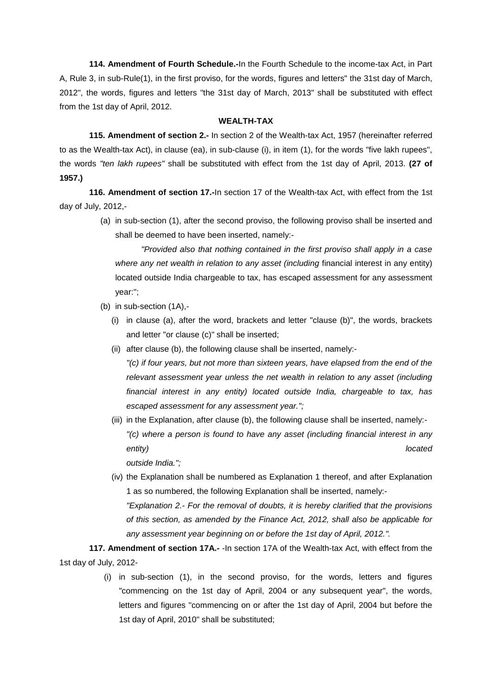**114. Amendment of Fourth Schedule.-**In the Fourth Schedule to the income-tax Act, in Part A, Rule 3, in sub-Rule(1), in the first proviso, for the words, figures and letters" the 31st day of March, 2012", the words, figures and letters "the 31st day of March, 2013" shall be substituted with effect from the 1st day of April, 2012.

### **WEALTH-TAX**

**115. Amendment of section 2.-** In section 2 of the Wealth-tax Act, 1957 (hereinafter referred to as the Wealth-tax Act), in clause (ea), in sub-clause (i), in item (1), for the words "five lakh rupees", the words *"ten lakh rupees"* shall be substituted with effect from the 1st day of April, 2013. **(27 of 1957.)**

**116. Amendment of section 17.-**In section 17 of the Wealth-tax Act, with effect from the 1st day of July, 2012,-

> (a) in sub-section (1), after the second proviso, the following proviso shall be inserted and shall be deemed to have been inserted, namely:-

*"Provided also that nothing contained in the first proviso shall apply in a case where any net wealth in relation to any asset (including financial interest in any entity)* located outside India chargeable to tax, has escaped assessment for any assessment year:";

- (b) in sub-section (1A),-
	- (i) in clause (a), after the word, brackets and letter "clause (b)", the words, brackets and letter "or clause (c)" shall be inserted;
	- (ii) after clause (b), the following clause shall be inserted, namely:- *"(c) if four years, but not more than sixteen years, have elapsed from the end of the relevant assessment year unless the net wealth in relation to any asset (including financial interest in any entity) located outside India, chargeable to tax, has escaped assessment for any assessment year.";*
	- (iii) in the Explanation, after clause (b), the following clause shall be inserted, namely:- *"(c) where a person is found to have any asset (including financial interest in any entity) located*

*outside India.";*

(iv) the Explanation shall be numbered as Explanation 1 thereof, and after Explanation 1 as so numbered, the following Explanation shall be inserted, namely:- *"Explanation 2.- For the removal of doubts, it is hereby clarified that the provisions of this section, as amended by the Finance Act, 2012, shall also be applicable for any assessment year beginning on or before the 1st day of April, 2012.".*

**117. Amendment of section 17A.-** -In section 17A of the Wealth-tax Act, with effect from the 1st day of July, 2012-

> (i) in sub-section (1), in the second proviso, for the words, letters and figures "commencing on the 1st day of April, 2004 or any subsequent year", the words, letters and figures "commencing on or after the 1st day of April, 2004 but before the 1st day of April, 2010" shall be substituted;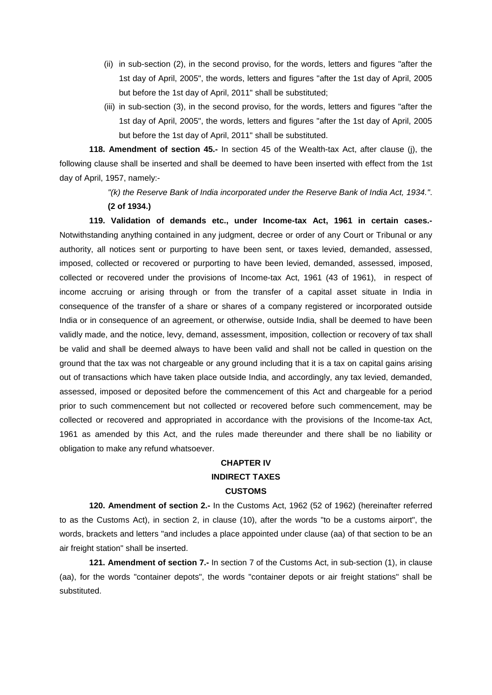- (ii) in sub-section (2), in the second proviso, for the words, letters and figures "after the 1st day of April, 2005", the words, letters and figures "after the 1st day of April, 2005 but before the 1st day of April, 2011" shall be substituted;
- (iii) in sub-section (3), in the second proviso, for the words, letters and figures "after the 1st day of April, 2005", the words, letters and figures "after the 1st day of April, 2005 but before the 1st day of April, 2011" shall be substituted.

**118. Amendment of section 45.-** In section 45 of the Wealth-tax Act, after clause (j), the following clause shall be inserted and shall be deemed to have been inserted with effect from the 1st day of April, 1957, namely:-

> *"(k) the Reserve Bank of India incorporated under the Reserve Bank of India Act, 1934."*. **(2 of 1934.)**

**119. Validation of demands etc., under Income-tax Act, 1961 in certain cases.-** Notwithstanding anything contained in any judgment, decree or order of any Court or Tribunal or any authority, all notices sent or purporting to have been sent, or taxes levied, demanded, assessed, imposed, collected or recovered or purporting to have been levied, demanded, assessed, imposed, collected or recovered under the provisions of Income-tax Act, 1961 (43 of 1961), in respect of income accruing or arising through or from the transfer of a capital asset situate in India in consequence of the transfer of a share or shares of a company registered or incorporated outside India or in consequence of an agreement, or otherwise, outside India, shall be deemed to have been validly made, and the notice, levy, demand, assessment, imposition, collection or recovery of tax shall be valid and shall be deemed always to have been valid and shall not be called in question on the ground that the tax was not chargeable or any ground including that it is a tax on capital gains arising out of transactions which have taken place outside India, and accordingly, any tax levied, demanded, assessed, imposed or deposited before the commencement of this Act and chargeable for a period prior to such commencement but not collected or recovered before such commencement, may be collected or recovered and appropriated in accordance with the provisions of the Income-tax Act, 1961 as amended by this Act, and the rules made thereunder and there shall be no liability or obligation to make any refund whatsoever.

# **CHAPTER IV INDIRECT TAXES CUSTOMS**

**120. Amendment of section 2.-** In the Customs Act, 1962 (52 of 1962) (hereinafter referred to as the Customs Act), in section 2, in clause (10), after the words "to be a customs airport", the words, brackets and letters "and includes a place appointed under clause (aa) of that section to be an air freight station" shall be inserted.

**121. Amendment of section 7.-** In section 7 of the Customs Act, in sub-section (1), in clause (aa), for the words "container depots", the words "container depots or air freight stations" shall be substituted.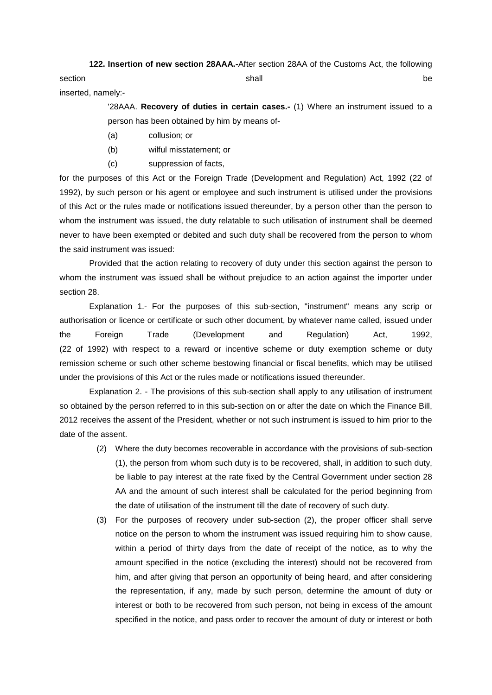**122. Insertion of new section 28AAA.-**After section 28AA of the Customs Act, the following section the control of the shall be shall be shall be shall be shall be shall be shall be shall be shall be shall be shall be shall be shall be shall be shall be shall be shall be shall be shall be shall be shall be shall inserted, namely:-

> '28AAA. **Recovery of duties in certain cases.-** (1) Where an instrument issued to a person has been obtained by him by means of-

- (a) collusion; or
- (b) wilful misstatement; or
- (c) suppression of facts,

for the purposes of this Act or the Foreign Trade (Development and Regulation) Act, 1992 (22 of 1992), by such person or his agent or employee and such instrument is utilised under the provisions of this Act or the rules made or notifications issued thereunder, by a person other than the person to whom the instrument was issued, the duty relatable to such utilisation of instrument shall be deemed never to have been exempted or debited and such duty shall be recovered from the person to whom the said instrument was issued:

Provided that the action relating to recovery of duty under this section against the person to whom the instrument was issued shall be without prejudice to an action against the importer under section 28.

Explanation 1.- For the purposes of this sub-section, "instrument" means any scrip or authorisation or licence or certificate or such other document, by whatever name called, issued under the Foreign Trade (Development and Regulation) Act, 1992, (22 of 1992) with respect to a reward or incentive scheme or duty exemption scheme or duty remission scheme or such other scheme bestowing financial or fiscal benefits, which may be utilised under the provisions of this Act or the rules made or notifications issued thereunder.

Explanation 2. - The provisions of this sub-section shall apply to any utilisation of instrument so obtained by the person referred to in this sub-section on or after the date on which the Finance Bill, 2012 receives the assent of the President, whether or not such instrument is issued to him prior to the date of the assent.

- (2) Where the duty becomes recoverable in accordance with the provisions of sub-section (1), the person from whom such duty is to be recovered, shall, in addition to such duty, be liable to pay interest at the rate fixed by the Central Government under section 28 AA and the amount of such interest shall be calculated for the period beginning from the date of utilisation of the instrument till the date of recovery of such duty.
- (3) For the purposes of recovery under sub-section (2), the proper officer shall serve notice on the person to whom the instrument was issued requiring him to show cause, within a period of thirty days from the date of receipt of the notice, as to why the amount specified in the notice (excluding the interest) should not be recovered from him, and after giving that person an opportunity of being heard, and after considering the representation, if any, made by such person, determine the amount of duty or interest or both to be recovered from such person, not being in excess of the amount specified in the notice, and pass order to recover the amount of duty or interest or both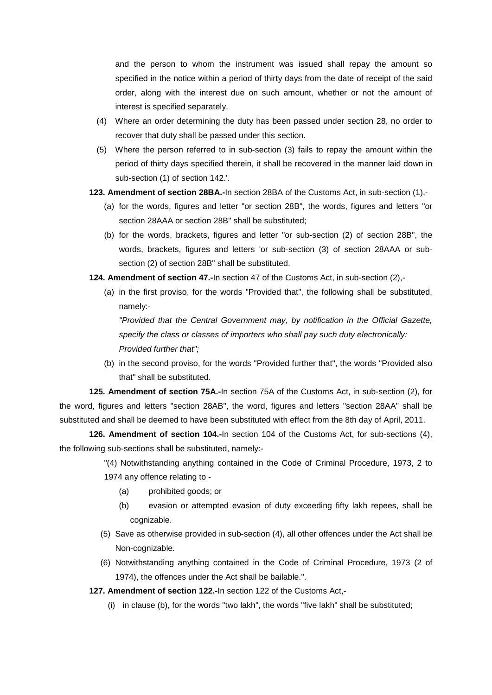and the person to whom the instrument was issued shall repay the amount so specified in the notice within a period of thirty days from the date of receipt of the said order, along with the interest due on such amount, whether or not the amount of interest is specified separately.

- (4) Where an order determining the duty has been passed under section 28, no order to recover that duty shall be passed under this section.
- (5) Where the person referred to in sub-section (3) fails to repay the amount within the period of thirty days specified therein, it shall be recovered in the manner laid down in sub-section (1) of section 142.'.
- **123. Amendment of section 28BA.-**In section 28BA of the Customs Act, in sub-section (1),-
	- (a) for the words, figures and letter "or section 28B", the words, figures and letters "or section 28AAA or section 28B" shall be substituted;
	- (b) for the words, brackets, figures and letter "or sub-section (2) of section 28B", the words, brackets, figures and letters 'or sub-section (3) of section 28AAA or subsection (2) of section 28B" shall be substituted.
- **124. Amendment of section 47.-**In section 47 of the Customs Act, in sub-section (2),-
	- (a) in the first proviso, for the words "Provided that", the following shall be substituted, namely:-

*"Provided that the Central Government may, by notification in the Official Gazette, specify the class or classes of importers who shall pay such duty electronically: Provided further that";*

(b) in the second proviso, for the words "Provided further that", the words "Provided also that" shall be substituted.

**125. Amendment of section 75A.-**In section 75A of the Customs Act, in sub-section (2), for the word, figures and letters "section 28AB", the word, figures and letters "section 28AA" shall be substituted and shall be deemed to have been substituted with effect from the 8th day of April, 2011.

**126. Amendment of section 104.-**In section 104 of the Customs Act, for sub-sections (4), the following sub-sections shall be substituted, namely:-

> "(4) Notwithstanding anything contained in the Code of Criminal Procedure, 1973, 2 to 1974 any offence relating to -

- (a) prohibited goods; or
- (b) evasion or attempted evasion of duty exceeding fifty lakh repees, shall be cognizable.
- (5) Save as otherwise provided in sub-section (4), all other offences under the Act shall be Non-cognizable.
- (6) Notwithstanding anything contained in the Code of Criminal Procedure, 1973 (2 of 1974), the offences under the Act shall be bailable.".

**127. Amendment of section 122.-**In section 122 of the Customs Act,-

(i) in clause (b), for the words "two lakh", the words "five lakh" shall be substituted;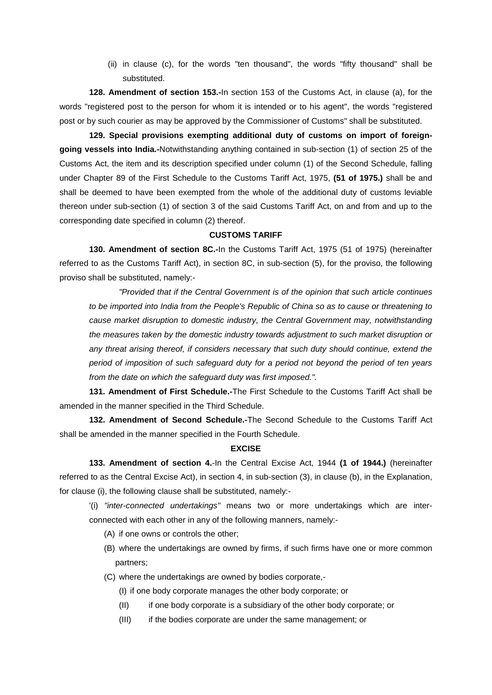(ii) in clause (c), for the words "ten thousand", the words "fifty thousand" shall be substituted.

**128. Amendment of section 153.-**In section 153 of the Customs Act, in clause (a), for the words "registered post to the person for whom it is intended or to his agent", the words "registered post or by such courier as may be approved by the Commissioner of Customs" shall be substituted.

**129. Special provisions exempting additional duty of customs on import of foreigngoing vessels into India.-**Notwithstanding anything contained in sub-section (1) of section 25 of the Customs Act, the item and its description specified under column (1) of the Second Schedule, falling under Chapter 89 of the First Schedule to the Customs Tariff Act, 1975, **(51 of 1975.)** shall be and shall be deemed to have been exempted from the whole of the additional duty of customs leviable thereon under sub-section (1) of section 3 of the said Customs Tariff Act, on and from and up to the corresponding date specified in column (2) thereof.

### **CUSTOMS TARIFF**

**130. Amendment of section 8C.-**In the Customs Tariff Act, 1975 (51 of 1975) (hereinafter referred to as the Customs Tariff Act), in section 8C, in sub-section (5), for the proviso, the following proviso shall be substituted, namely:-

*"Provided that if the Central Government is of the opinion that such article continues to be imported into India from the People's Republic of China so as to cause or threatening to cause market disruption to domestic industry, the Central Government may, notwithstanding the measures taken by the domestic industry towards adjustment to such market disruption or any threat arising thereof, if considers necessary that such duty should continue, extend the period of imposition of such safeguard duty for a period not beyond the period of ten years from the date on which the safeguard duty was first imposed.".*

**131. Amendment of First Schedule.-**The First Schedule to the Customs Tariff Act shall be amended in the manner specified in the Third Schedule.

**132. Amendment of Second Schedule.-**The Second Schedule to the Customs Tariff Act shall be amended in the manner specified in the Fourth Schedule.

## **EXCISE**

**133. Amendment of section 4.**-In the Central Excise Act, 1944 **(1 of 1944.)** (hereinafter referred to as the Central Excise Act), in section 4, in sub-section (3), in clause (b), in the Explanation, for clause (i), the following clause shall be substituted, namely:-

'(i) *"inter-connected undertakings"* means two or more undertakings which are interconnected with each other in any of the following manners, namely:-

- (A) if one owns or controls the other;
- (B) where the undertakings are owned by firms, if such firms have one or more common partners;
- (C) where the undertakings are owned by bodies corporate,-
	- (I) if one body corporate manages the other body corporate; or
	- (II) if one body corporate is a subsidiary of the other body corporate; or
	- (III) if the bodies corporate are under the same management; or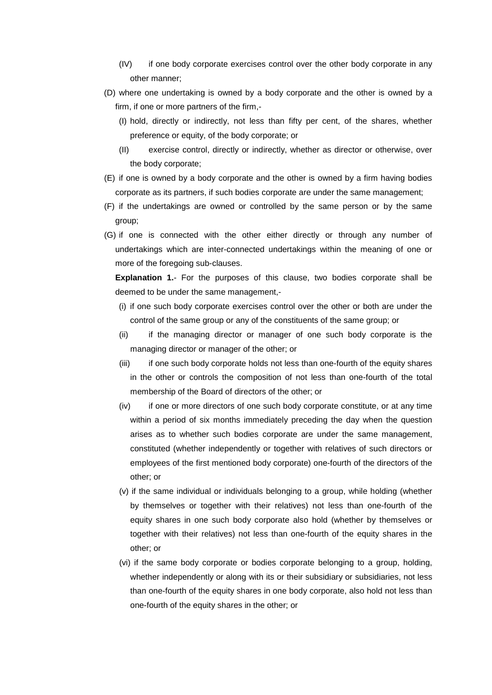- (IV) if one body corporate exercises control over the other body corporate in any other manner;
- (D) where one undertaking is owned by a body corporate and the other is owned by a firm, if one or more partners of the firm,-
	- (I) hold, directly or indirectly, not less than fifty per cent, of the shares, whether preference or equity, of the body corporate; or
	- (II) exercise control, directly or indirectly, whether as director or otherwise, over the body corporate;
- (E) if one is owned by a body corporate and the other is owned by a firm having bodies corporate as its partners, if such bodies corporate are under the same management;
- (F) if the undertakings are owned or controlled by the same person or by the same group;
- (G) if one is connected with the other either directly or through any number of undertakings which are inter-connected undertakings within the meaning of one or more of the foregoing sub-clauses.

**Explanation 1.**- For the purposes of this clause, two bodies corporate shall be deemed to be under the same management,-

- (i) if one such body corporate exercises control over the other or both are under the control of the same group or any of the constituents of the same group; or
- (ii) if the managing director or manager of one such body corporate is the managing director or manager of the other; or
- (iii) if one such body corporate holds not less than one-fourth of the equity shares in the other or controls the composition of not less than one-fourth of the total membership of the Board of directors of the other; or
- (iv) if one or more directors of one such body corporate constitute, or at any time within a period of six months immediately preceding the day when the question arises as to whether such bodies corporate are under the same management, constituted (whether independently or together with relatives of such directors or employees of the first mentioned body corporate) one-fourth of the directors of the other; or
- (v) if the same individual or individuals belonging to a group, while holding (whether by themselves or together with their relatives) not less than one-fourth of the equity shares in one such body corporate also hold (whether by themselves or together with their relatives) not less than one-fourth of the equity shares in the other; or
- (vi) if the same body corporate or bodies corporate belonging to a group, holding, whether independently or along with its or their subsidiary or subsidiaries, not less than one-fourth of the equity shares in one body corporate, also hold not less than one-fourth of the equity shares in the other; or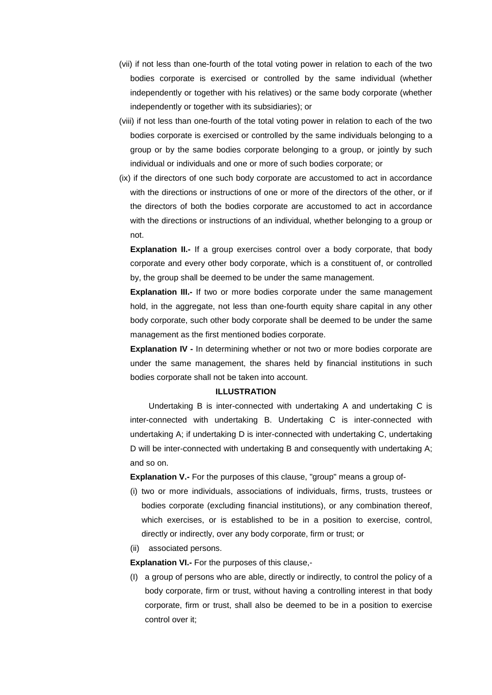- (vii) if not less than one-fourth of the total voting power in relation to each of the two bodies corporate is exercised or controlled by the same individual (whether independently or together with his relatives) or the same body corporate (whether independently or together with its subsidiaries); or
- (viii) if not less than one-fourth of the total voting power in relation to each of the two bodies corporate is exercised or controlled by the same individuals belonging to a group or by the same bodies corporate belonging to a group, or jointly by such individual or individuals and one or more of such bodies corporate; or
- (ix) if the directors of one such body corporate are accustomed to act in accordance with the directions or instructions of one or more of the directors of the other, or if the directors of both the bodies corporate are accustomed to act in accordance with the directions or instructions of an individual, whether belonging to a group or not.

**Explanation II.-** If a group exercises control over a body corporate, that body corporate and every other body corporate, which is a constituent of, or controlled by, the group shall be deemed to be under the same management.

**Explanation III.-** If two or more bodies corporate under the same management hold, in the aggregate, not less than one-fourth equity share capital in any other body corporate, such other body corporate shall be deemed to be under the same management as the first mentioned bodies corporate.

**Explanation IV -** In determining whether or not two or more bodies corporate are under the same management, the shares held by financial institutions in such bodies corporate shall not be taken into account.

#### **ILLUSTRATION**

Undertaking B is inter-connected with undertaking A and undertaking C is inter-connected with undertaking B. Undertaking C is inter-connected with undertaking A; if undertaking D is inter-connected with undertaking C, undertaking D will be inter-connected with undertaking B and consequently with undertaking A; and so on.

**Explanation V.-** For the purposes of this clause, "group" means a group of-

(i) two or more individuals, associations of individuals, firms, trusts, trustees or bodies corporate (excluding financial institutions), or any combination thereof, which exercises, or is established to be in a position to exercise, control, directly or indirectly, over any body corporate, firm or trust; or

(ii) associated persons.

**Explanation VI.-** For the purposes of this clause,-

(I) a group of persons who are able, directly or indirectly, to control the policy of a body corporate, firm or trust, without having a controlling interest in that body corporate, firm or trust, shall also be deemed to be in a position to exercise control over it;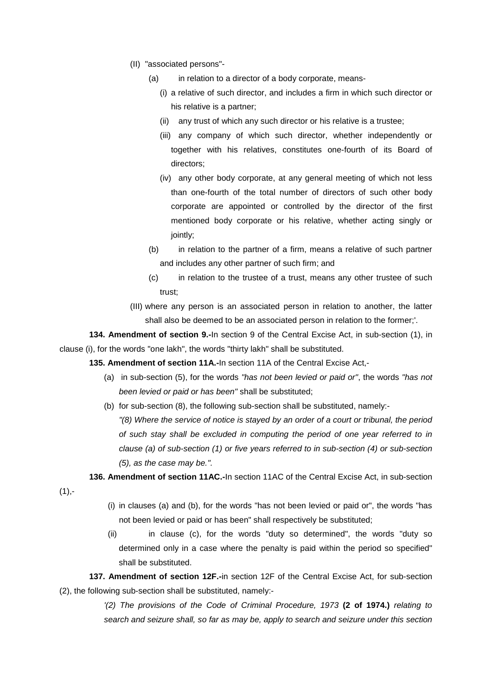- (II) "associated persons"-
	- (a) in relation to a director of a body corporate, means-
		- (i) a relative of such director, and includes a firm in which such director or his relative is a partner;
		- (ii) any trust of which any such director or his relative is a trustee;
		- (iii) any company of which such director, whether independently or together with his relatives, constitutes one-fourth of its Board of directors;
		- (iv) any other body corporate, at any general meeting of which not less than one-fourth of the total number of directors of such other body corporate are appointed or controlled by the director of the first mentioned body corporate or his relative, whether acting singly or jointly;
	- (b) in relation to the partner of a firm, means a relative of such partner and includes any other partner of such firm; and
	- (c) in relation to the trustee of a trust, means any other trustee of such trust;
- (III) where any person is an associated person in relation to another, the latter shall also be deemed to be an associated person in relation to the former;'.

**134. Amendment of section 9.-**In section 9 of the Central Excise Act, in sub-section (1), in clause (i), for the words "one lakh", the words "thirty lakh" shall be substituted.

**135. Amendment of section 11A.-**In section 11A of the Central Excise Act,-

- (a) in sub-section (5), for the words *"has not been levied or paid or"*, the words *"has not been levied or paid or has been"* shall be substituted;
- (b) for sub-section (8), the following sub-section shall be substituted, namely:-

*"(8) Where the service of notice is stayed by an order of a court or tribunal, the period of such stay shall be excluded in computing the period of one year referred to in clause (a) of sub-section (1) or five years referred to in sub-section (4) or sub-section (5), as the case may be.".*

**136. Amendment of section 11AC.-**In section 11AC of the Central Excise Act, in sub-section

 $(1), -$ 

- (i) in clauses (a) and (b), for the words "has not been levied or paid or", the words "has not been levied or paid or has been" shall respectively be substituted;
- (ii) in clause (c), for the words "duty so determined", the words "duty so determined only in a case where the penalty is paid within the period so specified" shall be substituted.

# **137. Amendment of section 12F.-**in section 12F of the Central Excise Act, for sub-section (2), the following sub-section shall be substituted, namely:-

*'(2) The provisions of the Code of Criminal Procedure, 1973* **(2 of 1974.)** *relating to search and seizure shall, so far as may be, apply to search and seizure under this section*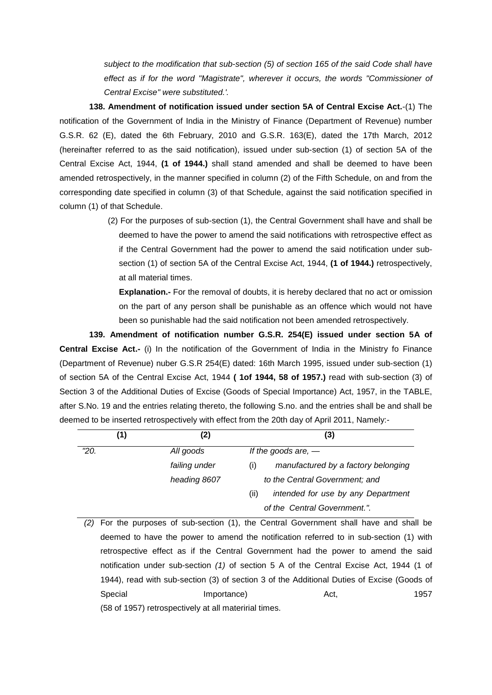*subject to the modification that sub-section (5) of section 165 of the said Code shall have*  effect as if for the word "Magistrate", wherever it occurs, the words "Commissioner of *Central Excise" were substituted.'.*

**138. Amendment of notification issued under section 5A of Central Excise Act.**-(1) The notification of the Government of India in the Ministry of Finance (Department of Revenue) number G.S.R. 62 (E), dated the 6th February, 2010 and G.S.R. 163(E), dated the 17th March, 2012 (hereinafter referred to as the said notification), issued under sub-section (1) of section 5A of the Central Excise Act, 1944, **(1 of 1944.)** shall stand amended and shall be deemed to have been amended retrospectively, in the manner specified in column (2) of the Fifth Schedule, on and from the corresponding date specified in column (3) of that Schedule, against the said notification specified in column (1) of that Schedule.

> (2) For the purposes of sub-section (1), the Central Government shall have and shall be deemed to have the power to amend the said notifications with retrospective effect as if the Central Government had the power to amend the said notification under subsection (1) of section 5A of the Central Excise Act, 1944, **(1 of 1944.)** retrospectively, at all material times.

**Explanation.-** For the removal of doubts, it is hereby declared that no act or omission on the part of any person shall be punishable as an offence which would not have been so punishable had the said notification not been amended retrospectively.

**139. Amendment of notification number G.S.R. 254(E) issued under section 5A of Central Excise Act.-** (i) In the notification of the Government of India in the Ministry fo Finance (Department of Revenue) nuber G.S.R 254(E) dated: 16th March 1995, issued under sub-section (1) of section 5A of the Central Excise Act, 1944 **( 1of 1944, 58 of 1957.)** read with sub-section (3) of Section 3 of the Additional Duties of Excise (Goods of Special Importance) Act, 1957, in the TABLE, after S.No. 19 and the entries relating thereto, the following S.no. and the entries shall be and shall be deemed to be inserted retrospectively with effect from the 20th day of April 2011, Namely:-

|      | 1) | (2)           | (3)                                        |  |
|------|----|---------------|--------------------------------------------|--|
| "20. |    | All goods     | If the goods are, $-$                      |  |
|      |    | failing under | manufactured by a factory belonging<br>(i) |  |
|      |    | heading 8607  | to the Central Government; and             |  |
|      |    |               | intended for use by any Department<br>(ii) |  |
|      |    |               | of the Central Government.".               |  |

*(2)* For the purposes of sub-section (1), the Central Government shall have and shall be deemed to have the power to amend the notification referred to in sub-section (1) with retrospective effect as if the Central Government had the power to amend the said notification under sub-section *(1)* of section 5 A of the Central Excise Act, 1944 (1 of 1944), read with sub-section (3) of section 3 of the Additional Duties of Excise (Goods of Special **Importance** Importance Act, 1957 (58 of 1957) retrospectively at all materirial times.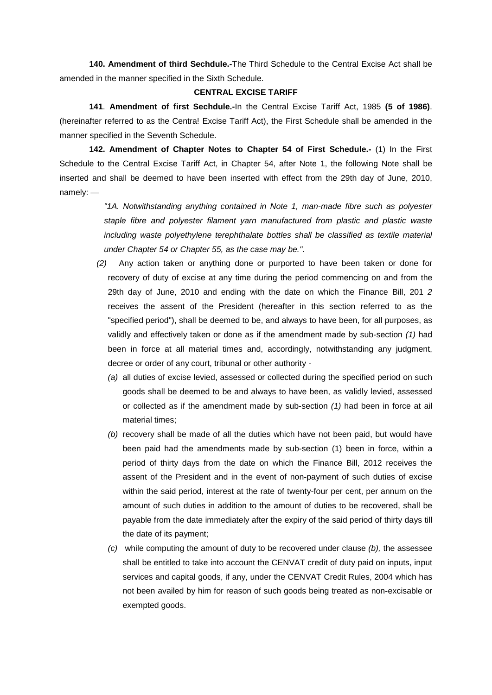**140. Amendment of third Sechdule.-**The Third Schedule to the Central Excise Act shall be amended in the manner specified in the Sixth Schedule.

#### **CENTRAL EXCISE TARIFF**

**141**. **Amendment of first Sechdule.-**In the Central Excise Tariff Act, 1985 **(5 of 1986)**. (hereinafter referred to as the Centra! Excise Tariff Act), the First Schedule shall be amended in the manner specified in the Seventh Schedule.

**142. Amendment of Chapter Notes to Chapter 54 of First Schedule.-** (1) In the First Schedule to the Central Excise Tariff Act, in Chapter 54, after Note 1, the following Note shall be inserted and shall be deemed to have been inserted with effect from the 29th day of June, 2010, namely: —

> *"1A. Notwithstanding anything contained in Note 1, man-made fibre such as polyester staple fibre and polyester filament yarn manufactured from plastic and plastic waste including waste polyethylene terephthalate bottles shall be classified as textile material under Chapter 54 or Chapter 55, as the case may be.".*

- *(2)* Any action taken or anything done or purported to have been taken or done for recovery of duty of excise at any time during the period commencing on and from the 29th day of June, 2010 and ending with the date on which the Finance Bill, 201 *2*  receives the assent of the President (hereafter in this section referred to as the "specified period"), shall be deemed to be, and always to have been, for all purposes, as validly and effectively taken or done as if the amendment made by sub-section *(1)* had been in force at all material times and, accordingly, notwithstanding any judgment, decree or order of any court, tribunal or other authority -
	- *(a)* all duties of excise levied, assessed or collected during the specified period on such goods shall be deemed to be and always to have been, as validly levied, assessed or collected as if the amendment made by sub-section *(1)* had been in force at ail material times;
	- *(b)* recovery shall be made of all the duties which have not been paid, but would have been paid had the amendments made by sub-section (1) been in force, within a period of thirty days from the date on which the Finance Bill, 2012 receives the assent of the President and in the event of non-payment of such duties of excise within the said period, interest at the rate of twenty-four per cent, per annum on the amount of such duties in addition to the amount of duties to be recovered, shall be payable from the date immediately after the expiry of the said period of thirty days till the date of its payment;
	- *(c)* while computing the amount of duty to be recovered under clause *(b),* the assessee shall be entitled to take into account the CENVAT credit of duty paid on inputs, input services and capital goods, if any, under the CENVAT Credit Rules, 2004 which has not been availed by him for reason of such goods being treated as non-excisable or exempted goods.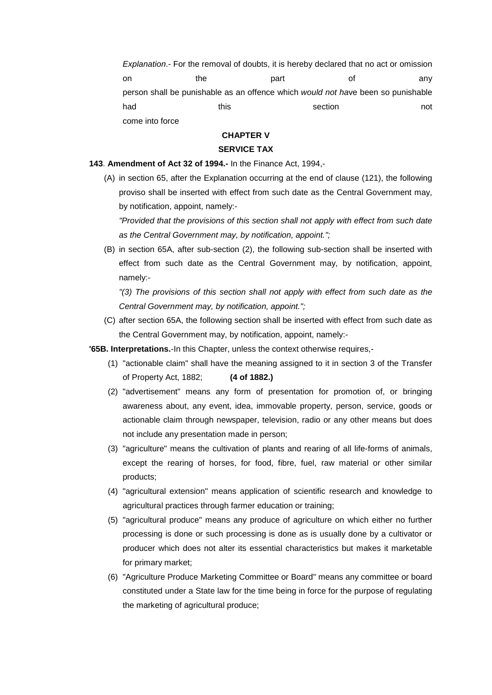*Explanation*.- For the removal of doubts, it is hereby declared that no act or omission on the part of any person shall be punishable as an offence which *would not ha*ve been so punishable had this this section not come into force

## **CHAPTER V**

## **SERVICE TAX**

### **143**. **Amendment of Act 32 of 1994.-** In the Finance Act, 1994,-

(A) in section 65, after the Explanation occurring at the end of clause (121), the following proviso shall be inserted with effect from such date as the Central Government may, by notification, appoint, namely:-

*"Provided that the provisions of this section shall not apply with effect from such date as the Central Government may, by notification, appoint.";*

(B) in section 65A, after sub-section (2), the following sub-section shall be inserted with effect from such date as the Central Government may, by notification, appoint, namely:-

*"(3) The provisions of this section shall not apply with effect from such date as the Central Government may, by notification, appoint.";*

(C) after section 65A, the following section shall be inserted with effect from such date as the Central Government may, by notification, appoint, namely:-

**'65B. Interpretations.**-In this Chapter, unless the context otherwise requires,-

- (1) "actionable claim" shall have the meaning assigned to it in section 3 of the Transfer of Property Act, 1882; **(4 of 1882.)**
- (2) "advertisement" means any form of presentation for promotion of, or bringing awareness about, any event, idea, immovable property, person, service, goods or actionable claim through newspaper, television, radio or any other means but does not include any presentation made in person;
- (3) "agriculture" means the cultivation of plants and rearing of all life-forms of animals, except the rearing of horses, for food, fibre, fuel, raw material or other similar products;
- (4) "agricultural extension" means application of scientific research and knowledge to agricultural practices through farmer education or training;
- (5) "agricultural produce" means any produce of agriculture on which either no further processing is done or such processing is done as is usually done by a cultivator or producer which does not alter its essential characteristics but makes it marketable for primary market;
- (6) "Agriculture Produce Marketing Committee or Board" means any committee or board constituted under a State law for the time being in force for the purpose of regulating the marketing of agricultural produce;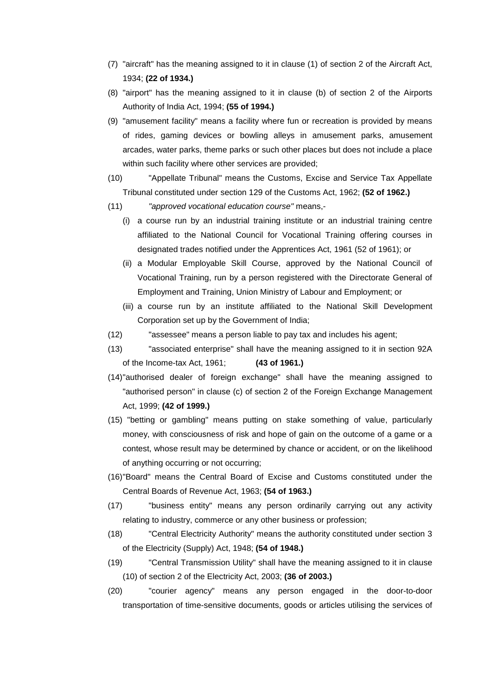- (7) "aircraft" has the meaning assigned to it in clause (1) of section 2 of the Aircraft Act, 1934; **(22 of 1934.)**
- (8) "airport" has the meaning assigned to it in clause (b) of section 2 of the Airports Authority of India Act, 1994; **(55 of 1994.)**
- (9) "amusement facility" means a facility where fun or recreation is provided by means of rides, gaming devices or bowling alleys in amusement parks, amusement arcades, water parks, theme parks or such other places but does not include a place within such facility where other services are provided;
- (10) "Appellate Tribunal" means the Customs, Excise and Service Tax Appellate Tribunal constituted under section 129 of the Customs Act, 1962; **(52 of 1962.)**
- (11) *"approved vocational education course"* means,-
	- (i) a course run by an industrial training institute or an industrial training centre affiliated to the National Council for Vocational Training offering courses in designated trades notified under the Apprentices Act, 1961 (52 of 1961); or
	- (ii) a Modular Employable Skill Course, approved by the National Council of Vocational Training, run by a person registered with the Directorate General of Employment and Training, Union Ministry of Labour and Employment; or
	- (iii) a course run by an institute affiliated to the National Skill Development Corporation set up by the Government of India;
- (12) "assessee" means a person liable to pay tax and includes his agent;
- (13) "associated enterprise" shall have the meaning assigned to it in section 92A of the Income-tax Act, 1961; **(43 of 1961.)**
- (14)"authorised dealer of foreign exchange" shall have the meaning assigned to "authorised person" in clause (c) of section 2 of the Foreign Exchange Management Act, 1999; **(42 of 1999.)**
- (15) "betting or gambling" means putting on stake something of value, particularly money, with consciousness of risk and hope of gain on the outcome of a game or a contest, whose result may be determined by chance or accident, or on the likelihood of anything occurring or not occurring;
- (16)"Board" means the Central Board of Excise and Customs constituted under the Central Boards of Revenue Act, 1963; **(54 of 1963.)**
- (17) "business entity" means any person ordinarily carrying out any activity relating to industry, commerce or any other business or profession;
- (18) "Central Electricity Authority" means the authority constituted under section 3 of the Electricity (Supply) Act, 1948; **(54 of 1948.)**
- (19) "Central Transmission Utility" shall have the meaning assigned to it in clause (10) of section 2 of the Electricity Act, 2003; **(36 of 2003.)**
- (20) "courier agency" means any person engaged in the door-to-door transportation of time-sensitive documents, goods or articles utilising the services of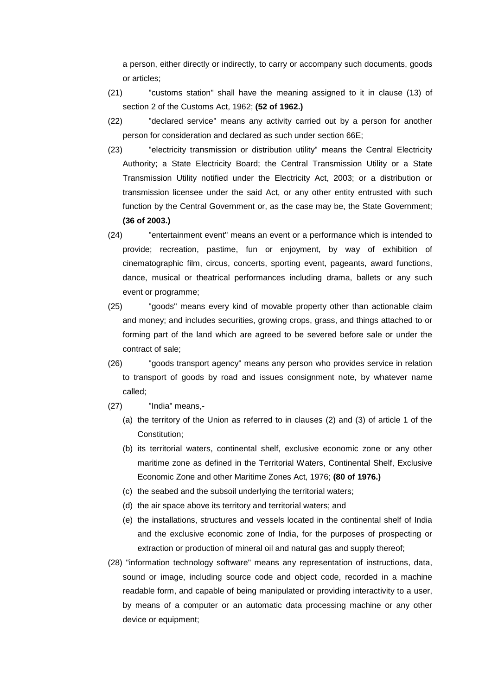a person, either directly or indirectly, to carry or accompany such documents, goods or articles;

- (21) "customs station" shall have the meaning assigned to it in clause (13) of section 2 of the Customs Act, 1962; **(52 of 1962.)**
- (22) "declared service" means any activity carried out by a person for another person for consideration and declared as such under section 66E;
- (23) "electricity transmission or distribution utility" means the Central Electricity Authority; a State Electricity Board; the Central Transmission Utility or a State Transmission Utility notified under the Electricity Act, 2003; or a distribution or transmission licensee under the said Act, or any other entity entrusted with such function by the Central Government or, as the case may be, the State Government; **(36 of 2003.)**
- (24) "entertainment event" means an event or a performance which is intended to provide; recreation, pastime, fun or enjoyment, by way of exhibition of cinematographic film, circus, concerts, sporting event, pageants, award functions, dance, musical or theatrical performances including drama, ballets or any such event or programme;
- (25) "goods" means every kind of movable property other than actionable claim and money; and includes securities, growing crops, grass, and things attached to or forming part of the land which are agreed to be severed before sale or under the contract of sale;
- (26) "goods transport agency" means any person who provides service in relation to transport of goods by road and issues consignment note, by whatever name called;
- (27) "India" means,-
	- (a) the territory of the Union as referred to in clauses (2) and (3) of article 1 of the Constitution;
	- (b) its territorial waters, continental shelf, exclusive economic zone or any other maritime zone as defined in the Territorial Waters, Continental Shelf, Exclusive Economic Zone and other Maritime Zones Act, 1976; **(80 of 1976.)**
	- (c) the seabed and the subsoil underlying the territorial waters;
	- (d) the air space above its territory and territorial waters; and
	- (e) the installations, structures and vessels located in the continental shelf of India and the exclusive economic zone of India, for the purposes of prospecting or extraction or production of mineral oil and natural gas and supply thereof;
- (28) "information technology software" means any representation of instructions, data, sound or image, including source code and object code, recorded in a machine readable form, and capable of being manipulated or providing interactivity to a user, by means of a computer or an automatic data processing machine or any other device or equipment;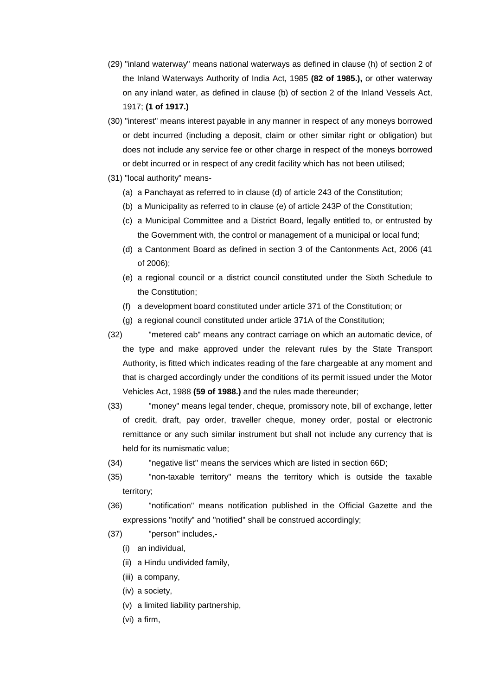- (29) "inland waterway" means national waterways as defined in clause (h) of section 2 of the Inland Waterways Authority of India Act, 1985 **(82 of 1985.),** or other waterway on any inland water, as defined in clause (b) of section 2 of the Inland Vessels Act, 1917; **(1 of 1917.)**
- (30) "interest" means interest payable in any manner in respect of any moneys borrowed or debt incurred (including a deposit, claim or other similar right or obligation) but does not include any service fee or other charge in respect of the moneys borrowed or debt incurred or in respect of any credit facility which has not been utilised;
- (31) "local authority" means-
	- (a) a Panchayat as referred to in clause (d) of article 243 of the Constitution;
	- (b) a Municipality as referred to in clause (e) of article 243P of the Constitution;
	- (c) a Municipal Committee and a District Board, legally entitled to, or entrusted by the Government with, the control or management of a municipal or local fund;
	- (d) a Cantonment Board as defined in section 3 of the Cantonments Act, 2006 (41 of 2006);
	- (e) a regional council or a district council constituted under the Sixth Schedule to the Constitution;
	- (f) a development board constituted under article 371 of the Constitution; or
	- (g) a regional council constituted under article 371A of the Constitution;
- (32) "metered cab" means any contract carriage on which an automatic device, of the type and make approved under the relevant rules by the State Transport Authority, is fitted which indicates reading of the fare chargeable at any moment and that is charged accordingly under the conditions of its permit issued under the Motor Vehicles Act, 1988 **(59 of 1988.)** and the rules made thereunder;
- (33) "money" means legal tender, cheque, promissory note, bill of exchange, letter of credit, draft, pay order, traveller cheque, money order, postal or electronic remittance or any such similar instrument but shall not include any currency that is held for its numismatic value;
- (34) "negative list" means the services which are listed in section 66D;
- (35) "non-taxable territory" means the territory which is outside the taxable territory;
- (36) "notification" means notification published in the Official Gazette and the expressions "notify" and "notified" shall be construed accordingly;
- (37) "person" includes,-
	- (i) an individual,
	- (ii) a Hindu undivided family,
	- (iii) a company,
	- (iv) a society,
	- (v) a limited liability partnership,
	- (vi) a firm,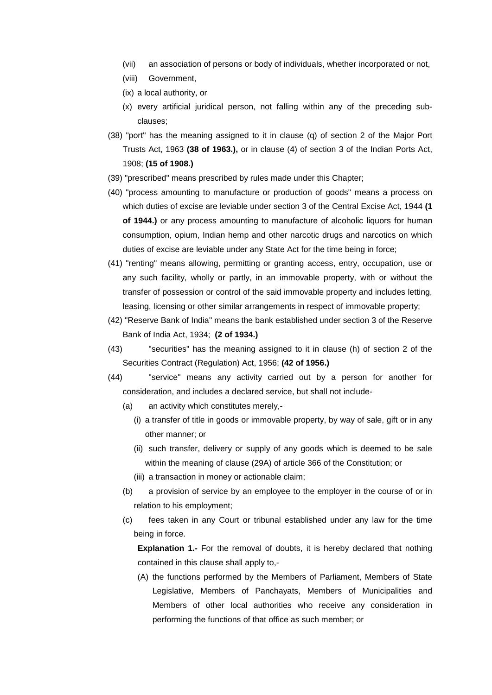- (vii) an association of persons or body of individuals, whether incorporated or not,
- (viii) Government,
- (ix) a local authority, or
- (x) every artificial juridical person, not falling within any of the preceding subclauses;
- (38) "port" has the meaning assigned to it in clause (q) of section 2 of the Major Port Trusts Act, 1963 **(38 of 1963.),** or in clause (4) of section 3 of the Indian Ports Act, 1908; **(15 of 1908.)**
- (39) "prescribed" means prescribed by rules made under this Chapter;
- (40) "process amounting to manufacture or production of goods" means a process on which duties of excise are leviable under section 3 of the Central Excise Act, 1944 **(1 of 1944.)** or any process amounting to manufacture of alcoholic liquors for human consumption, opium, Indian hemp and other narcotic drugs and narcotics on which duties of excise are leviable under any State Act for the time being in force;
- (41) "renting" means allowing, permitting or granting access, entry, occupation, use or any such facility, wholly or partly, in an immovable property, with or without the transfer of possession or control of the said immovable property and includes letting, leasing, licensing or other similar arrangements in respect of immovable property;
- (42) "Reserve Bank of India" means the bank established under section 3 of the Reserve Bank of India Act, 1934; **(2 of 1934.)**
- (43) "securities" has the meaning assigned to it in clause (h) of section 2 of the Securities Contract (Regulation) Act, 1956; **(42 of 1956.)**
- (44) "service" means any activity carried out by a person for another for consideration, and includes a declared service, but shall not include-
	- (a) an activity which constitutes merely,-
		- (i) a transfer of title in goods or immovable property, by way of sale, gift or in any other manner; or
		- (ii) such transfer, delivery or supply of any goods which is deemed to be sale within the meaning of clause (29A) of article 366 of the Constitution; or
		- (iii) a transaction in money or actionable claim;
	- (b) a provision of service by an employee to the employer in the course of or in relation to his employment;
	- (c) fees taken in any Court or tribunal established under any law for the time being in force.

**Explanation 1.-** For the removal of doubts, it is hereby declared that nothing contained in this clause shall apply to,-

(A) the functions performed by the Members of Parliament, Members of State Legislative, Members of Panchayats, Members of Municipalities and Members of other local authorities who receive any consideration in performing the functions of that office as such member; or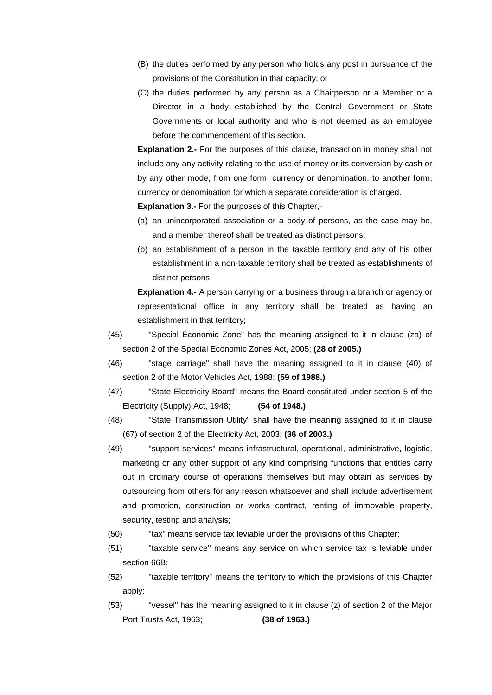- (B) the duties performed by any person who holds any post in pursuance of the provisions of the Constitution in that capacity; or
- (C) the duties performed by any person as a Chairperson or a Member or a Director in a body established by the Central Government or State Governments or local authority and who is not deemed as an employee before the commencement of this section.

**Explanation 2.-** For the purposes of this clause, transaction in money shall not include any any activity relating to the use of money or its conversion by cash or by any other mode, from one form, currency or denomination, to another form, currency or denomination for which a separate consideration is charged.

**Explanation 3.-** For the purposes of this Chapter,-

- (a) an unincorporated association or a body of persons, as the case may be, and a member thereof shall be treated as distinct persons;
- (b) an establishment of a person in the taxable territory and any of his other establishment in a non-taxable territory shall be treated as establishments of distinct persons.

**Explanation 4.-** A person carrying on a business through a branch or agency or representational office in any territory shall be treated as having an establishment in that territory;

- (45) "Special Economic Zone" has the meaning assigned to it in clause (za) of section 2 of the Special Economic Zones Act, 2005; **(28 of 2005.)**
- (46) "stage carriage" shall have the meaning assigned to it in clause (40) of section 2 of the Motor Vehicles Act, 1988; **(59 of 1988.)**
- (47) "State Electricity Board" means the Board constituted under section 5 of the Electricity (Supply) Act, 1948; **(54 of 1948.)**
- (48) "State Transmission Utility" shall have the meaning assigned to it in clause (67) of section 2 of the Electricity Act, 2003; **(36 of 2003.)**
- (49) "support services" means infrastructural, operational, administrative, logistic, marketing or any other support of any kind comprising functions that entities carry out in ordinary course of operations themselves but may obtain as services by outsourcing from others for any reason whatsoever and shall include advertisement and promotion, construction or works contract, renting of immovable property, security, testing and analysis;
- (50) "tax" means service tax leviable under the provisions of this Chapter;
- (51) "taxable service" means any service on which service tax is leviable under section 66B;
- (52) "taxable territory" means the territory to which the provisions of this Chapter apply;
- (53) "vessel" has the meaning assigned to it in clause (z) of section 2 of the Major Port Trusts Act, 1963; **(38 of 1963.)**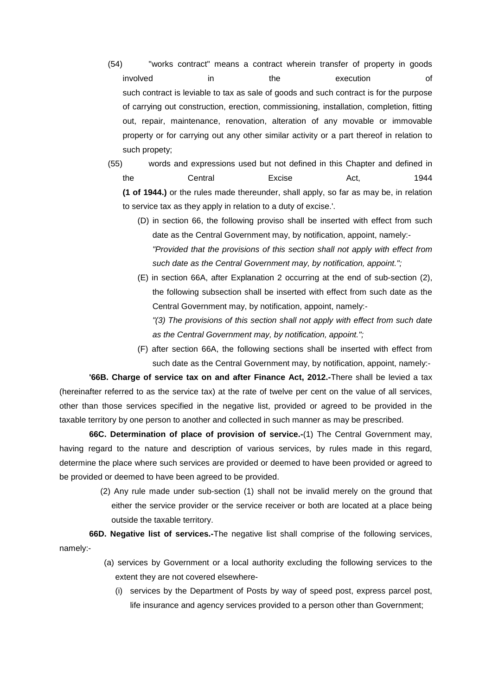- (54) "works contract" means a contract wherein transfer of property in goods involved in the execution of such contract is leviable to tax as sale of goods and such contract is for the purpose of carrying out construction, erection, commissioning, installation, completion, fitting out, repair, maintenance, renovation, alteration of any movable or immovable property or for carrying out any other similar activity or a part thereof in relation to such propety;
- (55) words and expressions used but not defined in this Chapter and defined in the Central Excise Act, 1944 **(1 of 1944.)** or the rules made thereunder, shall apply, so far as may be, in relation to service tax as they apply in relation to a duty of excise.'.
	- (D) in section 66, the following proviso shall be inserted with effect from such date as the Central Government may, by notification, appoint, namely:- *"Provided that the provisions of this section shall not apply with effect from such date as the Central Government may, by notification, appoint.";*
	- (E) in section 66A, after Explanation 2 occurring at the end of sub-section (2), the following subsection shall be inserted with effect from such date as the Central Government may, by notification, appoint, namely:-
		- *"(3) The provisions of this section shall not apply with effect from such date as the Central Government may, by notification, appoint.";*
	- (F) after section 66A, the following sections shall be inserted with effect from such date as the Central Government may, by notification, appoint, namely:-

**'66B. Charge of service tax on and after Finance Act, 2012.-**There shall be levied a tax (hereinafter referred to as the service tax) at the rate of twelve per cent on the value of all services, other than those services specified in the negative list, provided or agreed to be provided in the taxable territory by one person to another and collected in such manner as may be prescribed.

**66C. Determination of place of provision of service.-**(1) The Central Government may, having regard to the nature and description of various services, by rules made in this regard, determine the place where such services are provided or deemed to have been provided or agreed to be provided or deemed to have been agreed to be provided.

> (2) Any rule made under sub-section (1) shall not be invalid merely on the ground that either the service provider or the service receiver or both are located at a place being outside the taxable territory.

**66D. Negative list of services.-**The negative list shall comprise of the following services, namely:-

- (a) services by Government or a local authority excluding the following services to the extent they are not covered elsewhere-
	- (i) services by the Department of Posts by way of speed post, express parcel post, life insurance and agency services provided to a person other than Government;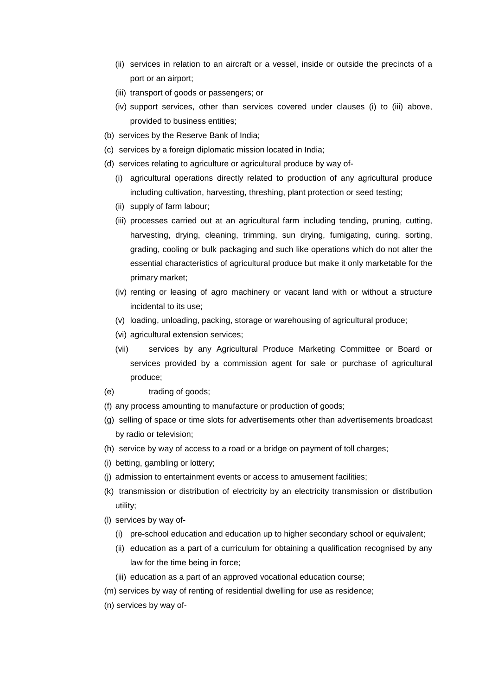- (ii) services in relation to an aircraft or a vessel, inside or outside the precincts of a port or an airport;
- (iii) transport of goods or passengers; or
- (iv) support services, other than services covered under clauses (i) to (iii) above, provided to business entities;
- (b) services by the Reserve Bank of India;
- (c) services by a foreign diplomatic mission located in India;
- (d) services relating to agriculture or agricultural produce by way of-
	- (i) agricultural operations directly related to production of any agricultural produce including cultivation, harvesting, threshing, plant protection or seed testing;
	- (ii) supply of farm labour;
	- (iii) processes carried out at an agricultural farm including tending, pruning, cutting, harvesting, drying, cleaning, trimming, sun drying, fumigating, curing, sorting, grading, cooling or bulk packaging and such like operations which do not alter the essential characteristics of agricultural produce but make it only marketable for the primary market;
	- (iv) renting or leasing of agro machinery or vacant land with or without a structure incidental to its use;
	- (v) loading, unloading, packing, storage or warehousing of agricultural produce;
	- (vi) agricultural extension services;
	- (vii) services by any Agricultural Produce Marketing Committee or Board or services provided by a commission agent for sale or purchase of agricultural produce;
- (e) trading of goods;
- (f) any process amounting to manufacture or production of goods;
- (g) selling of space or time slots for advertisements other than advertisements broadcast by radio or television;
- (h) service by way of access to a road or a bridge on payment of toll charges;
- (i) betting, gambling or lottery;
- (j) admission to entertainment events or access to amusement facilities;
- (k) transmission or distribution of electricity by an electricity transmission or distribution utility;
- (l) services by way of-
	- (i) pre-school education and education up to higher secondary school or equivalent;
	- (ii) education as a part of a curriculum for obtaining a qualification recognised by any law for the time being in force;
	- (iii) education as a part of an approved vocational education course;
- (m) services by way of renting of residential dwelling for use as residence;
- (n) services by way of-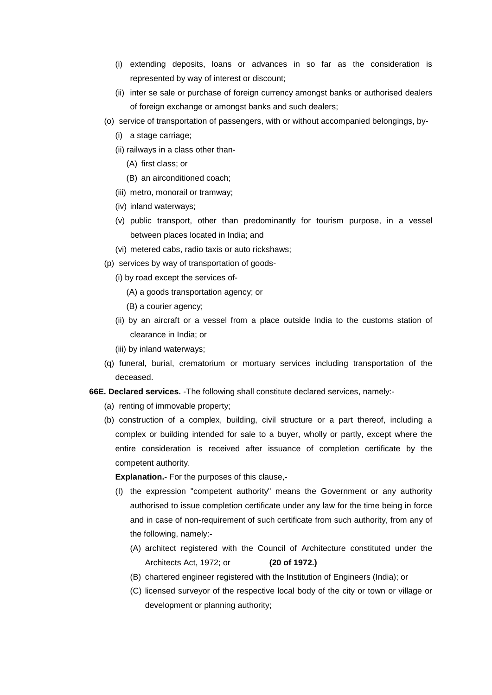- (i) extending deposits, loans or advances in so far as the consideration is represented by way of interest or discount;
- (ii) inter se sale or purchase of foreign currency amongst banks or authorised dealers of foreign exchange or amongst banks and such dealers;
- (o) service of transportation of passengers, with or without accompanied belongings, by-
	- (i) a stage carriage;
	- (ii) railways in a class other than-
		- (A) first class; or
		- (B) an airconditioned coach;
	- (iii) metro, monorail or tramway;
	- (iv) inland waterways;
	- (v) public transport, other than predominantly for tourism purpose, in a vessel between places located in India; and
	- (vi) metered cabs, radio taxis or auto rickshaws;
- (p) services by way of transportation of goods-
	- (i) by road except the services of-
		- (A) a goods transportation agency; or
		- (B) a courier agency;
	- (ii) by an aircraft or a vessel from a place outside India to the customs station of clearance in India; or
	- (iii) by inland waterways;
- (q) funeral, burial, crematorium or mortuary services including transportation of the deceased.
- **66E. Declared services.** -The following shall constitute declared services, namely:-
	- (a) renting of immovable property;
	- (b) construction of a complex, building, civil structure or a part thereof, including a complex or building intended for sale to a buyer, wholly or partly, except where the entire consideration is received after issuance of completion certificate by the competent authority.

**Explanation.-** For the purposes of this clause,-

- (I) the expression "competent authority" means the Government or any authority authorised to issue completion certificate under any law for the time being in force and in case of non-requirement of such certificate from such authority, from any of the following, namely:-
	- (A) architect registered with the Council of Architecture constituted under the Architects Act, 1972; or **(20 of 1972.)**
	- (B) chartered engineer registered with the Institution of Engineers (India); or
	- (C) licensed surveyor of the respective local body of the city or town or village or development or planning authority;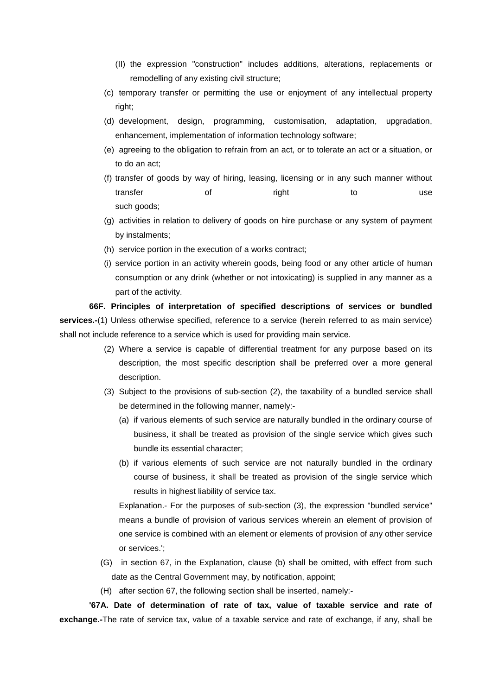- (II) the expression "construction" includes additions, alterations, replacements or remodelling of any existing civil structure;
- (c) temporary transfer or permitting the use or enjoyment of any intellectual property right;
- (d) development, design, programming, customisation, adaptation, upgradation, enhancement, implementation of information technology software;
- (e) agreeing to the obligation to refrain from an act, or to tolerate an act or a situation, or to do an act;
- (f) transfer of goods by way of hiring, leasing, licensing or in any such manner without transfer of right to use such goods:
- (g) activities in relation to delivery of goods on hire purchase or any system of payment by instalments;
- (h) service portion in the execution of a works contract;
- (i) service portion in an activity wherein goods, being food or any other article of human consumption or any drink (whether or not intoxicating) is supplied in any manner as a part of the activity.

**66F. Principles of interpretation of specified descriptions of services or bundled services.-**(1) Unless otherwise specified, reference to a service (herein referred to as main service) shall not include reference to a service which is used for providing main service.

- (2) Where a service is capable of differential treatment for any purpose based on its description, the most specific description shall be preferred over a more general description.
- (3) Subject to the provisions of sub-section (2), the taxability of a bundled service shall be determined in the following manner, namely:-
	- (a) if various elements of such service are naturally bundled in the ordinary course of business, it shall be treated as provision of the single service which gives such bundle its essential character;
	- (b) if various elements of such service are not naturally bundled in the ordinary course of business, it shall be treated as provision of the single service which results in highest liability of service tax.

Explanation.- For the purposes of sub-section (3), the expression "bundled service" means a bundle of provision of various services wherein an element of provision of one service is combined with an element or elements of provision of any other service or services.';

- (G) in section 67, in the Explanation, clause (b) shall be omitted, with effect from such date as the Central Government may, by notification, appoint;
- (H) after section 67, the following section shall be inserted, namely:-

**'67A. Date of determination of rate of tax, value of taxable service and rate of exchange.-**The rate of service tax, value of a taxable service and rate of exchange, if any, shall be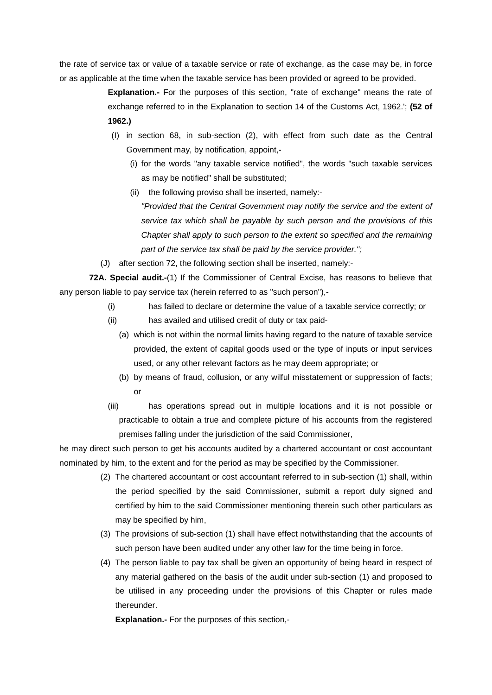the rate of service tax or value of a taxable service or rate of exchange, as the case may be, in force or as applicable at the time when the taxable service has been provided or agreed to be provided.

> **Explanation.-** For the purposes of this section, "rate of exchange" means the rate of exchange referred to in the Explanation to section 14 of the Customs Act, 1962.'; **(52 of 1962.)**

- (I) in section 68, in sub-section (2), with effect from such date as the Central Government may, by notification, appoint,-
	- (i) for the words "any taxable service notified", the words "such taxable services as may be notified" shall be substituted;
	- (ii) the following proviso shall be inserted, namely:-

*"Provided that the Central Government may notify the service and the extent of service tax which shall be payable by such person and the provisions of this Chapter shall apply to such person to the extent so specified and the remaining part of the service tax shall be paid by the service provider.";*

(J) after section 72, the following section shall be inserted, namely:-

**72A. Special audit.-**(1) If the Commissioner of Central Excise, has reasons to believe that any person liable to pay service tax (herein referred to as "such person"),-

- (i) has failed to declare or determine the value of a taxable service correctly; or
- (ii) has availed and utilised credit of duty or tax paid-
	- (a) which is not within the normal limits having regard to the nature of taxable service provided, the extent of capital goods used or the type of inputs or input services used, or any other relevant factors as he may deem appropriate; or
	- (b) by means of fraud, collusion, or any wilful misstatement or suppression of facts; or
- (iii) has operations spread out in multiple locations and it is not possible or practicable to obtain a true and complete picture of his accounts from the registered premises falling under the jurisdiction of the said Commissioner,

he may direct such person to get his accounts audited by a chartered accountant or cost accountant nominated by him, to the extent and for the period as may be specified by the Commissioner.

- (2) The chartered accountant or cost accountant referred to in sub-section (1) shall, within the period specified by the said Commissioner, submit a report duly signed and certified by him to the said Commissioner mentioning therein such other particulars as may be specified by him,
- (3) The provisions of sub-section (1) shall have effect notwithstanding that the accounts of such person have been audited under any other law for the time being in force.
- (4) The person liable to pay tax shall be given an opportunity of being heard in respect of any material gathered on the basis of the audit under sub-section (1) and proposed to be utilised in any proceeding under the provisions of this Chapter or rules made thereunder.

**Explanation.-** For the purposes of this section,-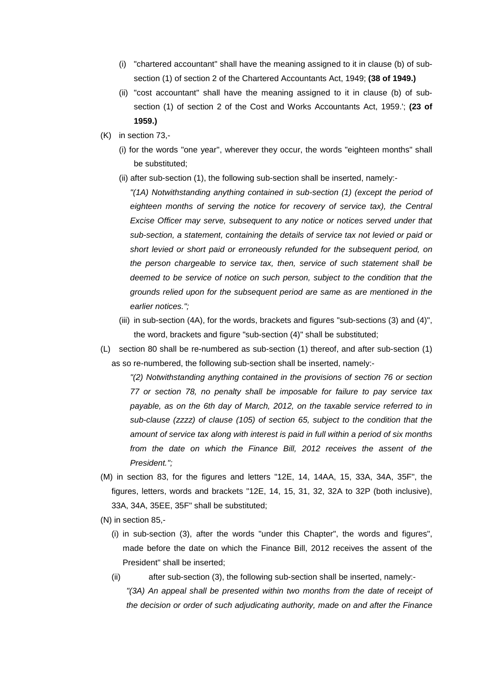- (i) "chartered accountant" shall have the meaning assigned to it in clause (b) of subsection (1) of section 2 of the Chartered Accountants Act, 1949; **(38 of 1949.)**
- (ii) "cost accountant" shall have the meaning assigned to it in clause (b) of subsection (1) of section 2 of the Cost and Works Accountants Act, 1959.'; **(23 of 1959.)**
- (K) in section 73,-
	- (i) for the words "one year", wherever they occur, the words "eighteen months" shall be substituted;
	- (ii) after sub-section (1), the following sub-section shall be inserted, namely:-

*"(1A) Notwithstanding anything contained in sub-section (1) (except the period of eighteen months of serving the notice for recovery of service tax), the Central Excise Officer may serve, subsequent to any notice or notices served under that sub-section, a statement, containing the details of service tax not levied or paid or short levied or short paid or erroneously refunded for the subsequent period, on the person chargeable to service tax, then, service of such statement shall be*  deemed to be service of notice on such person, subject to the condition that the *grounds relied upon for the subsequent period are same as are mentioned in the earlier notices.";*

- (iii) in sub-section (4A), for the words, brackets and figures "sub-sections (3) and (4)", the word, brackets and figure "sub-section (4)" shall be substituted;
- (L) section 80 shall be re-numbered as sub-section (1) thereof, and after sub-section (1) as so re-numbered, the following sub-section shall be inserted, namely:-

*"(2) Notwithstanding anything contained in the provisions of section 76 or section 77 or section 78, no penalty shall be imposable for failure to pay service tax payable, as on the 6th day of March, 2012, on the taxable service referred to in sub-clause (zzzz) of clause (105) of section 65, subject to the condition that the amount of service tax along with interest is paid in full within a period of six months from the date on which the Finance Bill, 2012 receives the assent of the President.";*

- (M) in section 83, for the figures and letters "12E, 14, 14AA, 15, 33A, 34A, 35F", the figures, letters, words and brackets "12E, 14, 15, 31, 32, 32A to 32P (both inclusive), 33A, 34A, 35EE, 35F" shall be substituted;
- (N) in section 85,-
	- (i) in sub-section (3), after the words "under this Chapter", the words and figures", made before the date on which the Finance Bill, 2012 receives the assent of the President" shall be inserted;
	- (ii) after sub-section (3), the following sub-section shall be inserted, namely:- *"(3A) An appeal shall be presented within two months from the date of receipt of the decision or order of such adjudicating authority, made on and after the Finance*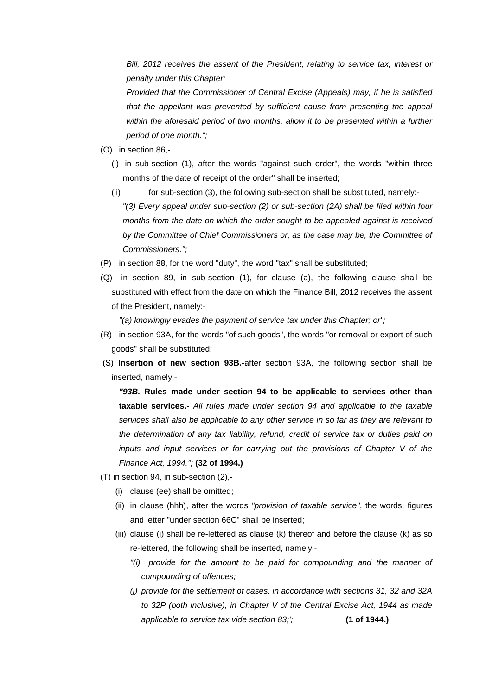*Bill, 2012 receives the assent of the President, relating to service tax, interest or penalty under this Chapter:*

*Provided that the Commissioner of Central Excise (Appeals) may, if he is satisfied that the appellant was prevented by sufficient cause from presenting the appeal within the aforesaid period of two months, allow it to be presented within a further period of one month.";*

- (O) in section 86,-
	- (i) in sub-section (1), after the words "against such order", the words "within three months of the date of receipt of the order" shall be inserted;
	- (ii) for sub-section (3), the following sub-section shall be substituted, namely:-

*"(3) Every appeal under sub-section (2) or sub-section (2A) shall be filed within four months from the date on which the order sought to be appealed against is received by the Committee of Chief Commissioners or, as the case may be, the Committee of Commissioners.";*

- (P) in section 88, for the word "duty", the word "tax" shall be substituted;
- (Q) in section 89, in sub-section (1), for clause (a), the following clause shall be substituted with effect from the date on which the Finance Bill, 2012 receives the assent of the President, namely:-

*"(a) knowingly evades the payment of service tax under this Chapter; or";*

- (R) in section 93A, for the words "of such goods", the words "or removal or export of such goods" shall be substituted;
- (S) **Insertion of new section 93B.-**after section 93A, the following section shall be inserted, namely:-

*"93B.* **Rules made under section 94 to be applicable to services other than taxable services.-** *All rules made under section 94 and applicable to the taxable services shall also be applicable to any other service in so far as they are relevant to the determination of any tax liability, refund, credit of service tax or duties paid on inputs and input services or for carrying out the provisions of Chapter V of the Finance Act, 1994.";* **(32 of 1994.)** 

- (T) in section 94, in sub-section (2),-
	- (i) clause (ee) shall be omitted;
	- (ii) in clause (hhh), after the words *"provision of taxable service"*, the words, figures and letter "under section 66C" shall be inserted;
	- (iii) clause (i) shall be re-lettered as clause (k) thereof and before the clause (k) as so re-lettered, the following shall be inserted, namely:-
		- *"(i) provide for the amount to be paid for compounding and the manner of compounding of offences;*
		- *(j) provide for the settlement of cases, in accordance with sections 31, 32 and 32A to 32P (both inclusive), in Chapter V of the Central Excise Act, 1944 as made applicable to service tax vide section 83;';* **(1 of 1944.)**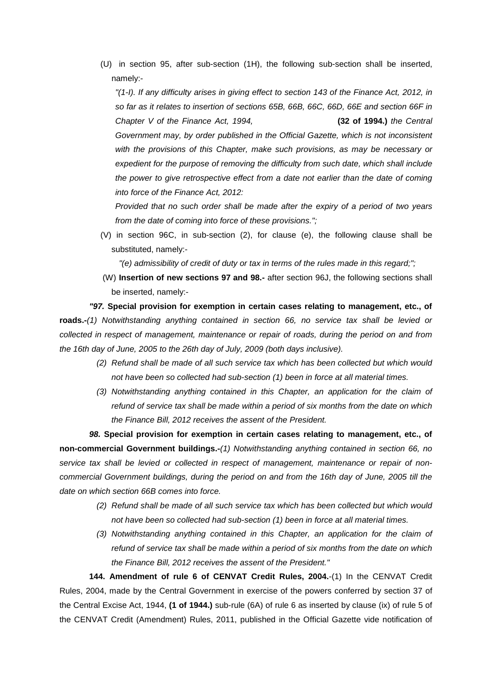(U) in section 95, after sub-section (1H), the following sub-section shall be inserted, namely:-

*"(1-I). If any difficulty arises in giving effect to section 143 of the Finance Act, 2012, in so far as it relates to insertion of sections 65B, 66B, 66C, 66D, 66E and section 66F in Chapter V of the Finance Act, 1994,* **(32 of 1994.)** *the Central*  Government may, by order published in the Official Gazette, which is not inconsistent *with the provisions of this Chapter, make such provisions, as may be necessary or expedient for the purpose of removing the difficulty from such date, which shall include the power to give retrospective effect from a date not earlier than the date of coming into force of the Finance Act, 2012:* 

*Provided that no such order shall be made after the expiry of a period of two years from the date of coming into force of these provisions.";*

(V) in section 96C, in sub-section (2), for clause (e), the following clause shall be substituted, namely:-

*"(e) admissibility of credit of duty or tax in terms of the rules made in this regard;";* 

(W) **Insertion of new sections 97 and 98.-** after section 96J, the following sections shall be inserted, namely:-

*"97.* **Special provision for exemption in certain cases relating to management, etc., of roads.-***(1) Notwithstanding anything contained in section 66, no service tax shall be levied or collected in respect of management, maintenance or repair of roads, during the period on and from the 16th day of June, 2005 to the 26th day of July, 2009 (both days inclusive).*

- *(2) Refund shall be made of all such service tax which has been collected but which would not have been so collected had sub-section (1) been in force at all material times.*
- *(3) Notwithstanding anything contained in this Chapter, an application for the claim of refund of service tax shall be made within a period of six months from the date on which the Finance Bill, 2012 receives the assent of the President.*

*98.* **Special provision for exemption in certain cases relating to management, etc., of non-commercial Government buildings.-***(1) Notwithstanding anything contained in section 66, no service tax shall be levied or collected in respect of management, maintenance or repair of noncommercial Government buildings, during the period on and from the 16th day of June, 2005 till the date on which section 66B comes into force.*

- *(2) Refund shall be made of all such service tax which has been collected but which would not have been so collected had sub-section (1) been in force at all material times.*
- *(3) Notwithstanding anything contained in this Chapter, an application for the claim of refund of service tax shall be made within a period of six months from the date on which the Finance Bill, 2012 receives the assent of the President."*

**144. Amendment of rule 6 of CENVAT Credit Rules, 2004.**-(1) In the CENVAT Credit Rules, 2004, made by the Central Government in exercise of the powers conferred by section 37 of the Central Excise Act, 1944, **(1 of 1944.)** sub-rule (6A) of rule 6 as inserted by clause (ix) of rule 5 of the CENVAT Credit (Amendment) Rules, 2011, published in the Official Gazette vide notification of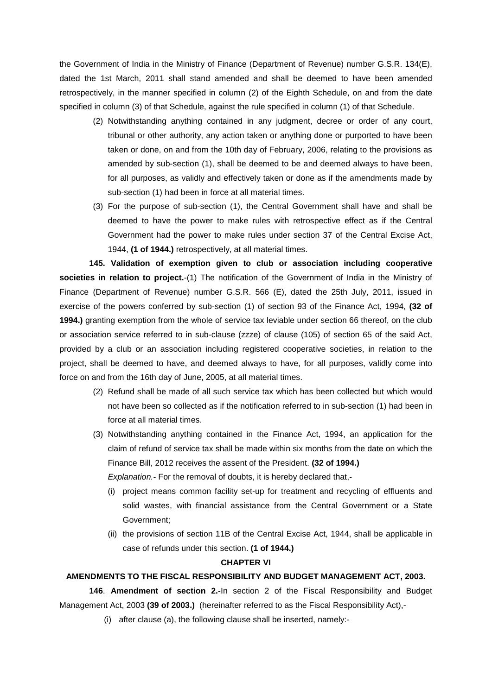the Government of India in the Ministry of Finance (Department of Revenue) number G.S.R. 134(E), dated the 1st March, 2011 shall stand amended and shall be deemed to have been amended retrospectively, in the manner specified in column (2) of the Eighth Schedule, on and from the date specified in column (3) of that Schedule, against the rule specified in column (1) of that Schedule.

- (2) Notwithstanding anything contained in any judgment, decree or order of any court, tribunal or other authority, any action taken or anything done or purported to have been taken or done, on and from the 10th day of February, 2006, relating to the provisions as amended by sub-section (1), shall be deemed to be and deemed always to have been, for all purposes, as validly and effectively taken or done as if the amendments made by sub-section (1) had been in force at all material times.
- (3) For the purpose of sub-section (1), the Central Government shall have and shall be deemed to have the power to make rules with retrospective effect as if the Central Government had the power to make rules under section 37 of the Central Excise Act, 1944, **(1 of 1944.)** retrospectively, at all material times.

**145. Validation of exemption given to club or association including cooperative societies in relation to project.**-(1) The notification of the Government of India in the Ministry of Finance (Department of Revenue) number G.S.R. 566 (E), dated the 25th July, 2011, issued in exercise of the powers conferred by sub-section (1) of section 93 of the Finance Act, 1994, **(32 of 1994.)** granting exemption from the whole of service tax leviable under section 66 thereof, on the club or association service referred to in sub-clause (zzze) of clause (105) of section 65 of the said Act, provided by a club or an association including registered cooperative societies, in relation to the project, shall be deemed to have, and deemed always to have, for all purposes, validly come into force on and from the 16th day of June, 2005, at all material times.

- (2) Refund shall be made of all such service tax which has been collected but which would not have been so collected as if the notification referred to in sub-section (1) had been in force at all material times.
- (3) Notwithstanding anything contained in the Finance Act, 1994, an application for the claim of refund of service tax shall be made within six months from the date on which the Finance Bill, 2012 receives the assent of the President. **(32 of 1994.)**

*Explanation.*- For the removal of doubts, it is hereby declared that,-

- (i) project means common facility set-up for treatment and recycling of effluents and solid wastes, with financial assistance from the Central Government or a State Government;
- (ii) the provisions of section 11B of the Central Excise Act, 1944, shall be applicable in case of refunds under this section. **(1 of 1944.)**

### **CHAPTER VI**

### **AMENDMENTS TO THE FISCAL RESPONSIBILITY AND BUDGET MANAGEMENT ACT, 2003.**

**146**. **Amendment of section 2.**-In section 2 of the Fiscal Responsibility and Budget Management Act, 2003 **(39 of 2003.)** (hereinafter referred to as the Fiscal Responsibility Act),-

(i) after clause (a), the following clause shall be inserted, namely:-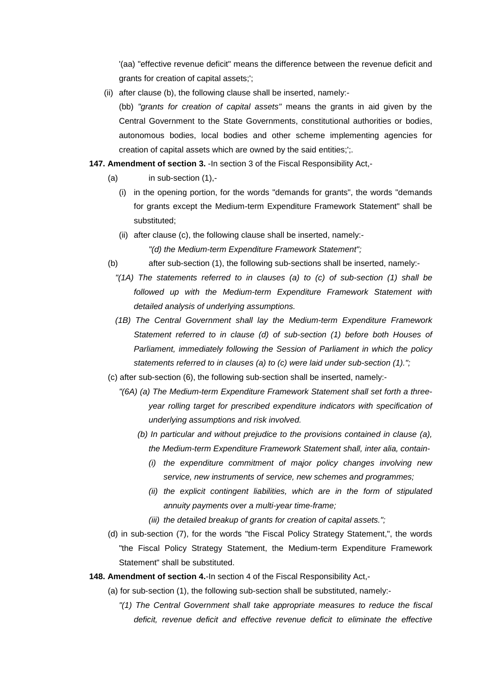'(aa) "effective revenue deficit" means the difference between the revenue deficit and grants for creation of capital assets;';

(ii) after clause (b), the following clause shall be inserted, namely:-

(bb) *"grants for creation of capital assets"* means the grants in aid given by the Central Government to the State Governments, constitutional authorities or bodies, autonomous bodies, local bodies and other scheme implementing agencies for creation of capital assets which are owned by the said entities;';.

- **147. Amendment of section 3.** -In section 3 of the Fiscal Responsibility Act,-
	- $(a)$  in sub-section  $(1)$ .
		- (i) in the opening portion, for the words "demands for grants", the words "demands for grants except the Medium-term Expenditure Framework Statement" shall be substituted;
		- (ii) after clause (c), the following clause shall be inserted, namely:- *"(d) the Medium-term Expenditure Framework Statement";*
	- (b) after sub-section (1), the following sub-sections shall be inserted, namely:-
		- *"(1A) The statements referred to in clauses (a) to (c) of sub-section (1) shall be followed up with the Medium-term Expenditure Framework Statement with detailed analysis of underlying assumptions.*
		- *(1B) The Central Government shall lay the Medium-term Expenditure Framework Statement referred to in clause (d) of sub-section (1) before both Houses of Parliament, immediately following the Session of Parliament in which the policy statements referred to in clauses (a) to (c) were laid under sub-section (1).";*
	- (c) after sub-section (6), the following sub-section shall be inserted, namely:-
		- *"(6A) (a) The Medium-term Expenditure Framework Statement shall set forth a threeyear rolling target for prescribed expenditure indicators with specification of underlying assumptions and risk involved.*
			- *(b) In particular and without prejudice to the provisions contained in clause (a), the Medium-term Expenditure Framework Statement shall, inter alia, contain-*
				- *(i) the expenditure commitment of major policy changes involving new service, new instruments of service, new schemes and programmes;*
				- *(ii) the explicit contingent liabilities, which are in the form of stipulated annuity payments over a multi-year time-frame;*
				- *(iii) the detailed breakup of grants for creation of capital assets.";*
	- (d) in sub-section (7), for the words "the Fiscal Policy Strategy Statement,", the words "the Fiscal Policy Strategy Statement, the Medium-term Expenditure Framework Statement" shall be substituted.
- **148. Amendment of section 4.**-In section 4 of the Fiscal Responsibility Act,-
	- (a) for sub-section (1), the following sub-section shall be substituted, namely:-
		- *"(1) The Central Government shall take appropriate measures to reduce the fiscal deficit, revenue deficit and effective revenue deficit to eliminate the effective*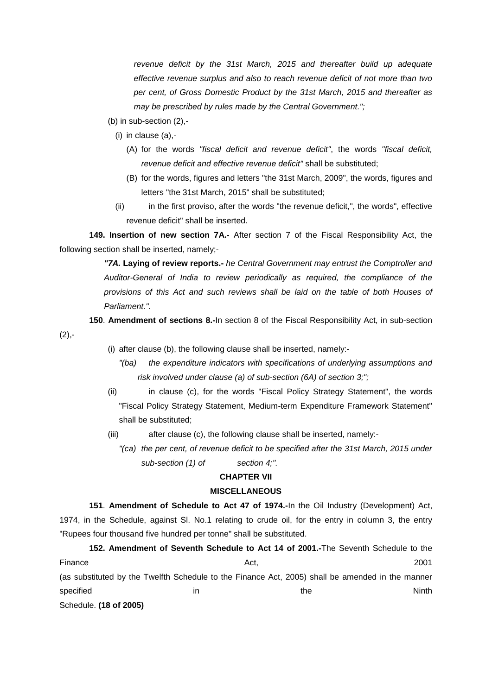*revenue deficit by the 31st March, 2015 and thereafter build up adequate effective revenue surplus and also to reach revenue deficit of not more than two per cent, of Gross Domestic Product by the 31st March, 2015 and thereafter as may be prescribed by rules made by the Central Government.";*

- (b) in sub-section (2),-
	- (i) in clause (a),-

 $(2), -$ 

- (A) for the words *"fiscal deficit and revenue deficit"*, the words *"fiscal deficit, revenue deficit and effective revenue deficit"* shall be substituted;
- (B) for the words, figures and letters "the 31st March, 2009", the words, figures and letters "the 31st March, 2015" shall be substituted;
- (ii) in the first proviso, after the words "the revenue deficit,", the words", effective revenue deficit" shall be inserted.

**149. Insertion of new section 7A.-** After section 7 of the Fiscal Responsibility Act, the following section shall be inserted, namely;-

> *"7A.* **Laying of review reports.-** *he Central Government may entrust the Comptroller and Auditor-General of India to review periodically as required, the compliance of the provisions of this Act and such reviews shall be laid on the table of both Houses of Parliament.".*

**150**. **Amendment of sections 8.-**In section 8 of the Fiscal Responsibility Act, in sub-section

- (i) after clause (b), the following clause shall be inserted, namely:-
	- *"(ba) the expenditure indicators with specifications of underlying assumptions and risk involved under clause (a) of sub-section (6A) of section 3;";*
- (ii) in clause (c), for the words "Fiscal Policy Strategy Statement", the words "Fiscal Policy Strategy Statement, Medium-term Expenditure Framework Statement" shall be substituted;
- (iii) after clause (c), the following clause shall be inserted, namely:-
	- *"(ca) the per cent, of revenue deficit to be specified after the 31st March, 2015 under sub-section (1) of section 4;".*

#### **CHAPTER VII**

#### **MISCELLANEOUS**

**151**. **Amendment of Schedule to Act 47 of 1974.-**In the Oil Industry (Development) Act, 1974, in the Schedule, against Sl. No.1 relating to crude oil, for the entry in column 3, the entry "Rupees four thousand five hundred per tonne" shall be substituted.

**152. Amendment of Seventh Schedule to Act 14 of 2001.-**The Seventh Schedule to the Finance 2001 **Act, 2001** (as substituted by the Twelfth Schedule to the Finance Act, 2005) shall be amended in the manner specified in the Ninth Ninth Specified in the Specified in the Ninth Ninth Specified in the Ninth Specified in Schedule. **(18 of 2005)**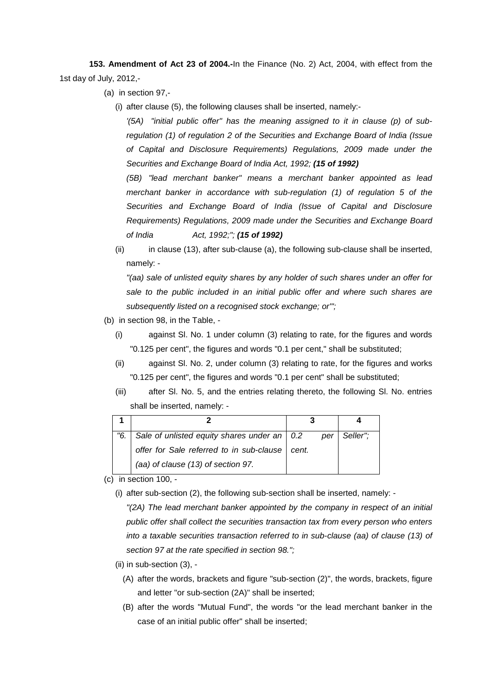**153. Amendment of Act 23 of 2004.-**In the Finance (No. 2) Act, 2004, with effect from the 1st day of July, 2012,-

(a) in section 97,-

(i) after clause (5), the following clauses shall be inserted, namely:-

*'(5A) "initial public offer" has the meaning assigned to it in clause (p) of subregulation (1) of regulation 2 of the Securities and Exchange Board of India (Issue of Capital and Disclosure Requirements) Regulations, 2009 made under the Securities and Exchange Board of India Act, 1992; (15 of 1992)* 

*(5B) "lead merchant banker" means a merchant banker appointed as lead merchant banker in accordance with sub-regulation (1) of regulation 5 of the Securities and Exchange Board of India (Issue of Capital and Disclosure Requirements) Regulations, 2009 made under the Securities and Exchange Board of India Act, 1992;"; (15 of 1992)* 

(ii) in clause (13), after sub-clause (a), the following sub-clause shall be inserted, namely: -

*"(aa) sale of unlisted equity shares by any holder of such shares under an offer for sale to the public included in an initial public offer and where such shares are subsequently listed on a recognised stock exchange; or'";* 

- (b) in section 98, in the Table,
	- (i) against Sl. No. 1 under column (3) relating to rate, for the figures and words "0.125 per cent", the figures and words "0.1 per cent," shall be substituted;
	- (ii) against Sl. No. 2, under column (3) relating to rate, for the figures and works "0.125 per cent", the figures and words "0.1 per cent" shall be substituted;
	- (iii) after Sl. No. 5, and the entries relating thereto, the following Sl. No. entries shall be inserted, namely: -

| "6. | Sale of unlisted equity shares under an $\vert$ 0.2 | per   | Seller": |
|-----|-----------------------------------------------------|-------|----------|
|     | offer for Sale referred to in sub-clause            | cent. |          |
|     | (aa) of clause (13) of section 97.                  |       |          |

- (c) in section 100,
	- (i) after sub-section (2), the following sub-section shall be inserted, namely: -

*"(2A) The lead merchant banker appointed by the company in respect of an initial public offer shall collect the securities transaction tax from every person who enters into a taxable securities transaction referred to in sub-clause (aa) of clause (13) of section 97 at the rate specified in section 98.";* 

- (ii) in sub-section (3),
	- (A) after the words, brackets and figure "sub-section (2)", the words, brackets, figure and letter "or sub-section (2A)" shall be inserted;
	- (B) after the words "Mutual Fund", the words "or the lead merchant banker in the case of an initial public offer" shall be inserted;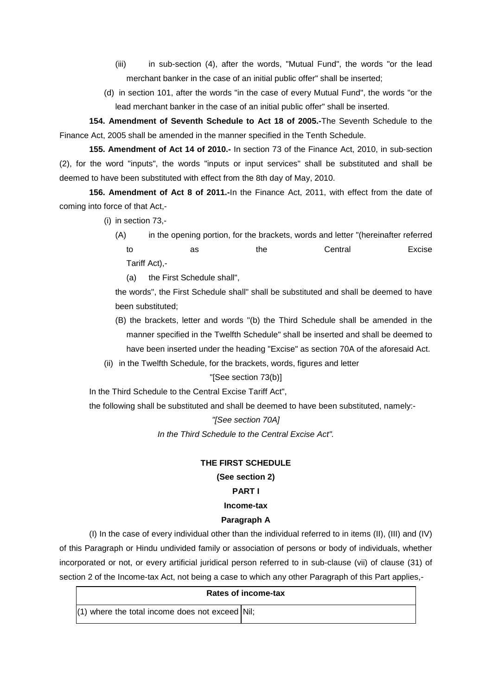- (iii) in sub-section (4), after the words, "Mutual Fund", the words "or the lead merchant banker in the case of an initial public offer" shall be inserted;
- (d) in section 101, after the words "in the case of every Mutual Fund", the words "or the lead merchant banker in the case of an initial public offer" shall be inserted.

**154. Amendment of Seventh Schedule to Act 18 of 2005.-**The Seventh Schedule to the Finance Act, 2005 shall be amended in the manner specified in the Tenth Schedule.

**155. Amendment of Act 14 of 2010.-** In section 73 of the Finance Act, 2010, in sub-section (2), for the word "inputs", the words "inputs or input services" shall be substituted and shall be deemed to have been substituted with effect from the 8th day of May, 2010.

**156. Amendment of Act 8 of 2011.-**In the Finance Act, 2011, with effect from the date of coming into force of that Act,-

- (i) in section 73,-
	- (A) in the opening portion, for the brackets, words and letter "(hereinafter referred to as the Central Excise Tariff Act),-
		- (a) the First Schedule shall",

the words", the First Schedule shall" shall be substituted and shall be deemed to have been substituted;

- (B) the brackets, letter and words "(b) the Third Schedule shall be amended in the manner specified in the Twelfth Schedule" shall be inserted and shall be deemed to have been inserted under the heading "Excise" as section 70A of the aforesaid Act.
- (ii) in the Twelfth Schedule, for the brackets, words, figures and letter

### "[See section 73(b)]

In the Third Schedule to the Central Excise Tariff Act",

the following shall be substituted and shall be deemed to have been substituted, namely:-

#### *"[See section 70A]*

*In the Third Schedule to the Central Excise Act".*

### **THE FIRST SCHEDULE**

### **(See section 2)**

### **PART I**

## **Income-tax**

### **Paragraph A**

(I) In the case of every individual other than the individual referred to in items (II), (III) and (IV) of this Paragraph or Hindu undivided family or association of persons or body of individuals, whether incorporated or not, or every artificial juridical person referred to in sub-clause (vii) of clause (31) of section 2 of the Income-tax Act, not being a case to which any other Paragraph of this Part applies,-

|                                                   | Rates of income-tax |
|---------------------------------------------------|---------------------|
| $(1)$ where the total income does not exceed Nil; |                     |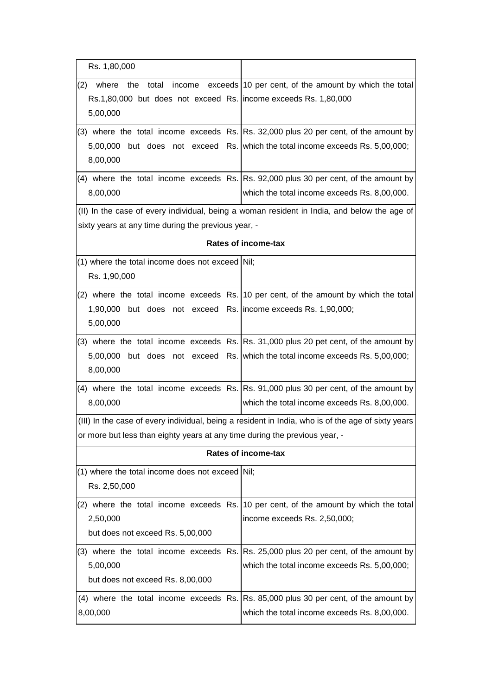| Rs. 1,80,000                                                                                                          |                                                                                                                                                                       |
|-----------------------------------------------------------------------------------------------------------------------|-----------------------------------------------------------------------------------------------------------------------------------------------------------------------|
| (2)<br>where<br>the<br>total<br>income<br>Rs.1,80,000 but does not exceed Rs. income exceeds Rs. 1,80,000<br>5,00,000 | exceeds 10 per cent, of the amount by which the total                                                                                                                 |
| 8,00,000                                                                                                              | (3) where the total income exceeds Rs. Rs. 32,000 plus 20 per cent, of the amount by<br>5,00,000 but does not exceed Rs. which the total income exceeds Rs. 5,00,000; |
| 8,00,000                                                                                                              | (4) where the total income exceeds Rs. Rs. 92,000 plus 30 per cent, of the amount by<br>which the total income exceeds Rs. 8,00,000.                                  |
| sixty years at any time during the previous year, -                                                                   | (II) In the case of every individual, being a woman resident in India, and below the age of                                                                           |
|                                                                                                                       | <b>Rates of income-tax</b>                                                                                                                                            |
| (1) where the total income does not exceed Nil;<br>Rs. 1,90,000                                                       |                                                                                                                                                                       |
| 1,90,000 but does not exceed Rs. income exceeds Rs. 1,90,000;<br>5,00,000                                             | (2) where the total income exceeds Rs. 10 per cent, of the amount by which the total                                                                                  |
| 8,00,000                                                                                                              | (3) where the total income exceeds Rs. Rs. 31,000 plus 20 pet cent, of the amount by<br>5,00,000 but does not exceed Rs. which the total income exceeds Rs. 5,00,000; |
| 8,00,000                                                                                                              | $(4)$ where the total income exceeds Rs. Rs. 91,000 plus 30 per cent, of the amount by<br>which the total income exceeds Rs. 8,00,000.                                |
| or more but less than eighty years at any time during the previous year, -                                            | (III) In the case of every individual, being a resident in India, who is of the age of sixty years                                                                    |
|                                                                                                                       | <b>Rates of income-tax</b>                                                                                                                                            |
| (1) where the total income does not exceed Nil;<br>Rs. 2,50,000                                                       |                                                                                                                                                                       |
| 2,50,000<br>but does not exceed Rs. 5,00,000                                                                          | (2) where the total income exceeds Rs. 10 per cent, of the amount by which the total<br>income exceeds Rs. 2,50,000;                                                  |
| (3) where the total income exceeds Rs.<br>5,00,000<br>but does not exceed Rs. 8,00,000                                | Rs. 25,000 plus 20 per cent, of the amount by<br>which the total income exceeds Rs. 5,00,000;                                                                         |
| 8,00,000                                                                                                              | (4) where the total income exceeds Rs. Rs. 85,000 plus 30 per cent, of the amount by<br>which the total income exceeds Rs. 8,00,000.                                  |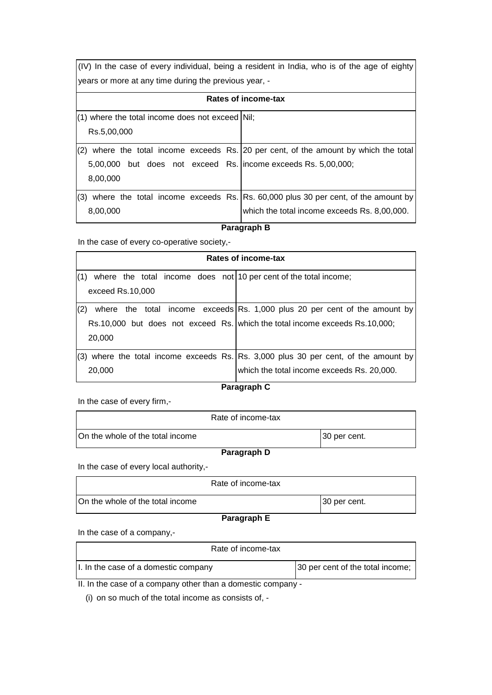(IV) In the case of every individual, being a resident in India, who is of the age of eighty years or more at any time during the previous year, -

|                                                                 | Rates of income-tax                                                              |
|-----------------------------------------------------------------|----------------------------------------------------------------------------------|
| $(1)$ where the total income does not exceed Nil;               |                                                                                  |
| Rs.5,00,000                                                     |                                                                                  |
| (2)                                                             | where the total income exceeds Rs. 20 per cent, of the amount by which the total |
| 5,00,000 but does not exceed Rs.   income exceeds Rs. 5,00,000; |                                                                                  |
| 8,00,000                                                        |                                                                                  |
| (3)                                                             | where the total income exceeds Rs. Rs. 60,000 plus 30 per cent, of the amount by |
| 8,00,000                                                        | which the total income exceeds Rs. 8,00,000.                                     |

### **Paragraph B**

In the case of every co-operative society,-

| Rates of income-tax                                                     |                                                                                       |  |  |
|-------------------------------------------------------------------------|---------------------------------------------------------------------------------------|--|--|
| where the total income does not 10 per cent of the total income;<br>(1) |                                                                                       |  |  |
| exceed Rs.10,000                                                        |                                                                                       |  |  |
| (2)                                                                     | where the total income exceeds Rs. 1,000 plus 20 per cent of the amount by            |  |  |
|                                                                         | Rs.10,000 but does not exceed Rs. which the total income exceeds Rs.10,000;           |  |  |
| 20,000                                                                  |                                                                                       |  |  |
|                                                                         | $(3)$ where the total income exceeds Rs. Rs. 3,000 plus 30 per cent, of the amount by |  |  |
| 20,000                                                                  | which the total income exceeds Rs. 20,000.                                            |  |  |

### **Paragraph C**

In the case of every firm,-

| Rate of income-tax               |              |
|----------------------------------|--------------|
| On the whole of the total income | 30 per cent. |
| Paragraph D                      |              |

In the case of every local authority,-

|                                  | Rate of income-tax |              |
|----------------------------------|--------------------|--------------|
| On the whole of the total income |                    | 30 per cent. |
| Dovesverb E                      |                    |              |

### **Paragraph E**

In the case of a company,-

| Rate of income-tax                                                |                                  |
|-------------------------------------------------------------------|----------------------------------|
| I. In the case of a domestic company                              | 30 per cent of the total income; |
| $\mu$ , $\mu$ the case of a company other than a demostic company |                                  |

II. In the case of a company other than a domestic company -

(i) on so much of the total income as consists of, -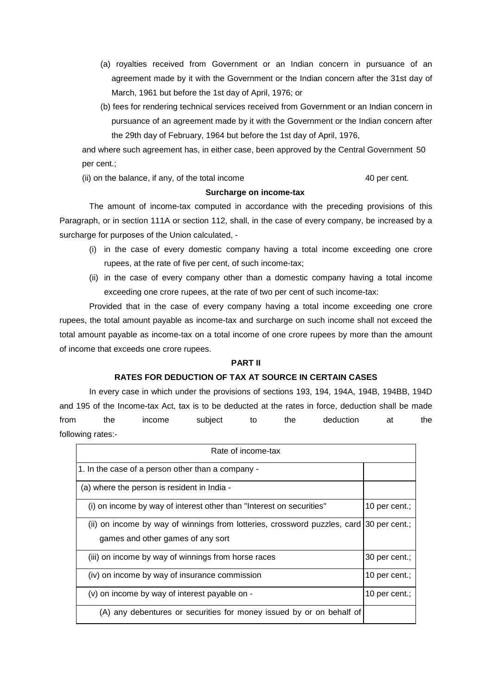- (a) royalties received from Government or an Indian concern in pursuance of an agreement made by it with the Government or the Indian concern after the 31st day of March, 1961 but before the 1st day of April, 1976; or
- (b) fees for rendering technical services received from Government or an Indian concern in pursuance of an agreement made by it with the Government or the Indian concern after the 29th day of February, 1964 but before the 1st day of April, 1976,

and where such agreement has, in either case, been approved by the Central Government 50 per cent.;

(ii) on the balance, if any, of the total income 40 per cent.

### **Surcharge on income-tax**

The amount of income-tax computed in accordance with the preceding provisions of this Paragraph, or in section 111A or section 112, shall, in the case of every company, be increased by a surcharge for purposes of the Union calculated, -

- (i) in the case of every domestic company having a total income exceeding one crore rupees, at the rate of five per cent, of such income-tax;
- (ii) in the case of every company other than a domestic company having a total income exceeding one crore rupees, at the rate of two per cent of such income-tax:

Provided that in the case of every company having a total income exceeding one crore rupees, the total amount payable as income-tax and surcharge on such income shall not exceed the total amount payable as income-tax on a total income of one crore rupees by more than the amount of income that exceeds one crore rupees.

## **PART II**

## **RATES FOR DEDUCTION OF TAX AT SOURCE IN CERTAIN CASES**

In every case in which under the provisions of sections 193, 194, 194A, 194B, 194BB, 194D and 195 of the Income-tax Act, tax is to be deducted at the rates in force, deduction shall be made from the income subject to the deduction at the following rates:-

| Rate of income-tax                                                                      |               |
|-----------------------------------------------------------------------------------------|---------------|
| 1. In the case of a person other than a company -                                       |               |
| (a) where the person is resident in India -                                             |               |
| (i) on income by way of interest other than "Interest on securities"                    | 10 per cent.: |
| (ii) on income by way of winnings from lotteries, crossword puzzles, card 30 per cent.; |               |
| games and other games of any sort                                                       |               |
| (iii) on income by way of winnings from horse races                                     | 30 per cent.; |
| (iv) on income by way of insurance commission                                           | 10 per cent.; |
| (v) on income by way of interest payable on -                                           | 10 per cent.; |
| (A) any debentures or securities for money issued by or on behalf of                    |               |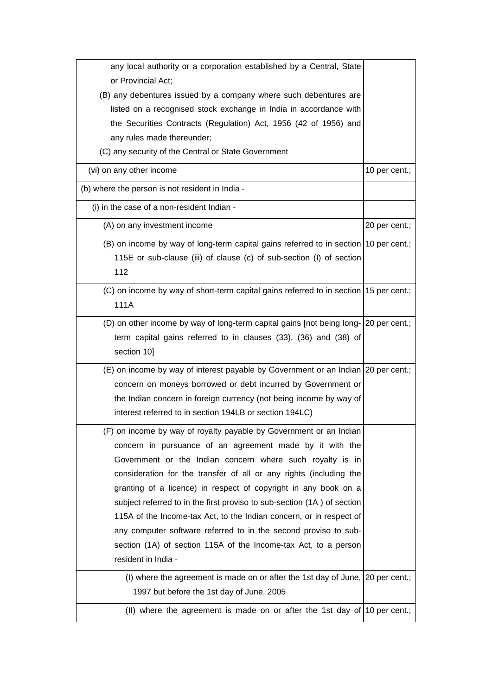| any local authority or a corporation established by a Central, State                  |               |
|---------------------------------------------------------------------------------------|---------------|
| or Provincial Act;                                                                    |               |
| (B) any debentures issued by a company where such debentures are                      |               |
| listed on a recognised stock exchange in India in accordance with                     |               |
| the Securities Contracts (Regulation) Act, 1956 (42 of 1956) and                      |               |
| any rules made thereunder;                                                            |               |
| (C) any security of the Central or State Government                                   |               |
| (vi) on any other income                                                              | 10 per cent.; |
| (b) where the person is not resident in India -                                       |               |
| (i) in the case of a non-resident Indian -                                            |               |
| (A) on any investment income                                                          | 20 per cent.; |
| (B) on income by way of long-term capital gains referred to in section 10 per cent.;  |               |
| 115E or sub-clause (iii) of clause (c) of sub-section (I) of section                  |               |
| 112                                                                                   |               |
| (C) on income by way of short-term capital gains referred to in section 15 per cent.; |               |
| 111A                                                                                  |               |
| (D) on other income by way of long-term capital gains [not being long- 20 per cent.;  |               |
| term capital gains referred to in clauses (33), (36) and (38) of                      |               |
| section 10]                                                                           |               |
| (E) on income by way of interest payable by Government or an Indian 20 per cent.;     |               |
| concern on moneys borrowed or debt incurred by Government or                          |               |
| the Indian concern in foreign currency (not being income by way of                    |               |
| interest referred to in section 194LB or section 194LC)                               |               |
| (F) on income by way of royalty payable by Government or an Indian                    |               |
| concern in pursuance of an agreement made by it with the                              |               |
| Government or the Indian concern where such royalty is in                             |               |
| consideration for the transfer of all or any rights (including the                    |               |
| granting of a licence) in respect of copyright in any book on a                       |               |
| subject referred to in the first proviso to sub-section (1A) of section               |               |
| 115A of the Income-tax Act, to the Indian concern, or in respect of                   |               |
| any computer software referred to in the second proviso to sub-                       |               |
| section (1A) of section 115A of the Income-tax Act, to a person                       |               |
| resident in India -                                                                   |               |
| (I) where the agreement is made on or after the 1st day of June, 20 per cent.;        |               |
| 1997 but before the 1st day of June, 2005                                             |               |
| (II) where the agreement is made on or after the 1st day of 10 per cent.;             |               |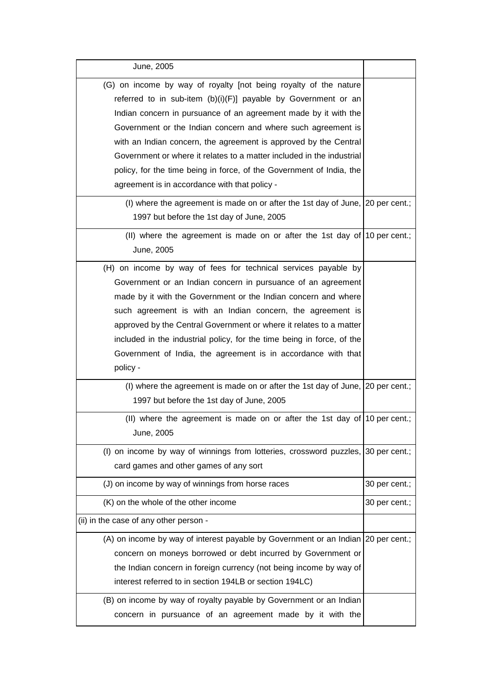| June, 2005                                                                                                                                                                                                                                                                                                                                                                                                                                                                                                                                     |               |
|------------------------------------------------------------------------------------------------------------------------------------------------------------------------------------------------------------------------------------------------------------------------------------------------------------------------------------------------------------------------------------------------------------------------------------------------------------------------------------------------------------------------------------------------|---------------|
| (G) on income by way of royalty [not being royalty of the nature<br>referred to in sub-item $(b)(i)(F)$ ] payable by Government or an<br>Indian concern in pursuance of an agreement made by it with the<br>Government or the Indian concern and where such agreement is<br>with an Indian concern, the agreement is approved by the Central<br>Government or where it relates to a matter included in the industrial<br>policy, for the time being in force, of the Government of India, the<br>agreement is in accordance with that policy - |               |
| (I) where the agreement is made on or after the 1st day of June, 20 per cent.;<br>1997 but before the 1st day of June, 2005                                                                                                                                                                                                                                                                                                                                                                                                                    |               |
| (II) where the agreement is made on or after the 1st day of 10 per cent.;<br>June, 2005                                                                                                                                                                                                                                                                                                                                                                                                                                                        |               |
| (H) on income by way of fees for technical services payable by<br>Government or an Indian concern in pursuance of an agreement<br>made by it with the Government or the Indian concern and where<br>such agreement is with an Indian concern, the agreement is<br>approved by the Central Government or where it relates to a matter<br>included in the industrial policy, for the time being in force, of the<br>Government of India, the agreement is in accordance with that<br>policy -                                                    |               |
| (I) where the agreement is made on or after the 1st day of June, 20 per cent.;<br>1997 but before the 1st day of June, 2005                                                                                                                                                                                                                                                                                                                                                                                                                    |               |
| (II) where the agreement is made on or after the 1st day of $ 10\rangle$ per cent.;<br>June, 2005                                                                                                                                                                                                                                                                                                                                                                                                                                              |               |
| (I) on income by way of winnings from lotteries, crossword puzzles, 30 per cent.;<br>card games and other games of any sort                                                                                                                                                                                                                                                                                                                                                                                                                    |               |
| (J) on income by way of winnings from horse races                                                                                                                                                                                                                                                                                                                                                                                                                                                                                              | 30 per cent.; |
| (K) on the whole of the other income                                                                                                                                                                                                                                                                                                                                                                                                                                                                                                           | 30 per cent.; |
| (ii) in the case of any other person -                                                                                                                                                                                                                                                                                                                                                                                                                                                                                                         |               |
| (A) on income by way of interest payable by Government or an Indian 20 per cent.;<br>concern on moneys borrowed or debt incurred by Government or<br>the Indian concern in foreign currency (not being income by way of<br>interest referred to in section 194LB or section 194LC)<br>(B) on income by way of royalty payable by Government or an Indian                                                                                                                                                                                       |               |
| concern in pursuance of an agreement made by it with the                                                                                                                                                                                                                                                                                                                                                                                                                                                                                       |               |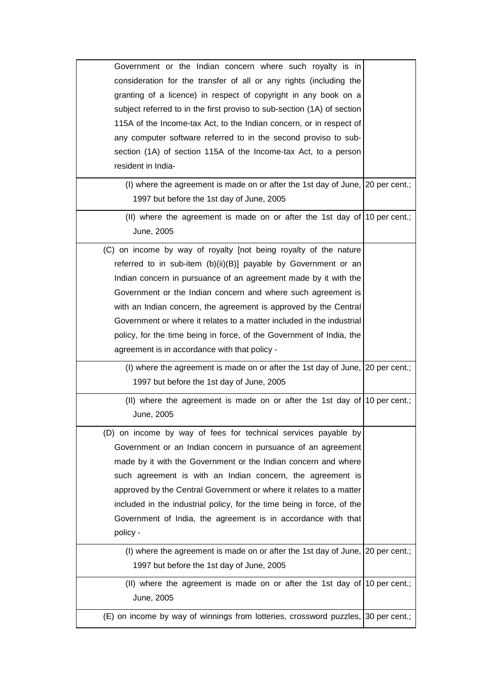| Government or the Indian concern where such royalty is in<br>consideration for the transfer of all or any rights (including the<br>granting of a licence) in respect of copyright in any book on a<br>subject referred to in the first proviso to sub-section (1A) of section<br>115A of the Income-tax Act, to the Indian concern, or in respect of                                                                                                                                                                                         |  |
|----------------------------------------------------------------------------------------------------------------------------------------------------------------------------------------------------------------------------------------------------------------------------------------------------------------------------------------------------------------------------------------------------------------------------------------------------------------------------------------------------------------------------------------------|--|
| any computer software referred to in the second proviso to sub-<br>section (1A) of section 115A of the Income-tax Act, to a person<br>resident in India-                                                                                                                                                                                                                                                                                                                                                                                     |  |
| (I) where the agreement is made on or after the 1st day of June, $ 20$ per cent.;<br>1997 but before the 1st day of June, 2005                                                                                                                                                                                                                                                                                                                                                                                                               |  |
| (II) where the agreement is made on or after the 1st day of $ 10\rangle$ per cent.;<br>June, 2005                                                                                                                                                                                                                                                                                                                                                                                                                                            |  |
| (C) on income by way of royalty [not being royalty of the nature<br>referred to in sub-item (b)(ii)(B)] payable by Government or an<br>Indian concern in pursuance of an agreement made by it with the<br>Government or the Indian concern and where such agreement is<br>with an Indian concern, the agreement is approved by the Central<br>Government or where it relates to a matter included in the industrial<br>policy, for the time being in force, of the Government of India, the<br>agreement is in accordance with that policy - |  |
| (I) where the agreement is made on or after the 1st day of June, 20 per cent.;<br>1997 but before the 1st day of June, 2005                                                                                                                                                                                                                                                                                                                                                                                                                  |  |
| (II) where the agreement is made on or after the 1st day of $ 10\rangle$ per cent.;                                                                                                                                                                                                                                                                                                                                                                                                                                                          |  |
| June, 2005                                                                                                                                                                                                                                                                                                                                                                                                                                                                                                                                   |  |
| (D) on income by way of fees for technical services payable by<br>Government or an Indian concern in pursuance of an agreement<br>made by it with the Government or the Indian concern and where<br>such agreement is with an Indian concern, the agreement is<br>approved by the Central Government or where it relates to a matter<br>included in the industrial policy, for the time being in force, of the<br>Government of India, the agreement is in accordance with that<br>policy -                                                  |  |
| (I) where the agreement is made on or after the 1st day of June, $\vert$ 20 per cent.;<br>1997 but before the 1st day of June, 2005                                                                                                                                                                                                                                                                                                                                                                                                          |  |
| (II) where the agreement is made on or after the 1st day of 10 per cent.;<br>June, 2005                                                                                                                                                                                                                                                                                                                                                                                                                                                      |  |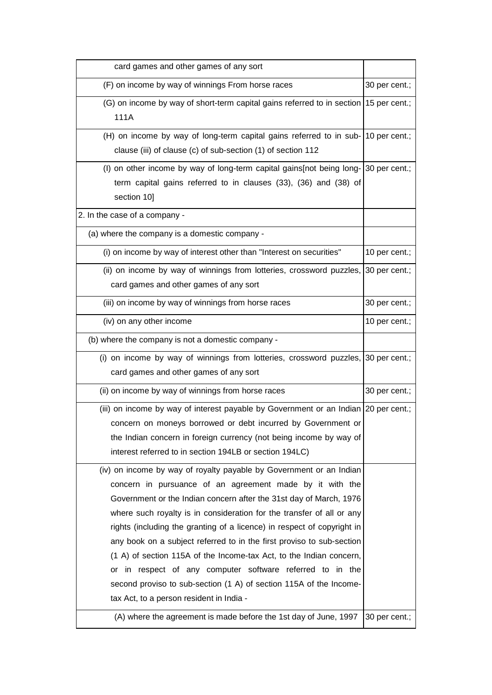| card games and other games of any sort                                                                                                                                                                                                                                                                                                                                                                                                                                                                                                                                                                                                                                                                                                                       |               |
|--------------------------------------------------------------------------------------------------------------------------------------------------------------------------------------------------------------------------------------------------------------------------------------------------------------------------------------------------------------------------------------------------------------------------------------------------------------------------------------------------------------------------------------------------------------------------------------------------------------------------------------------------------------------------------------------------------------------------------------------------------------|---------------|
| (F) on income by way of winnings From horse races                                                                                                                                                                                                                                                                                                                                                                                                                                                                                                                                                                                                                                                                                                            | 30 per cent.; |
| (G) on income by way of short-term capital gains referred to in section 15 per cent.;<br>111A                                                                                                                                                                                                                                                                                                                                                                                                                                                                                                                                                                                                                                                                |               |
| (H) on income by way of long-term capital gains referred to in sub- 10 per cent.;<br>clause (iii) of clause (c) of sub-section (1) of section 112                                                                                                                                                                                                                                                                                                                                                                                                                                                                                                                                                                                                            |               |
| (I) on other income by way of long-term capital gains [not being long- 30 per cent.;<br>term capital gains referred to in clauses (33), (36) and (38) of<br>section 10]                                                                                                                                                                                                                                                                                                                                                                                                                                                                                                                                                                                      |               |
| 2. In the case of a company -                                                                                                                                                                                                                                                                                                                                                                                                                                                                                                                                                                                                                                                                                                                                |               |
| (a) where the company is a domestic company -                                                                                                                                                                                                                                                                                                                                                                                                                                                                                                                                                                                                                                                                                                                |               |
| (i) on income by way of interest other than "Interest on securities"                                                                                                                                                                                                                                                                                                                                                                                                                                                                                                                                                                                                                                                                                         | 10 per cent.; |
| (ii) on income by way of winnings from lotteries, crossword puzzles,<br>card games and other games of any sort                                                                                                                                                                                                                                                                                                                                                                                                                                                                                                                                                                                                                                               | 30 per cent.; |
| (iii) on income by way of winnings from horse races                                                                                                                                                                                                                                                                                                                                                                                                                                                                                                                                                                                                                                                                                                          | 30 per cent.; |
| (iv) on any other income                                                                                                                                                                                                                                                                                                                                                                                                                                                                                                                                                                                                                                                                                                                                     | 10 per cent.; |
| (b) where the company is not a domestic company -                                                                                                                                                                                                                                                                                                                                                                                                                                                                                                                                                                                                                                                                                                            |               |
| (i) on income by way of winnings from lotteries, crossword puzzles, 30 per cent.;<br>card games and other games of any sort                                                                                                                                                                                                                                                                                                                                                                                                                                                                                                                                                                                                                                  |               |
| (ii) on income by way of winnings from horse races                                                                                                                                                                                                                                                                                                                                                                                                                                                                                                                                                                                                                                                                                                           | 30 per cent.; |
| (iii) on income by way of interest payable by Government or an Indian 20 per cent.;<br>concern on moneys borrowed or debt incurred by Government or<br>the Indian concern in foreign currency (not being income by way of<br>interest referred to in section 194LB or section 194LC)                                                                                                                                                                                                                                                                                                                                                                                                                                                                         |               |
| (iv) on income by way of royalty payable by Government or an Indian<br>concern in pursuance of an agreement made by it with the<br>Government or the Indian concern after the 31st day of March, 1976<br>where such royalty is in consideration for the transfer of all or any<br>rights (including the granting of a licence) in respect of copyright in<br>any book on a subject referred to in the first proviso to sub-section<br>(1 A) of section 115A of the Income-tax Act, to the Indian concern,<br>or in respect of any computer software referred to in the<br>second proviso to sub-section (1 A) of section 115A of the Income-<br>tax Act, to a person resident in India -<br>(A) where the agreement is made before the 1st day of June, 1997 | 30 per cent.; |
|                                                                                                                                                                                                                                                                                                                                                                                                                                                                                                                                                                                                                                                                                                                                                              |               |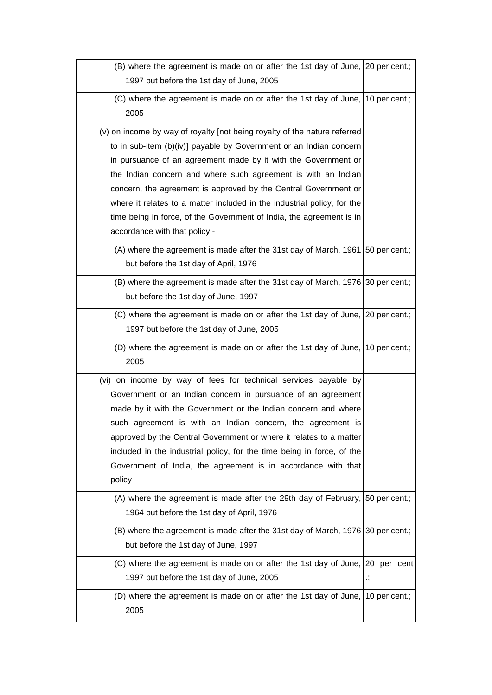| (B) where the agreement is made on or after the 1st day of June, 20 per cent.;        |    |
|---------------------------------------------------------------------------------------|----|
| 1997 but before the 1st day of June, 2005                                             |    |
| (C) where the agreement is made on or after the 1st day of June, 10 per cent.;        |    |
| 2005                                                                                  |    |
| (v) on income by way of royalty [not being royalty of the nature referred             |    |
| to in sub-item (b)(iv)] payable by Government or an Indian concern                    |    |
| in pursuance of an agreement made by it with the Government or                        |    |
| the Indian concern and where such agreement is with an Indian                         |    |
| concern, the agreement is approved by the Central Government or                       |    |
| where it relates to a matter included in the industrial policy, for the               |    |
| time being in force, of the Government of India, the agreement is in                  |    |
| accordance with that policy -                                                         |    |
| (A) where the agreement is made after the 31st day of March, 1961 50 per cent.;       |    |
| but before the 1st day of April, 1976                                                 |    |
| (B) where the agreement is made after the 31st day of March, 1976 30 per cent.;       |    |
| but before the 1st day of June, 1997                                                  |    |
| (C) where the agreement is made on or after the 1st day of June, 20 per cent.;        |    |
| 1997 but before the 1st day of June, 2005                                             |    |
| (D) where the agreement is made on or after the 1st day of June, 10 per cent.;        |    |
| 2005                                                                                  |    |
| (vi) on income by way of fees for technical services payable by                       |    |
| Government or an Indian concern in pursuance of an agreement                          |    |
| made by it with the Government or the Indian concern and where                        |    |
| such agreement is with an Indian concern, the agreement is                            |    |
| approved by the Central Government or where it relates to a matter                    |    |
| included in the industrial policy, for the time being in force, of the                |    |
| Government of India, the agreement is in accordance with that                         |    |
| policy -                                                                              |    |
| (A) where the agreement is made after the 29th day of February, $\vert$ 50 per cent.; |    |
| 1964 but before the 1st day of April, 1976                                            |    |
| (B) where the agreement is made after the 31st day of March, 1976 30 per cent.;       |    |
| but before the 1st day of June, 1997                                                  |    |
| (C) where the agreement is made on or after the 1st day of June, 20 per cent          |    |
| 1997 but before the 1st day of June, 2005                                             | ., |
| (D) where the agreement is made on or after the 1st day of June, 10 per cent.;        |    |
| 2005                                                                                  |    |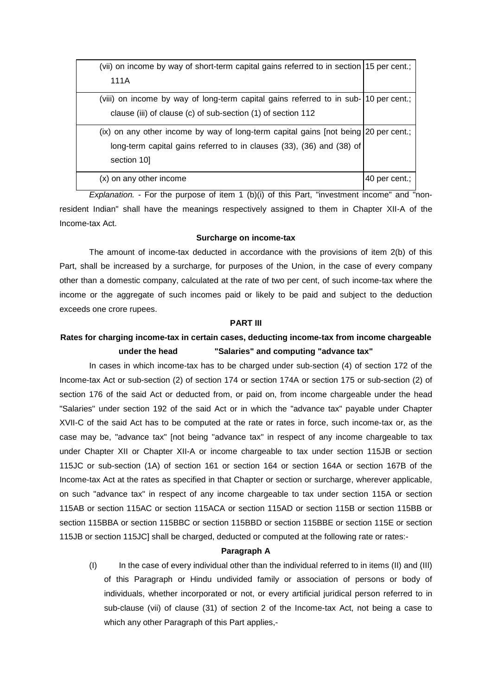| (vii) on income by way of short-term capital gains referred to in section 15 per cent.;  |               |
|------------------------------------------------------------------------------------------|---------------|
| 111A                                                                                     |               |
| (viii) on income by way of long-term capital gains referred to in sub-10 per cent.;      |               |
| clause (iii) of clause (c) of sub-section (1) of section 112                             |               |
| $(ix)$ on any other income by way of long-term capital gains $[not being]$ 20 per cent.; |               |
| long-term capital gains referred to in clauses (33), (36) and (38) of                    |               |
| section 10                                                                               |               |
| (x) on any other income                                                                  | 40 per cent.; |

*Explanation.* - For the purpose of item 1 (b)(i) of this Part, "investment income" and "nonresident Indian" shall have the meanings respectively assigned to them in Chapter XII-A of the Income-tax Act.

#### **Surcharge on income-tax**

The amount of income-tax deducted in accordance with the provisions of item 2(b) of this Part, shall be increased by a surcharge, for purposes of the Union, in the case of every company other than a domestic company, calculated at the rate of two per cent, of such income-tax where the income or the aggregate of such incomes paid or likely to be paid and subject to the deduction exceeds one crore rupees.

### **PART III**

## **Rates for charging income-tax in certain cases, deducting income-tax from income chargeable under the head "Salaries" and computing "advance tax"**

In cases in which income-tax has to be charged under sub-section (4) of section 172 of the Income-tax Act or sub-section (2) of section 174 or section 174A or section 175 or sub-section (2) of section 176 of the said Act or deducted from, or paid on, from income chargeable under the head "Salaries" under section 192 of the said Act or in which the "advance tax" payable under Chapter XVII-C of the said Act has to be computed at the rate or rates in force, such income-tax or, as the case may be, "advance tax" [not being "advance tax" in respect of any income chargeable to tax under Chapter XII or Chapter XII-A or income chargeable to tax under section 115JB or section 115JC or sub-section (1A) of section 161 or section 164 or section 164A or section 167B of the Income-tax Act at the rates as specified in that Chapter or section or surcharge, wherever applicable, on such "advance tax" in respect of any income chargeable to tax under section 115A or section 115AB or section 115AC or section 115ACA or section 115AD or section 115B or section 115BB or section 115BBA or section 115BBC or section 115BBD or section 115BBE or section 115E or section 115JB or section 115JC] shall be charged, deducted or computed at the following rate or rates:-

### **Paragraph A**

(I) In the case of every individual other than the individual referred to in items (II) and (III) of this Paragraph or Hindu undivided family or association of persons or body of individuals, whether incorporated or not, or every artificial juridical person referred to in sub-clause (vii) of clause (31) of section 2 of the Income-tax Act, not being a case to which any other Paragraph of this Part applies,-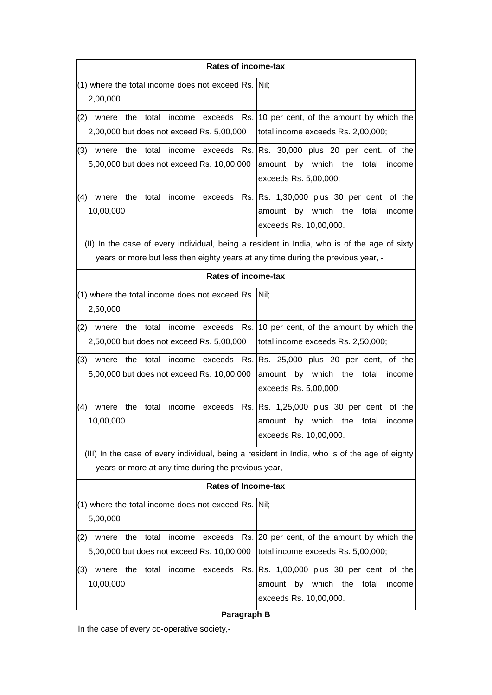| <b>Rates of income-tax</b>                                                                                                                                                      |                                                                                                                       |  |
|---------------------------------------------------------------------------------------------------------------------------------------------------------------------------------|-----------------------------------------------------------------------------------------------------------------------|--|
| (1) where the total income does not exceed Rs. Nil;<br>2,00,000                                                                                                                 |                                                                                                                       |  |
| the total<br>where<br>(2)<br>2,00,000 but does not exceed Rs. 5,00,000                                                                                                          | income exceeds Rs. 10 per cent, of the amount by which the<br>total income exceeds Rs. 2,00,000;                      |  |
| (3) where the total income exceeds<br>Rs.<br>5,00,000 but does not exceed Rs. 10,00,000                                                                                         | Rs. 30,000 plus 20 per cent. of the<br>amount by which the<br>total<br>income<br>exceeds Rs. 5,00,000;                |  |
| where<br>the<br>total<br>income exceeds<br>(4)<br>10,00,000                                                                                                                     | Rs. Rs. 1,30,000 plus 30 per cent. of the<br>amount by which the total<br>income<br>exceeds Rs. 10,00,000.            |  |
| (II) In the case of every individual, being a resident in India, who is of the age of sixty<br>years or more but less then eighty years at any time during the previous year, - |                                                                                                                       |  |
| <b>Rates of income-tax</b>                                                                                                                                                      |                                                                                                                       |  |
| (1) where the total income does not exceed Rs. Nil;<br>2,50,000                                                                                                                 |                                                                                                                       |  |
| where the total income exceeds<br>(2)<br>2,50,000 but does not exceed Rs. 5,00,000                                                                                              | Rs. 10 per cent, of the amount by which the<br>total income exceeds Rs. 2,50,000;                                     |  |
| the total<br>(3)<br>where<br>income<br>5,00,000 but does not exceed Rs. 10,00,000                                                                                               | exceeds Rs. Rs. 25,000 plus 20 per cent, of the<br>amount by which the<br>total<br>income<br>exceeds Rs. 5,00,000;    |  |
| (4)<br>where<br>the<br>total<br>income<br>exceeds<br>10,00,000                                                                                                                  | Rs. Rs. 1,25,000 plus 30 per cent, of the<br>by which the total<br>income<br>amount<br>exceeds Rs. 10,00,000.         |  |
| (III) In the case of every individual, being a resident in India, who is of the age of eighty<br>years or more at any time during the previous year, -                          |                                                                                                                       |  |
| <b>Rates of Income-tax</b>                                                                                                                                                      |                                                                                                                       |  |
| (1) where the total income does not exceed Rs. Nil;<br>5,00,000                                                                                                                 |                                                                                                                       |  |
| (2) where the total income exceeds Rs. 20 per cent, of the amount by which the<br>5,00,000 but does not exceed Rs. 10,00,000                                                    | total income exceeds Rs. 5,00,000;                                                                                    |  |
| where the<br>total<br>income exceeds<br>(3)<br>10,00,000                                                                                                                        | Rs. $\vert$ Rs. 1,00,000 plus 30 per cent, of the<br>amount by which the<br>total<br>income<br>exceeds Rs. 10,00,000. |  |

## **Paragraph B**

In the case of every co-operative society,-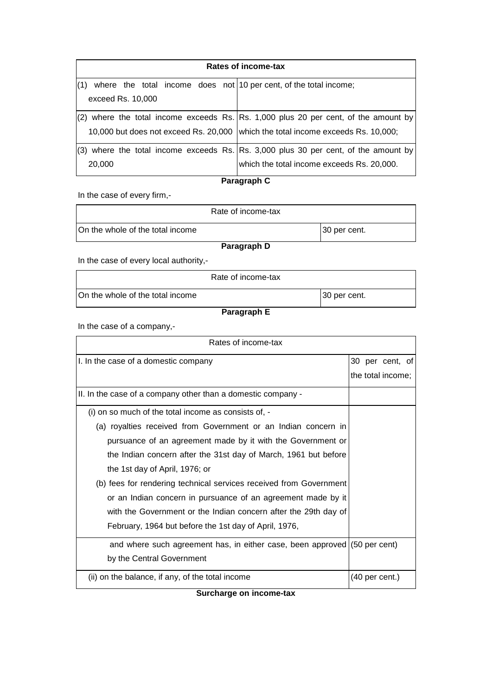| Rates of income-tax                                                              |                                                                                       |  |  |
|----------------------------------------------------------------------------------|---------------------------------------------------------------------------------------|--|--|
| where the total income does not 10 per cent, of the total income;                |                                                                                       |  |  |
| exceed Rs. 10,000                                                                |                                                                                       |  |  |
|                                                                                  | $(2)$ where the total income exceeds Rs. Rs. 1,000 plus 20 per cent, of the amount by |  |  |
| 10,000 but does not exceed Rs. 20,000 which the total income exceeds Rs. 10,000; |                                                                                       |  |  |
|                                                                                  | $(3)$ where the total income exceeds Rs. Rs. 3,000 plus 30 per cent, of the amount by |  |  |
| 20,000                                                                           | which the total income exceeds Rs. 20,000.                                            |  |  |

# **Paragraph C**

In the case of every firm,-

| Rate of income-tax               |              |  |
|----------------------------------|--------------|--|
| On the whole of the total income | 30 per cent. |  |
| Paragraph D                      |              |  |

In the case of every local authority,-

|                                  | Rate of income-tax |              |
|----------------------------------|--------------------|--------------|
| On the whole of the total income |                    | 30 per cent. |

## **Paragraph E**

In the case of a company,-

| Rates of income-tax                                                       |                          |                   |  |
|---------------------------------------------------------------------------|--------------------------|-------------------|--|
| I. In the case of a domestic company                                      |                          | 30 per cent, of   |  |
|                                                                           |                          | the total income; |  |
| II. In the case of a company other than a domestic company -              |                          |                   |  |
| (i) on so much of the total income as consists of, -                      |                          |                   |  |
| (a) royalties received from Government or an Indian concern in            |                          |                   |  |
| pursuance of an agreement made by it with the Government or               |                          |                   |  |
| the Indian concern after the 31st day of March, 1961 but before           |                          |                   |  |
| the 1st day of April, 1976; or                                            |                          |                   |  |
| (b) fees for rendering technical services received from Government        |                          |                   |  |
| or an Indian concern in pursuance of an agreement made by it              |                          |                   |  |
| with the Government or the Indian concern after the 29th day of           |                          |                   |  |
| February, 1964 but before the 1st day of April, 1976,                     |                          |                   |  |
| and where such agreement has, in either case, been approved (50 per cent) |                          |                   |  |
| by the Central Government                                                 |                          |                   |  |
| (ii) on the balance, if any, of the total income                          | $(40 \text{ per cent.})$ |                   |  |

**Surcharge on income-tax**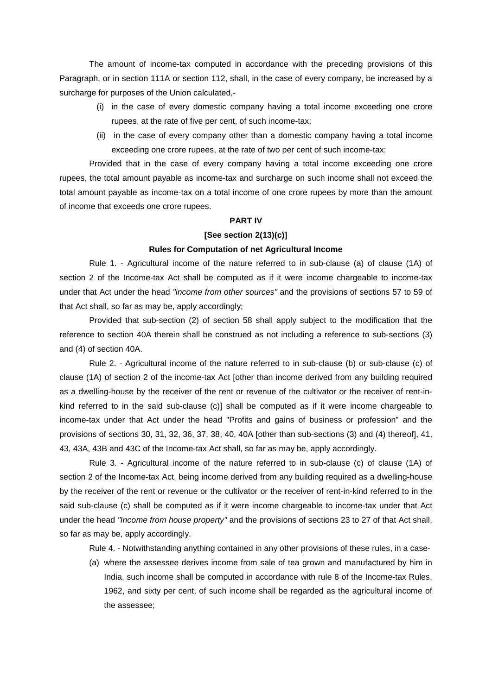The amount of income-tax computed in accordance with the preceding provisions of this Paragraph, or in section 111A or section 112, shall, in the case of every company, be increased by a surcharge for purposes of the Union calculated,-

- (i) in the case of every domestic company having a total income exceeding one crore rupees, at the rate of five per cent, of such income-tax;
- (ii) in the case of every company other than a domestic company having a total income exceeding one crore rupees, at the rate of two per cent of such income-tax:

Provided that in the case of every company having a total income exceeding one crore rupees, the total amount payable as income-tax and surcharge on such income shall not exceed the total amount payable as income-tax on a total income of one crore rupees by more than the amount of income that exceeds one crore rupees.

### **PART IV**

### **[See section 2(13)(c)]**

## **Rules for Computation of net Agricultural Income**

Rule 1. - Agricultural income of the nature referred to in sub-clause (a) of clause (1A) of section 2 of the Income-tax Act shall be computed as if it were income chargeable to income-tax under that Act under the head *"income from other sources"* and the provisions of sections 57 to 59 of that Act shall, so far as may be, apply accordingly;

Provided that sub-section (2) of section 58 shall apply subject to the modification that the reference to section 40A therein shall be construed as not including a reference to sub-sections (3) and (4) of section 40A.

Rule 2. - Agricultural income of the nature referred to in sub-clause (b) or sub-clause (c) of clause (1A) of section 2 of the income-tax Act [other than income derived from any building required as a dwelling-house by the receiver of the rent or revenue of the cultivator or the receiver of rent-inkind referred to in the said sub-clause (c)] shall be computed as if it were income chargeable to income-tax under that Act under the head "Profits and gains of business or profession" and the provisions of sections 30, 31, 32, 36, 37, 38, 40, 40A [other than sub-sections (3) and (4) thereof], 41, 43, 43A, 43B and 43C of the Income-tax Act shall, so far as may be, apply accordingly.

Rule 3. - Agricultural income of the nature referred to in sub-clause (c) of clause (1A) of section 2 of the Income-tax Act, being income derived from any building required as a dwelling-house by the receiver of the rent or revenue or the cultivator or the receiver of rent-in-kind referred to in the said sub-clause (c) shall be computed as if it were income chargeable to income-tax under that Act under the head *"Income from house property"* and the provisions of sections 23 to 27 of that Act shall, so far as may be, apply accordingly.

Rule 4. - Notwithstanding anything contained in any other provisions of these rules, in a case-

(a) where the assessee derives income from sale of tea grown and manufactured by him in India, such income shall be computed in accordance with rule 8 of the Income-tax Rules, 1962, and sixty per cent, of such income shall be regarded as the agricultural income of the assessee;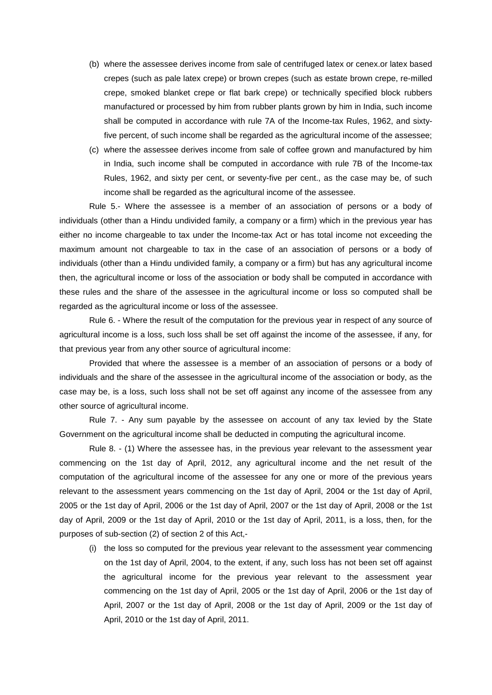- (b) where the assessee derives income from sale of centrifuged latex or cenex.or latex based crepes (such as pale latex crepe) or brown crepes (such as estate brown crepe, re-milled crepe, smoked blanket crepe or flat bark crepe) or technically specified block rubbers manufactured or processed by him from rubber plants grown by him in India, such income shall be computed in accordance with rule 7A of the Income-tax Rules, 1962, and sixtyfive percent, of such income shall be regarded as the agricultural income of the assessee;
- (c) where the assessee derives income from sale of coffee grown and manufactured by him in India, such income shall be computed in accordance with rule 7B of the Income-tax Rules, 1962, and sixty per cent, or seventy-five per cent., as the case may be, of such income shall be regarded as the agricultural income of the assessee.

Rule 5.- Where the assessee is a member of an association of persons or a body of individuals (other than a Hindu undivided family, a company or a firm) which in the previous year has either no income chargeable to tax under the Income-tax Act or has total income not exceeding the maximum amount not chargeable to tax in the case of an association of persons or a body of individuals (other than a Hindu undivided family, a company or a firm) but has any agricultural income then, the agricultural income or loss of the association or body shall be computed in accordance with these rules and the share of the assessee in the agricultural income or loss so computed shall be regarded as the agricultural income or loss of the assessee.

Rule 6. - Where the result of the computation for the previous year in respect of any source of agricultural income is a loss, such loss shall be set off against the income of the assessee, if any, for that previous year from any other source of agricultural income:

Provided that where the assessee is a member of an association of persons or a body of individuals and the share of the assessee in the agricultural income of the association or body, as the case may be, is a loss, such loss shall not be set off against any income of the assessee from any other source of agricultural income.

Rule 7. - Any sum payable by the assessee on account of any tax levied by the State Government on the agricultural income shall be deducted in computing the agricultural income.

Rule 8. - (1) Where the assessee has, in the previous year relevant to the assessment year commencing on the 1st day of April, 2012, any agricultural income and the net result of the computation of the agricultural income of the assessee for any one or more of the previous years relevant to the assessment years commencing on the 1st day of April, 2004 or the 1st day of April, 2005 or the 1st day of April, 2006 or the 1st day of April, 2007 or the 1st day of April, 2008 or the 1st day of April, 2009 or the 1st day of April, 2010 or the 1st day of April, 2011, is a loss, then, for the purposes of sub-section (2) of section 2 of this Act,-

(i) the loss so computed for the previous year relevant to the assessment year commencing on the 1st day of April, 2004, to the extent, if any, such loss has not been set off against the agricultural income for the previous year relevant to the assessment year commencing on the 1st day of April, 2005 or the 1st day of April, 2006 or the 1st day of April, 2007 or the 1st day of April, 2008 or the 1st day of April, 2009 or the 1st day of April, 2010 or the 1st day of April, 2011.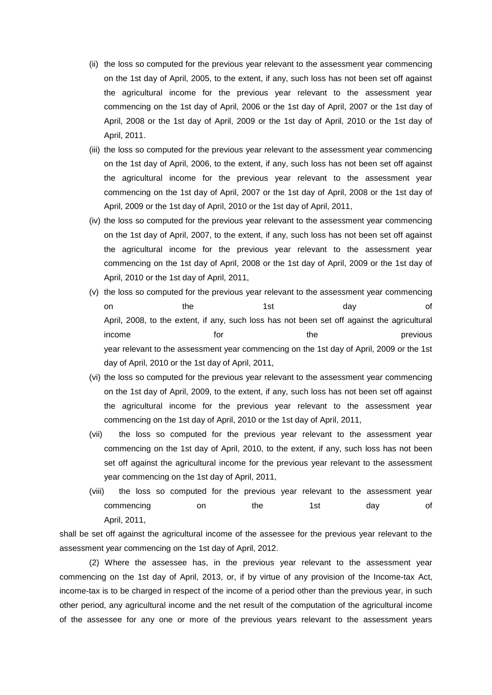- (ii) the loss so computed for the previous year relevant to the assessment year commencing on the 1st day of April, 2005, to the extent, if any, such loss has not been set off against the agricultural income for the previous year relevant to the assessment year commencing on the 1st day of April, 2006 or the 1st day of April, 2007 or the 1st day of April, 2008 or the 1st day of April, 2009 or the 1st day of April, 2010 or the 1st day of April, 2011.
- (iii) the loss so computed for the previous year relevant to the assessment year commencing on the 1st day of April, 2006, to the extent, if any, such loss has not been set off against the agricultural income for the previous year relevant to the assessment year commencing on the 1st day of April, 2007 or the 1st day of April, 2008 or the 1st day of April, 2009 or the 1st day of April, 2010 or the 1st day of April, 2011,
- (iv) the loss so computed for the previous year relevant to the assessment year commencing on the 1st day of April, 2007, to the extent, if any, such loss has not been set off against the agricultural income for the previous year relevant to the assessment year commencing on the 1st day of April, 2008 or the 1st day of April, 2009 or the 1st day of April, 2010 or the 1st day of April, 2011,
- (v) the loss so computed for the previous year relevant to the assessment year commencing on the 1st day of April, 2008, to the extent, if any, such loss has not been set off against the agricultural income the form the previous for the previous of  $\mathbf{r}$ year relevant to the assessment year commencing on the 1st day of April, 2009 or the 1st day of April, 2010 or the 1st day of April, 2011,
- (vi) the loss so computed for the previous year relevant to the assessment year commencing on the 1st day of April, 2009, to the extent, if any, such loss has not been set off against the agricultural income for the previous year relevant to the assessment year commencing on the 1st day of April, 2010 or the 1st day of April, 2011,
- (vii) the loss so computed for the previous year relevant to the assessment year commencing on the 1st day of April, 2010, to the extent, if any, such loss has not been set off against the agricultural income for the previous year relevant to the assessment year commencing on the 1st day of April, 2011,
- (viii) the loss so computed for the previous year relevant to the assessment year commencing on the 1st day of April, 2011,

shall be set off against the agricultural income of the assessee for the previous year relevant to the assessment year commencing on the 1st day of April, 2012.

(2) Where the assessee has, in the previous year relevant to the assessment year commencing on the 1st day of April, 2013, or, if by virtue of any provision of the Income-tax Act, income-tax is to be charged in respect of the income of a period other than the previous year, in such other period, any agricultural income and the net result of the computation of the agricultural income of the assessee for any one or more of the previous years relevant to the assessment years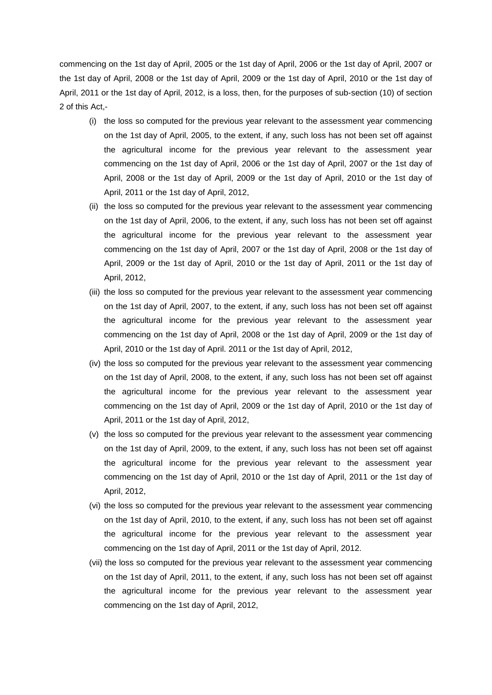commencing on the 1st day of April, 2005 or the 1st day of April, 2006 or the 1st day of April, 2007 or the 1st day of April, 2008 or the 1st day of April, 2009 or the 1st day of April, 2010 or the 1st day of April, 2011 or the 1st day of April, 2012, is a loss, then, for the purposes of sub-section (10) of section 2 of this Act,-

- (i) the loss so computed for the previous year relevant to the assessment year commencing on the 1st day of April, 2005, to the extent, if any, such loss has not been set off against the agricultural income for the previous year relevant to the assessment year commencing on the 1st day of April, 2006 or the 1st day of April, 2007 or the 1st day of April, 2008 or the 1st day of April, 2009 or the 1st day of April, 2010 or the 1st day of April, 2011 or the 1st day of April, 2012,
- (ii) the loss so computed for the previous year relevant to the assessment year commencing on the 1st day of April, 2006, to the extent, if any, such loss has not been set off against the agricultural income for the previous year relevant to the assessment year commencing on the 1st day of April, 2007 or the 1st day of April, 2008 or the 1st day of April, 2009 or the 1st day of April, 2010 or the 1st day of April, 2011 or the 1st day of April, 2012,
- (iii) the loss so computed for the previous year relevant to the assessment year commencing on the 1st day of April, 2007, to the extent, if any, such loss has not been set off against the agricultural income for the previous year relevant to the assessment year commencing on the 1st day of April, 2008 or the 1st day of April, 2009 or the 1st day of April, 2010 or the 1st day of April. 2011 or the 1st day of April, 2012,
- (iv) the loss so computed for the previous year relevant to the assessment year commencing on the 1st day of April, 2008, to the extent, if any, such loss has not been set off against the agricultural income for the previous year relevant to the assessment year commencing on the 1st day of April, 2009 or the 1st day of April, 2010 or the 1st day of April, 2011 or the 1st day of April, 2012,
- (v) the loss so computed for the previous year relevant to the assessment year commencing on the 1st day of April, 2009, to the extent, if any, such loss has not been set off against the agricultural income for the previous year relevant to the assessment year commencing on the 1st day of April, 2010 or the 1st day of April, 2011 or the 1st day of April, 2012,
- (vi) the loss so computed for the previous year relevant to the assessment year commencing on the 1st day of April, 2010, to the extent, if any, such loss has not been set off against the agricultural income for the previous year relevant to the assessment year commencing on the 1st day of April, 2011 or the 1st day of April, 2012.
- (vii) the loss so computed for the previous year relevant to the assessment year commencing on the 1st day of April, 2011, to the extent, if any, such loss has not been set off against the agricultural income for the previous year relevant to the assessment year commencing on the 1st day of April, 2012,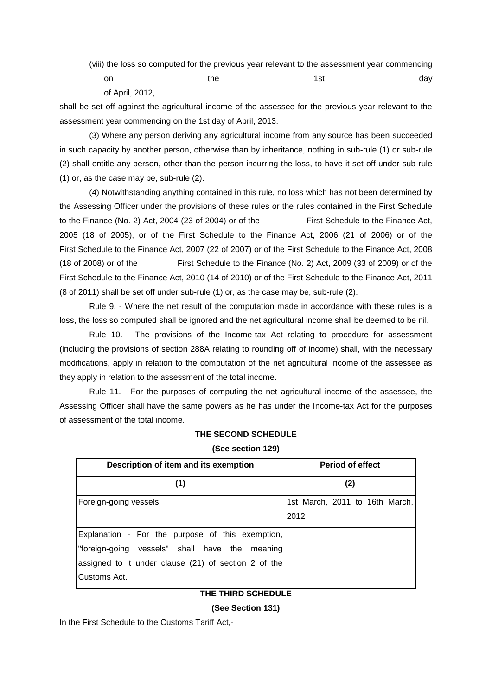(viii) the loss so computed for the previous year relevant to the assessment year commencing

on the the 1st day day of April, 2012,

shall be set off against the agricultural income of the assessee for the previous year relevant to the assessment year commencing on the 1st day of April, 2013.

(3) Where any person deriving any agricultural income from any source has been succeeded in such capacity by another person, otherwise than by inheritance, nothing in sub-rule (1) or sub-rule (2) shall entitle any person, other than the person incurring the loss, to have it set off under sub-rule (1) or, as the case may be, sub-rule (2).

(4) Notwithstanding anything contained in this rule, no loss which has not been determined by the Assessing Officer under the provisions of these rules or the rules contained in the First Schedule to the Finance (No. 2) Act, 2004 (23 of 2004) or of the First Schedule to the Finance Act, 2005 (18 of 2005), or of the First Schedule to the Finance Act, 2006 (21 of 2006) or of the First Schedule to the Finance Act, 2007 (22 of 2007) or of the First Schedule to the Finance Act, 2008 (18 of 2008) or of the First Schedule to the Finance (No. 2) Act, 2009 (33 of 2009) or of the First Schedule to the Finance Act, 2010 (14 of 2010) or of the First Schedule to the Finance Act, 2011 (8 of 2011) shall be set off under sub-rule (1) or, as the case may be, sub-rule (2).

Rule 9. - Where the net result of the computation made in accordance with these rules is a loss, the loss so computed shall be ignored and the net agricultural income shall be deemed to be nil.

Rule 10. - The provisions of the Income-tax Act relating to procedure for assessment (including the provisions of section 288A relating to rounding off of income) shall, with the necessary modifications, apply in relation to the computation of the net agricultural income of the assessee as they apply in relation to the assessment of the total income.

Rule 11. - For the purposes of computing the net agricultural income of the assessee, the Assessing Officer shall have the same powers as he has under the Income-tax Act for the purposes of assessment of the total income.

| Description of item and its exemption                | <b>Period of effect</b><br>(2) |  |  |
|------------------------------------------------------|--------------------------------|--|--|
| (1)                                                  |                                |  |  |
| Foreign-going vessels                                | 1st March, 2011 to 16th March, |  |  |
|                                                      | 2012                           |  |  |
| Explanation - For the purpose of this exemption,     |                                |  |  |
| "foreign-going vessels" shall have the meaning       |                                |  |  |
| assigned to it under clause (21) of section 2 of the |                                |  |  |
| Customs Act.                                         |                                |  |  |
| THE THIRD SCHEDULE                                   |                                |  |  |

### **THE SECOND SCHEDULE**

**(See section 129)**

**(See Section 131)**

In the First Schedule to the Customs Tariff Act,-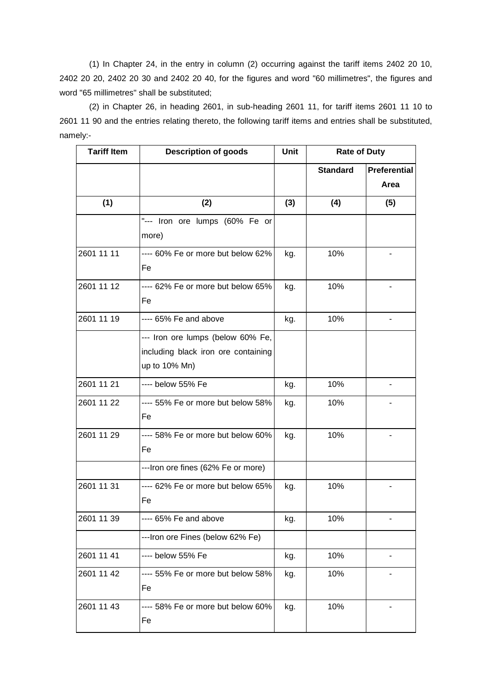(1) In Chapter 24, in the entry in column (2) occurring against the tariff items 2402 20 10, 2402 20 20, 2402 20 30 and 2402 20 40, for the figures and word "60 millimetres", the figures and word "65 millimetres" shall be substituted;

(2) in Chapter 26, in heading 2601, in sub-heading 2601 11, for tariff items 2601 11 10 to 2601 11 90 and the entries relating thereto, the following tariff items and entries shall be substituted, namely:-

| <b>Tariff Item</b> | <b>Description of goods</b>                                                               | <b>Unit</b> | <b>Rate of Duty</b> |                             |
|--------------------|-------------------------------------------------------------------------------------------|-------------|---------------------|-----------------------------|
|                    |                                                                                           |             | <b>Standard</b>     | <b>Preferential</b><br>Area |
| (1)                | (2)                                                                                       | (3)         | (4)                 | (5)                         |
|                    | "--- Iron ore lumps (60% Fe or<br>more)                                                   |             |                     |                             |
| 2601 11 11         | ---- 60% Fe or more but below 62%<br>Fe                                                   | kg.         | 10%                 |                             |
| 2601 11 12         | ---- 62% Fe or more but below 65%<br>Fe                                                   | kg.         | 10%                 |                             |
| 2601 11 19         | ---- 65% Fe and above                                                                     | kg.         | 10%                 |                             |
|                    | --- Iron ore lumps (below 60% Fe,<br>including black iron ore containing<br>up to 10% Mn) |             |                     |                             |
| 2601 11 21         | ---- below 55% Fe                                                                         | kg.         | 10%                 |                             |
| 2601 11 22         | ---- 55% Fe or more but below 58%<br>Fe                                                   | kg.         | 10%                 |                             |
| 2601 11 29         | ---- 58% Fe or more but below 60%<br>Fe                                                   | kg.         | 10%                 |                             |
|                    | ---Iron ore fines (62% Fe or more)                                                        |             |                     |                             |
| 2601 11 31         | ---- 62% Fe or more but below 65%<br>Fe                                                   | kg.         | 10%                 |                             |
| 2601 11 39         | ---- 65% Fe and above                                                                     | kg.         | 10%                 |                             |
|                    | ---Iron ore Fines (below 62% Fe)                                                          |             |                     |                             |
| 2601 11 41         | ---- below 55% Fe                                                                         | kg.         | 10%                 |                             |
| 2601 11 42         | ---- 55% Fe or more but below 58%<br>Fe                                                   | kg.         | 10%                 |                             |
| 2601 11 43         | ---- 58% Fe or more but below 60%<br>Fe                                                   | kg.         | 10%                 |                             |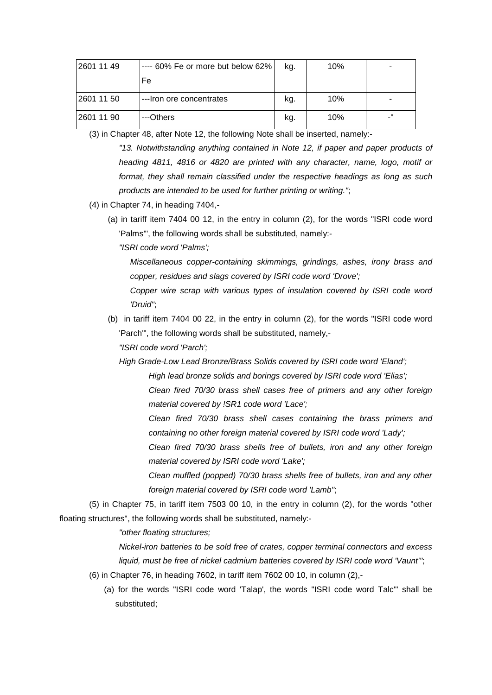| 2601 11 49 | ---- 60% Fe or more but below 62% | kg. | 10% | $\blacksquare$ |
|------------|-----------------------------------|-----|-----|----------------|
|            | Fe                                |     |     |                |
| 2601 11 50 | ---Iron ore concentrates          | kg. | 10% | $\blacksquare$ |
| 2601 11 90 | ---Others                         | kg. | 10% | - 11<br>-      |

(3) in Chapter 48, after Note 12, the following Note shall be inserted, namely:-

*"13. Notwithstanding anything contained in Note 12, if paper and paper products of heading 4811, 4816 or 4820 are printed with any character, name, logo, motif or format, they shall remain classified under the respective headings as long as such products are intended to be used for further printing or writing."*;

- (4) in Chapter 74, in heading 7404,-
	- (a) in tariff item 7404 00 12, in the entry in column (2), for the words "ISRI code word 'Palms'", the following words shall be substituted, namely:-

*"ISRI code word 'Palms';*

*Miscellaneous copper-containing skimmings, grindings, ashes, irony brass and copper, residues and slags covered by ISRI code word 'Drove';*

*Copper wire scrap with various types of insulation covered by ISRI code word 'Druid"*;

(b) in tariff item 7404 00 22, in the entry in column (2), for the words "ISRI code word 'Parch'", the following words shall be substituted, namely,-

*"ISRI code word 'Parch';*

*High Grade-Low Lead Bronze/Brass Solids covered by ISRI code word 'Eland';*

*High lead bronze solids and borings covered by ISRI code word 'Elias';*

*Clean fired 70/30 brass shell cases free of primers and any other foreign material covered by !SR1 code word 'Lace';*

*Clean fired 70/30 brass shell cases containing the brass primers and containing no other foreign material covered by ISRI code word 'Lady';*

*Clean fired 70/30 brass shells free of bullets, iron and any other foreign material covered by ISRI code word 'Lake';*

*Clean muffled (popped) 70/30 brass shells free of bullets, iron and any other foreign material covered by ISRI code word 'Lamb"*;

(5) in Chapter 75, in tariff item 7503 00 10, in the entry in column (2), for the words "other floating structures", the following words shall be substituted, namely:-

*"other floating structures;*

*Nickel-iron batteries to be sold free of crates, copper terminal connectors and excess liquid, must be free of nickel cadmium batteries covered by ISRI code word 'Vaunt'"*;

- (6) in Chapter 76, in heading 7602, in tariff item 7602 00 10, in column (2),-
	- (a) for the words "ISRI code word 'Talap', the words "ISRI code word Talc'" shall be substituted;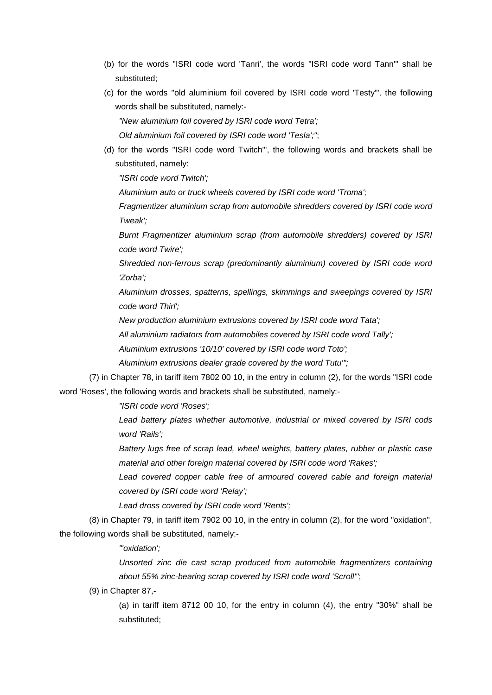- (b) for the words "ISRI code word 'Tanri', the words "ISRI code word Tann'" shall be substituted;
- (c) for the words "old aluminium foil covered by ISRI code word 'Testy'", the following words shall be substituted, namely:-

*"New aluminium foil covered by ISRI code word Tetra';*

*Old aluminium foil covered by ISRI code word 'Tesla';"*;

(d) for the words "ISRI code word Twitch'", the following words and brackets shall be substituted, namely:

*"ISRI code word Twitch';*

*Aluminium auto or truck wheels covered by ISRI code word 'Troma';*

*Fragmentizer aluminium scrap from automobile shredders covered by ISRI code word Tweak';*

*Burnt Fragmentizer aluminium scrap (from automobile shredders) covered by ISRI code word Twire';*

*Shredded non-ferrous scrap (predominantly aluminium) covered by ISRI code word 'Zorba';*

*Aluminium drosses, spatterns, spellings, skimmings and sweepings covered by ISRI code word Thirl';*

*New production aluminium extrusions covered by ISRI code word Tata';*

*All aluminium radiators from automobiles covered by ISRI code word Tally';*

*Aluminium extrusions '10/10' covered by ISRI code word Toto';*

*Aluminium extrusions dealer grade covered by the word Tutu'";*

(7) in Chapter 78, in tariff item 7802 00 10, in the entry in column (2), for the words "ISRI code word 'Roses', the following words and brackets shall be substituted, namely:-

*"ISRI code word 'Roses';*

*Lead battery plates whether automotive, industrial or mixed covered by ISRI cods word 'Rails';*

*Battery lugs free of scrap lead, wheel weights, battery plates, rubber or plastic case material and other foreign material covered by ISRI code word 'Rakes';*

Lead covered copper cable free of armoured covered cable and foreign material *covered by ISRI code word 'Relay';*

*Lead dross covered by ISRI code word 'Rents';*

(8) in Chapter 79, in tariff item 7902 00 10, in the entry in column (2), for the word "oxidation", the following words shall be substituted, namely:-

*"'oxidation';*

*Unsorted zinc die cast scrap produced from automobile fragmentizers containing about 55% zinc-bearing scrap covered by ISRI code word 'Scroll'"*;

(9) in Chapter 87,-

(a) in tariff item 8712 00 10, for the entry in column (4), the entry "30%" shall be substituted;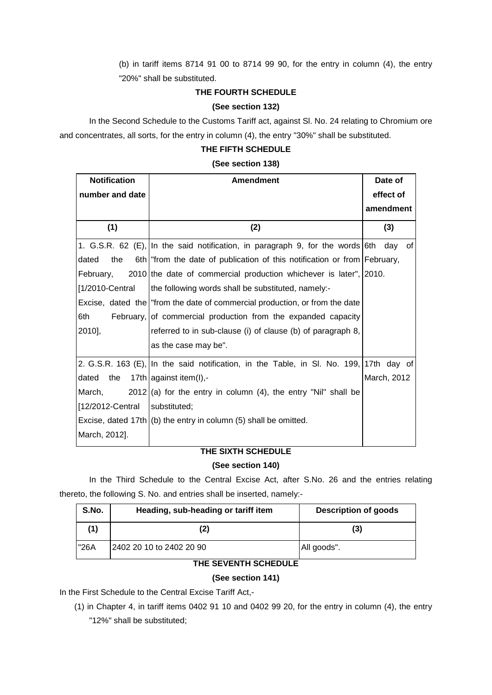(b) in tariff items 8714 91 00 to 8714 99 90, for the entry in column (4), the entry "20%" shall be substituted.

## **THE FOURTH SCHEDULE**

## **(See section 132)**

In the Second Schedule to the Customs Tariff act, against Sl. No. 24 relating to Chromium ore and concentrates, all sorts, for the entry in column (4), the entry "30%" shall be substituted.

## **THE FIFTH SCHEDULE**

## **(See section 138)**

| <b>Notification</b> | <b>Amendment</b>                                                                       | Date of     |  |
|---------------------|----------------------------------------------------------------------------------------|-------------|--|
| number and date     |                                                                                        | effect of   |  |
|                     |                                                                                        | amendment   |  |
| (1)                 | (2)                                                                                    | (3)         |  |
|                     | 1. G.S.R. 62 (E), In the said notification, in paragraph 9, for the words 6th          | day<br>0f   |  |
| dated<br>the        | 6th "from the date of publication of this notification or from February,               |             |  |
| February,           | 2010 the date of commercial production whichever is later", 2010.                      |             |  |
| [1/2010-Central]    | the following words shall be substituted, namely:-                                     |             |  |
|                     | Excise, dated the "from the date of commercial production, or from the date            |             |  |
| 6th                 | February, of commercial production from the expanded capacity                          |             |  |
| 2010],              | referred to in sub-clause (i) of clause (b) of paragraph 8,                            |             |  |
|                     | as the case may be".                                                                   |             |  |
|                     | 2. G.S.R. 163 (E), In the said notification, in the Table, in SI. No. 199, 17th day of |             |  |
| dated<br>the        | 17th against item(I),-                                                                 | March, 2012 |  |
| March,              | $2012$ (a) for the entry in column (4), the entry "Nil" shall be                       |             |  |
| [12/2012-Central    | substituted;                                                                           |             |  |
|                     | Excise, dated $17th$ (b) the entry in column (5) shall be omitted.                     |             |  |
| March, 2012].       |                                                                                        |             |  |

## **THE SIXTH SCHEDULE**

## **(See section 140)**

In the Third Schedule to the Central Excise Act, after S.No. 26 and the entries relating thereto, the following S. No. and entries shall be inserted, namely:-

| S.No. | Heading, sub-heading or tariff item | Description of goods |
|-------|-------------------------------------|----------------------|
| (1)   | (2)                                 | (3)                  |
| "26A  | 2402 20 10 to 2402 20 90            | All goods".          |

# **THE SEVENTH SCHEDULE**

## **(See section 141)**

In the First Schedule to the Central Excise Tariff Act,-

(1) in Chapter 4, in tariff items 0402 91 10 and 0402 99 20, for the entry in column (4), the entry

"12%" shall be substituted;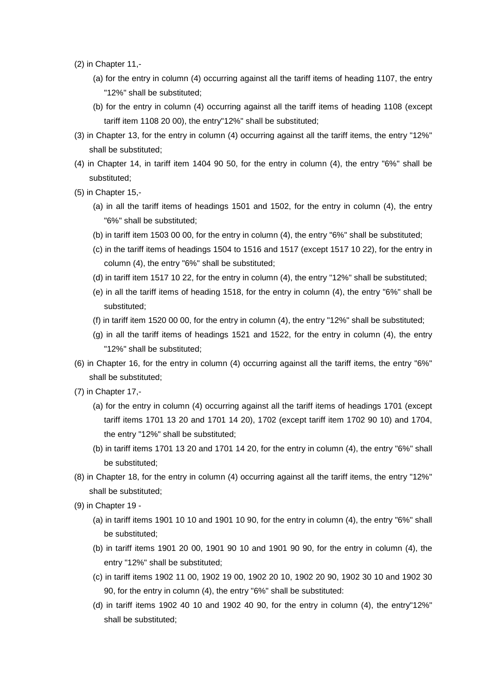- (2) in Chapter 11,-
	- (a) for the entry in column (4) occurring against all the tariff items of heading 1107, the entry "12%" shall be substituted;
	- (b) for the entry in column (4) occurring against all the tariff items of heading 1108 (except tariff item 1108 20 00), the entry"12%" shall be substituted;
- (3) in Chapter 13, for the entry in column (4) occurring against all the tariff items, the entry "12%" shall be substituted;
- (4) in Chapter 14, in tariff item 1404 90 50, for the entry in column (4), the entry "6%" shall be substituted;
- (5) in Chapter 15,-
	- (a) in all the tariff items of headings 1501 and 1502, for the entry in column (4), the entry "6%" shall be substituted;
	- (b) in tariff item 1503 00 00, for the entry in column (4), the entry "6%" shall be substituted;
	- (c) in the tariff items of headings 1504 to 1516 and 1517 (except 1517 10 22), for the entry in column (4), the entry "6%" shall be substituted;
	- (d) in tariff item 1517 10 22, for the entry in column (4), the entry "12%" shall be substituted;
	- (e) in all the tariff items of heading 1518, for the entry in column (4), the entry "6%" shall be substituted;
	- (f) in tariff item 1520 00 00, for the entry in column (4), the entry "12%" shall be substituted;
	- (g) in all the tariff items of headings 1521 and 1522, for the entry in column (4), the entry "12%" shall be substituted;
- (6) in Chapter 16, for the entry in column (4) occurring against all the tariff items, the entry "6%" shall be substituted;
- (7) in Chapter 17,-
	- (a) for the entry in column (4) occurring against all the tariff items of headings 1701 (except tariff items 1701 13 20 and 1701 14 20), 1702 (except tariff item 1702 90 10) and 1704, the entry "12%" shall be substituted;
	- (b) in tariff items 1701 13 20 and 1701 14 20, for the entry in column (4), the entry "6%" shall be substituted;
- (8) in Chapter 18, for the entry in column (4) occurring against all the tariff items, the entry "12%" shall be substituted;
- (9) in Chapter 19
	- (a) in tariff items 1901 10 10 and 1901 10 90, for the entry in column (4), the entry "6%" shall be substituted;
	- (b) in tariff items 1901 20 00, 1901 90 10 and 1901 90 90, for the entry in column (4), the entry "12%" shall be substituted;
	- (c) in tariff items 1902 11 00, 1902 19 00, 1902 20 10, 1902 20 90, 1902 30 10 and 1902 30 90, for the entry in column (4), the entry "6%" shall be substituted:
	- (d) in tariff items 1902 40 10 and 1902 40 90, for the entry in column (4), the entry"12%" shall be substituted;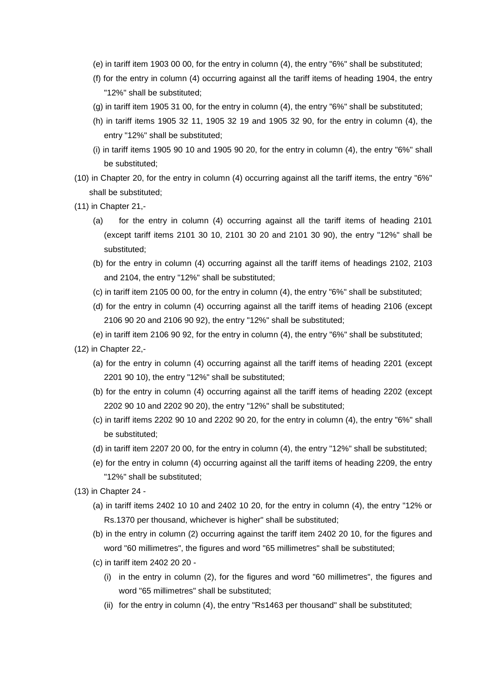- (e) in tariff item 1903 00 00, for the entry in column (4), the entry "6%" shall be substituted;
- (f) for the entry in column (4) occurring against all the tariff items of heading 1904, the entry "12%" shall be substituted;
- (g) in tariff item 1905 31 00, for the entry in column (4), the entry "6%" shall be substituted;
- (h) in tariff items 1905 32 11, 1905 32 19 and 1905 32 90, for the entry in column (4), the entry "12%" shall be substituted;
- (i) in tariff items 1905 90 10 and 1905 90 20, for the entry in column (4), the entry "6%" shall be substituted;
- (10) in Chapter 20, for the entry in column (4) occurring against all the tariff items, the entry "6%" shall be substituted;
- (11) in Chapter 21,-
	- (a) for the entry in column (4) occurring against all the tariff items of heading 2101 (except tariff items 2101 30 10, 2101 30 20 and 2101 30 90), the entry "12%" shall be substituted;
	- (b) for the entry in column (4) occurring against all the tariff items of headings 2102, 2103 and 2104, the entry "12%" shall be substituted;
	- (c) in tariff item 2105 00 00, for the entry in column (4), the entry "6%" shall be substituted;
	- (d) for the entry in column (4) occurring against all the tariff items of heading 2106 (except 2106 90 20 and 2106 90 92), the entry "12%" shall be substituted;
	- (e) in tariff item 2106 90 92, for the entry in column (4), the entry "6%" shall be substituted;
- (12) in Chapter 22,-
	- (a) for the entry in column (4) occurring against all the tariff items of heading 2201 (except 2201 90 10), the entry "12%" shall be substituted;
	- (b) for the entry in column (4) occurring against all the tariff items of heading 2202 (except 2202 90 10 and 2202 90 20), the entry "12%" shall be substituted;
	- (c) in tariff items 2202 90 10 and 2202 90 20, for the entry in column (4), the entry "6%" shall be substituted;
	- (d) in tariff item 2207 20 00, for the entry in column (4), the entry "12%" shall be substituted;
	- (e) for the entry in column (4) occurring against all the tariff items of heading 2209, the entry "12%" shall be substituted;
- (13) in Chapter 24
	- (a) in tariff items 2402 10 10 and 2402 10 20, for the entry in column (4), the entry "12% or Rs.1370 per thousand, whichever is higher" shall be substituted;
	- (b) in the entry in column (2) occurring against the tariff item 2402 20 10, for the figures and word "60 millimetres", the figures and word "65 millimetres" shall be substituted;
	- (c) in tariff item 2402 20 20
		- (i) in the entry in column (2), for the figures and word "60 millimetres", the figures and word "65 millimetres" shall be substituted;
		- (ii) for the entry in column (4), the entry "Rs1463 per thousand" shall be substituted;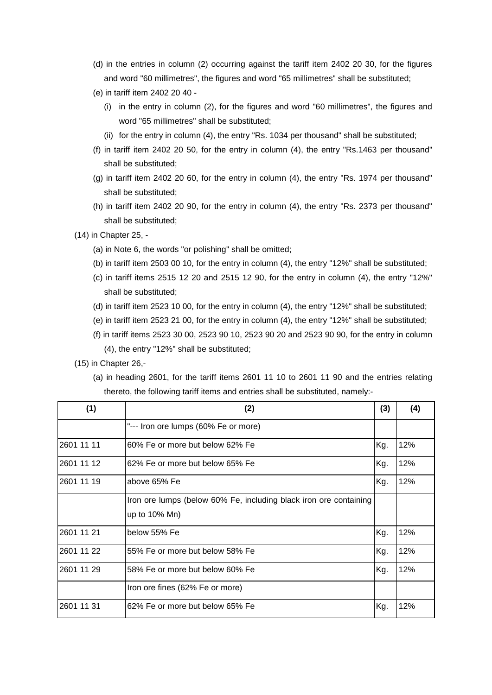- (d) in the entries in column (2) occurring against the tariff item 2402 20 30, for the figures and word "60 millimetres", the figures and word "65 millimetres" shall be substituted;
- (e) in tariff item 2402 20 40
	- (i) in the entry in column (2), for the figures and word "60 millimetres", the figures and word "65 millimetres" shall be substituted;
	- (ii) for the entry in column (4), the entry "Rs. 1034 per thousand" shall be substituted;
- (f) in tariff item 2402 20 50, for the entry in column (4), the entry "Rs.1463 per thousand" shall be substituted;
- (g) in tariff item 2402 20 60, for the entry in column (4), the entry "Rs. 1974 per thousand" shall be substituted;
- (h) in tariff item 2402 20 90, for the entry in column (4), the entry "Rs. 2373 per thousand" shall be substituted;
- (14) in Chapter 25,
	- (a) in Note 6, the words "or polishing" shall be omitted;
	- (b) in tariff item 2503 00 10, for the entry in column (4), the entry "12%" shall be substituted;
	- (c) in tariff items  $2515 12 20$  and  $2515 12 90$ , for the entry in column  $(4)$ , the entry " $12\%$ " shall be substituted;
	- (d) in tariff item 2523 10 00, for the entry in column (4), the entry "12%" shall be substituted;
	- (e) in tariff item 2523 21 00, for the entry in column (4), the entry "12%" shall be substituted;
	- (f) in tariff items 2523 30 00, 2523 90 10, 2523 90 20 and 2523 90 90, for the entry in column (4), the entry "12%" shall be substituted;
- (15) in Chapter 26,-
	- (a) in heading 2601, for the tariff items 2601 11 10 to 2601 11 90 and the entries relating thereto, the following tariff items and entries shall be substituted, namely:-

| (1)        | (2)                                                               | (3) | (4) |
|------------|-------------------------------------------------------------------|-----|-----|
|            | "--- Iron ore lumps (60% Fe or more)                              |     |     |
| 2601 11 11 | 60% Fe or more but below 62% Fe                                   | Kg. | 12% |
| 2601 11 12 | 62% Fe or more but below 65% Fe                                   | Kg. | 12% |
| 2601 11 19 | above 65% Fe                                                      | Kg. | 12% |
|            | Iron ore lumps (below 60% Fe, including black iron ore containing |     |     |
|            | up to 10% Mn)                                                     |     |     |
| 2601 11 21 | below 55% Fe                                                      | Kg. | 12% |
| 2601 11 22 | 55% Fe or more but below 58% Fe                                   | Kg. | 12% |
| 2601 11 29 | 58% Fe or more but below 60% Fe                                   | Kg. | 12% |
|            | Iron ore fines (62% Fe or more)                                   |     |     |
| 2601 11 31 | 62% Fe or more but below 65% Fe                                   | Kg. | 12% |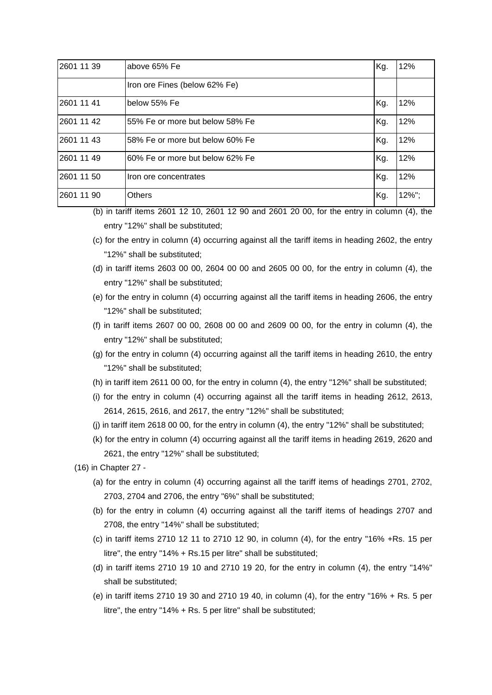| 2601 11 39 | above 65% Fe                    | Kg. | 12%   |
|------------|---------------------------------|-----|-------|
|            | Iron ore Fines (below 62% Fe)   |     |       |
| 2601 11 41 | below 55% Fe                    | Kg. | 12%   |
| 2601 11 42 | 55% Fe or more but below 58% Fe | Kg. | 12%   |
| 2601 11 43 | 58% Fe or more but below 60% Fe | Kg. | 12%   |
| 2601 11 49 | 60% Fe or more but below 62% Fe | Kg. | 12%   |
| 2601 11 50 | Iron ore concentrates           | Kg. | 12%   |
| 2601 11 90 | <b>Others</b>                   | Kg. | 12%"; |

- (b) in tariff items 2601 12 10, 2601 12 90 and 2601 20 00, for the entry in column (4), the entry "12%" shall be substituted;
- (c) for the entry in column (4) occurring against all the tariff items in heading 2602, the entry "12%" shall be substituted;
- (d) in tariff items 2603 00 00, 2604 00 00 and 2605 00 00, for the entry in column (4), the entry "12%" shall be substituted;
- (e) for the entry in column (4) occurring against all the tariff items in heading 2606, the entry "12%" shall be substituted;
- (f) in tariff items 2607 00 00, 2608 00 00 and 2609 00 00, for the entry in column (4), the entry "12%" shall be substituted;
- (g) for the entry in column (4) occurring against all the tariff items in heading 2610, the entry "12%" shall be substituted;
- (h) in tariff item 2611 00 00, for the entry in column (4), the entry "12%" shall be substituted;
- (i) for the entry in column (4) occurring against all the tariff items in heading 2612, 2613, 2614, 2615, 2616, and 2617, the entry "12%" shall be substituted;
- (j) in tariff item 2618 00 00, for the entry in column (4), the entry "12%" shall be substituted;
- (k) for the entry in column (4) occurring against all the tariff items in heading 2619, 2620 and 2621, the entry "12%" shall be substituted;

(16) in Chapter 27 -

- (a) for the entry in column (4) occurring against all the tariff items of headings 2701, 2702, 2703, 2704 and 2706, the entry "6%" shall be substituted;
- (b) for the entry in column (4) occurring against all the tariff items of headings 2707 and 2708, the entry "14%" shall be substituted;
- (c) in tariff items 2710 12 11 to 2710 12 90, in column (4), for the entry "16% +Rs. 15 per litre", the entry "14% + Rs.15 per litre" shall be substituted;
- (d) in tariff items 2710 19 10 and 2710 19 20, for the entry in column (4), the entry "14%" shall be substituted;
- (e) in tariff items 2710 19 30 and 2710 19 40, in column (4), for the entry "16% + Rs. 5 per litre", the entry "14% + Rs. 5 per litre" shall be substituted;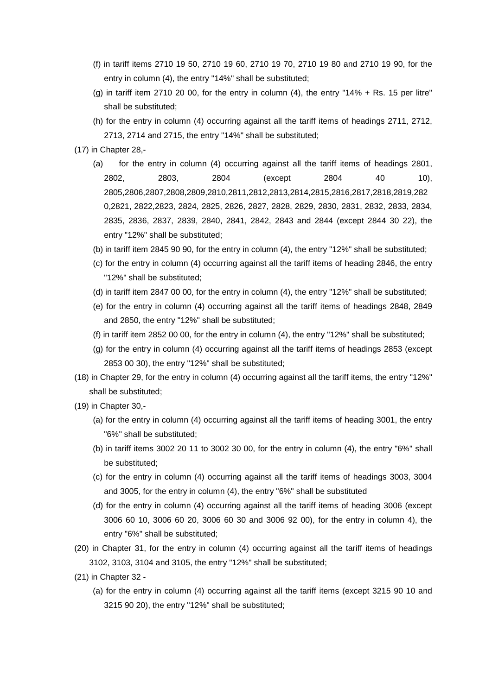- (f) in tariff items 2710 19 50, 2710 19 60, 2710 19 70, 2710 19 80 and 2710 19 90, for the entry in column (4), the entry "14%" shall be substituted;
- (g) in tariff item 2710 20 00, for the entry in column  $(4)$ , the entry "14% + Rs. 15 per litre" shall be substituted;
- (h) for the entry in column (4) occurring against all the tariff items of headings 2711, 2712, 2713, 2714 and 2715, the entry "14%" shall be substituted;
- (17) in Chapter 28,-
	- (a) for the entry in column (4) occurring against all the tariff items of headings 2801, 2802, 2803, 2804 (except 2804 40 10), 2805,2806,2807,2808,2809,2810,2811,2812,2813,2814,2815,2816,2817,2818,2819,282 0,2821, 2822,2823, 2824, 2825, 2826, 2827, 2828, 2829, 2830, 2831, 2832, 2833, 2834, 2835, 2836, 2837, 2839, 2840, 2841, 2842, 2843 and 2844 (except 2844 30 22), the entry "12%" shall be substituted;
	- (b) in tariff item 2845 90 90, for the entry in column (4), the entry "12%" shall be substituted;
	- (c) for the entry in column (4) occurring against all the tariff items of heading 2846, the entry "12%" shall be substituted;
	- (d) in tariff item 2847 00 00, for the entry in column (4), the entry "12%" shall be substituted;
	- (e) for the entry in column (4) occurring against all the tariff items of headings 2848, 2849 and 2850, the entry "12%" shall be substituted;
	- (f) in tariff item 2852 00 00, for the entry in column (4), the entry "12%" shall be substituted;
	- (g) for the entry in column (4) occurring against all the tariff items of headings 2853 (except 2853 00 30), the entry "12%" shall be substituted;
- (18) in Chapter 29, for the entry in column (4) occurring against all the tariff items, the entry "12%" shall be substituted;
- (19) in Chapter 30,-
	- (a) for the entry in column (4) occurring against all the tariff items of heading 3001, the entry "6%" shall be substituted;
	- (b) in tariff items 3002 20 11 to 3002 30 00, for the entry in column (4), the entry "6%" shall be substituted;
	- (c) for the entry in column (4) occurring against all the tariff items of headings 3003, 3004 and 3005, for the entry in column (4), the entry "6%" shall be substituted
	- (d) for the entry in column (4) occurring against all the tariff items of heading 3006 (except 3006 60 10, 3006 60 20, 3006 60 30 and 3006 92 00), for the entry in column 4), the entry "6%" shall be substituted;
- (20) in Chapter 31, for the entry in column (4) occurring against all the tariff items of headings 3102, 3103, 3104 and 3105, the entry "12%" shall be substituted;
- (21) in Chapter 32
	- (a) for the entry in column (4) occurring against all the tariff items (except 3215 90 10 and 3215 90 20), the entry "12%" shall be substituted;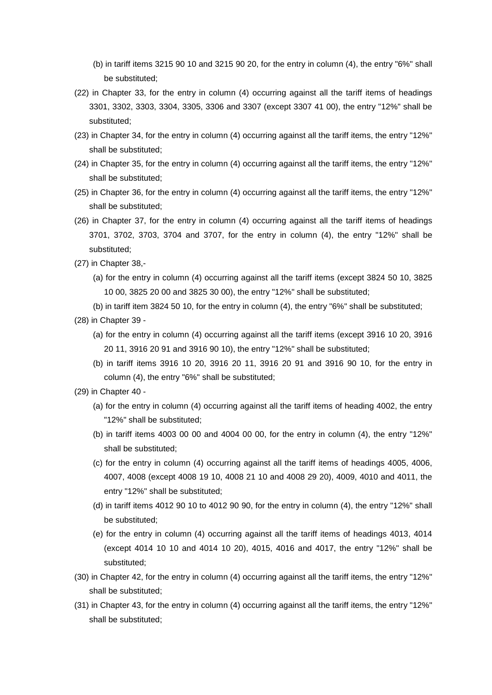- (b) in tariff items 3215 90 10 and 3215 90 20, for the entry in column (4), the entry "6%" shall be substituted;
- (22) in Chapter 33, for the entry in column (4) occurring against all the tariff items of headings 3301, 3302, 3303, 3304, 3305, 3306 and 3307 (except 3307 41 00), the entry "12%" shall be substituted;
- (23) in Chapter 34, for the entry in column (4) occurring against all the tariff items, the entry "12%" shall be substituted;
- (24) in Chapter 35, for the entry in column (4) occurring against all the tariff items, the entry "12%" shall be substituted;
- (25) in Chapter 36, for the entry in column (4) occurring against all the tariff items, the entry "12%" shall be substituted;
- (26) in Chapter 37, for the entry in column (4) occurring against all the tariff items of headings 3701, 3702, 3703, 3704 and 3707, for the entry in column (4), the entry "12%" shall be substituted;
- (27) in Chapter 38,-
	- (a) for the entry in column (4) occurring against all the tariff items (except 3824 50 10, 3825 10 00, 3825 20 00 and 3825 30 00), the entry "12%" shall be substituted;
	- (b) in tariff item 3824 50 10, for the entry in column (4), the entry "6%" shall be substituted;
- (28) in Chapter 39
	- (a) for the entry in column (4) occurring against all the tariff items (except 3916 10 20, 3916 20 11, 3916 20 91 and 3916 90 10), the entry "12%" shall be substituted;
	- (b) in tariff items 3916 10 20, 3916 20 11, 3916 20 91 and 3916 90 10, for the entry in column (4), the entry "6%" shall be substituted;
- (29) in Chapter 40
	- (a) for the entry in column (4) occurring against all the tariff items of heading 4002, the entry "12%" shall be substituted;
	- (b) in tariff items 4003 00 00 and 4004 00 00, for the entry in column (4), the entry "12%" shall be substituted;
	- (c) for the entry in column (4) occurring against all the tariff items of headings 4005, 4006, 4007, 4008 (except 4008 19 10, 4008 21 10 and 4008 29 20), 4009, 4010 and 4011, the entry "12%" shall be substituted;
	- (d) in tariff items 4012 90 10 to 4012 90 90, for the entry in column (4), the entry "12%" shall be substituted;
	- (e) for the entry in column (4) occurring against all the tariff items of headings 4013, 4014 (except 4014 10 10 and 4014 10 20), 4015, 4016 and 4017, the entry "12%" shall be substituted;
- (30) in Chapter 42, for the entry in column (4) occurring against all the tariff items, the entry "12%" shall be substituted;
- (31) in Chapter 43, for the entry in column (4) occurring against all the tariff items, the entry "12%" shall be substituted;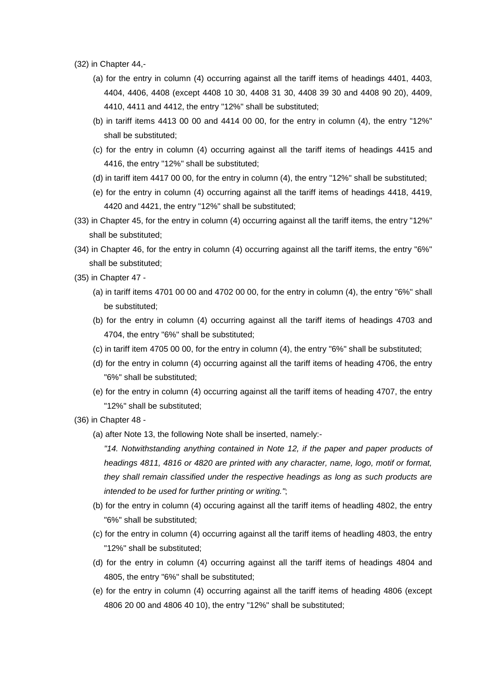- (32) in Chapter 44,-
	- (a) for the entry in column (4) occurring against all the tariff items of headings 4401, 4403, 4404, 4406, 4408 (except 4408 10 30, 4408 31 30, 4408 39 30 and 4408 90 20), 4409, 4410, 4411 and 4412, the entry "12%" shall be substituted;
	- (b) in tariff items 4413 00 00 and 4414 00 00, for the entry in column (4), the entry "12%" shall be substituted;
	- (c) for the entry in column (4) occurring against all the tariff items of headings 4415 and 4416, the entry "12%" shall be substituted;
	- (d) in tariff item 4417 00 00, for the entry in column (4), the entry "12%" shall be substituted;
	- (e) for the entry in column (4) occurring against all the tariff items of headings 4418, 4419, 4420 and 4421, the entry "12%" shall be substituted;
- (33) in Chapter 45, for the entry in column (4) occurring against all the tariff items, the entry "12%" shall be substituted;
- (34) in Chapter 46, for the entry in column (4) occurring against all the tariff items, the entry "6%" shall be substituted;
- (35) in Chapter 47
	- (a) in tariff items 4701 00 00 and 4702 00 00, for the entry in column (4), the entry "6%" shall be substituted;
	- (b) for the entry in column (4) occurring against all the tariff items of headings 4703 and 4704, the entry "6%" shall be substituted;
	- (c) in tariff item 4705 00 00, for the entry in column (4), the entry "6%" shall be substituted;
	- (d) for the entry in column (4) occurring against all the tariff items of heading 4706, the entry "6%" shall be substituted;
	- (e) for the entry in column (4) occurring against all the tariff items of heading 4707, the entry "12%" shall be substituted;
- (36) in Chapter 48
	- (a) after Note 13, the following Note shall be inserted, namely:-

*"14. Notwithstanding anything contained in Note 12, if the paper and paper products of headings 4811, 4816 or 4820 are printed with any character, name, logo, motif or format, they shall remain classified under the respective headings as long as such products are intended to be used for further printing or writing."*;

- (b) for the entry in column (4) occuring against all the tariff items of headling 4802, the entry "6%" shall be substituted;
- (c) for the entry in column (4) occurring against all the tariff items of headling 4803, the entry "12%" shall be substituted;
- (d) for the entry in column (4) occurring against all the tariff items of headings 4804 and 4805, the entry "6%" shall be substituted;
- (e) for the entry in column (4) occurring against all the tariff items of heading 4806 (except 4806 20 00 and 4806 40 10), the entry "12%" shall be substituted;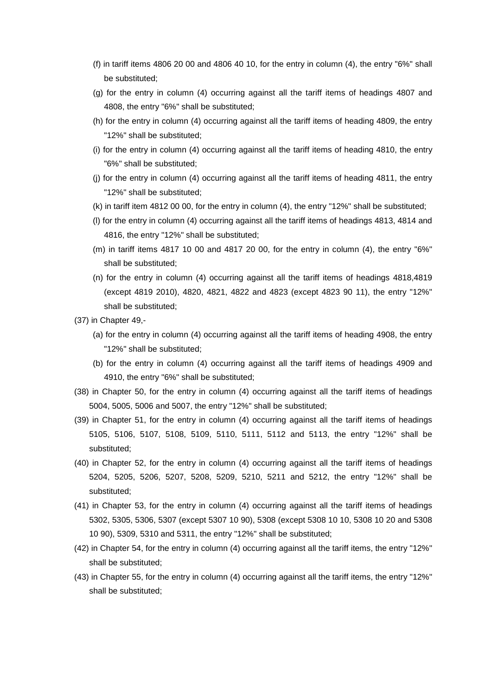- (f) in tariff items 4806 20 00 and 4806 40 10, for the entry in column (4), the entry "6%" shall be substituted;
- (g) for the entry in column (4) occurring against all the tariff items of headings 4807 and 4808, the entry "6%" shall be substituted;
- (h) for the entry in column (4) occurring against all the tariff items of heading 4809, the entry "12%" shall be substituted;
- (i) for the entry in column (4) occurring against all the tariff items of heading 4810, the entry "6%" shall be substituted;
- (j) for the entry in column (4) occurring against all the tariff items of heading 4811, the entry "12%" shall be substituted;
- (k) in tariff item 4812 00 00, for the entry in column (4), the entry "12%" shall be substituted;
- (l) for the entry in column (4) occurring against all the tariff items of headings 4813, 4814 and 4816, the entry "12%" shall be substituted;
- $(m)$  in tariff items 4817 10 00 and 4817 20 00, for the entry in column  $(4)$ , the entry "6%" shall be substituted;
- (n) for the entry in column (4) occurring against all the tariff items of headings 4818,4819 (except 4819 2010), 4820, 4821, 4822 and 4823 (except 4823 90 11), the entry "12%" shall be substituted;
- (37) in Chapter 49,-
	- (a) for the entry in column (4) occurring against all the tariff items of heading 4908, the entry "12%" shall be substituted;
	- (b) for the entry in column (4) occurring against all the tariff items of headings 4909 and 4910, the entry "6%" shall be substituted;
- (38) in Chapter 50, for the entry in column (4) occurring against all the tariff items of headings 5004, 5005, 5006 and 5007, the entry "12%" shall be substituted;
- (39) in Chapter 51, for the entry in column (4) occurring against all the tariff items of headings 5105, 5106, 5107, 5108, 5109, 5110, 5111, 5112 and 5113, the entry "12%" shall be substituted;
- (40) in Chapter 52, for the entry in column (4) occurring against all the tariff items of headings 5204, 5205, 5206, 5207, 5208, 5209, 5210, 5211 and 5212, the entry "12%" shall be substituted;
- (41) in Chapter 53, for the entry in column (4) occurring against all the tariff items of headings 5302, 5305, 5306, 5307 (except 5307 10 90), 5308 (except 5308 10 10, 5308 10 20 and 5308 10 90), 5309, 5310 and 5311, the entry "12%" shall be substituted;
- (42) in Chapter 54, for the entry in column (4) occurring against all the tariff items, the entry "12%" shall be substituted;
- (43) in Chapter 55, for the entry in column (4) occurring against all the tariff items, the entry "12%" shall be substituted;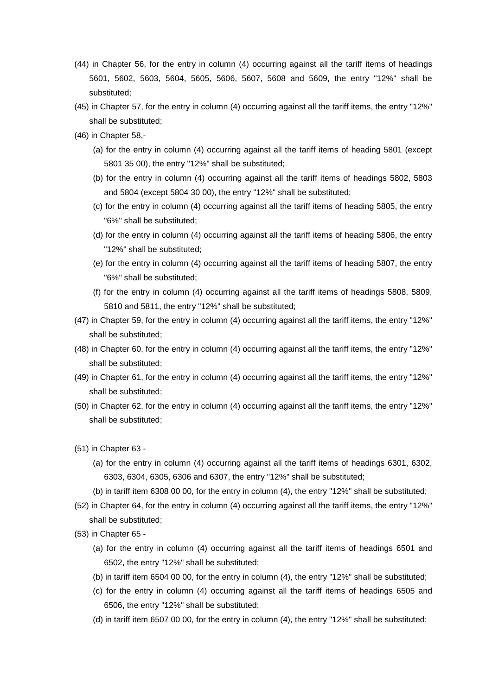- (44) in Chapter 56, for the entry in column (4) occurring against all the tariff items of headings 5601, 5602, 5603, 5604, 5605, 5606, 5607, 5608 and 5609, the entry "12%" shall be substituted;
- (45) in Chapter 57, for the entry in column (4) occurring against all the tariff items, the entry "12%" shall be substituted;
- (46) in Chapter 58,-
	- (a) for the entry in column (4) occurring against all the tariff items of heading 5801 (except 5801 35 00), the entry "12%" shall be substituted;
	- (b) for the entry in column (4) occurring against all the tariff items of headings 5802, 5803 and 5804 (except 5804 30 00), the entry "12%" shall be substituted;
	- (c) for the entry in column (4) occurring against all the tariff items of heading 5805, the entry "6%" shall be substituted;
	- (d) for the entry in column (4) occurring against all the tariff items of heading 5806, the entry "12%" shall be substituted;
	- (e) for the entry in column (4) occurring against all the tariff items of heading 5807, the entry "6%" shall be substituted;
	- (f) for the entry in column (4) occurring against all the tariff items of headings 5808, 5809, 5810 and 5811, the entry "12%" shall be substituted;
- (47) in Chapter 59, for the entry in column (4) occurring against all the tariff items, the entry "12%" shall be substituted;
- (48) in Chapter 60, for the entry in column (4) occurring against all the tariff items, the entry "12%" shall be substituted;
- (49) in Chapter 61, for the entry in column (4) occurring against all the tariff items, the entry "12%" shall be substituted;
- (50) in Chapter 62, for the entry in column (4) occurring against all the tariff items, the entry "12%" shall be substituted;
- (51) in Chapter 63
	- (a) for the entry in column (4) occurring against all the tariff items of headings 6301, 6302, 6303, 6304, 6305, 6306 and 6307, the entry "12%" shall be substituted;
	- (b) in tariff item 6308 00 00, for the entry in column (4), the entry "12%" shall be substituted;
- (52) in Chapter 64, for the entry in column (4) occurring against all the tariff items, the entry "12%" shall be substituted;
- (53) in Chapter 65
	- (a) for the entry in column (4) occurring against all the tariff items of headings 6501 and 6502, the entry "12%" shall be substituted;
	- (b) in tariff item 6504 00 00, for the entry in column (4), the entry "12%" shall be substituted;
	- (c) for the entry in column (4) occurring against all the tariff items of headings 6505 and 6506, the entry "12%" shall be substituted;
	- (d) in tariff item 6507 00 00, for the entry in column (4), the entry "12%" shall be substituted;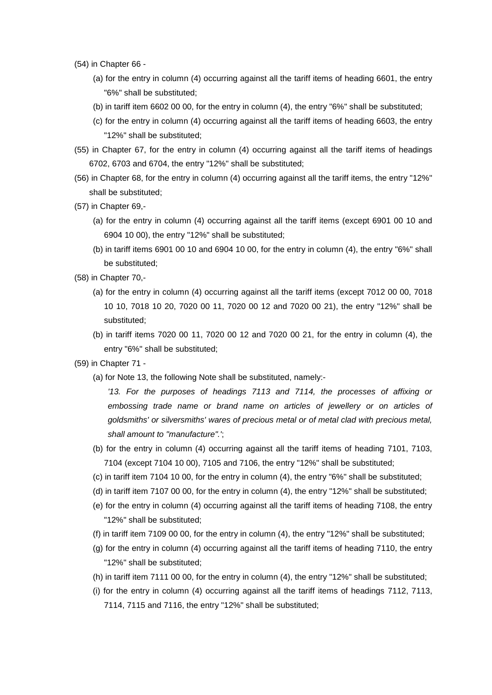- (54) in Chapter 66
	- (a) for the entry in column (4) occurring against all the tariff items of heading 6601, the entry "6%" shall be substituted;
	- (b) in tariff item 6602 00 00, for the entry in column (4), the entry "6%" shall be substituted;
	- (c) for the entry in column (4) occurring against all the tariff items of heading 6603, the entry "12%" shall be substituted;
- (55) in Chapter 67, for the entry in column (4) occurring against all the tariff items of headings 6702, 6703 and 6704, the entry "12%" shall be substituted;
- (56) in Chapter 68, for the entry in column (4) occurring against all the tariff items, the entry "12%" shall be substituted;
- (57) in Chapter 69,-
	- (a) for the entry in column (4) occurring against all the tariff items (except 6901 00 10 and 6904 10 00), the entry "12%" shall be substituted;
	- (b) in tariff items 6901 00 10 and 6904 10 00, for the entry in column (4), the entry "6%" shall be substituted;
- (58) in Chapter 70,-
	- (a) for the entry in column (4) occurring against all the tariff items (except 7012 00 00, 7018 10 10, 7018 10 20, 7020 00 11, 7020 00 12 and 7020 00 21), the entry "12%" shall be substituted;
	- (b) in tariff items 7020 00 11, 7020 00 12 and 7020 00 21, for the entry in column (4), the entry "6%" shall be substituted;
- (59) in Chapter 71
	- (a) for Note 13, the following Note shall be substituted, namely:-

*'13. For the purposes of headings 7113 and 7114, the processes of affixing or embossing trade name or brand name on articles of jewellery or on articles of goldsmiths' or silversmiths' wares of precious metal or of metal clad with precious metal, shall amount to "manufacture".'*;

- (b) for the entry in column (4) occurring against all the tariff items of heading 7101, 7103, 7104 (except 7104 10 00), 7105 and 7106, the entry "12%" shall be substituted;
- (c) in tariff item 7104 10 00, for the entry in column (4), the entry "6%" shall be substituted;
- (d) in tariff item 7107 00 00, for the entry in column (4), the entry "12%" shall be substituted;
- (e) for the entry in column (4) occurring against all the tariff items of heading 7108, the entry "12%" shall be substituted;
- (f) in tariff item 7109 00 00, for the entry in column (4), the entry "12%" shall be substituted;
- (g) for the entry in column (4) occurring against all the tariff items of heading 7110, the entry "12%" shall be substituted;
- (h) in tariff item 7111 00 00, for the entry in column (4), the entry "12%" shall be substituted;
- (i) for the entry in column (4) occurring against all the tariff items of headings 7112, 7113, 7114, 7115 and 7116, the entry "12%" shall be substituted;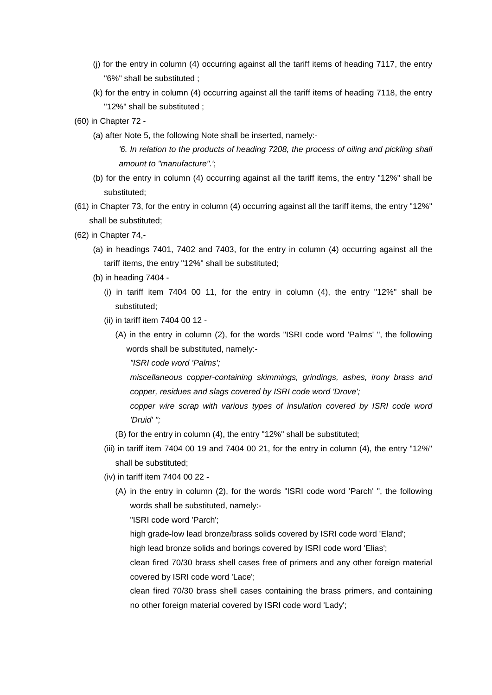- (j) for the entry in column (4) occurring against all the tariff items of heading 7117, the entry "6%" shall be substituted ;
- (k) for the entry in column (4) occurring against all the tariff items of heading 7118, the entry "12%" shall be substituted ;
- (60) in Chapter 72
	- (a) after Note 5, the following Note shall be inserted, namely:-

*'6. In relation to the products of heading 7208, the process of oiling and pickling shall amount to "manufacture".'*;

- (b) for the entry in column (4) occurring against all the tariff items, the entry "12%" shall be substituted;
- (61) in Chapter 73, for the entry in column (4) occurring against all the tariff items, the entry "12%" shall be substituted;
- (62) in Chapter 74,-
	- (a) in headings 7401, 7402 and 7403, for the entry in column (4) occurring against all the tariff items, the entry "12%" shall be substituted;
	- (b) in heading 7404
		- (i) in tariff item 7404 00 11, for the entry in column (4), the entry "12%" shall be substituted;
		- (ii) in tariff item 7404 00 12
			- (A) in the entry in column (2), for the words "ISRI code word 'Palms' ", the following words shall be substituted, namely:-

*"ISRI code word 'Palms';*

*miscellaneous copper-containing skimmings, grindings, ashes, irony brass and copper, residues and slags covered by ISRI code word 'Drove';*

*copper wire scrap with various types of insulation covered by ISRI code word 'Druid' ";*

- (B) for the entry in column (4), the entry "12%" shall be substituted;
- (iii) in tariff item 7404 00 19 and 7404 00 21, for the entry in column  $(4)$ , the entry "12%" shall be substituted;
- (iv) in tariff item 7404 00 22
	- (A) in the entry in column (2), for the words "ISRI code word 'Parch' ", the following words shall be substituted, namely:-

"ISRI code word 'Parch';

high grade-low lead bronze/brass solids covered by ISRI code word 'Eland';

high lead bronze solids and borings covered by ISRI code word 'Elias';

clean fired 70/30 brass shell cases free of primers and any other foreign material covered by ISRI code word 'Lace';

clean fired 70/30 brass shell cases containing the brass primers, and containing no other foreign material covered by ISRI code word 'Lady';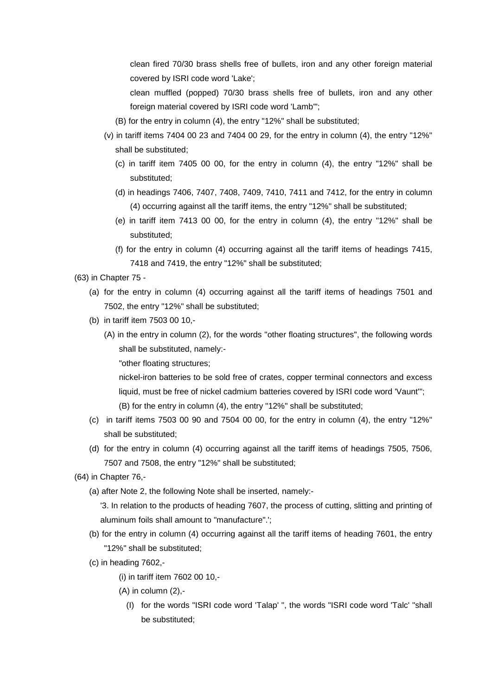clean fired 70/30 brass shells free of bullets, iron and any other foreign material covered by ISRI code word 'Lake';

- clean muffled (popped) 70/30 brass shells free of bullets, iron and any other foreign material covered by ISRI code word 'Lamb'";
- (B) for the entry in column (4), the entry "12%" shall be substituted;
- (v) in tariff items  $7404\,00\,23$  and  $7404\,00\,29$ , for the entry in column  $(4)$ , the entry "12%" shall be substituted;
	- (c) in tariff item 7405 00 00, for the entry in column (4), the entry "12%" shall be substituted;
	- (d) in headings 7406, 7407, 7408, 7409, 7410, 7411 and 7412, for the entry in column (4) occurring against all the tariff items, the entry "12%" shall be substituted;
	- (e) in tariff item 7413 00 00, for the entry in column (4), the entry "12%" shall be substituted;
	- (f) for the entry in column (4) occurring against all the tariff items of headings 7415, 7418 and 7419, the entry "12%" shall be substituted;
- (63) in Chapter 75
	- (a) for the entry in column (4) occurring against all the tariff items of headings 7501 and 7502, the entry "12%" shall be substituted;
	- (b) in tariff item 7503 00 10,-
		- (A) in the entry in column (2), for the words ''other floating structures", the following words shall be substituted, namely:-
			- "other floating structures;

nickel-iron batteries to be sold free of crates, copper terminal connectors and excess liquid, must be free of nickel cadmium batteries covered by ISRI code word 'Vaunt'"; (B) for the entry in column (4), the entry "12%" shall be substituted;

- (c) in tariff items  $75030090$  and  $75040000$ , for the entry in column  $(4)$ , the entry " $12\%$ " shall be substituted;
- (d) for the entry in column (4) occurring against all the tariff items of headings 7505, 7506, 7507 and 7508, the entry "12%" shall be substituted;
- (64) in Chapter 76,-
	- (a) after Note 2, the following Note shall be inserted, namely:-
		- '3. In relation to the products of heading 7607, the process of cutting, slitting and printing of aluminum foils shall amount to "manufacture".';
	- (b) for the entry in column (4) occurring against all the tariff items of heading 7601, the entry "12%" shall be substituted;
	- (c) in heading 7602,-
		- (i) in tariff item 7602 00 10,-
		- $(A)$  in column  $(2)$ ,-
			- (I) for the words "ISRI code word 'Talap' ", the words "ISRI code word 'Talc' "shall be substituted;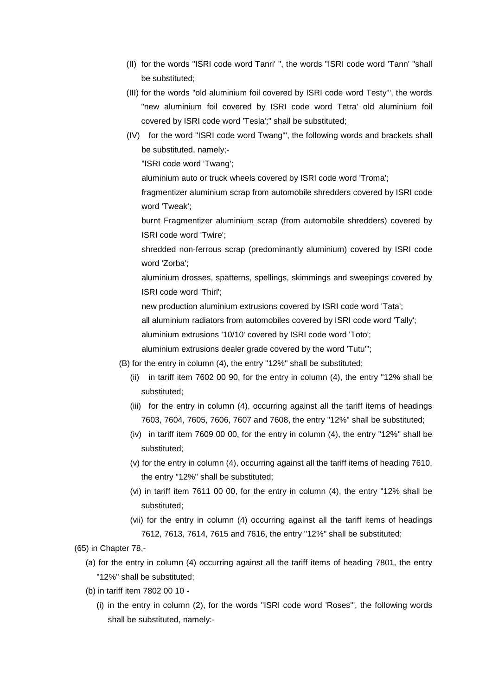- (II) for the words "ISRI code word Tanri' ", the words "ISRI code word 'Tann' "shall be substituted;
- (III) for the words "old aluminium foil covered by ISRI code word Testy'", the words "new aluminium foil covered by ISRI code word Tetra' old aluminium foil covered by ISRI code word 'Tesla';" shall be substituted;
- (IV) for the word "ISRI code word Twang'", the following words and brackets shall be substituted, namely;-

"ISRI code word 'Twang';

aluminium auto or truck wheels covered by ISRI code word 'Troma';

fragmentizer aluminium scrap from automobile shredders covered by ISRI code word 'Tweak';

burnt Fragmentizer aluminium scrap (from automobile shredders) covered by ISRI code word 'Twire';

shredded non-ferrous scrap (predominantly aluminium) covered by ISRI code word 'Zorba';

aluminium drosses, spatterns, spellings, skimmings and sweepings covered by ISRI code word 'Thirl';

new production aluminium extrusions covered by ISRI code word 'Tata';

all aluminium radiators from automobiles covered by ISRI code word 'Tally';

aluminium extrusions '10/10' covered by ISRI code word 'Toto';

aluminium extrusions dealer grade covered by the word 'Tutu'";

(B) for the entry in column (4), the entry "12%" shall be substituted;

- (ii) in tariff item 7602 00 90, for the entry in column (4), the entry "12% shall be substituted;
- (iii) for the entry in column (4), occurring against all the tariff items of headings 7603, 7604, 7605, 7606, 7607 and 7608, the entry "12%" shall be substituted;
- (iv) in tariff item 7609 00 00, for the entry in column (4), the entry "12%" shall be substituted;
- (v) for the entry in column (4), occurring against all the tariff items of heading 7610, the entry "12%" shall be substituted;
- (vi) in tariff item 7611 00 00, for the entry in column (4), the entry "12% shall be substituted;
- (vii) for the entry in column (4) occurring against all the tariff items of headings 7612, 7613, 7614, 7615 and 7616, the entry "12%" shall be substituted;
- (65) in Chapter 78,-
	- (a) for the entry in column (4) occurring against all the tariff items of heading 7801, the entry "12%" shall be substituted;
	- (b) in tariff item 7802 00 10
		- (i) in the entry in column (2), for the words "ISRI code word 'Roses'", the following words shall be substituted, namely:-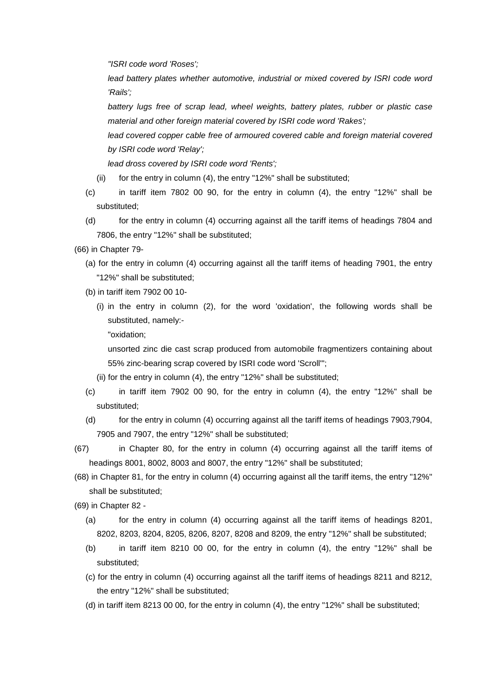*"ISRI code word 'Roses';*

lead battery plates whether automotive, industrial or mixed covered by ISRI code word *'Rails';*

*battery lugs free of scrap lead, wheel weights, battery plates, rubber or plastic case material and other foreign material covered by ISRI code word 'Rakes';*

lead covered copper cable free of armoured covered cable and foreign material covered *by ISRI code word 'Relay';* 

*lead dross covered by ISRI code word 'Rents';*

- (ii) for the entry in column (4), the entry "12%" shall be substituted;
- (c) in tariff item 7802 00 90, for the entry in column (4), the entry "12%" shall be substituted;
- (d) for the entry in column (4) occurring against all the tariff items of headings 7804 and 7806, the entry "12%" shall be substituted;
- (66) in Chapter 79-
	- (a) for the entry in column (4) occurring against all the tariff items of heading 7901, the entry "12%" shall be substituted;
	- (b) in tariff item 7902 00 10-
		- (i) in the entry in column (2), for the word 'oxidation', the following words shall be substituted, namely:-

"oxidation;

unsorted zinc die cast scrap produced from automobile fragmentizers containing about 55% zinc-bearing scrap covered by ISRI code word 'Scroll'";

- (ii) for the entry in column (4), the entry "12%" shall be substituted;
- (c) in tariff item 7902 00 90, for the entry in column (4), the entry "12%" shall be substituted;
- (d) for the entry in column (4) occurring against all the tariff items of headings 7903,7904, 7905 and 7907, the entry "12%" shall be substituted;
- (67) in Chapter 80, for the entry in column (4) occurring against all the tariff items of headings 8001, 8002, 8003 and 8007, the entry "12%" shall be substituted;
- (68) in Chapter 81, for the entry in column (4) occurring against all the tariff items, the entry "12%" shall be substituted;
- (69) in Chapter 82
	- (a) for the entry in column (4) occurring against all the tariff items of headings 8201, 8202, 8203, 8204, 8205, 8206, 8207, 8208 and 8209, the entry "12%" shall be substituted;
	- (b) in tariff item 8210 00 00, for the entry in column (4), the entry "12%" shall be substituted;
	- (c) for the entry in column (4) occurring against all the tariff items of headings 8211 and 8212, the entry "12%" shall be substituted;
	- (d) in tariff item 8213 00 00, for the entry in column (4), the entry "12%" shall be substituted;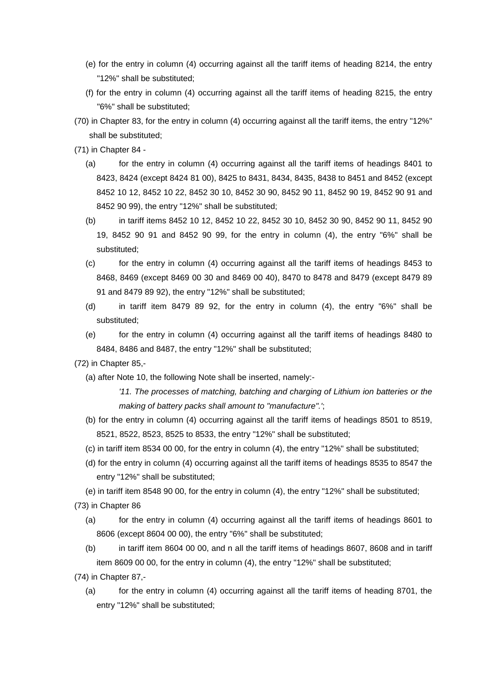- (e) for the entry in column (4) occurring against all the tariff items of heading 8214, the entry "12%" shall be substituted;
- (f) for the entry in column (4) occurring against all the tariff items of heading 8215, the entry "6%" shall be substituted;
- (70) in Chapter 83, for the entry in column (4) occurring against all the tariff items, the entry "12%" shall be substituted;
- (71) in Chapter 84
	- (a) for the entry in column (4) occurring against all the tariff items of headings 8401 to 8423, 8424 (except 8424 81 00), 8425 to 8431, 8434, 8435, 8438 to 8451 and 8452 (except 8452 10 12, 8452 10 22, 8452 30 10, 8452 30 90, 8452 90 11, 8452 90 19, 8452 90 91 and 8452 90 99), the entry "12%" shall be substituted;
	- (b) in tariff items 8452 10 12, 8452 10 22, 8452 30 10, 8452 30 90, 8452 90 11, 8452 90 19, 8452 90 91 and 8452 90 99, for the entry in column (4), the entry "6%" shall be substituted;
	- (c) for the entry in column (4) occurring against all the tariff items of headings 8453 to 8468, 8469 (except 8469 00 30 and 8469 00 40), 8470 to 8478 and 8479 (except 8479 89 91 and 8479 89 92), the entry "12%" shall be substituted;
	- (d) in tariff item 8479 89 92, for the entry in column (4), the entry "6%" shall be substituted;
	- (e) for the entry in column (4) occurring against all the tariff items of headings 8480 to 8484, 8486 and 8487, the entry "12%" shall be substituted;
- (72) in Chapter 85,-
	- (a) after Note 10, the following Note shall be inserted, namely:-

*'11. The processes of matching, batching and charging of Lithium ion batteries or the making of battery packs shall amount to "manufacture".'*;

- (b) for the entry in column (4) occurring against all the tariff items of headings 8501 to 8519, 8521, 8522, 8523, 8525 to 8533, the entry "12%" shall be substituted;
- (c) in tariff item 8534 00 00, for the entry in column (4), the entry "12%" shall be substituted;
- (d) for the entry in column (4) occurring against all the tariff items of headings 8535 to 8547 the entry "12%" shall be substituted;
- (e) in tariff item 8548 90 00, for the entry in column (4), the entry "12%" shall be substituted;
- (73) in Chapter 86
	- (a) for the entry in column (4) occurring against all the tariff items of headings 8601 to 8606 (except 8604 00 00), the entry "6%" shall be substituted;
	- (b) in tariff item 8604 00 00, and n all the tariff items of headings 8607, 8608 and in tariff item 8609 00 00, for the entry in column (4), the entry "12%" shall be substituted;
- (74) in Chapter 87,-
	- (a) for the entry in column (4) occurring against all the tariff items of heading 8701, the entry "12%" shall be substituted;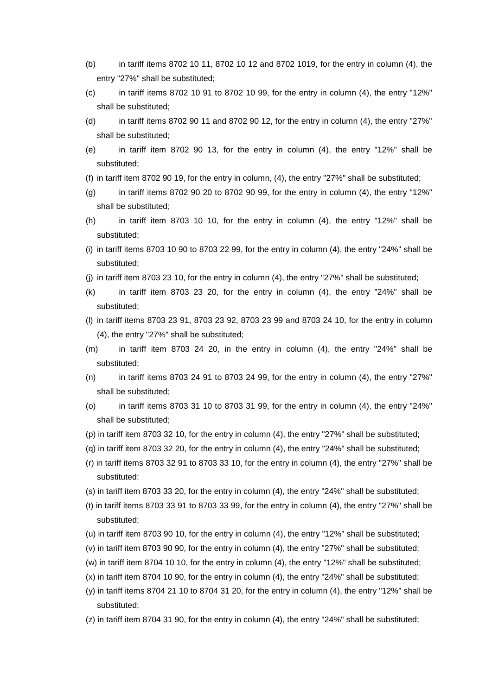- (b) in tariff items 8702 10 11, 8702 10 12 and 8702 1019, for the entry in column (4), the entry "27%" shall be substituted;
- $\sigma$  in tariff items 8702 10 91 to 8702 10 99, for the entry in column (4), the entry "12%" shall be substituted;
- (d) in tariff items 8702 90 11 and 8702 90 12, for the entry in column (4), the entry "27%" shall be substituted;
- (e) in tariff item 8702 90 13, for the entry in column (4), the entry "12%" shall be substituted;
- (f) in tariff item 8702 90 19, for the entry in column, (4), the entry "27%" shall be substituted;
- (g) in tariff items  $8702\,90\,20$  to  $8702\,90\,99$ , for the entry in column (4), the entry "12%" shall be substituted;
- (h) in tariff item 8703 10 10, for the entry in column  $(4)$ , the entry "12%" shall be substituted;
- (i) in tariff items 8703 10 90 to 8703 22 99, for the entry in column (4), the entry "24%" shall be substituted;
- (j) in tariff item 8703 23 10, for the entry in column (4), the entry "27%" shall be substituted;
- (k) in tariff item 8703 23 20, for the entry in column (4), the entry "24%" shall be substituted;
- (l) in tariff items 8703 23 91, 8703 23 92, 8703 23 99 and 8703 24 10, for the entry in column (4), the entry "27%" shall be substituted;
- $(m)$  in tariff item 8703 24 20, in the entry in column  $(4)$ , the entry "24%" shall be substituted;
- $(n)$  in tariff items 8703 24 91 to 8703 24 99, for the entry in column (4), the entry "27%" shall be substituted;
- (o) in tariff items 8703 31 10 to 8703 31 99, for the entry in column (4), the entry "24%" shall be substituted;
- (p) in tariff item 8703 32 10, for the entry in column (4), the entry "27%" shall be substituted;
- (q) in tariff item 8703 32 20, for the entry in column (4), the entry "24%" shall be substituted;
- (r) in tariff items 8703 32 91 to 8703 33 10, for the entry in column (4), the entry "27%" shall be substituted:
- (s) in tariff item 8703 33 20, for the entry in column (4), the entry "24%" shall be substituted;
- (t) in tariff items 8703 33 91 to 8703 33 99, for the entry in column (4), the entry "27%" shall be substituted;
- (u) in tariff item 8703 90 10, for the entry in column (4), the entry "12%" shall be substituted;
- (v) in tariff item 8703 90 90, for the entry in column (4), the entry "27%" shall be substituted;
- (w) in tariff item 8704 10 10, for the entry in column (4), the entry "12%" shall be substituted;
- (x) in tariff item 8704 10 90, for the entry in column (4), the entry "24%" shall be substituted;
- (y) in tariff items 8704 21 10 to 8704 31 20, for the entry in column (4), the entry "12%" shall be substituted;
- (z) in tariff item 8704 31 90, for the entry in column (4), the entry "24%" shall be substituted;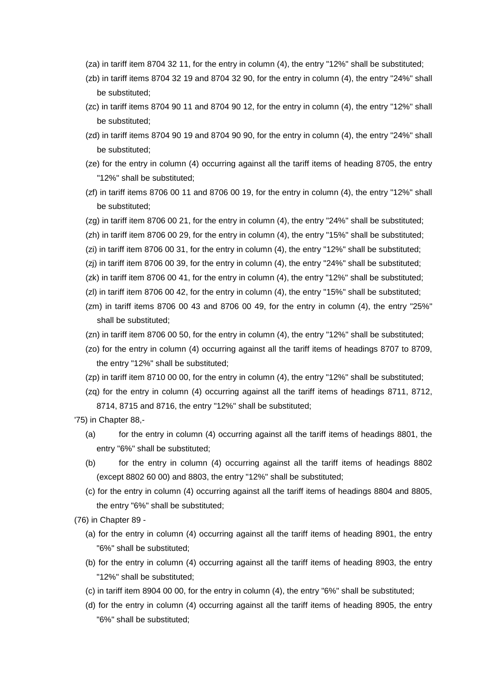- (za) in tariff item 8704 32 11, for the entry in column (4), the entry "12%" shall be substituted;
- (zb) in tariff items 8704 32 19 and 8704 32 90, for the entry in column (4), the entry "24%" shall be substituted;
- (zc) in tariff items 8704 90 11 and 8704 90 12, for the entry in column (4), the entry "12%" shall be substituted;
- (zd) in tariff items 8704 90 19 and 8704 90 90, for the entry in column (4), the entry "24%" shall be substituted;
- (ze) for the entry in column (4) occurring against all the tariff items of heading 8705, the entry "12%" shall be substituted;
- (zf) in tariff items 8706 00 11 and 8706 00 19, for the entry in column (4), the entry "12%" shall be substituted;
- (zg) in tariff item 8706 00 21, for the entry in column (4), the entry "24%" shall be substituted;
- (zh) in tariff item 8706 00 29, for the entry in column (4), the entry "15%" shall be substituted;
- (zi) in tariff item 8706 00 31, for the entry in column (4), the entry "12%" shall be substituted;
- (zj) in tariff item 8706 00 39, for the entry in column (4), the entry "24%" shall be substituted;
- (zk) in tariff item 8706 00 41, for the entry in column (4), the entry "12%" shall be substituted;
- (zl) in tariff item 8706 00 42, for the entry in column (4), the entry "15%" shall be substituted;
- (zm) in tariff items 8706 00 43 and 8706 00 49, for the entry in column (4), the entry "25%" shall be substituted;
- (zn) in tariff item 8706 00 50, for the entry in column (4), the entry "12%" shall be substituted;
- (zo) for the entry in column (4) occurring against all the tariff items of headings 8707 to 8709, the entry "12%" shall be substituted;
- (zp) in tariff item 8710 00 00, for the entry in column (4), the entry "12%" shall be substituted;
- (zq) for the entry in column (4) occurring against all the tariff items of headings 8711, 8712, 8714, 8715 and 8716, the entry "12%" shall be substituted;

'75) in Chapter 88,-

- (a) for the entry in column (4) occurring against all the tariff items of headings 8801, the entry "6%" shall be substituted;
- (b) for the entry in column (4) occurring against all the tariff items of headings 8802 (except 8802 60 00) and 8803, the entry "12%" shall be substituted;
- (c) for the entry in column (4) occurring against all the tariff items of headings 8804 and 8805, the entry "6%" shall be substituted;
- (76) in Chapter 89
	- (a) for the entry in column (4) occurring against all the tariff items of heading 8901, the entry "6%" shall be substituted;
	- (b) for the entry in column (4) occurring against all the tariff items of heading 8903, the entry "12%" shall be substituted;
	- (c) in tariff item 8904 00 00, for the entry in column (4), the entry "6%" shall be substituted;
	- (d) for the entry in column (4) occurring against all the tariff items of heading 8905, the entry "6%" shall be substituted;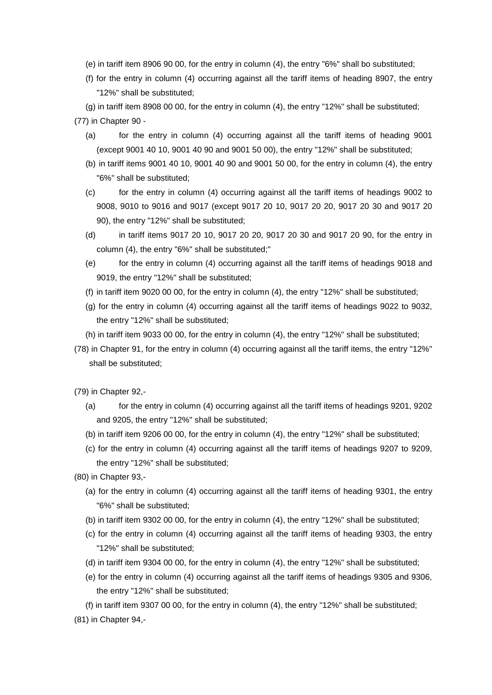- (e) in tariff item 8906 90 00, for the entry in column (4), the entry "6%" shall bo substituted;
- (f) for the entry in column (4) occurring against all the tariff items of heading 8907, the entry "12%" shall be substituted;
- (g) in tariff item 8908 00 00, for the entry in column (4), the entry "12%" shall be substituted;

(77) in Chapter 90 -

- (a) for the entry in column (4) occurring against all the tariff items of heading 9001 (except 9001 40 10, 9001 40 90 and 9001 50 00), the entry "12%" shall be substituted;
- (b) in tariff items 9001 40 10, 9001 40 90 and 9001 50 00, for the entry in column (4), the entry "6%" shall be substituted;
- (c) for the entry in column (4) occurring against all the tariff items of headings 9002 to 9008, 9010 to 9016 and 9017 (except 9017 20 10, 9017 20 20, 9017 20 30 and 9017 20 90), the entry "12%" shall be substituted;
- (d) in tariff items 9017 20 10, 9017 20 20, 9017 20 30 and 9017 20 90, for the entry in column (4), the entry "6%" shall be substituted;"
- (e) for the entry in column (4) occurring against all the tariff items of headings 9018 and 9019, the entry "12%" shall be substituted;
- (f) in tariff item 9020 00 00, for the entry in column (4), the entry "12%" shall be substituted;
- (g) for the entry in column (4) occurring against all the tariff items of headings 9022 to 9032, the entry "12%" shall be substituted;
- (h) in tariff item 9033 00 00, for the entry in column (4), the entry "12%" shall be substituted;
- (78) in Chapter 91, for the entry in column (4) occurring against all the tariff items, the entry "12%" shall be substituted;

(79) in Chapter 92,-

- (a) for the entry in column (4) occurring against all the tariff items of headings 9201, 9202 and 9205, the entry "12%" shall be substituted;
- (b) in tariff item 9206 00 00, for the entry in column (4), the entry "12%" shall be substituted;
- (c) for the entry in column (4) occurring against all the tariff items of headings 9207 to 9209, the entry "12%" shall be substituted;
- (80) in Chapter 93,-
	- (a) for the entry in column (4) occurring against all the tariff items of heading 9301, the entry "6%" shall be substituted;
	- (b) in tariff item 9302 00 00, for the entry in column (4), the entry "12%" shall be substituted;
	- (c) for the entry in column (4) occurring against all the tariff items of heading 9303, the entry "12%" shall be substituted;
	- (d) in tariff item 9304 00 00, for the entry in column (4), the entry "12%" shall be substituted;
	- (e) for the entry in column (4) occurring against all the tariff items of headings 9305 and 9306, the entry "12%" shall be substituted;
	- (f) in tariff item 9307 00 00, for the entry in column (4), the entry "12%" shall be substituted;
- (81) in Chapter 94,-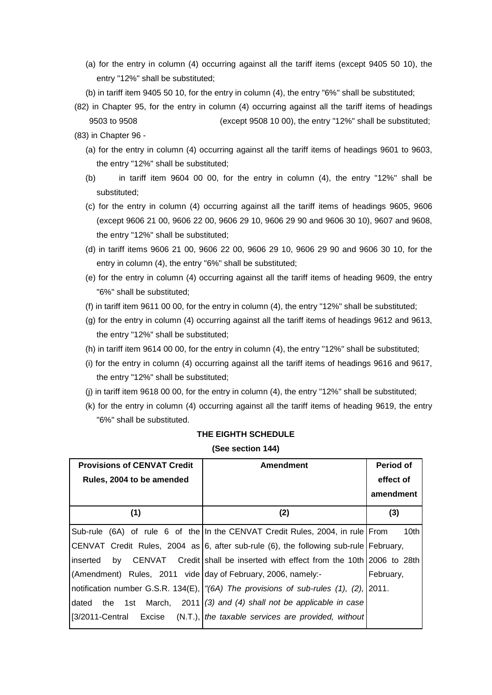- (a) for the entry in column (4) occurring against all the tariff items (except 9405 50 10), the entry "12%" shall be substituted;
- (b) in tariff item 9405 50 10, for the entry in column (4), the entry "6%" shall be substituted;
- (82) in Chapter 95, for the entry in column (4) occurring against all the tariff items of headings 9503 to 9508 (except 9508 10 00), the entry "12%" shall be substituted;
- (83) in Chapter 96
	- (a) for the entry in column (4) occurring against all the tariff items of headings 9601 to 9603, the entry "12%" shall be substituted;
	- (b) in tariff item 9604 00 00, for the entry in column (4), the entry "12%" shall be substituted;
	- (c) for the entry in column (4) occurring against all the tariff items of headings 9605, 9606 (except 9606 21 00, 9606 22 00, 9606 29 10, 9606 29 90 and 9606 30 10), 9607 and 9608, the entry "12%" shall be substituted;
	- (d) in tariff items 9606 21 00, 9606 22 00, 9606 29 10, 9606 29 90 and 9606 30 10, for the entry in column (4), the entry "6%" shall be substituted;
	- (e) for the entry in column (4) occurring against all the tariff items of heading 9609, the entry "6%" shall be substituted;
	- (f) in tariff item 9611 00 00, for the entry in column (4), the entry "12%" shall be substituted;
	- (g) for the entry in column (4) occurring against all the tariff items of headings 9612 and 9613, the entry "12%" shall be substituted;
	- (h) in tariff item 9614 00 00, for the entry in column (4), the entry "12%" shall be substituted;
	- (i) for the entry in column (4) occurring against all the tariff items of headings 9616 and 9617, the entry "12%" shall be substituted;
	- (j) in tariff item 9618 00 00, for the entry in column (4), the entry "12%" shall be substituted;
	- (k) for the entry in column (4) occurring against all the tariff items of heading 9619, the entry "6%" shall be substituted.

#### **THE EIGHTH SCHEDULE**

#### **(See section 144)**

| <b>Provisions of CENVAT Credit</b><br>Rules, 2004 to be amended | <b>Amendment</b>                                                                       | Period of<br>effect of<br>amendment |  |
|-----------------------------------------------------------------|----------------------------------------------------------------------------------------|-------------------------------------|--|
| (1)                                                             | (2)                                                                                    | (3)                                 |  |
|                                                                 | Sub-rule (6A) of rule 6 of the In the CENVAT Credit Rules, 2004, in rule   From        | 10 <sub>th</sub>                    |  |
|                                                                 | CENVAT Credit Rules, 2004 as 6, after sub-rule (6), the following sub-rule   February, |                                     |  |
| linserted<br>by                                                 | CENVAT Credit shall be inserted with effect from the 10th 2006 to 28th                 |                                     |  |
| (Amendment) Rules, 2011 vide day of February, 2006, namely:-    |                                                                                        | February,                           |  |
|                                                                 | notification number G.S.R. 134(E), (6A) The provisions of sub-rules (1), (2), (2011.   |                                     |  |
| dated<br>the<br>1st March,                                      | $2011$ (3) and (4) shall not be applicable in case                                     |                                     |  |
| [3/2011-Central]<br>Excise                                      | $(N.T.),$ the taxable services are provided, without                                   |                                     |  |